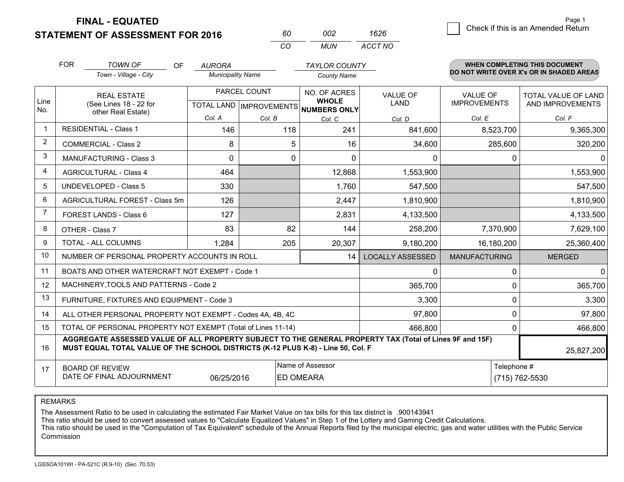**FINAL - EQUATED**

**STATEMENT OF ASSESSMENT FOR 2016** 

| 60. | nnə  | 1626    |
|-----|------|---------|
| CO. | MUN. | ACCT NO |

|                | <b>FOR</b>                                                                                                | <b>TOWN OF</b><br>OF<br>Town - Village - City                                                                                                                                                | <b>AURORA</b><br><b>Municipality Name</b> |        | <b>TAYLOR COUNTY</b><br><b>County Name</b> |                                |                                        | <b>WHEN COMPLETING THIS DOCUMENT</b><br>DO NOT WRITE OVER X's OR IN SHADED AREAS |
|----------------|-----------------------------------------------------------------------------------------------------------|----------------------------------------------------------------------------------------------------------------------------------------------------------------------------------------------|-------------------------------------------|--------|--------------------------------------------|--------------------------------|----------------------------------------|----------------------------------------------------------------------------------|
| Line           | <b>REAL ESTATE</b><br>(See Lines 18 - 22 for                                                              |                                                                                                                                                                                              | PARCEL COUNT<br>TOTAL LAND   IMPROVEMENTS |        | NO. OF ACRES<br><b>WHOLE</b>               | <b>VALUE OF</b><br><b>LAND</b> | <b>VALUE OF</b><br><b>IMPROVEMENTS</b> | TOTAL VALUE OF LAND<br>AND IMPROVEMENTS                                          |
| No.            |                                                                                                           | other Real Estate)                                                                                                                                                                           | Col. A                                    | Col. B | <b>NUMBERS ONLY</b><br>Col. C              | Col. D                         | Col. E                                 | Col. F                                                                           |
| $\mathbf 1$    |                                                                                                           | <b>RESIDENTIAL - Class 1</b>                                                                                                                                                                 | 146                                       | 118    | 241                                        | 841,600                        | 8,523,700                              | 9,365,300                                                                        |
| $\overline{2}$ |                                                                                                           | <b>COMMERCIAL - Class 2</b>                                                                                                                                                                  | 8                                         | 5      | 16                                         | 34,600                         | 285,600                                | 320,200                                                                          |
| 3              |                                                                                                           | MANUFACTURING - Class 3                                                                                                                                                                      | $\Omega$                                  | 0      | $\Omega$                                   | $\mathbf{0}$                   | $\mathbf{0}$                           | $\Omega$                                                                         |
| $\overline{4}$ |                                                                                                           | <b>AGRICULTURAL - Class 4</b>                                                                                                                                                                | 464                                       |        | 12,868                                     | 1,553,900                      |                                        | 1,553,900                                                                        |
| 5              |                                                                                                           | <b>UNDEVELOPED - Class 5</b>                                                                                                                                                                 | 330                                       |        | 1,760                                      | 547,500                        |                                        | 547,500                                                                          |
| 6              |                                                                                                           | AGRICULTURAL FOREST - Class 5m                                                                                                                                                               | 126                                       |        | 2,447                                      | 1,810,900                      |                                        | 1,810,900                                                                        |
| $\overline{7}$ |                                                                                                           | FOREST LANDS - Class 6                                                                                                                                                                       | 127                                       |        | 2,831                                      | 4,133,500                      |                                        | 4,133,500                                                                        |
| 8              |                                                                                                           | OTHER - Class 7                                                                                                                                                                              | 83                                        | 82     | 144                                        | 258,200                        | 7,370,900                              | 7,629,100                                                                        |
| 9              |                                                                                                           | TOTAL - ALL COLUMNS                                                                                                                                                                          | 1,284                                     | 205    | 20,307                                     | 9,180,200                      | 16,180,200                             | 25,360,400                                                                       |
| 10             |                                                                                                           | NUMBER OF PERSONAL PROPERTY ACCOUNTS IN ROLL                                                                                                                                                 |                                           |        | 14                                         | <b>LOCALLY ASSESSED</b>        | <b>MANUFACTURING</b>                   | <b>MERGED</b>                                                                    |
| 11             |                                                                                                           | BOATS AND OTHER WATERCRAFT NOT EXEMPT - Code 1                                                                                                                                               |                                           |        |                                            | 0                              | 0                                      | $\Omega$                                                                         |
| 12             |                                                                                                           | MACHINERY, TOOLS AND PATTERNS - Code 2                                                                                                                                                       |                                           |        |                                            | 365,700                        | $\mathbf{0}$                           | 365,700                                                                          |
| 13             |                                                                                                           | FURNITURE, FIXTURES AND EQUIPMENT - Code 3                                                                                                                                                   |                                           |        |                                            | 3,300                          | $\mathbf 0$                            | 3,300                                                                            |
| 14             |                                                                                                           | ALL OTHER PERSONAL PROPERTY NOT EXEMPT - Codes 4A, 4B, 4C                                                                                                                                    |                                           |        |                                            | 97,800                         | 0                                      | 97,800                                                                           |
| 15             |                                                                                                           | TOTAL OF PERSONAL PROPERTY NOT EXEMPT (Total of Lines 11-14)                                                                                                                                 |                                           |        |                                            | 466,800                        | $\Omega$                               | 466,800                                                                          |
| 16             |                                                                                                           | AGGREGATE ASSESSED VALUE OF ALL PROPERTY SUBJECT TO THE GENERAL PROPERTY TAX (Total of Lines 9F and 15F)<br>MUST EQUAL TOTAL VALUE OF THE SCHOOL DISTRICTS (K-12 PLUS K-8) - Line 50, Col. F |                                           |        |                                            |                                |                                        | 25,827,200                                                                       |
| 17             | Name of Assessor<br><b>BOARD OF REVIEW</b><br>DATE OF FINAL ADJOURNMENT<br>06/25/2016<br><b>ED OMEARA</b> |                                                                                                                                                                                              |                                           |        |                                            |                                | Telephone #                            | (715) 762-5530                                                                   |

REMARKS

The Assessment Ratio to be used in calculating the estimated Fair Market Value on tax bills for this tax district is .900143941

This ratio should be used to convert assessed values to "Calculate Equalized Values" in Step 1 of the Lottery and Gaming Credit Calculations.<br>This ratio should be used in the "Computation of Tax Equivalent" schedule of the Commission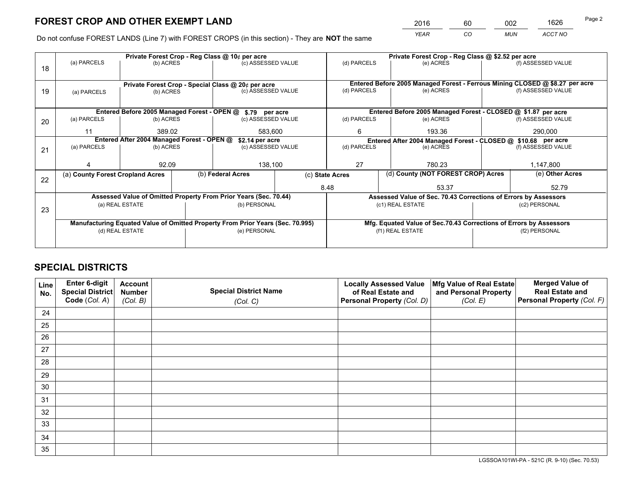*YEAR CO MUN ACCT NO* 2016 60 002 1626

Do not confuse FOREST LANDS (Line 7) with FOREST CROPS (in this section) - They are **NOT** the same

|    |                                  |                                                               |                   | Private Forest Crop - Reg Class @ 10¢ per acre                                 |                 | Private Forest Crop - Reg Class @ \$2.52 per acre                  |                                                                              |  |                    |  |
|----|----------------------------------|---------------------------------------------------------------|-------------------|--------------------------------------------------------------------------------|-----------------|--------------------------------------------------------------------|------------------------------------------------------------------------------|--|--------------------|--|
| 18 | (a) PARCELS                      | (b) ACRES                                                     |                   | (c) ASSESSED VALUE                                                             |                 | (d) PARCELS                                                        | (e) ACRES                                                                    |  | (f) ASSESSED VALUE |  |
|    |                                  |                                                               |                   |                                                                                |                 |                                                                    |                                                                              |  |                    |  |
|    |                                  |                                                               |                   | Private Forest Crop - Special Class @ 20¢ per acre                             |                 |                                                                    | Entered Before 2005 Managed Forest - Ferrous Mining CLOSED @ \$8.27 per acre |  |                    |  |
| 19 | (a) PARCELS                      | (b) ACRES                                                     |                   | (c) ASSESSED VALUE                                                             |                 | (d) PARCELS                                                        | (e) ACRES                                                                    |  | (f) ASSESSED VALUE |  |
|    |                                  |                                                               |                   |                                                                                |                 |                                                                    |                                                                              |  |                    |  |
|    |                                  |                                                               |                   | Entered Before 2005 Managed Forest - OPEN @ \$.79 per acre                     |                 |                                                                    | Entered Before 2005 Managed Forest - CLOSED @ \$1.87 per acre                |  |                    |  |
| 20 | (a) PARCELS                      | (b) ACRES                                                     |                   | (c) ASSESSED VALUE                                                             |                 | (d) PARCELS                                                        | (e) ACRES                                                                    |  | (f) ASSESSED VALUE |  |
|    | 11                               |                                                               | 389.02<br>583,600 |                                                                                |                 | 6                                                                  | 193.36                                                                       |  |                    |  |
|    |                                  | Entered After 2004 Managed Forest - OPEN @<br>\$2.14 per acre |                   |                                                                                |                 |                                                                    | Entered After 2004 Managed Forest - CLOSED @ \$10.68 per acre                |  |                    |  |
| 21 | (a) PARCELS                      | (b) ACRES                                                     |                   | (c) ASSESSED VALUE                                                             |                 | (d) PARCELS<br>(e) ACRES                                           |                                                                              |  | (f) ASSESSED VALUE |  |
|    |                                  |                                                               |                   |                                                                                |                 |                                                                    |                                                                              |  |                    |  |
|    |                                  | 92.09                                                         |                   | 138,100                                                                        |                 | 27<br>780.23                                                       |                                                                              |  | 1,147,800          |  |
| 22 | (a) County Forest Cropland Acres |                                                               |                   | (b) Federal Acres                                                              | (c) State Acres |                                                                    | (d) County (NOT FOREST CROP) Acres                                           |  | (e) Other Acres    |  |
|    |                                  |                                                               |                   |                                                                                |                 | 8.48                                                               | 53.37                                                                        |  | 52.79              |  |
|    |                                  |                                                               |                   | Assessed Value of Omitted Property From Prior Years (Sec. 70.44)               |                 |                                                                    | Assessed Value of Sec. 70.43 Corrections of Errors by Assessors              |  |                    |  |
| 23 |                                  | (a) REAL ESTATE                                               |                   | (b) PERSONAL                                                                   |                 |                                                                    | (c1) REAL ESTATE                                                             |  | (c2) PERSONAL      |  |
|    |                                  |                                                               |                   |                                                                                |                 |                                                                    |                                                                              |  |                    |  |
|    |                                  |                                                               |                   | Manufacturing Equated Value of Omitted Property From Prior Years (Sec. 70.995) |                 | Mfg. Equated Value of Sec.70.43 Corrections of Errors by Assessors |                                                                              |  |                    |  |
|    |                                  | (d) REAL ESTATE                                               |                   | (e) PERSONAL                                                                   |                 | (f1) REAL ESTATE                                                   |                                                                              |  | (f2) PERSONAL      |  |
|    |                                  |                                                               |                   |                                                                                |                 |                                                                    |                                                                              |  |                    |  |

## **SPECIAL DISTRICTS**

| Line<br>No. | Enter 6-digit<br><b>Special District</b> | <b>Account</b><br><b>Number</b> | <b>Special District Name</b> | <b>Locally Assessed Value</b><br>of Real Estate and | Mfg Value of Real Estate<br>and Personal Property | <b>Merged Value of</b><br><b>Real Estate and</b> |
|-------------|------------------------------------------|---------------------------------|------------------------------|-----------------------------------------------------|---------------------------------------------------|--------------------------------------------------|
|             | Code (Col. A)                            | (Col. B)                        | (Col. C)                     | Personal Property (Col. D)                          | (Col. E)                                          | Personal Property (Col. F)                       |
| 24          |                                          |                                 |                              |                                                     |                                                   |                                                  |
| 25          |                                          |                                 |                              |                                                     |                                                   |                                                  |
| 26          |                                          |                                 |                              |                                                     |                                                   |                                                  |
| 27          |                                          |                                 |                              |                                                     |                                                   |                                                  |
| 28          |                                          |                                 |                              |                                                     |                                                   |                                                  |
| 29          |                                          |                                 |                              |                                                     |                                                   |                                                  |
| 30          |                                          |                                 |                              |                                                     |                                                   |                                                  |
| 31          |                                          |                                 |                              |                                                     |                                                   |                                                  |
| 32          |                                          |                                 |                              |                                                     |                                                   |                                                  |
| 33          |                                          |                                 |                              |                                                     |                                                   |                                                  |
| 34          |                                          |                                 |                              |                                                     |                                                   |                                                  |
| 35          |                                          |                                 |                              |                                                     |                                                   |                                                  |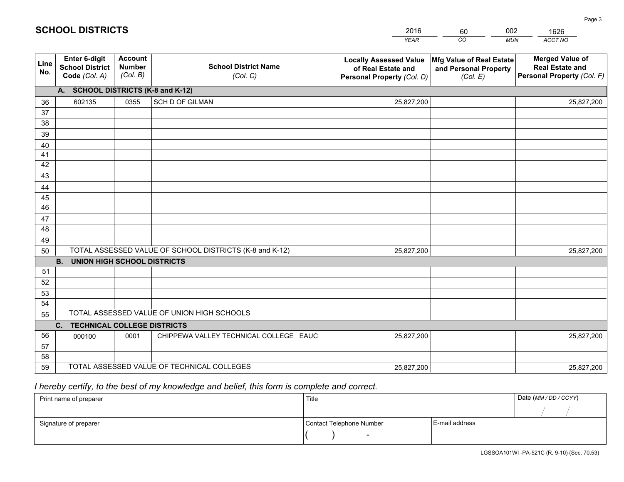|             |                                                          |                                             |                                                         | <b>YEAR</b>                                                                       | CO<br><b>MUN</b>                                              | ACCT NO                                                                        |
|-------------|----------------------------------------------------------|---------------------------------------------|---------------------------------------------------------|-----------------------------------------------------------------------------------|---------------------------------------------------------------|--------------------------------------------------------------------------------|
| Line<br>No. | Enter 6-digit<br><b>School District</b><br>Code (Col. A) | <b>Account</b><br><b>Number</b><br>(Col. B) | <b>School District Name</b><br>(Col. C)                 | <b>Locally Assessed Value</b><br>of Real Estate and<br>Personal Property (Col. D) | Mfg Value of Real Estate<br>and Personal Property<br>(Col. E) | <b>Merged Value of</b><br><b>Real Estate and</b><br>Personal Property (Col. F) |
|             | A. SCHOOL DISTRICTS (K-8 and K-12)                       |                                             |                                                         |                                                                                   |                                                               |                                                                                |
| 36          | 602135                                                   | 0355                                        | SCH D OF GILMAN                                         | 25,827,200                                                                        |                                                               | 25,827,200                                                                     |
| 37          |                                                          |                                             |                                                         |                                                                                   |                                                               |                                                                                |
| 38          |                                                          |                                             |                                                         |                                                                                   |                                                               |                                                                                |
| 39          |                                                          |                                             |                                                         |                                                                                   |                                                               |                                                                                |
| 40          |                                                          |                                             |                                                         |                                                                                   |                                                               |                                                                                |
| 41          |                                                          |                                             |                                                         |                                                                                   |                                                               |                                                                                |
| 42          |                                                          |                                             |                                                         |                                                                                   |                                                               |                                                                                |
| 43          |                                                          |                                             |                                                         |                                                                                   |                                                               |                                                                                |
| 44<br>45    |                                                          |                                             |                                                         |                                                                                   |                                                               |                                                                                |
| 46          |                                                          |                                             |                                                         |                                                                                   |                                                               |                                                                                |
| 47          |                                                          |                                             |                                                         |                                                                                   |                                                               |                                                                                |
| 48          |                                                          |                                             |                                                         |                                                                                   |                                                               |                                                                                |
| 49          |                                                          |                                             |                                                         |                                                                                   |                                                               |                                                                                |
| 50          |                                                          |                                             | TOTAL ASSESSED VALUE OF SCHOOL DISTRICTS (K-8 and K-12) | 25,827,200                                                                        |                                                               | 25,827,200                                                                     |
|             | <b>B.</b><br><b>UNION HIGH SCHOOL DISTRICTS</b>          |                                             |                                                         |                                                                                   |                                                               |                                                                                |
| 51          |                                                          |                                             |                                                         |                                                                                   |                                                               |                                                                                |
| 52          |                                                          |                                             |                                                         |                                                                                   |                                                               |                                                                                |
| 53          |                                                          |                                             |                                                         |                                                                                   |                                                               |                                                                                |
| 54          |                                                          |                                             |                                                         |                                                                                   |                                                               |                                                                                |
| 55          |                                                          |                                             | TOTAL ASSESSED VALUE OF UNION HIGH SCHOOLS              |                                                                                   |                                                               |                                                                                |
|             | C.<br><b>TECHNICAL COLLEGE DISTRICTS</b>                 |                                             |                                                         |                                                                                   |                                                               |                                                                                |
| 56          | 000100                                                   | 0001                                        | CHIPPEWA VALLEY TECHNICAL COLLEGE EAUC                  | 25,827,200                                                                        |                                                               | 25,827,200                                                                     |
| 57          |                                                          |                                             |                                                         |                                                                                   |                                                               |                                                                                |
| 58          |                                                          |                                             |                                                         |                                                                                   |                                                               |                                                                                |
| 59          |                                                          |                                             | TOTAL ASSESSED VALUE OF TECHNICAL COLLEGES              | 25,827,200                                                                        |                                                               | 25,827,200                                                                     |

60

002

 *I hereby certify, to the best of my knowledge and belief, this form is complete and correct.*

**SCHOOL DISTRICTS**

| Print name of preparer | Title                    |                | Date (MM / DD / CCYY) |
|------------------------|--------------------------|----------------|-----------------------|
|                        |                          |                |                       |
| Signature of preparer  | Contact Telephone Number | E-mail address |                       |
|                        | $\sim$                   |                |                       |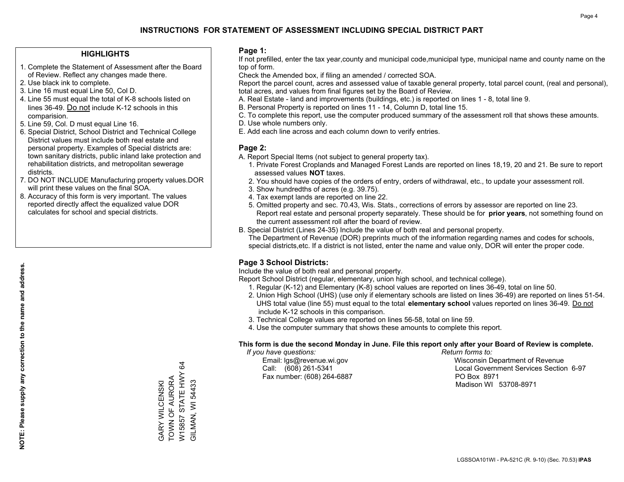## **HIGHLIGHTS**

- 1. Complete the Statement of Assessment after the Board of Review. Reflect any changes made there.
- 2. Use black ink to complete.
- 3. Line 16 must equal Line 50, Col D.
- 4. Line 55 must equal the total of K-8 schools listed on lines 36-49. Do not include K-12 schools in this comparision.
- 5. Line 59, Col. D must equal Line 16.
- 6. Special District, School District and Technical College District values must include both real estate and personal property. Examples of Special districts are: town sanitary districts, public inland lake protection and rehabilitation districts, and metropolitan sewerage districts.
- 7. DO NOT INCLUDE Manufacturing property values.DOR will print these values on the final SOA.
- 8. Accuracy of this form is very important. The values reported directly affect the equalized value DOR calculates for school and special districts.

#### **Page 1:**

 If not prefilled, enter the tax year,county and municipal code,municipal type, municipal name and county name on the top of form.

Check the Amended box, if filing an amended / corrected SOA.

 Report the parcel count, acres and assessed value of taxable general property, total parcel count, (real and personal), total acres, and values from final figures set by the Board of Review.

- A. Real Estate land and improvements (buildings, etc.) is reported on lines 1 8, total line 9.
- B. Personal Property is reported on lines 11 14, Column D, total line 15.
- C. To complete this report, use the computer produced summary of the assessment roll that shows these amounts.
- D. Use whole numbers only.
- E. Add each line across and each column down to verify entries.

## **Page 2:**

- A. Report Special Items (not subject to general property tax).
- 1. Private Forest Croplands and Managed Forest Lands are reported on lines 18,19, 20 and 21. Be sure to report assessed values **NOT** taxes.
- 2. You should have copies of the orders of entry, orders of withdrawal, etc., to update your assessment roll.
	- 3. Show hundredths of acres (e.g. 39.75).
- 4. Tax exempt lands are reported on line 22.
- 5. Omitted property and sec. 70.43, Wis. Stats., corrections of errors by assessor are reported on line 23. Report real estate and personal property separately. These should be for **prior years**, not something found on the current assessment roll after the board of review.
- B. Special District (Lines 24-35) Include the value of both real and personal property.
- The Department of Revenue (DOR) preprints much of the information regarding names and codes for schools, special districts,etc. If a district is not listed, enter the name and value only, DOR will enter the proper code.

## **Page 3 School Districts:**

Include the value of both real and personal property.

Report School District (regular, elementary, union high school, and technical college).

- 1. Regular (K-12) and Elementary (K-8) school values are reported on lines 36-49, total on line 50.
- 2. Union High School (UHS) (use only if elementary schools are listed on lines 36-49) are reported on lines 51-54. UHS total value (line 55) must equal to the total **elementary school** values reported on lines 36-49. Do notinclude K-12 schools in this comparison.
- 3. Technical College values are reported on lines 56-58, total on line 59.
- 4. Use the computer summary that shows these amounts to complete this report.

#### **This form is due the second Monday in June. File this report only after your Board of Review is complete.**

 *If you have questions: Return forms to:*

Fax number: (608) 264-6887 PO Box 8971

 Email: lgs@revenue.wi.gov Wisconsin Department of Revenue Call: (608) 261-5341 Local Government Services Section 6-97Madison WI 53708-8971

W15857 STATE HWY 64 W15857 STATE HWY 64 TOWN OF AURORA GARY WILCENSKI<br>TOWN OF AURORA GILMAN, WI 54433 GILMAN, WI 54433 GARY WILCENSKI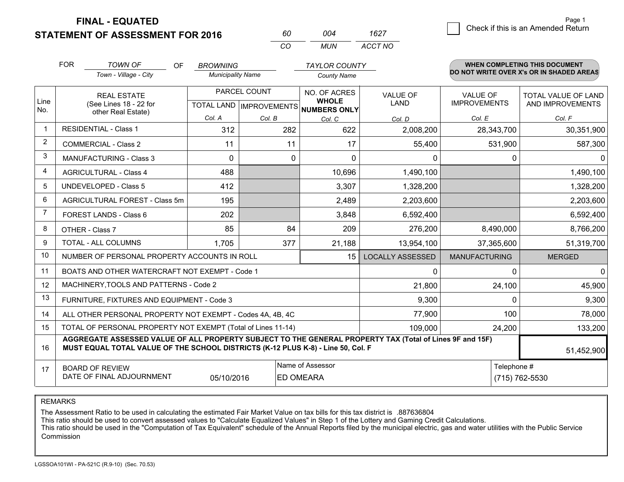**STATEMENT OF ASSESSMENT FOR 2016** 

**FINAL - EQUATED**

|                | <b>FOR</b> | <b>TOWN OF</b><br><b>OF</b><br>Town - Village - City                                                                                                                                         | <b>BROWNING</b><br><b>Municipality Name</b> |              | <b>TAYLOR COUNTY</b><br><b>County Name</b>               |                         |                      | <b>WHEN COMPLETING THIS DOCUMENT</b><br>DO NOT WRITE OVER X's OR IN SHADED AREAS |
|----------------|------------|----------------------------------------------------------------------------------------------------------------------------------------------------------------------------------------------|---------------------------------------------|--------------|----------------------------------------------------------|-------------------------|----------------------|----------------------------------------------------------------------------------|
|                |            | <b>REAL ESTATE</b>                                                                                                                                                                           |                                             | PARCEL COUNT | NO. OF ACRES                                             | <b>VALUE OF</b>         | <b>VALUE OF</b>      | TOTAL VALUE OF LAND                                                              |
| Line<br>No.    |            | (See Lines 18 - 22 for<br>other Real Estate)                                                                                                                                                 |                                             |              | <b>WHOLE</b><br>TOTAL LAND   IMPROVEMENTS   NUMBERS ONLY | <b>LAND</b>             | <b>IMPROVEMENTS</b>  | AND IMPROVEMENTS                                                                 |
|                |            |                                                                                                                                                                                              | Col. A                                      | Col. B       | Col. C                                                   | Col. D                  | Col. E               | Col. F                                                                           |
| $\mathbf 1$    |            | <b>RESIDENTIAL - Class 1</b>                                                                                                                                                                 | 312                                         | 282          | 622                                                      | 2,008,200               | 28,343,700           | 30,351,900                                                                       |
| $\overline{2}$ |            | <b>COMMERCIAL - Class 2</b>                                                                                                                                                                  | 11                                          | 11           | 17                                                       | 55,400                  | 531,900              | 587,300                                                                          |
| 3              |            | <b>MANUFACTURING - Class 3</b>                                                                                                                                                               | $\Omega$                                    |              | $\Omega$<br>$\Omega$                                     | 0                       | $\Omega$             | $\Omega$                                                                         |
| $\overline{4}$ |            | <b>AGRICULTURAL - Class 4</b>                                                                                                                                                                | 488                                         |              | 10,696                                                   | 1,490,100               |                      | 1,490,100                                                                        |
| 5              |            | <b>UNDEVELOPED - Class 5</b>                                                                                                                                                                 | 412                                         |              | 3,307                                                    | 1,328,200               |                      | 1,328,200                                                                        |
| 6              |            | AGRICULTURAL FOREST - Class 5m                                                                                                                                                               | 195                                         |              | 2,489                                                    | 2,203,600               |                      | 2,203,600                                                                        |
| $\overline{7}$ |            | FOREST LANDS - Class 6                                                                                                                                                                       | 202                                         |              | 3,848                                                    | 6,592,400               |                      | 6,592,400                                                                        |
| 8              |            | OTHER - Class 7                                                                                                                                                                              | 85                                          | 84           | 209                                                      | 276,200                 | 8,490,000            | 8,766,200                                                                        |
| 9              |            | TOTAL - ALL COLUMNS                                                                                                                                                                          | 1,705                                       | 377          | 21,188                                                   | 13,954,100              | 37,365,600           | 51,319,700                                                                       |
| 10             |            | NUMBER OF PERSONAL PROPERTY ACCOUNTS IN ROLL                                                                                                                                                 |                                             |              | 15                                                       | <b>LOCALLY ASSESSED</b> | <b>MANUFACTURING</b> | <b>MERGED</b>                                                                    |
| 11             |            | BOATS AND OTHER WATERCRAFT NOT EXEMPT - Code 1                                                                                                                                               |                                             |              |                                                          | 0                       | $\Omega$             | $\mathbf 0$                                                                      |
| 12             |            | MACHINERY, TOOLS AND PATTERNS - Code 2                                                                                                                                                       |                                             |              |                                                          | 21,800                  | 24,100               | 45,900                                                                           |
| 13             |            | FURNITURE, FIXTURES AND EQUIPMENT - Code 3                                                                                                                                                   |                                             |              |                                                          | 9,300                   | 0                    | 9,300                                                                            |
| 14             |            | ALL OTHER PERSONAL PROPERTY NOT EXEMPT - Codes 4A, 4B, 4C                                                                                                                                    |                                             |              |                                                          | 77,900                  | 100                  | 78,000                                                                           |
| 15             |            | TOTAL OF PERSONAL PROPERTY NOT EXEMPT (Total of Lines 11-14)                                                                                                                                 |                                             |              |                                                          | 109,000                 | 24,200               | 133,200                                                                          |
| 16             |            | AGGREGATE ASSESSED VALUE OF ALL PROPERTY SUBJECT TO THE GENERAL PROPERTY TAX (Total of Lines 9F and 15F)<br>MUST EQUAL TOTAL VALUE OF THE SCHOOL DISTRICTS (K-12 PLUS K-8) - Line 50, Col. F |                                             |              |                                                          |                         |                      | 51,452,900                                                                       |
| 17             |            | <b>BOARD OF REVIEW</b>                                                                                                                                                                       |                                             |              | Name of Assessor                                         |                         | Telephone #          |                                                                                  |
|                |            | DATE OF FINAL ADJOURNMENT                                                                                                                                                                    | 05/10/2016                                  |              |                                                          | (715) 762-5530          |                      |                                                                                  |

*CO*

*MUN*

*ACCT NO1627*

*<sup>60</sup> <sup>004</sup>*

REMARKS

The Assessment Ratio to be used in calculating the estimated Fair Market Value on tax bills for this tax district is .887636804<br>This ratio should be used to convert assessed values to "Calculate Equalized Values" in Step 1 Commission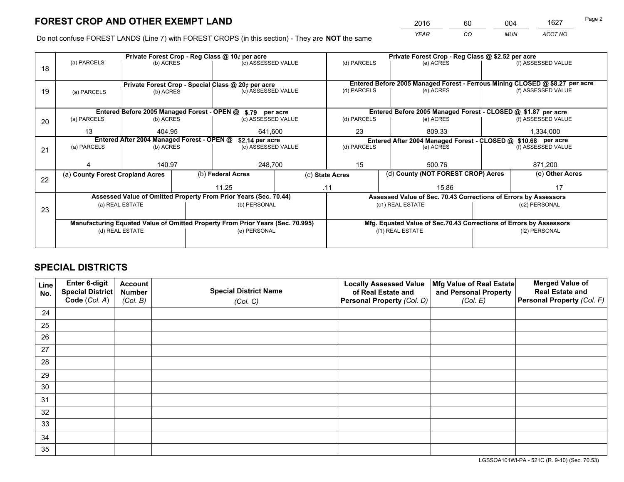*YEAR CO MUN ACCT NO* 2016 60 004 1627

Do not confuse FOREST LANDS (Line 7) with FOREST CROPS (in this section) - They are **NOT** the same

|    | Private Forest Crop - Reg Class @ 10¢ per acre |                                                               |                                                    |                                                                                |               |                                                                    | Private Forest Crop - Reg Class @ \$2.52 per acre |                                                                 |                    |                                                                              |
|----|------------------------------------------------|---------------------------------------------------------------|----------------------------------------------------|--------------------------------------------------------------------------------|---------------|--------------------------------------------------------------------|---------------------------------------------------|-----------------------------------------------------------------|--------------------|------------------------------------------------------------------------------|
| 18 | (a) PARCELS                                    | (b) ACRES                                                     |                                                    | (c) ASSESSED VALUE                                                             |               | (d) PARCELS                                                        |                                                   | (e) ACRES                                                       |                    | (f) ASSESSED VALUE                                                           |
|    |                                                |                                                               | Private Forest Crop - Special Class @ 20¢ per acre |                                                                                |               |                                                                    |                                                   |                                                                 |                    | Entered Before 2005 Managed Forest - Ferrous Mining CLOSED @ \$8.27 per acre |
| 19 | (a) PARCELS                                    | (b) ACRES                                                     |                                                    | (c) ASSESSED VALUE                                                             |               | (d) PARCELS                                                        |                                                   | (e) ACRES                                                       |                    | (f) ASSESSED VALUE                                                           |
|    |                                                |                                                               |                                                    | Entered Before 2005 Managed Forest - OPEN @ \$.79 per acre                     |               |                                                                    |                                                   | Entered Before 2005 Managed Forest - CLOSED @ \$1.87 per acre   |                    |                                                                              |
| 20 | (a) PARCELS                                    | (b) ACRES                                                     |                                                    | (c) ASSESSED VALUE                                                             |               | (d) PARCELS                                                        |                                                   | (e) ACRES                                                       |                    | (f) ASSESSED VALUE                                                           |
|    | 13                                             | 404.95                                                        |                                                    | 641.600                                                                        |               | 23                                                                 |                                                   | 809.33                                                          |                    | 1,334,000                                                                    |
|    |                                                | Entered After 2004 Managed Forest - OPEN @<br>\$2.14 per acre |                                                    |                                                                                |               |                                                                    |                                                   | Entered After 2004 Managed Forest - CLOSED @ \$10.68 per acre   |                    |                                                                              |
| 21 | (a) PARCELS                                    | (b) ACRES                                                     |                                                    | (c) ASSESSED VALUE                                                             |               | (d) PARCELS<br>(e) ACRES                                           |                                                   |                                                                 | (f) ASSESSED VALUE |                                                                              |
|    |                                                |                                                               |                                                    |                                                                                |               |                                                                    |                                                   |                                                                 |                    |                                                                              |
|    |                                                | 140.97                                                        |                                                    |                                                                                | 248,700<br>15 |                                                                    | 500.76                                            | 871,200                                                         |                    |                                                                              |
| 22 | (a) County Forest Cropland Acres               |                                                               |                                                    | (b) Federal Acres                                                              |               | (d) County (NOT FOREST CROP) Acres<br>(c) State Acres              |                                                   |                                                                 | (e) Other Acres    |                                                                              |
|    |                                                |                                                               |                                                    | 11.25                                                                          | .11           |                                                                    |                                                   | 15.86                                                           |                    | 17                                                                           |
|    |                                                |                                                               |                                                    | Assessed Value of Omitted Property From Prior Years (Sec. 70.44)               |               |                                                                    |                                                   | Assessed Value of Sec. 70.43 Corrections of Errors by Assessors |                    |                                                                              |
| 23 |                                                | (a) REAL ESTATE                                               |                                                    | (b) PERSONAL                                                                   |               |                                                                    |                                                   | (c1) REAL ESTATE                                                |                    | (c2) PERSONAL                                                                |
|    |                                                |                                                               |                                                    |                                                                                |               |                                                                    |                                                   |                                                                 |                    |                                                                              |
|    |                                                |                                                               |                                                    | Manufacturing Equated Value of Omitted Property From Prior Years (Sec. 70.995) |               | Mfg. Equated Value of Sec.70.43 Corrections of Errors by Assessors |                                                   |                                                                 |                    |                                                                              |
|    | (d) REAL ESTATE                                |                                                               |                                                    | (e) PERSONAL                                                                   |               | (f1) REAL ESTATE                                                   |                                                   |                                                                 | (f2) PERSONAL      |                                                                              |
|    |                                                |                                                               |                                                    |                                                                                |               |                                                                    |                                                   |                                                                 |                    |                                                                              |

## **SPECIAL DISTRICTS**

| Line<br>No. | Enter 6-digit<br>Special District<br>Code (Col. A) | <b>Account</b><br><b>Number</b> | <b>Special District Name</b> | <b>Locally Assessed Value</b><br>of Real Estate and | Mfg Value of Real Estate<br>and Personal Property | <b>Merged Value of</b><br><b>Real Estate and</b><br>Personal Property (Col. F) |
|-------------|----------------------------------------------------|---------------------------------|------------------------------|-----------------------------------------------------|---------------------------------------------------|--------------------------------------------------------------------------------|
|             |                                                    | (Col. B)                        | (Col. C)                     | Personal Property (Col. D)                          | (Col. E)                                          |                                                                                |
| 24          |                                                    |                                 |                              |                                                     |                                                   |                                                                                |
| 25          |                                                    |                                 |                              |                                                     |                                                   |                                                                                |
| 26          |                                                    |                                 |                              |                                                     |                                                   |                                                                                |
| 27          |                                                    |                                 |                              |                                                     |                                                   |                                                                                |
| 28          |                                                    |                                 |                              |                                                     |                                                   |                                                                                |
| 29          |                                                    |                                 |                              |                                                     |                                                   |                                                                                |
| 30          |                                                    |                                 |                              |                                                     |                                                   |                                                                                |
| 31          |                                                    |                                 |                              |                                                     |                                                   |                                                                                |
| 32          |                                                    |                                 |                              |                                                     |                                                   |                                                                                |
| 33          |                                                    |                                 |                              |                                                     |                                                   |                                                                                |
| 34          |                                                    |                                 |                              |                                                     |                                                   |                                                                                |
| 35          |                                                    |                                 |                              |                                                     |                                                   |                                                                                |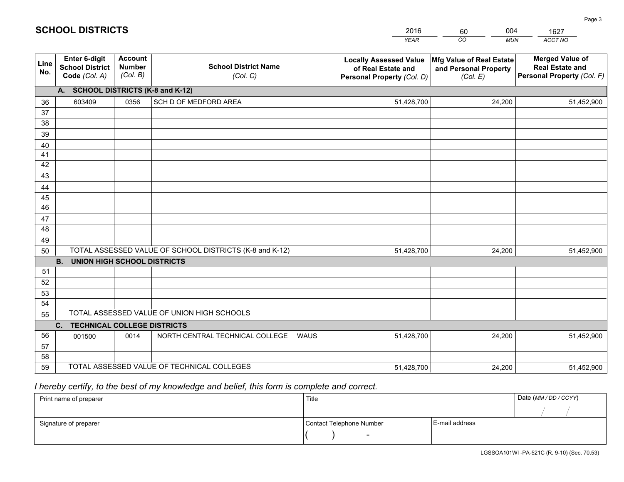|             |                                                                 |                                             |                                                         | <b>YEAR</b>                                                                       | CO<br><b>MUN</b>                                              | ACCT NO                                                                        |
|-------------|-----------------------------------------------------------------|---------------------------------------------|---------------------------------------------------------|-----------------------------------------------------------------------------------|---------------------------------------------------------------|--------------------------------------------------------------------------------|
| Line<br>No. | <b>Enter 6-digit</b><br><b>School District</b><br>Code (Col. A) | <b>Account</b><br><b>Number</b><br>(Col. B) | <b>School District Name</b><br>(Col. C)                 | <b>Locally Assessed Value</b><br>of Real Estate and<br>Personal Property (Col. D) | Mfg Value of Real Estate<br>and Personal Property<br>(Col. E) | <b>Merged Value of</b><br><b>Real Estate and</b><br>Personal Property (Col. F) |
|             | A. SCHOOL DISTRICTS (K-8 and K-12)                              |                                             |                                                         |                                                                                   |                                                               |                                                                                |
| 36          | 603409                                                          | 0356                                        | SCH D OF MEDFORD AREA                                   | 51,428,700                                                                        | 24,200                                                        | 51,452,900                                                                     |
| 37          |                                                                 |                                             |                                                         |                                                                                   |                                                               |                                                                                |
| 38          |                                                                 |                                             |                                                         |                                                                                   |                                                               |                                                                                |
| 39          |                                                                 |                                             |                                                         |                                                                                   |                                                               |                                                                                |
| 40          |                                                                 |                                             |                                                         |                                                                                   |                                                               |                                                                                |
| 41<br>42    |                                                                 |                                             |                                                         |                                                                                   |                                                               |                                                                                |
| 43          |                                                                 |                                             |                                                         |                                                                                   |                                                               |                                                                                |
|             |                                                                 |                                             |                                                         |                                                                                   |                                                               |                                                                                |
| 44<br>45    |                                                                 |                                             |                                                         |                                                                                   |                                                               |                                                                                |
| 46          |                                                                 |                                             |                                                         |                                                                                   |                                                               |                                                                                |
| 47          |                                                                 |                                             |                                                         |                                                                                   |                                                               |                                                                                |
| 48          |                                                                 |                                             |                                                         |                                                                                   |                                                               |                                                                                |
| 49          |                                                                 |                                             |                                                         |                                                                                   |                                                               |                                                                                |
| 50          |                                                                 |                                             | TOTAL ASSESSED VALUE OF SCHOOL DISTRICTS (K-8 and K-12) | 51,428,700                                                                        | 24,200                                                        | 51,452,900                                                                     |
|             | <b>B. UNION HIGH SCHOOL DISTRICTS</b>                           |                                             |                                                         |                                                                                   |                                                               |                                                                                |
| 51          |                                                                 |                                             |                                                         |                                                                                   |                                                               |                                                                                |
| 52          |                                                                 |                                             |                                                         |                                                                                   |                                                               |                                                                                |
| 53          |                                                                 |                                             |                                                         |                                                                                   |                                                               |                                                                                |
| 54          |                                                                 |                                             |                                                         |                                                                                   |                                                               |                                                                                |
| 55          |                                                                 |                                             | TOTAL ASSESSED VALUE OF UNION HIGH SCHOOLS              |                                                                                   |                                                               |                                                                                |
|             | C.<br><b>TECHNICAL COLLEGE DISTRICTS</b>                        |                                             |                                                         |                                                                                   |                                                               |                                                                                |
| 56          | 001500                                                          | 0014                                        | NORTH CENTRAL TECHNICAL COLLEGE<br>WAUS                 | 51,428,700                                                                        | 24,200                                                        | 51,452,900                                                                     |
| 57<br>58    |                                                                 |                                             |                                                         |                                                                                   |                                                               |                                                                                |
| 59          |                                                                 |                                             | TOTAL ASSESSED VALUE OF TECHNICAL COLLEGES              | 51,428,700                                                                        | 24,200                                                        | 51,452,900                                                                     |
|             |                                                                 |                                             |                                                         |                                                                                   |                                                               |                                                                                |

60

004

 *I hereby certify, to the best of my knowledge and belief, this form is complete and correct.*

**SCHOOL DISTRICTS**

| Print name of preparer | Title                    |                | Date (MM / DD / CCYY) |
|------------------------|--------------------------|----------------|-----------------------|
|                        |                          |                |                       |
| Signature of preparer  | Contact Telephone Number | E-mail address |                       |
|                        | $\sim$                   |                |                       |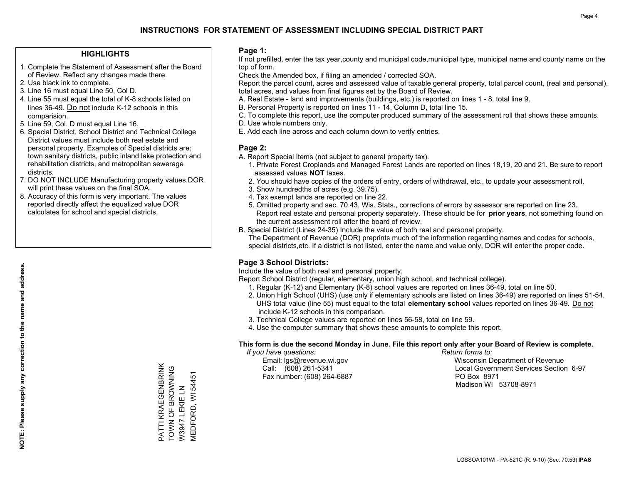## **HIGHLIGHTS**

- 1. Complete the Statement of Assessment after the Board of Review. Reflect any changes made there.
- 2. Use black ink to complete.

**NOTE: Please supply any correction to the name and address.**

NOTE: Please supply any correction to the name and address.

- 3. Line 16 must equal Line 50, Col D.
- 4. Line 55 must equal the total of K-8 schools listed on lines 36-49. Do not include K-12 schools in this comparision.
- 5. Line 59, Col. D must equal Line 16.
- 6. Special District, School District and Technical College District values must include both real estate and personal property. Examples of Special districts are: town sanitary districts, public inland lake protection and rehabilitation districts, and metropolitan sewerage districts.
- 7. DO NOT INCLUDE Manufacturing property values.DOR will print these values on the final SOA.
- 8. Accuracy of this form is very important. The values reported directly affect the equalized value DOR calculates for school and special districts.

#### **Page 1:**

 If not prefilled, enter the tax year,county and municipal code,municipal type, municipal name and county name on the top of form.

Check the Amended box, if filing an amended / corrected SOA.

 Report the parcel count, acres and assessed value of taxable general property, total parcel count, (real and personal), total acres, and values from final figures set by the Board of Review.

- A. Real Estate land and improvements (buildings, etc.) is reported on lines 1 8, total line 9.
- B. Personal Property is reported on lines 11 14, Column D, total line 15.
- C. To complete this report, use the computer produced summary of the assessment roll that shows these amounts.
- D. Use whole numbers only.
- E. Add each line across and each column down to verify entries.

## **Page 2:**

- A. Report Special Items (not subject to general property tax).
- 1. Private Forest Croplands and Managed Forest Lands are reported on lines 18,19, 20 and 21. Be sure to report assessed values **NOT** taxes.
- 2. You should have copies of the orders of entry, orders of withdrawal, etc., to update your assessment roll.
	- 3. Show hundredths of acres (e.g. 39.75).
- 4. Tax exempt lands are reported on line 22.
- 5. Omitted property and sec. 70.43, Wis. Stats., corrections of errors by assessor are reported on line 23. Report real estate and personal property separately. These should be for **prior years**, not something found on the current assessment roll after the board of review.
- B. Special District (Lines 24-35) Include the value of both real and personal property.
- The Department of Revenue (DOR) preprints much of the information regarding names and codes for schools, special districts,etc. If a district is not listed, enter the name and value only, DOR will enter the proper code.

## **Page 3 School Districts:**

Include the value of both real and personal property.

Report School District (regular, elementary, union high school, and technical college).

- 1. Regular (K-12) and Elementary (K-8) school values are reported on lines 36-49, total on line 50.
- 2. Union High School (UHS) (use only if elementary schools are listed on lines 36-49) are reported on lines 51-54. UHS total value (line 55) must equal to the total **elementary school** values reported on lines 36-49. Do notinclude K-12 schools in this comparison.
- 3. Technical College values are reported on lines 56-58, total on line 59.
- 4. Use the computer summary that shows these amounts to complete this report.

#### **This form is due the second Monday in June. File this report only after your Board of Review is complete.**

 *If you have questions: Return forms to:*

Fax number: (608) 264-6887 PO Box 8971

 Email: lgs@revenue.wi.gov Wisconsin Department of Revenue Call: (608) 261-5341 Local Government Services Section 6-97Madison WI 53708-8971

PATTI KRAEGENBRINK PATTI KRAEGENBRINK TOWN OF BROWNING TOWN OF BROWNING<br>W3947 LEKIE LN VIEDFORD, WI 54451 MEDFORD, WI 54451 W3947 LEKIE LN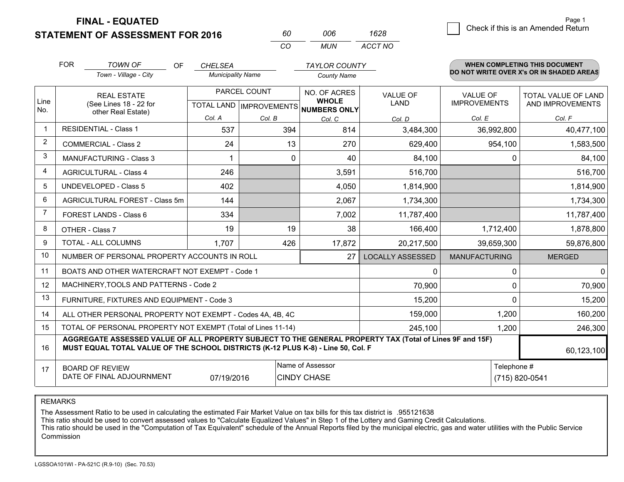**FINAL - EQUATED**

**STATEMENT OF ASSESSMENT FOR 2016** 

| 60. | NUE | 1628    |
|-----|-----|---------|
| CO. | MUN | ACCT NO |

|                | <b>FOR</b><br>TOWN OF<br>OF<br>Town - Village - City |                                                                                                                                                                                              | <b>CHELSEA</b><br><b>Municipality Name</b> |              | <b>TAYLOR COUNTY</b><br><b>County Name</b>                               |                                | <b>WHEN COMPLETING THIS DOCUMENT</b><br>DO NOT WRITE OVER X's OR IN SHADED AREAS |                                                |  |
|----------------|------------------------------------------------------|----------------------------------------------------------------------------------------------------------------------------------------------------------------------------------------------|--------------------------------------------|--------------|--------------------------------------------------------------------------|--------------------------------|----------------------------------------------------------------------------------|------------------------------------------------|--|
| Line<br>No.    |                                                      | <b>REAL ESTATE</b><br>(See Lines 18 - 22 for<br>other Real Estate)                                                                                                                           |                                            | PARCEL COUNT | NO. OF ACRES<br><b>WHOLE</b><br>TOTAL LAND   IMPROVEMENTS   NUMBERS ONLY | <b>VALUE OF</b><br><b>LAND</b> | <b>VALUE OF</b><br><b>IMPROVEMENTS</b>                                           | <b>TOTAL VALUE OF LAND</b><br>AND IMPROVEMENTS |  |
|                |                                                      |                                                                                                                                                                                              | Col. A                                     | Col. B       | Col. C                                                                   | Col. D                         | Col. E                                                                           | Col. F                                         |  |
|                |                                                      | <b>RESIDENTIAL - Class 1</b>                                                                                                                                                                 | 537                                        | 394          | 814                                                                      | 3,484,300                      | 36,992,800                                                                       | 40,477,100                                     |  |
| $\overline{c}$ |                                                      | <b>COMMERCIAL - Class 2</b>                                                                                                                                                                  | 24                                         | 13           | 270                                                                      | 629,400                        | 954,100                                                                          | 1,583,500                                      |  |
| 3              |                                                      | MANUFACTURING - Class 3                                                                                                                                                                      |                                            | $\Omega$     | 40                                                                       | 84,100                         | $\Omega$                                                                         | 84,100                                         |  |
| 4              |                                                      | <b>AGRICULTURAL - Class 4</b>                                                                                                                                                                | 246                                        |              | 3,591                                                                    | 516,700                        |                                                                                  | 516,700                                        |  |
| 5              |                                                      | <b>UNDEVELOPED - Class 5</b>                                                                                                                                                                 | 402                                        |              | 4,050                                                                    | 1,814,900                      |                                                                                  | 1,814,900                                      |  |
| 6              |                                                      | AGRICULTURAL FOREST - Class 5m                                                                                                                                                               | 144                                        |              | 2,067                                                                    | 1,734,300                      |                                                                                  | 1,734,300                                      |  |
|                |                                                      | FOREST LANDS - Class 6                                                                                                                                                                       | 334                                        |              | 7,002                                                                    | 11,787,400                     |                                                                                  | 11,787,400                                     |  |
| 8              |                                                      | OTHER - Class 7                                                                                                                                                                              | 19                                         | 19           | 38                                                                       | 166,400                        | 1,712,400                                                                        | 1,878,800                                      |  |
| 9              |                                                      | <b>TOTAL - ALL COLUMNS</b>                                                                                                                                                                   | 1,707                                      | 426          | 17,872                                                                   | 20,217,500                     | 39,659,300                                                                       | 59,876,800                                     |  |
| 10             |                                                      | NUMBER OF PERSONAL PROPERTY ACCOUNTS IN ROLL                                                                                                                                                 |                                            |              | 27                                                                       | <b>LOCALLY ASSESSED</b>        | <b>MANUFACTURING</b>                                                             | <b>MERGED</b>                                  |  |
| 11             |                                                      | BOATS AND OTHER WATERCRAFT NOT EXEMPT - Code 1                                                                                                                                               |                                            |              |                                                                          | 0                              | $\Omega$                                                                         | $\mathbf{0}$                                   |  |
| 12             |                                                      | MACHINERY, TOOLS AND PATTERNS - Code 2                                                                                                                                                       |                                            |              |                                                                          | 70,900                         | 0                                                                                | 70,900                                         |  |
| 13             |                                                      | FURNITURE, FIXTURES AND EQUIPMENT - Code 3                                                                                                                                                   |                                            |              |                                                                          | 15,200                         | $\Omega$                                                                         | 15,200                                         |  |
| 14             |                                                      | ALL OTHER PERSONAL PROPERTY NOT EXEMPT - Codes 4A, 4B, 4C                                                                                                                                    |                                            |              |                                                                          | 159,000                        | 1,200                                                                            | 160,200                                        |  |
| 15             |                                                      | TOTAL OF PERSONAL PROPERTY NOT EXEMPT (Total of Lines 11-14)                                                                                                                                 |                                            |              |                                                                          | 245,100                        | 1,200                                                                            | 246,300                                        |  |
| 16             |                                                      | AGGREGATE ASSESSED VALUE OF ALL PROPERTY SUBJECT TO THE GENERAL PROPERTY TAX (Total of Lines 9F and 15F)<br>MUST EQUAL TOTAL VALUE OF THE SCHOOL DISTRICTS (K-12 PLUS K-8) - Line 50, Col. F |                                            |              |                                                                          |                                |                                                                                  | 60,123,100                                     |  |
| 17             | <b>BOARD OF REVIEW</b><br>DATE OF FINAL ADJOURNMENT  | Telephone #                                                                                                                                                                                  | (715) 820-0541                             |              |                                                                          |                                |                                                                                  |                                                |  |

REMARKS

The Assessment Ratio to be used in calculating the estimated Fair Market Value on tax bills for this tax district is .955121638

This ratio should be used to convert assessed values to "Calculate Equalized Values" in Step 1 of the Lottery and Gaming Credit Calculations.<br>This ratio should be used in the "Computation of Tax Equivalent" schedule of the Commission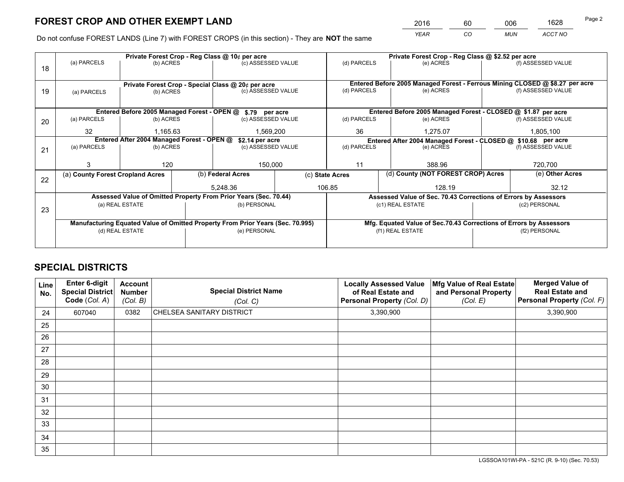*YEAR CO MUN ACCT NO* <sup>2016</sup> <sup>60</sup> <sup>006</sup> <sup>1628</sup>

Do not confuse FOREST LANDS (Line 7) with FOREST CROPS (in this section) - They are **NOT** the same

|    |                                            |                 |  | Private Forest Crop - Reg Class @ 10¢ per acre                                 |                          | Private Forest Crop - Reg Class @ \$2.52 per acre |                                                                              |                    |                                                                 |  |
|----|--------------------------------------------|-----------------|--|--------------------------------------------------------------------------------|--------------------------|---------------------------------------------------|------------------------------------------------------------------------------|--------------------|-----------------------------------------------------------------|--|
| 18 | (a) PARCELS                                | (b) ACRES       |  | (c) ASSESSED VALUE                                                             |                          | (d) PARCELS                                       | (e) ACRES                                                                    |                    | (f) ASSESSED VALUE                                              |  |
|    |                                            |                 |  | Private Forest Crop - Special Class @ 20¢ per acre                             |                          |                                                   | Entered Before 2005 Managed Forest - Ferrous Mining CLOSED @ \$8.27 per acre |                    |                                                                 |  |
| 19 | (a) PARCELS                                | (b) ACRES       |  | (c) ASSESSED VALUE                                                             | (d) PARCELS<br>(e) ACRES |                                                   |                                                                              | (f) ASSESSED VALUE |                                                                 |  |
|    |                                            |                 |  | Entered Before 2005 Managed Forest - OPEN @ \$.79 per acre                     |                          |                                                   | Entered Before 2005 Managed Forest - CLOSED @ \$1.87 per acre                |                    |                                                                 |  |
| 20 | (a) PARCELS                                | (b) ACRES       |  | (c) ASSESSED VALUE                                                             |                          | (d) PARCELS                                       | (e) ACRES                                                                    |                    | (f) ASSESSED VALUE                                              |  |
|    | 32<br>1,165.63                             |                 |  | 1,569,200                                                                      |                          | 36                                                | 1,275.07                                                                     |                    | 1,805,100                                                       |  |
|    | Entered After 2004 Managed Forest - OPEN @ |                 |  | \$2.14 per acre                                                                |                          |                                                   | Entered After 2004 Managed Forest - CLOSED @ \$10.68 per acre                |                    |                                                                 |  |
| 21 | (a) PARCELS                                | (b) ACRES       |  | (c) ASSESSED VALUE                                                             |                          | (d) PARCELS                                       | (e) ACRES                                                                    |                    | (f) ASSESSED VALUE                                              |  |
|    |                                            |                 |  |                                                                                |                          |                                                   |                                                                              |                    |                                                                 |  |
|    | 3                                          | 120             |  | 150,000                                                                        |                          | 11                                                | 388.96                                                                       |                    | 720,700                                                         |  |
|    | (a) County Forest Cropland Acres           |                 |  | (b) Federal Acres                                                              |                          | (c) State Acres                                   | (d) County (NOT FOREST CROP) Acres                                           |                    | (e) Other Acres                                                 |  |
| 22 |                                            |                 |  | 5.248.36                                                                       |                          | 106.85<br>128.19                                  |                                                                              |                    | 32.12                                                           |  |
|    |                                            |                 |  | Assessed Value of Omitted Property From Prior Years (Sec. 70.44)               |                          |                                                   |                                                                              |                    | Assessed Value of Sec. 70.43 Corrections of Errors by Assessors |  |
| 23 | (a) REAL ESTATE                            |                 |  | (b) PERSONAL                                                                   |                          | (c1) REAL ESTATE                                  |                                                                              |                    | (c2) PERSONAL                                                   |  |
|    |                                            |                 |  |                                                                                |                          |                                                   |                                                                              |                    |                                                                 |  |
|    |                                            |                 |  | Manufacturing Equated Value of Omitted Property From Prior Years (Sec. 70.995) |                          |                                                   | Mfg. Equated Value of Sec.70.43 Corrections of Errors by Assessors           |                    |                                                                 |  |
|    |                                            | (d) REAL ESTATE |  | (e) PERSONAL                                                                   |                          |                                                   | (f1) REAL ESTATE                                                             |                    | (f2) PERSONAL                                                   |  |
|    |                                            |                 |  |                                                                                |                          |                                                   |                                                                              |                    |                                                                 |  |

## **SPECIAL DISTRICTS**

| Line<br>No. | Enter 6-digit<br><b>Special District</b><br>Code (Col. A) | <b>Account</b><br><b>Number</b><br>(Col. B) | <b>Special District Name</b><br>(Col. C) | <b>Locally Assessed Value</b><br>of Real Estate and<br>Personal Property (Col. D) | Mfg Value of Real Estate<br>and Personal Property<br>(Col. E) | <b>Merged Value of</b><br><b>Real Estate and</b><br>Personal Property (Col. F) |
|-------------|-----------------------------------------------------------|---------------------------------------------|------------------------------------------|-----------------------------------------------------------------------------------|---------------------------------------------------------------|--------------------------------------------------------------------------------|
| 24          | 607040                                                    | 0382                                        | CHELSEA SANITARY DISTRICT                | 3,390,900                                                                         |                                                               | 3,390,900                                                                      |
| 25          |                                                           |                                             |                                          |                                                                                   |                                                               |                                                                                |
| 26          |                                                           |                                             |                                          |                                                                                   |                                                               |                                                                                |
| 27          |                                                           |                                             |                                          |                                                                                   |                                                               |                                                                                |
| 28          |                                                           |                                             |                                          |                                                                                   |                                                               |                                                                                |
| 29          |                                                           |                                             |                                          |                                                                                   |                                                               |                                                                                |
| 30          |                                                           |                                             |                                          |                                                                                   |                                                               |                                                                                |
| 31          |                                                           |                                             |                                          |                                                                                   |                                                               |                                                                                |
| 32          |                                                           |                                             |                                          |                                                                                   |                                                               |                                                                                |
| 33          |                                                           |                                             |                                          |                                                                                   |                                                               |                                                                                |
| 34          |                                                           |                                             |                                          |                                                                                   |                                                               |                                                                                |
| 35          |                                                           |                                             |                                          |                                                                                   |                                                               |                                                                                |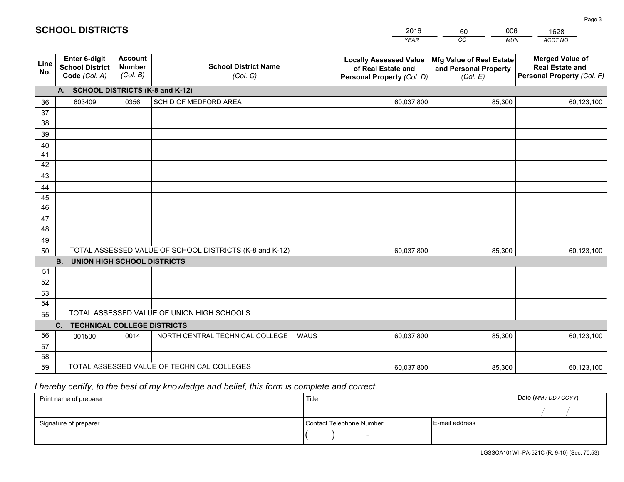|             |                                                                 |                                             |                                                         | <b>YEAR</b>                                                                       | CO<br><b>MUN</b>                                              | <b>ACCT NO</b>                                                                 |
|-------------|-----------------------------------------------------------------|---------------------------------------------|---------------------------------------------------------|-----------------------------------------------------------------------------------|---------------------------------------------------------------|--------------------------------------------------------------------------------|
| Line<br>No. | <b>Enter 6-digit</b><br><b>School District</b><br>Code (Col. A) | <b>Account</b><br><b>Number</b><br>(Col. B) | <b>School District Name</b><br>(Col. C)                 | <b>Locally Assessed Value</b><br>of Real Estate and<br>Personal Property (Col. D) | Mfg Value of Real Estate<br>and Personal Property<br>(Col. E) | <b>Merged Value of</b><br><b>Real Estate and</b><br>Personal Property (Col. F) |
|             | A. SCHOOL DISTRICTS (K-8 and K-12)                              |                                             |                                                         |                                                                                   |                                                               |                                                                                |
| 36          | 603409                                                          | 0356                                        | SCH D OF MEDFORD AREA                                   | 60,037,800                                                                        | 85,300                                                        | 60,123,100                                                                     |
| 37          |                                                                 |                                             |                                                         |                                                                                   |                                                               |                                                                                |
| 38          |                                                                 |                                             |                                                         |                                                                                   |                                                               |                                                                                |
| 39          |                                                                 |                                             |                                                         |                                                                                   |                                                               |                                                                                |
| 40          |                                                                 |                                             |                                                         |                                                                                   |                                                               |                                                                                |
| 41<br>42    |                                                                 |                                             |                                                         |                                                                                   |                                                               |                                                                                |
| 43          |                                                                 |                                             |                                                         |                                                                                   |                                                               |                                                                                |
| 44          |                                                                 |                                             |                                                         |                                                                                   |                                                               |                                                                                |
| 45          |                                                                 |                                             |                                                         |                                                                                   |                                                               |                                                                                |
| 46          |                                                                 |                                             |                                                         |                                                                                   |                                                               |                                                                                |
| 47          |                                                                 |                                             |                                                         |                                                                                   |                                                               |                                                                                |
| 48          |                                                                 |                                             |                                                         |                                                                                   |                                                               |                                                                                |
| 49          |                                                                 |                                             |                                                         |                                                                                   |                                                               |                                                                                |
| 50          |                                                                 |                                             | TOTAL ASSESSED VALUE OF SCHOOL DISTRICTS (K-8 and K-12) | 60,037,800                                                                        | 85,300                                                        | 60,123,100                                                                     |
|             | <b>B.</b><br><b>UNION HIGH SCHOOL DISTRICTS</b>                 |                                             |                                                         |                                                                                   |                                                               |                                                                                |
| 51          |                                                                 |                                             |                                                         |                                                                                   |                                                               |                                                                                |
| 52          |                                                                 |                                             |                                                         |                                                                                   |                                                               |                                                                                |
| 53          |                                                                 |                                             |                                                         |                                                                                   |                                                               |                                                                                |
| 54          |                                                                 |                                             | TOTAL ASSESSED VALUE OF UNION HIGH SCHOOLS              |                                                                                   |                                                               |                                                                                |
| 55          | C.<br><b>TECHNICAL COLLEGE DISTRICTS</b>                        |                                             |                                                         |                                                                                   |                                                               |                                                                                |
| 56          | 001500                                                          | 0014                                        | NORTH CENTRAL TECHNICAL COLLEGE<br>WAUS                 | 60,037,800                                                                        | 85,300                                                        | 60,123,100                                                                     |
| 57          |                                                                 |                                             |                                                         |                                                                                   |                                                               |                                                                                |
| 58          |                                                                 |                                             |                                                         |                                                                                   |                                                               |                                                                                |
| 59          |                                                                 |                                             | TOTAL ASSESSED VALUE OF TECHNICAL COLLEGES              | 60,037,800                                                                        | 85,300                                                        | 60,123,100                                                                     |

60

006

## *I hereby certify, to the best of my knowledge and belief, this form is complete and correct.*

**SCHOOL DISTRICTS**

| Print name of preparer | Title                    |                | Date (MM / DD / CCYY) |
|------------------------|--------------------------|----------------|-----------------------|
|                        |                          |                |                       |
| Signature of preparer  | Contact Telephone Number | E-mail address |                       |
|                        | $\sim$                   |                |                       |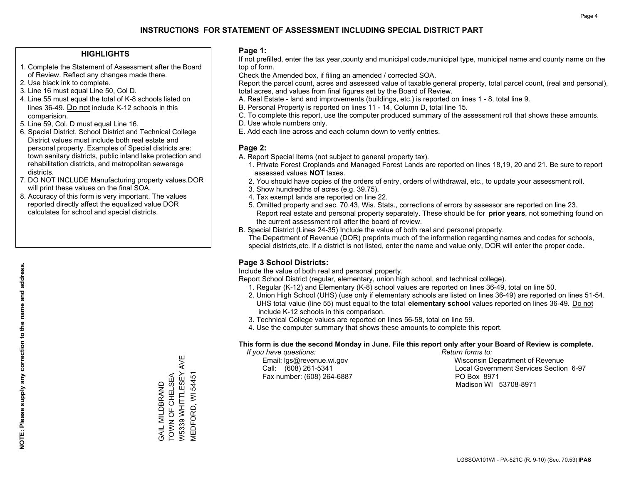### **HIGHLIGHTS**

- 1. Complete the Statement of Assessment after the Board of Review. Reflect any changes made there.
- 2. Use black ink to complete.
- 3. Line 16 must equal Line 50, Col D.
- 4. Line 55 must equal the total of K-8 schools listed on lines 36-49. Do not include K-12 schools in this comparision.
- 5. Line 59, Col. D must equal Line 16.
- 6. Special District, School District and Technical College District values must include both real estate and personal property. Examples of Special districts are: town sanitary districts, public inland lake protection and rehabilitation districts, and metropolitan sewerage districts.
- 7. DO NOT INCLUDE Manufacturing property values.DOR will print these values on the final SOA.
- 8. Accuracy of this form is very important. The values reported directly affect the equalized value DOR calculates for school and special districts.

#### **Page 1:**

 If not prefilled, enter the tax year,county and municipal code,municipal type, municipal name and county name on the top of form.

Check the Amended box, if filing an amended / corrected SOA.

 Report the parcel count, acres and assessed value of taxable general property, total parcel count, (real and personal), total acres, and values from final figures set by the Board of Review.

- A. Real Estate land and improvements (buildings, etc.) is reported on lines 1 8, total line 9.
- B. Personal Property is reported on lines 11 14, Column D, total line 15.
- C. To complete this report, use the computer produced summary of the assessment roll that shows these amounts.
- D. Use whole numbers only.
- E. Add each line across and each column down to verify entries.

#### **Page 2:**

- A. Report Special Items (not subject to general property tax).
- 1. Private Forest Croplands and Managed Forest Lands are reported on lines 18,19, 20 and 21. Be sure to report assessed values **NOT** taxes.
- 2. You should have copies of the orders of entry, orders of withdrawal, etc., to update your assessment roll.
	- 3. Show hundredths of acres (e.g. 39.75).
- 4. Tax exempt lands are reported on line 22.
- 5. Omitted property and sec. 70.43, Wis. Stats., corrections of errors by assessor are reported on line 23. Report real estate and personal property separately. These should be for **prior years**, not something found on the current assessment roll after the board of review.
- B. Special District (Lines 24-35) Include the value of both real and personal property.
- The Department of Revenue (DOR) preprints much of the information regarding names and codes for schools, special districts,etc. If a district is not listed, enter the name and value only, DOR will enter the proper code.

## **Page 3 School Districts:**

Include the value of both real and personal property.

Report School District (regular, elementary, union high school, and technical college).

- 1. Regular (K-12) and Elementary (K-8) school values are reported on lines 36-49, total on line 50.
- 2. Union High School (UHS) (use only if elementary schools are listed on lines 36-49) are reported on lines 51-54. UHS total value (line 55) must equal to the total **elementary school** values reported on lines 36-49. Do notinclude K-12 schools in this comparison.
- 3. Technical College values are reported on lines 56-58, total on line 59.
- 4. Use the computer summary that shows these amounts to complete this report.

#### **This form is due the second Monday in June. File this report only after your Board of Review is complete.**

 *If you have questions: Return forms to:*

Fax number: (608) 264-6887 PO Box 8971

 Email: lgs@revenue.wi.gov Wisconsin Department of Revenue Call: (608) 261-5341 Local Government Services Section 6-97Madison WI 53708-8971

**NOTE: Please supply any correction to the name and address.**

NOTE: Please supply any correction to the name and address.

W5339 WHITTLESEY AVE W5339 WHITTLESEY AVE TOWN OF CHELSEA GAIL MILDBRAND<br>TOWN OF CHELSEA VIEDFORD, WI 54451 MEDFORD, WI 54451 GAIL MILDBRAND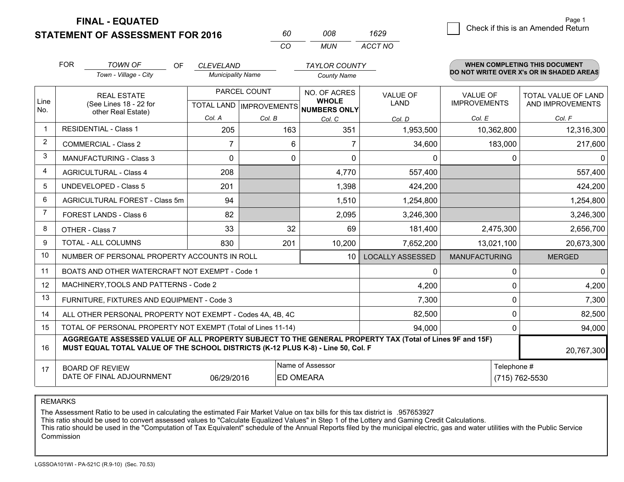**STATEMENT OF ASSESSMENT FOR 2016** 

**FINAL - EQUATED**

|                | <b>FOR</b>                     | <b>TOWN OF</b><br><b>OF</b>                                                                                                                                                                  | <b>CLEVELAND</b>         |              | <b>TAYLOR COUNTY</b>                                 |                                          |                      | <b>WHEN COMPLETING THIS DOCUMENT</b> |  |  |
|----------------|--------------------------------|----------------------------------------------------------------------------------------------------------------------------------------------------------------------------------------------|--------------------------|--------------|------------------------------------------------------|------------------------------------------|----------------------|--------------------------------------|--|--|
|                |                                | Town - Village - City                                                                                                                                                                        | <b>Municipality Name</b> |              | <b>County Name</b>                                   | DO NOT WRITE OVER X's OR IN SHADED AREAS |                      |                                      |  |  |
|                |                                | <b>REAL ESTATE</b>                                                                                                                                                                           |                          | PARCEL COUNT | NO. OF ACRES                                         | VALUE OF                                 | <b>VALUE OF</b>      | TOTAL VALUE OF LAND                  |  |  |
| Line<br>No.    |                                | (See Lines 18 - 22 for<br>other Real Estate)                                                                                                                                                 |                          |              | <b>WHOLE</b><br>TOTAL LAND IMPROVEMENTS NUMBERS ONLY | <b>LAND</b>                              | <b>IMPROVEMENTS</b>  | AND IMPROVEMENTS                     |  |  |
|                |                                |                                                                                                                                                                                              | Col. A                   | Col. B       | Col. C                                               | Col. D                                   | Col. E               | Col. F                               |  |  |
|                |                                | <b>RESIDENTIAL - Class 1</b>                                                                                                                                                                 | 205                      | 163          | 351                                                  | 1,953,500                                | 10,362,800           | 12,316,300                           |  |  |
| 2              |                                | <b>COMMERCIAL - Class 2</b>                                                                                                                                                                  | 7                        | 6            | 7                                                    | 34,600                                   | 183,000              | 217,600                              |  |  |
| 3              | <b>MANUFACTURING - Class 3</b> |                                                                                                                                                                                              | $\Omega$                 | 0            | $\Omega$                                             | $\Omega$                                 | $\Omega$             | $\Omega$                             |  |  |
| 4              | <b>AGRICULTURAL - Class 4</b>  |                                                                                                                                                                                              | 208                      |              | 4,770                                                | 557,400                                  |                      | 557,400                              |  |  |
| 5              | <b>UNDEVELOPED - Class 5</b>   |                                                                                                                                                                                              | 201                      |              | 1,398                                                | 424,200                                  |                      | 424,200                              |  |  |
| 6              |                                | AGRICULTURAL FOREST - Class 5m                                                                                                                                                               | 94                       |              | 1,510                                                | 1,254,800                                |                      | 1,254,800                            |  |  |
| $\overline{7}$ |                                | <b>FOREST LANDS - Class 6</b>                                                                                                                                                                | 82                       |              | 2,095                                                | 3,246,300                                |                      | 3,246,300                            |  |  |
| 8              |                                | OTHER - Class 7                                                                                                                                                                              | 33                       | 32           | 69                                                   | 181,400                                  | 2,475,300            | 2,656,700                            |  |  |
| 9              |                                | <b>TOTAL - ALL COLUMNS</b>                                                                                                                                                                   | 830                      | 201          | 10,200                                               | 7,652,200                                |                      | 13,021,100<br>20,673,300             |  |  |
| 10             |                                | NUMBER OF PERSONAL PROPERTY ACCOUNTS IN ROLL                                                                                                                                                 |                          |              | 10                                                   | <b>LOCALLY ASSESSED</b>                  | <b>MANUFACTURING</b> | <b>MERGED</b>                        |  |  |
| 11             |                                | BOATS AND OTHER WATERCRAFT NOT EXEMPT - Code 1                                                                                                                                               |                          |              |                                                      | $\Omega$                                 | $\Omega$             | $\mathbf{0}$                         |  |  |
| 12             |                                | MACHINERY, TOOLS AND PATTERNS - Code 2                                                                                                                                                       |                          |              |                                                      | 4,200                                    | $\Omega$             | 4,200                                |  |  |
| 13             |                                | FURNITURE, FIXTURES AND EQUIPMENT - Code 3                                                                                                                                                   |                          |              |                                                      | 7,300                                    | $\Omega$             | 7,300                                |  |  |
| 14             |                                | ALL OTHER PERSONAL PROPERTY NOT EXEMPT - Codes 4A, 4B, 4C                                                                                                                                    |                          |              |                                                      | 82,500                                   | $\Omega$             | 82,500                               |  |  |
| 15             |                                | TOTAL OF PERSONAL PROPERTY NOT EXEMPT (Total of Lines 11-14)                                                                                                                                 |                          |              |                                                      | 94,000                                   |                      | $\Omega$<br>94,000                   |  |  |
| 16             |                                | AGGREGATE ASSESSED VALUE OF ALL PROPERTY SUBJECT TO THE GENERAL PROPERTY TAX (Total of Lines 9F and 15F)<br>MUST EQUAL TOTAL VALUE OF THE SCHOOL DISTRICTS (K-12 PLUS K-8) - Line 50, Col. F |                          |              |                                                      |                                          |                      | 20,767,300                           |  |  |
| 17             |                                | <b>BOARD OF REVIEW</b>                                                                                                                                                                       |                          |              | Name of Assessor                                     |                                          | Telephone #          |                                      |  |  |
|                |                                | DATE OF FINAL ADJOURNMENT                                                                                                                                                                    | 06/29/2016               |              | <b>ED OMEARA</b>                                     |                                          |                      | (715) 762-5530                       |  |  |

*CO*

*MUN*

*ACCT NO1629*

*<sup>60</sup> <sup>008</sup>*

REMARKS

The Assessment Ratio to be used in calculating the estimated Fair Market Value on tax bills for this tax district is .957653927<br>This ratio should be used to convert assessed values to "Calculate Equalized Values" in Step 1 Commission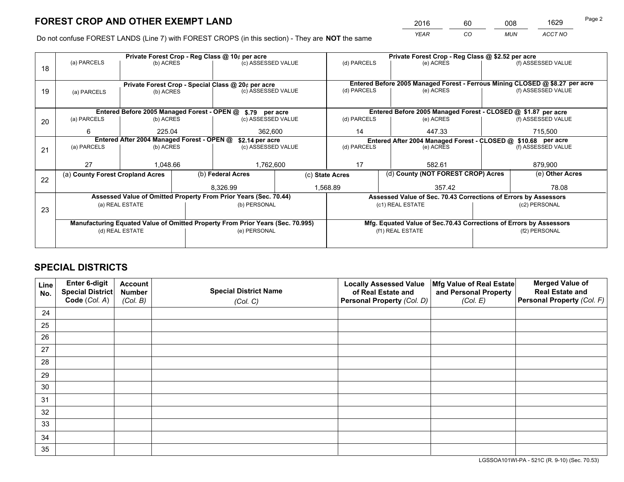*YEAR CO MUN ACCT NO* 2016 60 008 1629

Do not confuse FOREST LANDS (Line 7) with FOREST CROPS (in this section) - They are **NOT** the same

|    |                                            |                                             |  | Private Forest Crop - Reg Class @ 10¢ per acre                                 |  |                    | Private Forest Crop - Reg Class @ \$2.52 per acre                            |                                                                 |                                                                    |  |
|----|--------------------------------------------|---------------------------------------------|--|--------------------------------------------------------------------------------|--|--------------------|------------------------------------------------------------------------------|-----------------------------------------------------------------|--------------------------------------------------------------------|--|
| 18 | (a) PARCELS                                | (b) ACRES                                   |  | (c) ASSESSED VALUE                                                             |  | (d) PARCELS        | (e) ACRES                                                                    |                                                                 | (f) ASSESSED VALUE                                                 |  |
|    |                                            |                                             |  |                                                                                |  |                    |                                                                              |                                                                 |                                                                    |  |
|    |                                            |                                             |  | Private Forest Crop - Special Class @ 20¢ per acre                             |  |                    | Entered Before 2005 Managed Forest - Ferrous Mining CLOSED @ \$8.27 per acre |                                                                 |                                                                    |  |
| 19 | (a) PARCELS                                | (b) ACRES                                   |  | (c) ASSESSED VALUE                                                             |  | (d) PARCELS        | (e) ACRES                                                                    |                                                                 | (f) ASSESSED VALUE                                                 |  |
|    |                                            |                                             |  |                                                                                |  |                    |                                                                              |                                                                 |                                                                    |  |
|    |                                            | Entered Before 2005 Managed Forest - OPEN @ |  | \$.79 per acre                                                                 |  |                    | Entered Before 2005 Managed Forest - CLOSED @ \$1.87 per acre                |                                                                 |                                                                    |  |
| 20 | (a) PARCELS<br>(b) ACRES                   |                                             |  | (c) ASSESSED VALUE                                                             |  | (d) PARCELS        | (e) ACRES                                                                    |                                                                 | (f) ASSESSED VALUE                                                 |  |
|    | 6<br>225.04                                |                                             |  | 362,600                                                                        |  | 14                 | 447.33                                                                       |                                                                 | 715.500                                                            |  |
|    | Entered After 2004 Managed Forest - OPEN @ |                                             |  | \$2.14 per acre                                                                |  |                    | Entered After 2004 Managed Forest - CLOSED @ \$10.68 per acre                |                                                                 |                                                                    |  |
| 21 | (a) PARCELS                                | (b) ACRES                                   |  | (c) ASSESSED VALUE                                                             |  | (d) PARCELS        | (e) ACRES                                                                    |                                                                 | (f) ASSESSED VALUE                                                 |  |
|    |                                            |                                             |  |                                                                                |  |                    |                                                                              |                                                                 |                                                                    |  |
|    | 27                                         | 1.048.66                                    |  | 1,762,600                                                                      |  | 17                 | 582.61                                                                       |                                                                 | 879,900                                                            |  |
| 22 | (a) County Forest Cropland Acres           |                                             |  | (b) Federal Acres                                                              |  | (c) State Acres    | (d) County (NOT FOREST CROP) Acres                                           |                                                                 | (e) Other Acres                                                    |  |
|    |                                            |                                             |  | 8,326.99                                                                       |  | 1,568.89<br>357.42 |                                                                              | 78.08                                                           |                                                                    |  |
|    |                                            |                                             |  | Assessed Value of Omitted Property From Prior Years (Sec. 70.44)               |  |                    |                                                                              | Assessed Value of Sec. 70.43 Corrections of Errors by Assessors |                                                                    |  |
| 23 | (a) REAL ESTATE                            |                                             |  | (b) PERSONAL                                                                   |  |                    | (c1) REAL ESTATE                                                             | (c2) PERSONAL                                                   |                                                                    |  |
|    |                                            |                                             |  |                                                                                |  |                    |                                                                              |                                                                 |                                                                    |  |
|    |                                            |                                             |  | Manufacturing Equated Value of Omitted Property From Prior Years (Sec. 70.995) |  |                    |                                                                              |                                                                 | Mfg. Equated Value of Sec.70.43 Corrections of Errors by Assessors |  |
|    | (d) REAL ESTATE                            |                                             |  | (e) PERSONAL                                                                   |  | (f1) REAL ESTATE   |                                                                              | (f2) PERSONAL                                                   |                                                                    |  |
|    |                                            |                                             |  |                                                                                |  |                    |                                                                              |                                                                 |                                                                    |  |

## **SPECIAL DISTRICTS**

| Line<br>No. | Enter 6-digit<br><b>Special District</b> | <b>Account</b><br><b>Number</b> | <b>Special District Name</b> | <b>Locally Assessed Value</b><br>of Real Estate and | Mfg Value of Real Estate<br>and Personal Property | <b>Merged Value of</b><br><b>Real Estate and</b> |
|-------------|------------------------------------------|---------------------------------|------------------------------|-----------------------------------------------------|---------------------------------------------------|--------------------------------------------------|
|             | Code (Col. A)                            | (Col. B)                        | (Col. C)                     | Personal Property (Col. D)                          | (Col. E)                                          | Personal Property (Col. F)                       |
| 24          |                                          |                                 |                              |                                                     |                                                   |                                                  |
| 25          |                                          |                                 |                              |                                                     |                                                   |                                                  |
| 26          |                                          |                                 |                              |                                                     |                                                   |                                                  |
| 27          |                                          |                                 |                              |                                                     |                                                   |                                                  |
| 28          |                                          |                                 |                              |                                                     |                                                   |                                                  |
| 29          |                                          |                                 |                              |                                                     |                                                   |                                                  |
| 30          |                                          |                                 |                              |                                                     |                                                   |                                                  |
| 31          |                                          |                                 |                              |                                                     |                                                   |                                                  |
| 32          |                                          |                                 |                              |                                                     |                                                   |                                                  |
| 33          |                                          |                                 |                              |                                                     |                                                   |                                                  |
| 34          |                                          |                                 |                              |                                                     |                                                   |                                                  |
| 35          |                                          |                                 |                              |                                                     |                                                   |                                                  |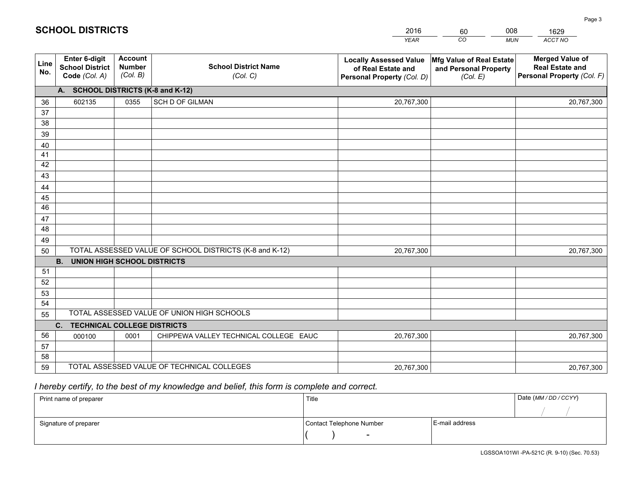|             |                                                          |                                             |                                                         | <b>YEAR</b>                                                                       | CO<br><b>MUN</b>                                              | ACCT NO                                                                        |
|-------------|----------------------------------------------------------|---------------------------------------------|---------------------------------------------------------|-----------------------------------------------------------------------------------|---------------------------------------------------------------|--------------------------------------------------------------------------------|
| Line<br>No. | Enter 6-digit<br><b>School District</b><br>Code (Col. A) | <b>Account</b><br><b>Number</b><br>(Col. B) | <b>School District Name</b><br>(Col. C)                 | <b>Locally Assessed Value</b><br>of Real Estate and<br>Personal Property (Col. D) | Mfg Value of Real Estate<br>and Personal Property<br>(Col. E) | <b>Merged Value of</b><br><b>Real Estate and</b><br>Personal Property (Col. F) |
|             | A. SCHOOL DISTRICTS (K-8 and K-12)                       |                                             |                                                         |                                                                                   |                                                               |                                                                                |
| 36          | 602135                                                   | 0355                                        | SCH D OF GILMAN                                         | 20,767,300                                                                        |                                                               | 20,767,300                                                                     |
| 37          |                                                          |                                             |                                                         |                                                                                   |                                                               |                                                                                |
| 38          |                                                          |                                             |                                                         |                                                                                   |                                                               |                                                                                |
| 39          |                                                          |                                             |                                                         |                                                                                   |                                                               |                                                                                |
| 40          |                                                          |                                             |                                                         |                                                                                   |                                                               |                                                                                |
| 41          |                                                          |                                             |                                                         |                                                                                   |                                                               |                                                                                |
| 42          |                                                          |                                             |                                                         |                                                                                   |                                                               |                                                                                |
| 43          |                                                          |                                             |                                                         |                                                                                   |                                                               |                                                                                |
| 44<br>45    |                                                          |                                             |                                                         |                                                                                   |                                                               |                                                                                |
| 46          |                                                          |                                             |                                                         |                                                                                   |                                                               |                                                                                |
| 47          |                                                          |                                             |                                                         |                                                                                   |                                                               |                                                                                |
| 48          |                                                          |                                             |                                                         |                                                                                   |                                                               |                                                                                |
| 49          |                                                          |                                             |                                                         |                                                                                   |                                                               |                                                                                |
| 50          |                                                          |                                             | TOTAL ASSESSED VALUE OF SCHOOL DISTRICTS (K-8 and K-12) | 20,767,300                                                                        |                                                               | 20,767,300                                                                     |
|             | <b>B.</b><br><b>UNION HIGH SCHOOL DISTRICTS</b>          |                                             |                                                         |                                                                                   |                                                               |                                                                                |
| 51          |                                                          |                                             |                                                         |                                                                                   |                                                               |                                                                                |
| 52          |                                                          |                                             |                                                         |                                                                                   |                                                               |                                                                                |
| 53          |                                                          |                                             |                                                         |                                                                                   |                                                               |                                                                                |
| 54          |                                                          |                                             |                                                         |                                                                                   |                                                               |                                                                                |
| 55          |                                                          |                                             | TOTAL ASSESSED VALUE OF UNION HIGH SCHOOLS              |                                                                                   |                                                               |                                                                                |
|             | C.<br><b>TECHNICAL COLLEGE DISTRICTS</b>                 |                                             |                                                         |                                                                                   |                                                               |                                                                                |
| 56          | 000100                                                   | 0001                                        | CHIPPEWA VALLEY TECHNICAL COLLEGE EAUC                  | 20,767,300                                                                        |                                                               | 20,767,300                                                                     |
| 57          |                                                          |                                             |                                                         |                                                                                   |                                                               |                                                                                |
| 58          |                                                          |                                             |                                                         |                                                                                   |                                                               |                                                                                |
| 59          |                                                          |                                             | TOTAL ASSESSED VALUE OF TECHNICAL COLLEGES              | 20,767,300                                                                        |                                                               | 20,767,300                                                                     |

60

008

## *I hereby certify, to the best of my knowledge and belief, this form is complete and correct.*

**SCHOOL DISTRICTS**

| Print name of preparer | Title                    |                | Date (MM / DD / CCYY) |
|------------------------|--------------------------|----------------|-----------------------|
|                        |                          |                |                       |
| Signature of preparer  | Contact Telephone Number | E-mail address |                       |
|                        | $\overline{\phantom{0}}$ |                |                       |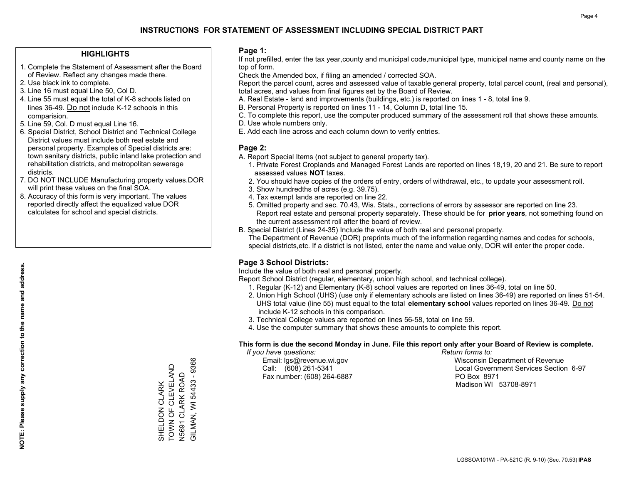## **HIGHLIGHTS**

- 1. Complete the Statement of Assessment after the Board of Review. Reflect any changes made there.
- 2. Use black ink to complete.
- 3. Line 16 must equal Line 50, Col D.
- 4. Line 55 must equal the total of K-8 schools listed on lines 36-49. Do not include K-12 schools in this comparision.
- 5. Line 59, Col. D must equal Line 16.
- 6. Special District, School District and Technical College District values must include both real estate and personal property. Examples of Special districts are: town sanitary districts, public inland lake protection and rehabilitation districts, and metropolitan sewerage districts.
- 7. DO NOT INCLUDE Manufacturing property values.DOR will print these values on the final SOA.

SHELDON CLARK TOWN OF CLEVELAND N5691 CLARK ROAD GILMAN, WI 54433 - 9366

SHELDON CLARK<br>TOWN OF CLEVELAND

N5691 CLARK ROAD<br>GILMAN, WI 54433 - 9366

 8. Accuracy of this form is very important. The values reported directly affect the equalized value DOR calculates for school and special districts.

#### **Page 1:**

 If not prefilled, enter the tax year,county and municipal code,municipal type, municipal name and county name on the top of form.

Check the Amended box, if filing an amended / corrected SOA.

 Report the parcel count, acres and assessed value of taxable general property, total parcel count, (real and personal), total acres, and values from final figures set by the Board of Review.

- A. Real Estate land and improvements (buildings, etc.) is reported on lines 1 8, total line 9.
- B. Personal Property is reported on lines 11 14, Column D, total line 15.
- C. To complete this report, use the computer produced summary of the assessment roll that shows these amounts.
- D. Use whole numbers only.
- E. Add each line across and each column down to verify entries.

## **Page 2:**

- A. Report Special Items (not subject to general property tax).
- 1. Private Forest Croplands and Managed Forest Lands are reported on lines 18,19, 20 and 21. Be sure to report assessed values **NOT** taxes.
- 2. You should have copies of the orders of entry, orders of withdrawal, etc., to update your assessment roll.
	- 3. Show hundredths of acres (e.g. 39.75).
- 4. Tax exempt lands are reported on line 22.
- 5. Omitted property and sec. 70.43, Wis. Stats., corrections of errors by assessor are reported on line 23. Report real estate and personal property separately. These should be for **prior years**, not something found on the current assessment roll after the board of review.
- B. Special District (Lines 24-35) Include the value of both real and personal property.
- The Department of Revenue (DOR) preprints much of the information regarding names and codes for schools, special districts,etc. If a district is not listed, enter the name and value only, DOR will enter the proper code.

## **Page 3 School Districts:**

Include the value of both real and personal property.

Report School District (regular, elementary, union high school, and technical college).

- 1. Regular (K-12) and Elementary (K-8) school values are reported on lines 36-49, total on line 50.
- 2. Union High School (UHS) (use only if elementary schools are listed on lines 36-49) are reported on lines 51-54. UHS total value (line 55) must equal to the total **elementary school** values reported on lines 36-49. Do notinclude K-12 schools in this comparison.
- 3. Technical College values are reported on lines 56-58, total on line 59.
- 4. Use the computer summary that shows these amounts to complete this report.

#### **This form is due the second Monday in June. File this report only after your Board of Review is complete.**

 *If you have questions: Return forms to:*

Fax number: (608) 264-6887 PO Box 8971

 Email: lgs@revenue.wi.gov Wisconsin Department of Revenue Call: (608) 261-5341 Local Government Services Section 6-97Madison WI 53708-8971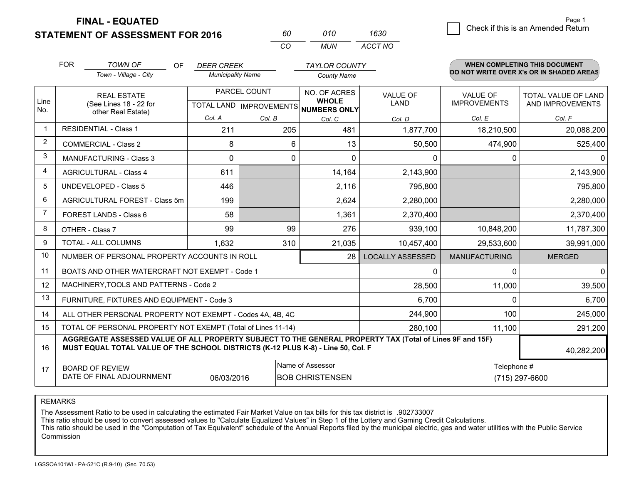**STATEMENT OF ASSESSMENT FOR 2016** 

**FINAL - EQUATED**

0 **Check if this is an Amended Return** Page 1

|                | <b>FOR</b>                                                                                                                                                                                   | <b>TOWN OF</b><br><b>OF</b><br>Town - Village - City         | <b>DEER CREEK</b><br><b>Municipality Name</b> |        | <b>TAYLOR COUNTY</b><br><b>County Name</b>   |                                |                                        | <b>WHEN COMPLETING THIS DOCUMENT</b><br>DO NOT WRITE OVER X's OR IN SHADED AREAS |
|----------------|----------------------------------------------------------------------------------------------------------------------------------------------------------------------------------------------|--------------------------------------------------------------|-----------------------------------------------|--------|----------------------------------------------|--------------------------------|----------------------------------------|----------------------------------------------------------------------------------|
| Line<br>No.    |                                                                                                                                                                                              | <b>REAL ESTATE</b><br>(See Lines 18 - 22 for                 | PARCEL COUNT<br>TOTAL LAND   IMPROVEMENTS     |        | NO. OF ACRES<br><b>WHOLE</b><br>NUMBERS ONLY | <b>VALUE OF</b><br><b>LAND</b> | <b>VALUE OF</b><br><b>IMPROVEMENTS</b> | <b>TOTAL VALUE OF LAND</b><br>AND IMPROVEMENTS                                   |
|                |                                                                                                                                                                                              | other Real Estate)                                           | Col. A                                        | Col. B | Col. C                                       | Col. D                         | Col. E                                 | Col. F                                                                           |
| $\mathbf{1}$   |                                                                                                                                                                                              | <b>RESIDENTIAL - Class 1</b>                                 | 211                                           | 205    | 481                                          | 1,877,700                      | 18,210,500                             | 20,088,200                                                                       |
| $\overline{2}$ |                                                                                                                                                                                              | <b>COMMERCIAL - Class 2</b>                                  | 8                                             |        | 6<br>13                                      | 50,500                         | 474,900                                | 525,400                                                                          |
| 3              |                                                                                                                                                                                              | <b>MANUFACTURING - Class 3</b>                               | 0                                             |        | $\Omega$<br>$\Omega$                         | 0                              | $\Omega$                               | $\Omega$                                                                         |
| 4              |                                                                                                                                                                                              | <b>AGRICULTURAL - Class 4</b>                                | 611                                           |        | 14,164                                       | 2,143,900                      |                                        | 2,143,900                                                                        |
| 5              |                                                                                                                                                                                              | <b>UNDEVELOPED - Class 5</b>                                 | 446                                           |        | 2,116                                        | 795,800                        |                                        | 795,800                                                                          |
| 6              |                                                                                                                                                                                              | AGRICULTURAL FOREST - Class 5m                               | 199                                           |        | 2,624                                        | 2,280,000                      |                                        | 2,280,000                                                                        |
| $\overline{7}$ |                                                                                                                                                                                              | <b>FOREST LANDS - Class 6</b>                                | 58                                            |        | 1,361                                        | 2,370,400                      |                                        | 2,370,400                                                                        |
| 8              |                                                                                                                                                                                              | OTHER - Class 7                                              | 99                                            | 99     | 276                                          | 939,100                        | 10,848,200                             | 11,787,300                                                                       |
| 9              |                                                                                                                                                                                              | TOTAL - ALL COLUMNS                                          | 1,632                                         | 310    | 21,035                                       | 10,457,400                     | 29,533,600                             | 39,991,000                                                                       |
| 10             |                                                                                                                                                                                              | NUMBER OF PERSONAL PROPERTY ACCOUNTS IN ROLL                 |                                               |        | 28                                           | <b>LOCALLY ASSESSED</b>        | <b>MANUFACTURING</b>                   | <b>MERGED</b>                                                                    |
| 11             |                                                                                                                                                                                              | BOATS AND OTHER WATERCRAFT NOT EXEMPT - Code 1               |                                               |        |                                              | 0                              | $\Omega$                               | $\mathbf 0$                                                                      |
| 12             |                                                                                                                                                                                              | MACHINERY, TOOLS AND PATTERNS - Code 2                       |                                               |        |                                              | 28,500                         | 11,000                                 | 39,500                                                                           |
| 13             |                                                                                                                                                                                              | FURNITURE, FIXTURES AND EQUIPMENT - Code 3                   |                                               |        |                                              | 6,700                          | 0                                      | 6,700                                                                            |
| 14             |                                                                                                                                                                                              | ALL OTHER PERSONAL PROPERTY NOT EXEMPT - Codes 4A, 4B, 4C    |                                               |        |                                              | 244,900                        | 100                                    | 245,000                                                                          |
| 15             |                                                                                                                                                                                              | TOTAL OF PERSONAL PROPERTY NOT EXEMPT (Total of Lines 11-14) |                                               |        |                                              | 280,100                        | 11,100                                 | 291,200                                                                          |
| 16             | AGGREGATE ASSESSED VALUE OF ALL PROPERTY SUBJECT TO THE GENERAL PROPERTY TAX (Total of Lines 9F and 15F)<br>MUST EQUAL TOTAL VALUE OF THE SCHOOL DISTRICTS (K-12 PLUS K-8) - Line 50, Col. F |                                                              |                                               |        |                                              |                                |                                        | 40,282,200                                                                       |
| 17             | Name of Assessor<br><b>BOARD OF REVIEW</b><br>DATE OF FINAL ADJOURNMENT<br>06/03/2016<br><b>BOB CHRISTENSEN</b>                                                                              |                                                              |                                               |        |                                              |                                |                                        | Telephone #<br>(715) 297-6600                                                    |

*CO*

*MUN*

*ACCT NO1630*

*<sup>60</sup> <sup>010</sup>*

REMARKS

The Assessment Ratio to be used in calculating the estimated Fair Market Value on tax bills for this tax district is .902733007<br>This ratio should be used to convert assessed values to "Calculate Equalized Values" in Step 1 Commission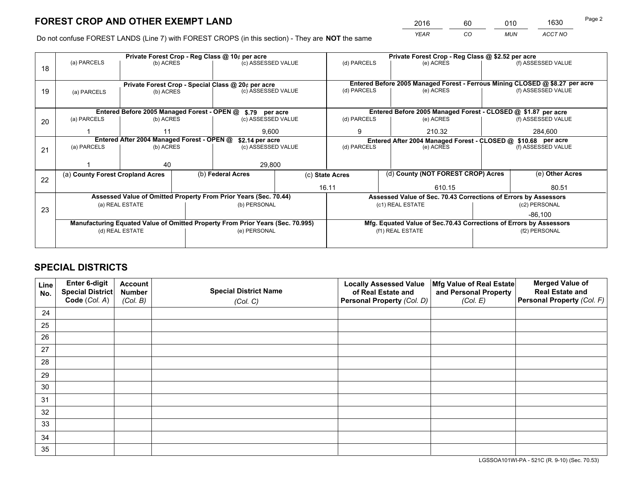*YEAR CO MUN ACCT NO* <sup>2016</sup> <sup>60</sup> <sup>010</sup> <sup>1630</sup>

Do not confuse FOREST LANDS (Line 7) with FOREST CROPS (in this section) - They are **NOT** the same

|    |                                  |                                            |                                                                                | Private Forest Crop - Reg Class @ 10¢ per acre                           |        |                                                               |                                                                    | Private Forest Crop - Reg Class @ \$2.52 per acre             |                                                                              |                    |  |
|----|----------------------------------|--------------------------------------------|--------------------------------------------------------------------------------|--------------------------------------------------------------------------|--------|---------------------------------------------------------------|--------------------------------------------------------------------|---------------------------------------------------------------|------------------------------------------------------------------------------|--------------------|--|
| 18 | (a) PARCELS                      | (b) ACRES                                  |                                                                                | (c) ASSESSED VALUE                                                       |        | (d) PARCELS                                                   |                                                                    | (e) ACRES                                                     |                                                                              | (f) ASSESSED VALUE |  |
|    |                                  |                                            |                                                                                |                                                                          |        |                                                               |                                                                    |                                                               | Entered Before 2005 Managed Forest - Ferrous Mining CLOSED @ \$8.27 per acre |                    |  |
| 19 | (a) PARCELS                      | (b) ACRES                                  |                                                                                | Private Forest Crop - Special Class @ 20¢ per acre<br>(c) ASSESSED VALUE |        | (d) PARCELS                                                   |                                                                    | (e) ACRES                                                     |                                                                              | (f) ASSESSED VALUE |  |
|    |                                  |                                            |                                                                                |                                                                          |        |                                                               |                                                                    |                                                               |                                                                              |                    |  |
|    |                                  |                                            |                                                                                | Entered Before 2005 Managed Forest - OPEN @ \$.79 per acre               |        |                                                               |                                                                    | Entered Before 2005 Managed Forest - CLOSED @ \$1.87 per acre |                                                                              |                    |  |
| 20 | (a) PARCELS                      | (b) ACRES                                  |                                                                                | (c) ASSESSED VALUE                                                       |        |                                                               | (d) PARCELS                                                        | (e) ACRES                                                     |                                                                              | (f) ASSESSED VALUE |  |
|    |                                  | 11                                         |                                                                                | 9.600                                                                    |        |                                                               | 9<br>210.32                                                        |                                                               |                                                                              | 284,600            |  |
|    |                                  | Entered After 2004 Managed Forest - OPEN @ |                                                                                | \$2.14 per acre                                                          |        | Entered After 2004 Managed Forest - CLOSED @ \$10.68 per acre |                                                                    |                                                               |                                                                              |                    |  |
| 21 |                                  | (a) PARCELS<br>(b) ACRES                   |                                                                                | (c) ASSESSED VALUE                                                       |        | (d) PARCELS                                                   |                                                                    | (e) ACRES                                                     |                                                                              | (f) ASSESSED VALUE |  |
|    |                                  | 40                                         |                                                                                |                                                                          | 29,800 |                                                               |                                                                    |                                                               |                                                                              |                    |  |
|    |                                  |                                            |                                                                                | (b) Federal Acres                                                        |        |                                                               | (d) County (NOT FOREST CROP) Acres                                 |                                                               | (e) Other Acres                                                              |                    |  |
| 22 | (a) County Forest Cropland Acres |                                            |                                                                                |                                                                          |        | (c) State Acres                                               |                                                                    |                                                               |                                                                              |                    |  |
|    |                                  |                                            |                                                                                |                                                                          |        | 16.11<br>610.15                                               |                                                                    |                                                               | 80.51                                                                        |                    |  |
|    |                                  |                                            |                                                                                | Assessed Value of Omitted Property From Prior Years (Sec. 70.44)         |        |                                                               |                                                                    |                                                               | Assessed Value of Sec. 70.43 Corrections of Errors by Assessors              |                    |  |
| 23 |                                  | (a) REAL ESTATE                            |                                                                                | (b) PERSONAL                                                             |        |                                                               | (c1) REAL ESTATE                                                   |                                                               |                                                                              | (c2) PERSONAL      |  |
|    |                                  |                                            |                                                                                |                                                                          |        |                                                               |                                                                    |                                                               |                                                                              | $-86,100$          |  |
|    |                                  |                                            | Manufacturing Equated Value of Omitted Property From Prior Years (Sec. 70.995) |                                                                          |        |                                                               | Mfg. Equated Value of Sec.70.43 Corrections of Errors by Assessors |                                                               |                                                                              |                    |  |
|    |                                  | (d) REAL ESTATE                            |                                                                                | (e) PERSONAL                                                             |        |                                                               | (f1) REAL ESTATE                                                   |                                                               |                                                                              | (f2) PERSONAL      |  |
|    |                                  |                                            |                                                                                |                                                                          |        |                                                               |                                                                    |                                                               |                                                                              |                    |  |

## **SPECIAL DISTRICTS**

| Line<br>No. | Enter 6-digit<br><b>Special District</b> | <b>Account</b><br><b>Number</b> | <b>Special District Name</b> | <b>Locally Assessed Value</b><br>of Real Estate and | Mfg Value of Real Estate<br>and Personal Property | <b>Merged Value of</b><br><b>Real Estate and</b> |
|-------------|------------------------------------------|---------------------------------|------------------------------|-----------------------------------------------------|---------------------------------------------------|--------------------------------------------------|
|             | Code (Col. A)                            | (Col. B)                        | (Col. C)                     | Personal Property (Col. D)                          | (Col. E)                                          | Personal Property (Col. F)                       |
| 24          |                                          |                                 |                              |                                                     |                                                   |                                                  |
| 25          |                                          |                                 |                              |                                                     |                                                   |                                                  |
| 26          |                                          |                                 |                              |                                                     |                                                   |                                                  |
| 27          |                                          |                                 |                              |                                                     |                                                   |                                                  |
| 28          |                                          |                                 |                              |                                                     |                                                   |                                                  |
| 29          |                                          |                                 |                              |                                                     |                                                   |                                                  |
| 30          |                                          |                                 |                              |                                                     |                                                   |                                                  |
| 31          |                                          |                                 |                              |                                                     |                                                   |                                                  |
| 32          |                                          |                                 |                              |                                                     |                                                   |                                                  |
| 33          |                                          |                                 |                              |                                                     |                                                   |                                                  |
| 34          |                                          |                                 |                              |                                                     |                                                   |                                                  |
| 35          |                                          |                                 |                              |                                                     |                                                   |                                                  |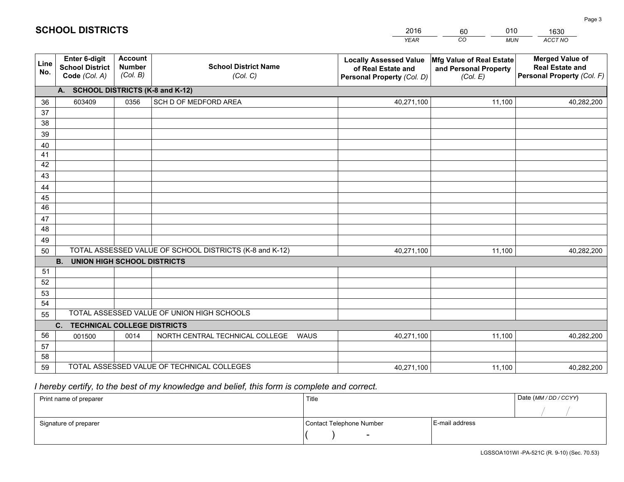|             |                                                                 |                                             |                                                         | <b>YEAR</b>                                                                       | CO<br><b>MUN</b>                                              | ACCT NO                                                                        |
|-------------|-----------------------------------------------------------------|---------------------------------------------|---------------------------------------------------------|-----------------------------------------------------------------------------------|---------------------------------------------------------------|--------------------------------------------------------------------------------|
| Line<br>No. | <b>Enter 6-digit</b><br><b>School District</b><br>Code (Col. A) | <b>Account</b><br><b>Number</b><br>(Col. B) | <b>School District Name</b><br>(Col. C)                 | <b>Locally Assessed Value</b><br>of Real Estate and<br>Personal Property (Col. D) | Mfg Value of Real Estate<br>and Personal Property<br>(Col. E) | <b>Merged Value of</b><br><b>Real Estate and</b><br>Personal Property (Col. F) |
|             | A. SCHOOL DISTRICTS (K-8 and K-12)                              |                                             |                                                         |                                                                                   |                                                               |                                                                                |
| 36          | 603409                                                          | 0356                                        | SCH D OF MEDFORD AREA                                   | 40,271,100                                                                        | 11,100                                                        | 40,282,200                                                                     |
| 37          |                                                                 |                                             |                                                         |                                                                                   |                                                               |                                                                                |
| 38          |                                                                 |                                             |                                                         |                                                                                   |                                                               |                                                                                |
| 39          |                                                                 |                                             |                                                         |                                                                                   |                                                               |                                                                                |
| 40          |                                                                 |                                             |                                                         |                                                                                   |                                                               |                                                                                |
| 41<br>42    |                                                                 |                                             |                                                         |                                                                                   |                                                               |                                                                                |
| 43          |                                                                 |                                             |                                                         |                                                                                   |                                                               |                                                                                |
|             |                                                                 |                                             |                                                         |                                                                                   |                                                               |                                                                                |
| 44<br>45    |                                                                 |                                             |                                                         |                                                                                   |                                                               |                                                                                |
| 46          |                                                                 |                                             |                                                         |                                                                                   |                                                               |                                                                                |
| 47          |                                                                 |                                             |                                                         |                                                                                   |                                                               |                                                                                |
| 48          |                                                                 |                                             |                                                         |                                                                                   |                                                               |                                                                                |
| 49          |                                                                 |                                             |                                                         |                                                                                   |                                                               |                                                                                |
| 50          |                                                                 |                                             | TOTAL ASSESSED VALUE OF SCHOOL DISTRICTS (K-8 and K-12) | 40,271,100                                                                        | 11,100                                                        | 40,282,200                                                                     |
|             | <b>B.</b><br>UNION HIGH SCHOOL DISTRICTS                        |                                             |                                                         |                                                                                   |                                                               |                                                                                |
| 51          |                                                                 |                                             |                                                         |                                                                                   |                                                               |                                                                                |
| 52          |                                                                 |                                             |                                                         |                                                                                   |                                                               |                                                                                |
| 53          |                                                                 |                                             |                                                         |                                                                                   |                                                               |                                                                                |
| 54          |                                                                 |                                             |                                                         |                                                                                   |                                                               |                                                                                |
| 55          |                                                                 |                                             | TOTAL ASSESSED VALUE OF UNION HIGH SCHOOLS              |                                                                                   |                                                               |                                                                                |
|             | C.<br><b>TECHNICAL COLLEGE DISTRICTS</b>                        |                                             |                                                         |                                                                                   |                                                               |                                                                                |
| 56          | 001500                                                          | 0014                                        | NORTH CENTRAL TECHNICAL COLLEGE<br><b>WAUS</b>          | 40,271,100                                                                        | 11,100                                                        | 40,282,200                                                                     |
| 57<br>58    |                                                                 |                                             |                                                         |                                                                                   |                                                               |                                                                                |
| 59          |                                                                 |                                             | TOTAL ASSESSED VALUE OF TECHNICAL COLLEGES              | 40,271,100                                                                        | 11,100                                                        | 40,282,200                                                                     |
|             |                                                                 |                                             |                                                         |                                                                                   |                                                               |                                                                                |

60

010

 *I hereby certify, to the best of my knowledge and belief, this form is complete and correct.*

**SCHOOL DISTRICTS**

| Print name of preparer | Title                    |                | Date (MM/DD/CCYY) |
|------------------------|--------------------------|----------------|-------------------|
|                        |                          |                |                   |
| Signature of preparer  | Contact Telephone Number | E-mail address |                   |
|                        | $\overline{\phantom{0}}$ |                |                   |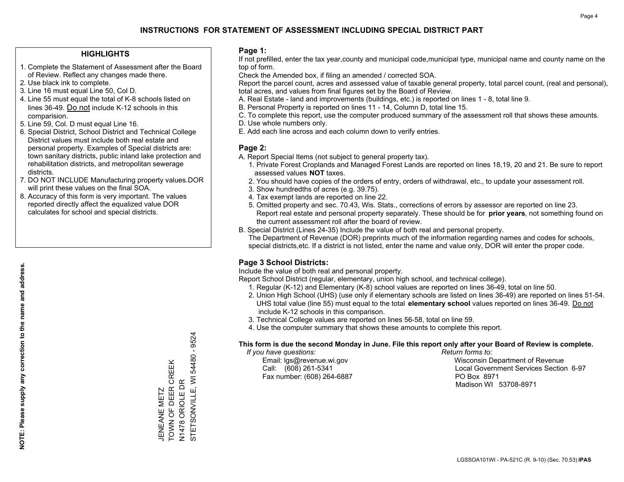## **HIGHLIGHTS**

- 1. Complete the Statement of Assessment after the Board of Review. Reflect any changes made there.
- 2. Use black ink to complete.
- 3. Line 16 must equal Line 50, Col D.
- 4. Line 55 must equal the total of K-8 schools listed on lines 36-49. Do not include K-12 schools in this comparision.
- 5. Line 59, Col. D must equal Line 16.
- 6. Special District, School District and Technical College District values must include both real estate and personal property. Examples of Special districts are: town sanitary districts, public inland lake protection and rehabilitation districts, and metropolitan sewerage districts.
- 7. DO NOT INCLUDE Manufacturing property values.DOR will print these values on the final SOA.

JENEANE METZ

TOWN OF DEER CREEK N1478 ORIOLE DR

JENEANE METZ<br>TOWN OF DEER CREEK

STETSONVILLE, WI 54480 - 9524

N1478 ORIOLE DR<br>STETSONVILLE, WI 54480 -

9524

 8. Accuracy of this form is very important. The values reported directly affect the equalized value DOR calculates for school and special districts.

#### **Page 1:**

 If not prefilled, enter the tax year,county and municipal code,municipal type, municipal name and county name on the top of form.

Check the Amended box, if filing an amended / corrected SOA.

 Report the parcel count, acres and assessed value of taxable general property, total parcel count, (real and personal), total acres, and values from final figures set by the Board of Review.

- A. Real Estate land and improvements (buildings, etc.) is reported on lines 1 8, total line 9.
- B. Personal Property is reported on lines 11 14, Column D, total line 15.
- C. To complete this report, use the computer produced summary of the assessment roll that shows these amounts.
- D. Use whole numbers only.
- E. Add each line across and each column down to verify entries.

#### **Page 2:**

- A. Report Special Items (not subject to general property tax).
- 1. Private Forest Croplands and Managed Forest Lands are reported on lines 18,19, 20 and 21. Be sure to report assessed values **NOT** taxes.
- 2. You should have copies of the orders of entry, orders of withdrawal, etc., to update your assessment roll.
	- 3. Show hundredths of acres (e.g. 39.75).
- 4. Tax exempt lands are reported on line 22.
- 5. Omitted property and sec. 70.43, Wis. Stats., corrections of errors by assessor are reported on line 23. Report real estate and personal property separately. These should be for **prior years**, not something found on the current assessment roll after the board of review.
- B. Special District (Lines 24-35) Include the value of both real and personal property.
- The Department of Revenue (DOR) preprints much of the information regarding names and codes for schools, special districts,etc. If a district is not listed, enter the name and value only, DOR will enter the proper code.

## **Page 3 School Districts:**

Include the value of both real and personal property.

Report School District (regular, elementary, union high school, and technical college).

- 1. Regular (K-12) and Elementary (K-8) school values are reported on lines 36-49, total on line 50.
- 2. Union High School (UHS) (use only if elementary schools are listed on lines 36-49) are reported on lines 51-54. UHS total value (line 55) must equal to the total **elementary school** values reported on lines 36-49. Do notinclude K-12 schools in this comparison.
- 3. Technical College values are reported on lines 56-58, total on line 59.
- 4. Use the computer summary that shows these amounts to complete this report.

#### **This form is due the second Monday in June. File this report only after your Board of Review is complete.**

 *If you have questions: Return forms to:*

Fax number: (608) 264-6887 PO Box 8971

 Email: lgs@revenue.wi.gov Wisconsin Department of Revenue Call: (608) 261-5341 Local Government Services Section 6-97Madison WI 53708-8971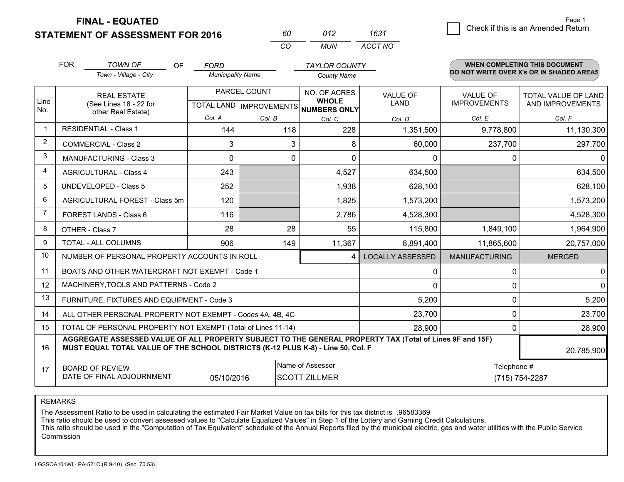**FINAL - EQUATED**

**STATEMENT OF ASSESSMENT FOR 2016** 

| 60.      | 012  | 1631    |
|----------|------|---------|
| $\cdots$ | MUN. | ACCT NO |

|                | <b>FOR</b>                                   | <b>TOWN OF</b><br>OF<br>Town - Village - City                                                                                                                                                | <b>FORD</b><br><b>Municipality Name</b> |                           | <b>TAYLOR COUNTY</b>         |                         |                      | <b>WHEN COMPLETING THIS DOCUMENT</b><br>DO NOT WRITE OVER X's OR IN SHADED AREAS |
|----------------|----------------------------------------------|----------------------------------------------------------------------------------------------------------------------------------------------------------------------------------------------|-----------------------------------------|---------------------------|------------------------------|-------------------------|----------------------|----------------------------------------------------------------------------------|
|                |                                              |                                                                                                                                                                                              |                                         |                           | <b>County Name</b>           |                         |                      |                                                                                  |
|                |                                              | <b>REAL ESTATE</b>                                                                                                                                                                           | PARCEL COUNT                            |                           | NO. OF ACRES<br><b>WHOLE</b> | <b>VALUE OF</b>         | <b>VALUE OF</b>      | TOTAL VALUE OF LAND                                                              |
| Line<br>No.    | (See Lines 18 - 22 for<br>other Real Estate) |                                                                                                                                                                                              |                                         | TOTAL LAND   IMPROVEMENTS | <b>NUMBERS ONLY</b>          | <b>LAND</b>             | <b>IMPROVEMENTS</b>  | AND IMPROVEMENTS                                                                 |
|                |                                              |                                                                                                                                                                                              | Col. A                                  | Col. B                    | Col. C                       | Col. D                  | Col. E               | Col. F                                                                           |
| $\mathbf 1$    |                                              | <b>RESIDENTIAL - Class 1</b>                                                                                                                                                                 | 144                                     | 118                       | 228                          | 1,351,500               | 9,778,800            | 11,130,300                                                                       |
| $\overline{2}$ |                                              | <b>COMMERCIAL - Class 2</b>                                                                                                                                                                  | 3                                       | 3                         | 8                            | 60,000                  | 237,700              | 297,700                                                                          |
| 3              |                                              | <b>MANUFACTURING - Class 3</b>                                                                                                                                                               | $\Omega$                                | 0                         | $\Omega$                     | $\mathbf{0}$            | 0                    | 0                                                                                |
| $\overline{4}$ |                                              | <b>AGRICULTURAL - Class 4</b>                                                                                                                                                                | 243                                     |                           | 4,527                        | 634,500                 |                      | 634,500                                                                          |
| 5              |                                              | <b>UNDEVELOPED - Class 5</b>                                                                                                                                                                 | 252                                     |                           | 1,938                        | 628,100                 |                      | 628,100                                                                          |
| 6              | AGRICULTURAL FOREST - Class 5m               |                                                                                                                                                                                              | 120                                     |                           | 1,825                        | 1,573,200               |                      | 1,573,200                                                                        |
| $\overline{7}$ | FOREST LANDS - Class 6                       |                                                                                                                                                                                              | 116                                     |                           | 2,786                        | 4,528,300               |                      | 4,528,300                                                                        |
| 8              |                                              | OTHER - Class 7                                                                                                                                                                              | 28                                      | 28                        | 55                           | 115,800                 | 1,849,100            | 1,964,900                                                                        |
| 9              |                                              | TOTAL - ALL COLUMNS                                                                                                                                                                          | 906                                     | 149                       | 11,367                       | 8,891,400               | 11,865,600           | 20,757,000                                                                       |
| 10             |                                              | NUMBER OF PERSONAL PROPERTY ACCOUNTS IN ROLL                                                                                                                                                 |                                         |                           | 4                            | <b>LOCALLY ASSESSED</b> | <b>MANUFACTURING</b> | <b>MERGED</b>                                                                    |
| 11             |                                              | BOATS AND OTHER WATERCRAFT NOT EXEMPT - Code 1                                                                                                                                               |                                         |                           |                              | 0                       | 0                    | 0                                                                                |
| 12             |                                              | MACHINERY, TOOLS AND PATTERNS - Code 2                                                                                                                                                       |                                         |                           |                              | $\Omega$                | $\Omega$             | $\Omega$                                                                         |
| 13             |                                              | FURNITURE, FIXTURES AND EQUIPMENT - Code 3                                                                                                                                                   |                                         |                           |                              | 5,200                   | 0                    | 5,200                                                                            |
| 14             |                                              | ALL OTHER PERSONAL PROPERTY NOT EXEMPT - Codes 4A, 4B, 4C                                                                                                                                    |                                         |                           |                              | 23,700                  | $\mathbf{0}$         | 23,700                                                                           |
| 15             |                                              | TOTAL OF PERSONAL PROPERTY NOT EXEMPT (Total of Lines 11-14)                                                                                                                                 |                                         |                           |                              | 28,900                  | 0                    | 28,900                                                                           |
| 16             |                                              | AGGREGATE ASSESSED VALUE OF ALL PROPERTY SUBJECT TO THE GENERAL PROPERTY TAX (Total of Lines 9F and 15F)<br>MUST EQUAL TOTAL VALUE OF THE SCHOOL DISTRICTS (K-12 PLUS K-8) - Line 50, Col. F |                                         |                           |                              |                         |                      | 20,785,900                                                                       |
| 17             | Name of Assessor<br><b>BOARD OF REVIEW</b>   |                                                                                                                                                                                              |                                         |                           |                              |                         | Telephone #          |                                                                                  |
|                |                                              | DATE OF FINAL ADJOURNMENT                                                                                                                                                                    | 05/10/2016                              |                           | <b>SCOTT ZILLMER</b>         |                         |                      | (715) 754-2287                                                                   |

REMARKS

The Assessment Ratio to be used in calculating the estimated Fair Market Value on tax bills for this tax district is .96583369

This ratio should be used to convert assessed values to "Calculate Equalized Values" in Step 1 of the Lottery and Gaming Credit Calculations.<br>This ratio should be used in the "Computation of Tax Equivalent" schedule of the Commission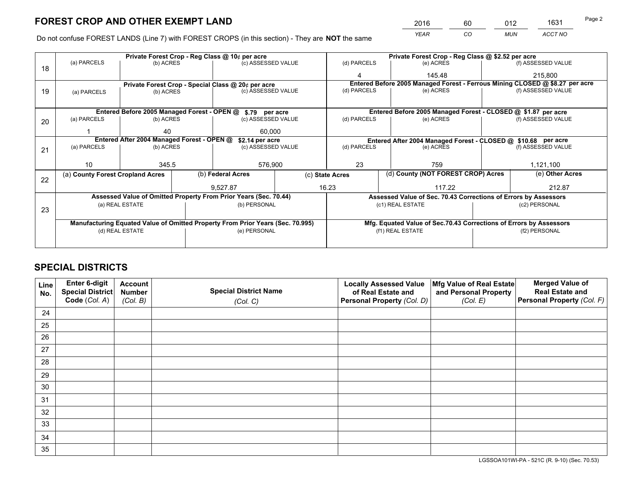*YEAR CO MUN ACCT NO* <sup>2016</sup> <sup>60</sup> <sup>012</sup> <sup>1631</sup>

Do not confuse FOREST LANDS (Line 7) with FOREST CROPS (in this section) - They are **NOT** the same

|    |                                                               | Private Forest Crop - Reg Class @ 10¢ per acre |  |                                                                                |  |                  |                                                                              | Private Forest Crop - Reg Class @ \$2.52 per acre                          |               |                    |
|----|---------------------------------------------------------------|------------------------------------------------|--|--------------------------------------------------------------------------------|--|------------------|------------------------------------------------------------------------------|----------------------------------------------------------------------------|---------------|--------------------|
| 18 | (a) PARCELS                                                   | (b) ACRES                                      |  | (c) ASSESSED VALUE                                                             |  | (d) PARCELS      |                                                                              | (e) ACRES                                                                  |               | (f) ASSESSED VALUE |
|    |                                                               |                                                |  |                                                                                |  |                  |                                                                              | 145.48                                                                     |               | 215,800            |
|    |                                                               |                                                |  | Private Forest Crop - Special Class @ 20¢ per acre                             |  |                  | Entered Before 2005 Managed Forest - Ferrous Mining CLOSED @ \$8.27 per acre |                                                                            |               |                    |
| 19 | (a) PARCELS                                                   | (b) ACRES                                      |  | (c) ASSESSED VALUE                                                             |  | (d) PARCELS      |                                                                              | (e) ACRES                                                                  |               | (f) ASSESSED VALUE |
|    |                                                               |                                                |  |                                                                                |  |                  |                                                                              |                                                                            |               |                    |
|    |                                                               |                                                |  | Entered Before 2005 Managed Forest - OPEN @ \$.79 per acre                     |  |                  |                                                                              | Entered Before 2005 Managed Forest - CLOSED @ \$1.87 per acre              |               |                    |
| 20 | (a) PARCELS                                                   | (b) ACRES                                      |  | (c) ASSESSED VALUE                                                             |  | (d) PARCELS      |                                                                              | (e) ACRES                                                                  |               | (f) ASSESSED VALUE |
|    |                                                               | 40                                             |  | 60,000                                                                         |  |                  |                                                                              |                                                                            |               |                    |
|    | Entered After 2004 Managed Forest - OPEN @<br>\$2.14 per acre |                                                |  |                                                                                |  |                  |                                                                              |                                                                            |               |                    |
|    | (a) PARCELS<br>(b) ACRES                                      |                                                |  | (c) ASSESSED VALUE                                                             |  | (d) PARCELS      |                                                                              | Entered After 2004 Managed Forest - CLOSED @ \$10.68 per acre<br>(e) ACRES |               | (f) ASSESSED VALUE |
| 21 |                                                               |                                                |  |                                                                                |  |                  |                                                                              |                                                                            |               |                    |
|    | 10                                                            | 345.5                                          |  | 576,900                                                                        |  | 23               |                                                                              | 759                                                                        |               |                    |
|    |                                                               |                                                |  |                                                                                |  |                  |                                                                              |                                                                            |               | 1,121,100          |
| 22 | (a) County Forest Cropland Acres                              |                                                |  | (b) Federal Acres                                                              |  | (c) State Acres  |                                                                              | (d) County (NOT FOREST CROP) Acres                                         |               | (e) Other Acres    |
|    |                                                               |                                                |  | 9.527.87                                                                       |  | 16.23            |                                                                              | 117.22                                                                     |               | 212.87             |
|    |                                                               |                                                |  | Assessed Value of Omitted Property From Prior Years (Sec. 70.44)               |  |                  |                                                                              | Assessed Value of Sec. 70.43 Corrections of Errors by Assessors            |               |                    |
|    |                                                               | (a) REAL ESTATE                                |  | (b) PERSONAL                                                                   |  |                  |                                                                              | (c1) REAL ESTATE                                                           |               | (c2) PERSONAL      |
| 23 |                                                               |                                                |  |                                                                                |  |                  |                                                                              |                                                                            |               |                    |
|    |                                                               |                                                |  | Manufacturing Equated Value of Omitted Property From Prior Years (Sec. 70.995) |  |                  |                                                                              | Mfg. Equated Value of Sec.70.43 Corrections of Errors by Assessors         |               |                    |
|    |                                                               | (d) REAL ESTATE                                |  | (e) PERSONAL                                                                   |  | (f1) REAL ESTATE |                                                                              |                                                                            | (f2) PERSONAL |                    |
|    |                                                               |                                                |  |                                                                                |  |                  |                                                                              |                                                                            |               |                    |

## **SPECIAL DISTRICTS**

| Line<br>No. | Enter 6-digit<br>Special District<br>Code (Col. A) | <b>Account</b><br><b>Number</b> | <b>Special District Name</b> | <b>Locally Assessed Value</b><br>of Real Estate and | Mfg Value of Real Estate<br>and Personal Property | <b>Merged Value of</b><br><b>Real Estate and</b><br>Personal Property (Col. F) |
|-------------|----------------------------------------------------|---------------------------------|------------------------------|-----------------------------------------------------|---------------------------------------------------|--------------------------------------------------------------------------------|
|             |                                                    | (Col. B)                        | (Col. C)                     | Personal Property (Col. D)                          | (Col. E)                                          |                                                                                |
| 24          |                                                    |                                 |                              |                                                     |                                                   |                                                                                |
| 25          |                                                    |                                 |                              |                                                     |                                                   |                                                                                |
| 26          |                                                    |                                 |                              |                                                     |                                                   |                                                                                |
| 27          |                                                    |                                 |                              |                                                     |                                                   |                                                                                |
| 28          |                                                    |                                 |                              |                                                     |                                                   |                                                                                |
| 29          |                                                    |                                 |                              |                                                     |                                                   |                                                                                |
| 30          |                                                    |                                 |                              |                                                     |                                                   |                                                                                |
| 31          |                                                    |                                 |                              |                                                     |                                                   |                                                                                |
| 32          |                                                    |                                 |                              |                                                     |                                                   |                                                                                |
| 33          |                                                    |                                 |                              |                                                     |                                                   |                                                                                |
| 34          |                                                    |                                 |                              |                                                     |                                                   |                                                                                |
| 35          |                                                    |                                 |                              |                                                     |                                                   |                                                                                |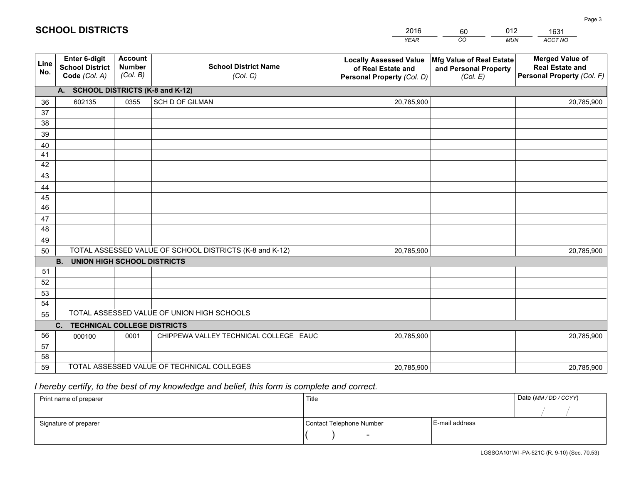|             |                                                          |                                             |                                                         | <b>YEAR</b>                                                                       | CO<br><b>MUN</b>                                              | ACCT NO                                                                        |
|-------------|----------------------------------------------------------|---------------------------------------------|---------------------------------------------------------|-----------------------------------------------------------------------------------|---------------------------------------------------------------|--------------------------------------------------------------------------------|
| Line<br>No. | Enter 6-digit<br><b>School District</b><br>Code (Col. A) | <b>Account</b><br><b>Number</b><br>(Col. B) | <b>School District Name</b><br>(Col. C)                 | <b>Locally Assessed Value</b><br>of Real Estate and<br>Personal Property (Col. D) | Mfg Value of Real Estate<br>and Personal Property<br>(Col. E) | <b>Merged Value of</b><br><b>Real Estate and</b><br>Personal Property (Col. F) |
|             | A. SCHOOL DISTRICTS (K-8 and K-12)                       |                                             |                                                         |                                                                                   |                                                               |                                                                                |
| 36          | 602135                                                   | 0355                                        | SCH D OF GILMAN                                         | 20,785,900                                                                        |                                                               | 20,785,900                                                                     |
| 37          |                                                          |                                             |                                                         |                                                                                   |                                                               |                                                                                |
| 38          |                                                          |                                             |                                                         |                                                                                   |                                                               |                                                                                |
| 39          |                                                          |                                             |                                                         |                                                                                   |                                                               |                                                                                |
| 40          |                                                          |                                             |                                                         |                                                                                   |                                                               |                                                                                |
| 41          |                                                          |                                             |                                                         |                                                                                   |                                                               |                                                                                |
| 42          |                                                          |                                             |                                                         |                                                                                   |                                                               |                                                                                |
| 43          |                                                          |                                             |                                                         |                                                                                   |                                                               |                                                                                |
| 44<br>45    |                                                          |                                             |                                                         |                                                                                   |                                                               |                                                                                |
| 46          |                                                          |                                             |                                                         |                                                                                   |                                                               |                                                                                |
| 47          |                                                          |                                             |                                                         |                                                                                   |                                                               |                                                                                |
| 48          |                                                          |                                             |                                                         |                                                                                   |                                                               |                                                                                |
| 49          |                                                          |                                             |                                                         |                                                                                   |                                                               |                                                                                |
| 50          |                                                          |                                             | TOTAL ASSESSED VALUE OF SCHOOL DISTRICTS (K-8 and K-12) | 20,785,900                                                                        |                                                               | 20,785,900                                                                     |
|             | <b>B.</b><br><b>UNION HIGH SCHOOL DISTRICTS</b>          |                                             |                                                         |                                                                                   |                                                               |                                                                                |
| 51          |                                                          |                                             |                                                         |                                                                                   |                                                               |                                                                                |
| 52          |                                                          |                                             |                                                         |                                                                                   |                                                               |                                                                                |
| 53          |                                                          |                                             |                                                         |                                                                                   |                                                               |                                                                                |
| 54          |                                                          |                                             |                                                         |                                                                                   |                                                               |                                                                                |
| 55          |                                                          |                                             | TOTAL ASSESSED VALUE OF UNION HIGH SCHOOLS              |                                                                                   |                                                               |                                                                                |
|             | C.<br><b>TECHNICAL COLLEGE DISTRICTS</b>                 |                                             |                                                         |                                                                                   |                                                               |                                                                                |
| 56          | 000100                                                   | 0001                                        | CHIPPEWA VALLEY TECHNICAL COLLEGE EAUC                  | 20,785,900                                                                        |                                                               | 20,785,900                                                                     |
| 57          |                                                          |                                             |                                                         |                                                                                   |                                                               |                                                                                |
| 58          |                                                          |                                             |                                                         |                                                                                   |                                                               |                                                                                |
| 59          |                                                          |                                             | TOTAL ASSESSED VALUE OF TECHNICAL COLLEGES              | 20,785,900                                                                        |                                                               | 20,785,900                                                                     |

60

012

 *I hereby certify, to the best of my knowledge and belief, this form is complete and correct.*

**SCHOOL DISTRICTS**

| Print name of preparer | Title                    | Date (MM / DD / CCYY) |  |
|------------------------|--------------------------|-----------------------|--|
|                        |                          |                       |  |
| Signature of preparer  | Contact Telephone Number | E-mail address        |  |
|                        | $\overline{\phantom{0}}$ |                       |  |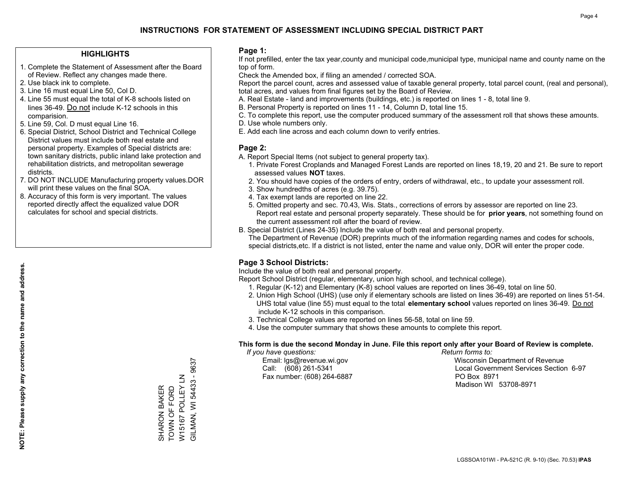## **HIGHLIGHTS**

- 1. Complete the Statement of Assessment after the Board of Review. Reflect any changes made there.
- 2. Use black ink to complete.
- 3. Line 16 must equal Line 50, Col D.
- 4. Line 55 must equal the total of K-8 schools listed on lines 36-49. Do not include K-12 schools in this comparision.
- 5. Line 59, Col. D must equal Line 16.
- 6. Special District, School District and Technical College District values must include both real estate and personal property. Examples of Special districts are: town sanitary districts, public inland lake protection and rehabilitation districts, and metropolitan sewerage districts.
- 7. DO NOT INCLUDE Manufacturing property values.DOR will print these values on the final SOA.
- 8. Accuracy of this form is very important. The values reported directly affect the equalized value DOR calculates for school and special districts.

#### **Page 1:**

 If not prefilled, enter the tax year,county and municipal code,municipal type, municipal name and county name on the top of form.

Check the Amended box, if filing an amended / corrected SOA.

 Report the parcel count, acres and assessed value of taxable general property, total parcel count, (real and personal), total acres, and values from final figures set by the Board of Review.

- A. Real Estate land and improvements (buildings, etc.) is reported on lines 1 8, total line 9.
- B. Personal Property is reported on lines 11 14, Column D, total line 15.
- C. To complete this report, use the computer produced summary of the assessment roll that shows these amounts.
- D. Use whole numbers only.
- E. Add each line across and each column down to verify entries.

## **Page 2:**

- A. Report Special Items (not subject to general property tax).
- 1. Private Forest Croplands and Managed Forest Lands are reported on lines 18,19, 20 and 21. Be sure to report assessed values **NOT** taxes.
- 2. You should have copies of the orders of entry, orders of withdrawal, etc., to update your assessment roll.
	- 3. Show hundredths of acres (e.g. 39.75).
- 4. Tax exempt lands are reported on line 22.
- 5. Omitted property and sec. 70.43, Wis. Stats., corrections of errors by assessor are reported on line 23. Report real estate and personal property separately. These should be for **prior years**, not something found on the current assessment roll after the board of review.
- B. Special District (Lines 24-35) Include the value of both real and personal property.
- The Department of Revenue (DOR) preprints much of the information regarding names and codes for schools, special districts,etc. If a district is not listed, enter the name and value only, DOR will enter the proper code.

## **Page 3 School Districts:**

Include the value of both real and personal property.

Report School District (regular, elementary, union high school, and technical college).

- 1. Regular (K-12) and Elementary (K-8) school values are reported on lines 36-49, total on line 50.
- 2. Union High School (UHS) (use only if elementary schools are listed on lines 36-49) are reported on lines 51-54. UHS total value (line 55) must equal to the total **elementary school** values reported on lines 36-49. Do notinclude K-12 schools in this comparison.
- 3. Technical College values are reported on lines 56-58, total on line 59.
- 4. Use the computer summary that shows these amounts to complete this report.

#### **This form is due the second Monday in June. File this report only after your Board of Review is complete.**

 *If you have questions: Return forms to:*

Fax number: (608) 264-6887 PO Box 8971

 Email: lgs@revenue.wi.gov Wisconsin Department of Revenue Call: (608) 261-5341 Local Government Services Section 6-97Madison WI 53708-8971

**NOTE: Please supply any correction to the name and address.**

NOTE: Please supply any correction to the name and address.

W15167 POLLEY LN<br>GILMAN, WI 54433 - 9637 GILMAN, WI 54433 - 9637 W15167 POLLEY LN SHARON BAKER<br>TOWN OF FORD TOWN OF FORD SHARON BAKER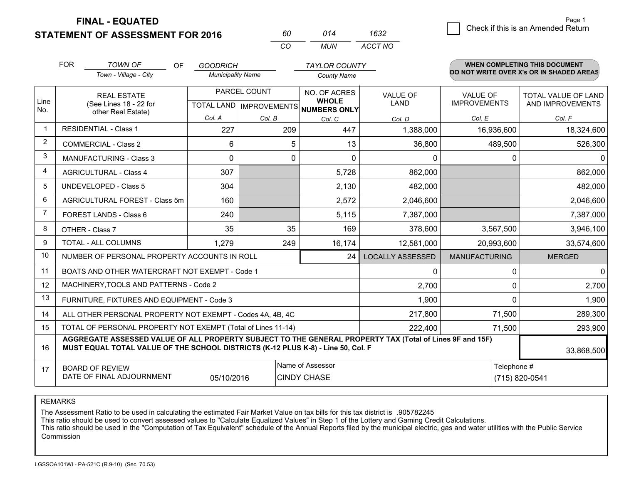**STATEMENT OF ASSESSMENT FOR 2016** 

**FINAL - EQUATED**

|                | <b>FOR</b>                                                    | <b>TOWN OF</b><br><b>OF</b>                                                                                                                                                                  | <b>GOODRICH</b>          |          | <b>TAYLOR COUNTY</b>                                 |                         |                      | WHEN COMPLETING THIS DOCUMENT            |
|----------------|---------------------------------------------------------------|----------------------------------------------------------------------------------------------------------------------------------------------------------------------------------------------|--------------------------|----------|------------------------------------------------------|-------------------------|----------------------|------------------------------------------|
|                |                                                               | Town - Village - City                                                                                                                                                                        | <b>Municipality Name</b> |          | <b>County Name</b>                                   |                         |                      | DO NOT WRITE OVER X's OR IN SHADED AREAS |
|                |                                                               | <b>REAL ESTATE</b>                                                                                                                                                                           | PARCEL COUNT             |          | NO. OF ACRES                                         | <b>VALUE OF</b>         | <b>VALUE OF</b>      | <b>TOTAL VALUE OF LAND</b>               |
| Line<br>No.    |                                                               | (See Lines 18 - 22 for<br>other Real Estate)                                                                                                                                                 |                          |          | <b>WHOLE</b><br>TOTAL LAND IMPROVEMENTS NUMBERS ONLY | <b>LAND</b>             | <b>IMPROVEMENTS</b>  | AND IMPROVEMENTS                         |
|                |                                                               |                                                                                                                                                                                              | Col. A                   | Col. B   | Col. C                                               | Col. D                  | Col. E               | Col. F                                   |
| -1             |                                                               | <b>RESIDENTIAL - Class 1</b>                                                                                                                                                                 | 227                      | 209      | 447                                                  | 1,388,000               | 16,936,600           | 18,324,600                               |
| 2              |                                                               | <b>COMMERCIAL - Class 2</b>                                                                                                                                                                  | 6                        | 5        | 13                                                   | 36,800                  | 489,500              | 526,300                                  |
| 3              |                                                               | <b>MANUFACTURING - Class 3</b>                                                                                                                                                               | $\Omega$                 | $\Omega$ | $\Omega$                                             | 0                       | 0                    | $\Omega$                                 |
| 4              |                                                               | <b>AGRICULTURAL - Class 4</b>                                                                                                                                                                | 307                      |          | 5,728                                                | 862,000                 |                      | 862,000                                  |
| 5              |                                                               | UNDEVELOPED - Class 5                                                                                                                                                                        | 304                      |          | 2,130                                                | 482,000                 |                      | 482,000                                  |
| 6              |                                                               | AGRICULTURAL FOREST - Class 5m                                                                                                                                                               | 160                      |          | 2,572                                                | 2,046,600               |                      | 2,046,600                                |
| $\overline{7}$ |                                                               | FOREST LANDS - Class 6                                                                                                                                                                       | 240                      |          | 5,115                                                | 7,387,000               |                      | 7,387,000                                |
| 8              |                                                               | OTHER - Class 7                                                                                                                                                                              | 35                       | 35       | 169                                                  | 378,600                 | 3,567,500            | 3,946,100                                |
| 9              |                                                               | TOTAL - ALL COLUMNS                                                                                                                                                                          | 1,279                    | 249      | 16,174                                               | 12,581,000              | 20,993,600           | 33,574,600                               |
| 10             |                                                               | NUMBER OF PERSONAL PROPERTY ACCOUNTS IN ROLL                                                                                                                                                 |                          |          | 24                                                   | <b>LOCALLY ASSESSED</b> | <b>MANUFACTURING</b> | <b>MERGED</b>                            |
| 11             |                                                               | BOATS AND OTHER WATERCRAFT NOT EXEMPT - Code 1                                                                                                                                               |                          |          |                                                      | 0                       | $\mathbf 0$          | $\Omega$                                 |
| 12             |                                                               | MACHINERY, TOOLS AND PATTERNS - Code 2                                                                                                                                                       |                          |          |                                                      | 2,700                   | $\Omega$             | 2,700                                    |
| 13             |                                                               | FURNITURE, FIXTURES AND EQUIPMENT - Code 3                                                                                                                                                   |                          |          |                                                      | 1,900                   | $\Omega$             | 1,900                                    |
| 14             |                                                               | ALL OTHER PERSONAL PROPERTY NOT EXEMPT - Codes 4A, 4B, 4C                                                                                                                                    |                          |          |                                                      | 217,800                 | 71,500               | 289,300                                  |
| 15             |                                                               | TOTAL OF PERSONAL PROPERTY NOT EXEMPT (Total of Lines 11-14)                                                                                                                                 |                          |          |                                                      | 222,400                 | 71,500               | 293,900                                  |
| 16             |                                                               | AGGREGATE ASSESSED VALUE OF ALL PROPERTY SUBJECT TO THE GENERAL PROPERTY TAX (Total of Lines 9F and 15F)<br>MUST EQUAL TOTAL VALUE OF THE SCHOOL DISTRICTS (K-12 PLUS K-8) - Line 50, Col. F |                          |          |                                                      |                         |                      | 33,868,500                               |
| 17             |                                                               | <b>BOARD OF REVIEW</b>                                                                                                                                                                       |                          |          | Name of Assessor                                     |                         | Telephone #          |                                          |
|                | DATE OF FINAL ADJOURNMENT<br>05/10/2016<br><b>CINDY CHASE</b> |                                                                                                                                                                                              |                          |          |                                                      |                         |                      | (715) 820-0541                           |

*CO*

*MUN*

*ACCT NO1632*

*<sup>60</sup> <sup>014</sup>*

REMARKS

The Assessment Ratio to be used in calculating the estimated Fair Market Value on tax bills for this tax district is .905782245<br>This ratio should be used to convert assessed values to "Calculate Equalized Values" in Step 1 Commission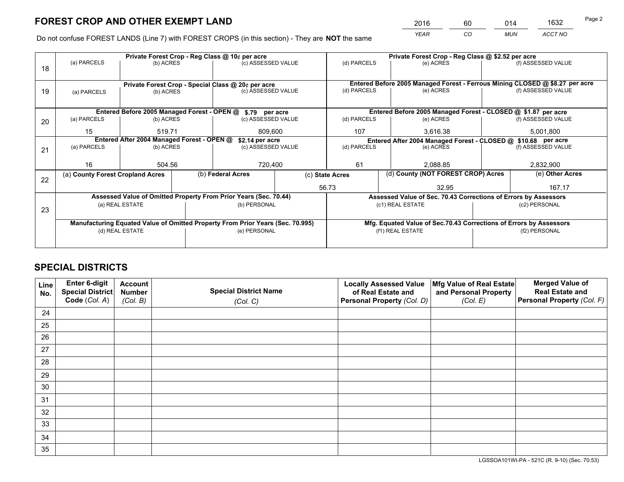*YEAR CO MUN ACCT NO* <sup>2016</sup> <sup>60</sup> <sup>014</sup> <sup>1632</sup>

Do not confuse FOREST LANDS (Line 7) with FOREST CROPS (in this section) - They are **NOT** the same

|                          |                                  |                                                                                  | Private Forest Crop - Reg Class @ 10¢ per acre |                                                                 | Private Forest Crop - Reg Class @ \$2.52 per acre                                                                                                                                                                                                                                                                                                                                                       |                  |                                    |                                           |                                                                                                                                                                                                        |
|--------------------------|----------------------------------|----------------------------------------------------------------------------------|------------------------------------------------|-----------------------------------------------------------------|---------------------------------------------------------------------------------------------------------------------------------------------------------------------------------------------------------------------------------------------------------------------------------------------------------------------------------------------------------------------------------------------------------|------------------|------------------------------------|-------------------------------------------|--------------------------------------------------------------------------------------------------------------------------------------------------------------------------------------------------------|
|                          |                                  |                                                                                  |                                                |                                                                 |                                                                                                                                                                                                                                                                                                                                                                                                         |                  | (e) ACRES                          |                                           | (f) ASSESSED VALUE                                                                                                                                                                                     |
|                          |                                  |                                                                                  |                                                |                                                                 |                                                                                                                                                                                                                                                                                                                                                                                                         |                  |                                    |                                           |                                                                                                                                                                                                        |
|                          |                                  |                                                                                  |                                                |                                                                 | Entered Before 2005 Managed Forest - Ferrous Mining CLOSED @ \$8.27 per acre                                                                                                                                                                                                                                                                                                                            |                  |                                    |                                           |                                                                                                                                                                                                        |
| (a) PARCELS              |                                  |                                                                                  |                                                |                                                                 | (d) PARCELS                                                                                                                                                                                                                                                                                                                                                                                             |                  | (e) ACRES                          |                                           | (f) ASSESSED VALUE                                                                                                                                                                                     |
|                          |                                  |                                                                                  |                                                |                                                                 |                                                                                                                                                                                                                                                                                                                                                                                                         |                  |                                    |                                           |                                                                                                                                                                                                        |
|                          |                                  |                                                                                  |                                                |                                                                 |                                                                                                                                                                                                                                                                                                                                                                                                         |                  |                                    |                                           |                                                                                                                                                                                                        |
| (a) PARCELS<br>(b) ACRES |                                  |                                                                                  |                                                |                                                                 | (d) PARCELS                                                                                                                                                                                                                                                                                                                                                                                             |                  | (e) ACRES                          |                                           | (f) ASSESSED VALUE                                                                                                                                                                                     |
| 15<br>519.71             |                                  |                                                                                  |                                                | 107                                                             |                                                                                                                                                                                                                                                                                                                                                                                                         | 3,616.38         |                                    | 5,001,800                                 |                                                                                                                                                                                                        |
|                          |                                  |                                                                                  |                                                | Entered After 2004 Managed Forest - CLOSED @ \$10.68 per acre   |                                                                                                                                                                                                                                                                                                                                                                                                         |                  |                                    |                                           |                                                                                                                                                                                                        |
|                          |                                  |                                                                                  |                                                |                                                                 |                                                                                                                                                                                                                                                                                                                                                                                                         |                  |                                    |                                           | (f) ASSESSED VALUE                                                                                                                                                                                     |
|                          |                                  |                                                                                  |                                                |                                                                 |                                                                                                                                                                                                                                                                                                                                                                                                         |                  |                                    |                                           |                                                                                                                                                                                                        |
|                          |                                  |                                                                                  |                                                |                                                                 |                                                                                                                                                                                                                                                                                                                                                                                                         |                  |                                    | 2,832,900                                 |                                                                                                                                                                                                        |
|                          |                                  |                                                                                  |                                                | (c) State Acres                                                 |                                                                                                                                                                                                                                                                                                                                                                                                         |                  | (d) County (NOT FOREST CROP) Acres |                                           | (e) Other Acres                                                                                                                                                                                        |
|                          |                                  |                                                                                  |                                                |                                                                 |                                                                                                                                                                                                                                                                                                                                                                                                         |                  | 32.95                              |                                           | 167.17                                                                                                                                                                                                 |
|                          |                                  |                                                                                  |                                                |                                                                 |                                                                                                                                                                                                                                                                                                                                                                                                         |                  |                                    |                                           |                                                                                                                                                                                                        |
|                          |                                  |                                                                                  | (b) PERSONAL                                   |                                                                 |                                                                                                                                                                                                                                                                                                                                                                                                         |                  |                                    |                                           | (c2) PERSONAL                                                                                                                                                                                          |
|                          |                                  |                                                                                  |                                                |                                                                 |                                                                                                                                                                                                                                                                                                                                                                                                         |                  |                                    |                                           |                                                                                                                                                                                                        |
|                          |                                  |                                                                                  |                                                |                                                                 |                                                                                                                                                                                                                                                                                                                                                                                                         |                  |                                    |                                           |                                                                                                                                                                                                        |
|                          |                                  |                                                                                  | (e) PERSONAL                                   |                                                                 |                                                                                                                                                                                                                                                                                                                                                                                                         | (f1) REAL ESTATE |                                    |                                           | (f2) PERSONAL                                                                                                                                                                                          |
|                          |                                  |                                                                                  |                                                |                                                                 |                                                                                                                                                                                                                                                                                                                                                                                                         |                  |                                    |                                           |                                                                                                                                                                                                        |
|                          | (a) PARCELS<br>(a) PARCELS<br>16 | 504.56<br>(a) County Forest Cropland Acres<br>(a) REAL ESTATE<br>(d) REAL ESTATE | (b) ACRES<br>(b) ACRES<br>(b) ACRES            | Entered After 2004 Managed Forest - OPEN @<br>(b) Federal Acres | (c) ASSESSED VALUE<br>Private Forest Crop - Special Class @ 20¢ per acre<br>(c) ASSESSED VALUE<br>Entered Before 2005 Managed Forest - OPEN @ \$.79 per acre<br>(c) ASSESSED VALUE<br>809,600<br>\$2.14 per acre<br>(c) ASSESSED VALUE<br>720,400<br>Assessed Value of Omitted Property From Prior Years (Sec. 70.44)<br>Manufacturing Equated Value of Omitted Property From Prior Years (Sec. 70.995) | 61<br>56.73      | (d) PARCELS<br>(d) PARCELS         | (e) ACRES<br>2,088.85<br>(c1) REAL ESTATE | Entered Before 2005 Managed Forest - CLOSED @ \$1.87 per acre<br>Assessed Value of Sec. 70.43 Corrections of Errors by Assessors<br>Mfg. Equated Value of Sec.70.43 Corrections of Errors by Assessors |

## **SPECIAL DISTRICTS**

| Line<br>No. | Enter 6-digit<br>Special District<br>Code (Col. A) | <b>Account</b><br><b>Number</b><br>(Col. B) | <b>Special District Name</b><br>(Col. C) | <b>Locally Assessed Value</b><br>of Real Estate and<br>Personal Property (Col. D) | Mfg Value of Real Estate<br>and Personal Property<br>(Col. E) | <b>Merged Value of</b><br><b>Real Estate and</b><br>Personal Property (Col. F) |
|-------------|----------------------------------------------------|---------------------------------------------|------------------------------------------|-----------------------------------------------------------------------------------|---------------------------------------------------------------|--------------------------------------------------------------------------------|
| 24          |                                                    |                                             |                                          |                                                                                   |                                                               |                                                                                |
| 25          |                                                    |                                             |                                          |                                                                                   |                                                               |                                                                                |
| 26          |                                                    |                                             |                                          |                                                                                   |                                                               |                                                                                |
| 27          |                                                    |                                             |                                          |                                                                                   |                                                               |                                                                                |
| 28          |                                                    |                                             |                                          |                                                                                   |                                                               |                                                                                |
| 29          |                                                    |                                             |                                          |                                                                                   |                                                               |                                                                                |
| 30          |                                                    |                                             |                                          |                                                                                   |                                                               |                                                                                |
| 31          |                                                    |                                             |                                          |                                                                                   |                                                               |                                                                                |
| 32          |                                                    |                                             |                                          |                                                                                   |                                                               |                                                                                |
| 33          |                                                    |                                             |                                          |                                                                                   |                                                               |                                                                                |
| 34          |                                                    |                                             |                                          |                                                                                   |                                                               |                                                                                |
| 35          |                                                    |                                             |                                          |                                                                                   |                                                               |                                                                                |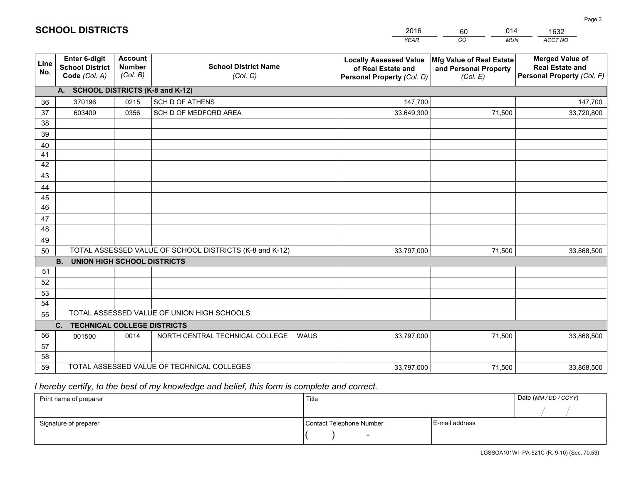|             |                                                                 |                                             |                                                         | <b>YEAR</b>                                                                       | CO<br><b>MUN</b>                                              | ACCT NO                                                                        |
|-------------|-----------------------------------------------------------------|---------------------------------------------|---------------------------------------------------------|-----------------------------------------------------------------------------------|---------------------------------------------------------------|--------------------------------------------------------------------------------|
| Line<br>No. | <b>Enter 6-digit</b><br><b>School District</b><br>Code (Col. A) | <b>Account</b><br><b>Number</b><br>(Col. B) | <b>School District Name</b><br>(Col. C)                 | <b>Locally Assessed Value</b><br>of Real Estate and<br>Personal Property (Col. D) | Mfg Value of Real Estate<br>and Personal Property<br>(Col. E) | <b>Merged Value of</b><br><b>Real Estate and</b><br>Personal Property (Col. F) |
|             | A. SCHOOL DISTRICTS (K-8 and K-12)                              |                                             |                                                         |                                                                                   |                                                               |                                                                                |
| 36          | 370196                                                          | 0215                                        | <b>SCH D OF ATHENS</b>                                  | 147,700                                                                           |                                                               | 147,700                                                                        |
| 37          | 603409                                                          | 0356                                        | SCH D OF MEDFORD AREA                                   | 33,649,300                                                                        | 71,500                                                        | 33,720,800                                                                     |
| 38          |                                                                 |                                             |                                                         |                                                                                   |                                                               |                                                                                |
| 39          |                                                                 |                                             |                                                         |                                                                                   |                                                               |                                                                                |
| 40          |                                                                 |                                             |                                                         |                                                                                   |                                                               |                                                                                |
| 41          |                                                                 |                                             |                                                         |                                                                                   |                                                               |                                                                                |
| 42          |                                                                 |                                             |                                                         |                                                                                   |                                                               |                                                                                |
| 43          |                                                                 |                                             |                                                         |                                                                                   |                                                               |                                                                                |
| 44<br>45    |                                                                 |                                             |                                                         |                                                                                   |                                                               |                                                                                |
| 46          |                                                                 |                                             |                                                         |                                                                                   |                                                               |                                                                                |
| 47          |                                                                 |                                             |                                                         |                                                                                   |                                                               |                                                                                |
| 48          |                                                                 |                                             |                                                         |                                                                                   |                                                               |                                                                                |
| 49          |                                                                 |                                             |                                                         |                                                                                   |                                                               |                                                                                |
| 50          |                                                                 |                                             | TOTAL ASSESSED VALUE OF SCHOOL DISTRICTS (K-8 and K-12) | 33,797,000                                                                        | 71,500                                                        | 33,868,500                                                                     |
|             | <b>B.</b><br><b>UNION HIGH SCHOOL DISTRICTS</b>                 |                                             |                                                         |                                                                                   |                                                               |                                                                                |
| 51          |                                                                 |                                             |                                                         |                                                                                   |                                                               |                                                                                |
| 52          |                                                                 |                                             |                                                         |                                                                                   |                                                               |                                                                                |
| 53          |                                                                 |                                             |                                                         |                                                                                   |                                                               |                                                                                |
| 54          |                                                                 |                                             |                                                         |                                                                                   |                                                               |                                                                                |
| 55          |                                                                 |                                             | TOTAL ASSESSED VALUE OF UNION HIGH SCHOOLS              |                                                                                   |                                                               |                                                                                |
|             | C.<br><b>TECHNICAL COLLEGE DISTRICTS</b>                        |                                             |                                                         |                                                                                   |                                                               |                                                                                |
| 56          | 001500                                                          | 0014                                        | NORTH CENTRAL TECHNICAL COLLEGE<br><b>WAUS</b>          | 33,797,000                                                                        | 71,500                                                        | 33,868,500                                                                     |
| 57          |                                                                 |                                             |                                                         |                                                                                   |                                                               |                                                                                |
| 58          |                                                                 |                                             |                                                         |                                                                                   |                                                               |                                                                                |
| 59          |                                                                 |                                             | TOTAL ASSESSED VALUE OF TECHNICAL COLLEGES              | 33,797,000                                                                        | 71,500                                                        | 33,868,500                                                                     |

60

014

 *I hereby certify, to the best of my knowledge and belief, this form is complete and correct.*

**SCHOOL DISTRICTS**

| Print name of preparer | Title                    |                | Date (MM / DD / CCYY) |
|------------------------|--------------------------|----------------|-----------------------|
|                        |                          |                |                       |
| Signature of preparer  | Contact Telephone Number | E-mail address |                       |
|                        | $\sim$                   |                |                       |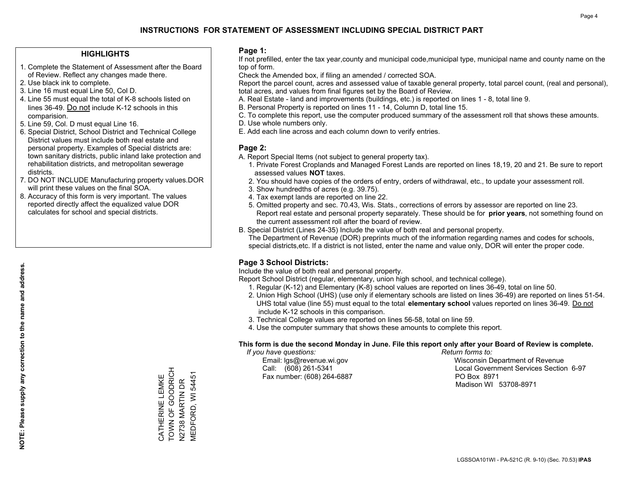## **HIGHLIGHTS**

- 1. Complete the Statement of Assessment after the Board of Review. Reflect any changes made there.
- 2. Use black ink to complete.

**NOTE: Please supply any correction to the name and address.**

NOTE: Please supply any correction to the name and address.

- 3. Line 16 must equal Line 50, Col D.
- 4. Line 55 must equal the total of K-8 schools listed on lines 36-49. Do not include K-12 schools in this comparision.
- 5. Line 59, Col. D must equal Line 16.
- 6. Special District, School District and Technical College District values must include both real estate and personal property. Examples of Special districts are: town sanitary districts, public inland lake protection and rehabilitation districts, and metropolitan sewerage districts.
- 7. DO NOT INCLUDE Manufacturing property values.DOR will print these values on the final SOA.
- 8. Accuracy of this form is very important. The values reported directly affect the equalized value DOR calculates for school and special districts.

#### **Page 1:**

 If not prefilled, enter the tax year,county and municipal code,municipal type, municipal name and county name on the top of form.

Check the Amended box, if filing an amended / corrected SOA.

 Report the parcel count, acres and assessed value of taxable general property, total parcel count, (real and personal), total acres, and values from final figures set by the Board of Review.

- A. Real Estate land and improvements (buildings, etc.) is reported on lines 1 8, total line 9.
- B. Personal Property is reported on lines 11 14, Column D, total line 15.
- C. To complete this report, use the computer produced summary of the assessment roll that shows these amounts.
- D. Use whole numbers only.
- E. Add each line across and each column down to verify entries.

## **Page 2:**

- A. Report Special Items (not subject to general property tax).
- 1. Private Forest Croplands and Managed Forest Lands are reported on lines 18,19, 20 and 21. Be sure to report assessed values **NOT** taxes.
- 2. You should have copies of the orders of entry, orders of withdrawal, etc., to update your assessment roll.
	- 3. Show hundredths of acres (e.g. 39.75).
- 4. Tax exempt lands are reported on line 22.
- 5. Omitted property and sec. 70.43, Wis. Stats., corrections of errors by assessor are reported on line 23. Report real estate and personal property separately. These should be for **prior years**, not something found on the current assessment roll after the board of review.
- B. Special District (Lines 24-35) Include the value of both real and personal property.
- The Department of Revenue (DOR) preprints much of the information regarding names and codes for schools, special districts,etc. If a district is not listed, enter the name and value only, DOR will enter the proper code.

## **Page 3 School Districts:**

Include the value of both real and personal property.

Report School District (regular, elementary, union high school, and technical college).

- 1. Regular (K-12) and Elementary (K-8) school values are reported on lines 36-49, total on line 50.
- 2. Union High School (UHS) (use only if elementary schools are listed on lines 36-49) are reported on lines 51-54. UHS total value (line 55) must equal to the total **elementary school** values reported on lines 36-49. Do notinclude K-12 schools in this comparison.
- 3. Technical College values are reported on lines 56-58, total on line 59.
- 4. Use the computer summary that shows these amounts to complete this report.

## **This form is due the second Monday in June. File this report only after your Board of Review is complete.**

 *If you have questions: Return forms to:*

Fax number: (608) 264-6887 PO Box 8971

 Email: lgs@revenue.wi.gov Wisconsin Department of Revenue Call: (608) 261-5341 Local Government Services Section 6-97Madison WI 53708-8971

TOWN OF GOODRICH CATHERINE LEMKE<br>TOWN OF GOODRICH **MEDFORD, WI 54451** MEDFORD, WI 54451 CATHERINE LEMKE **N2738 MARTIN DR** N2738 MARTIN DR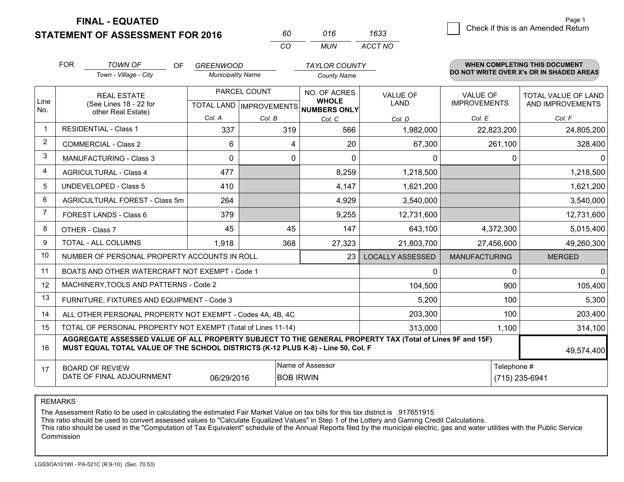**STATEMENT OF ASSESSMENT FOR 2016** 

**FINAL - EQUATED**

| 60  | 016 | 1633    |
|-----|-----|---------|
| CO. | MUN | ACCT NO |

|                | <b>FOR</b><br><b>TOWN OF</b><br>OF.<br>Town - Village - City                                                                                                                                               | <b>GREENWOOD</b><br><b>Municipality Name</b> |                                           | <b>TAYLOR COUNTY</b><br><b>County Name</b>                                     |                         |                                        | <b>WHEN COMPLETING THIS DOCUMENT</b><br>DO NOT WRITE OVER X's OR IN SHADED AREAS |  |
|----------------|------------------------------------------------------------------------------------------------------------------------------------------------------------------------------------------------------------|----------------------------------------------|-------------------------------------------|--------------------------------------------------------------------------------|-------------------------|----------------------------------------|----------------------------------------------------------------------------------|--|
| Line<br>No.    | <b>REAL ESTATE</b><br>(See Lines 18 - 22 for<br>other Real Estate)                                                                                                                                         |                                              | PARCEL COUNT<br>TOTAL LAND   IMPROVEMENTS | NO. OF ACRES<br>VALUE OF<br><b>WHOLE</b><br><b>LAND</b><br><b>NUMBERS ONLY</b> |                         | <b>VALUE OF</b><br><b>IMPROVEMENTS</b> | TOTAL VALUE OF LAND<br>AND IMPROVEMENTS                                          |  |
|                |                                                                                                                                                                                                            | Col. A                                       | Col. B                                    | Col. C                                                                         | Col. D                  | Col. E                                 | Col. F                                                                           |  |
| $\overline{1}$ | <b>RESIDENTIAL - Class 1</b>                                                                                                                                                                               | 337                                          | 319                                       | 566                                                                            | 1,982,000               | 22,823,200                             | 24,805,200                                                                       |  |
| 2              | <b>COMMERCIAL - Class 2</b>                                                                                                                                                                                | 6                                            | 4                                         | 20                                                                             | 67,300                  | 261,100                                | 328,400                                                                          |  |
| 3              | <b>MANUFACTURING - Class 3</b>                                                                                                                                                                             | $\Omega$                                     | 0                                         | $\mathbf 0$                                                                    | 0                       | 0                                      | $\Omega$                                                                         |  |
| 4              | <b>AGRICULTURAL - Class 4</b>                                                                                                                                                                              | 477                                          |                                           | 8,259                                                                          | 1,218,500               |                                        | 1,218,500                                                                        |  |
| 5              | UNDEVELOPED - Class 5                                                                                                                                                                                      | 410                                          |                                           | 4,147                                                                          | 1,621,200               |                                        | 1,621,200                                                                        |  |
| 6              | AGRICULTURAL FOREST - Class 5m                                                                                                                                                                             | 264                                          |                                           | 4,929                                                                          | 3,540,000               |                                        | 3,540,000                                                                        |  |
| $\overline{7}$ | FOREST LANDS - Class 6                                                                                                                                                                                     | 379                                          |                                           | 9,255                                                                          | 12,731,600              |                                        | 12,731,600                                                                       |  |
| 8              | OTHER - Class 7                                                                                                                                                                                            | 45                                           | 45                                        | 147                                                                            | 643,100                 | 4,372,300                              | 5,015,400                                                                        |  |
| 9              | TOTAL - ALL COLUMNS                                                                                                                                                                                        | 1,918                                        | 368                                       | 27,323                                                                         | 21,803,700              | 27,456,600                             | 49,260,300                                                                       |  |
| 10             | NUMBER OF PERSONAL PROPERTY ACCOUNTS IN ROLL                                                                                                                                                               |                                              |                                           | 23                                                                             | <b>LOCALLY ASSESSED</b> | <b>MANUFACTURING</b>                   | <b>MERGED</b>                                                                    |  |
| 11             | BOATS AND OTHER WATERCRAFT NOT EXEMPT - Code 1                                                                                                                                                             |                                              |                                           |                                                                                | 0                       | 0                                      | $\overline{0}$                                                                   |  |
| 12             | MACHINERY, TOOLS AND PATTERNS - Code 2                                                                                                                                                                     |                                              |                                           |                                                                                | 104,500                 | 900                                    | 105,400                                                                          |  |
| 13             | FURNITURE, FIXTURES AND EQUIPMENT - Code 3                                                                                                                                                                 |                                              |                                           |                                                                                | 5,200                   | 100                                    | 5,300                                                                            |  |
| 14             | ALL OTHER PERSONAL PROPERTY NOT EXEMPT - Codes 4A, 4B, 4C                                                                                                                                                  |                                              |                                           |                                                                                | 203,300                 | 100                                    | 203,400                                                                          |  |
| 15             | TOTAL OF PERSONAL PROPERTY NOT EXEMPT (Total of Lines 11-14)                                                                                                                                               |                                              |                                           |                                                                                | 313,000                 | 1,100                                  | 314,100                                                                          |  |
| 16             | AGGREGATE ASSESSED VALUE OF ALL PROPERTY SUBJECT TO THE GENERAL PROPERTY TAX (Total of Lines 9F and 15F)<br>MUST EQUAL TOTAL VALUE OF THE SCHOOL DISTRICTS (K-12 PLUS K-8) - Line 50, Col. F<br>49,574,400 |                                              |                                           |                                                                                |                         |                                        |                                                                                  |  |
| 17             | Name of Assessor<br>Telephone #<br><b>BOARD OF REVIEW</b><br>DATE OF FINAL ADJOURNMENT<br>06/29/2016<br><b>BOB IRWIN</b>                                                                                   |                                              |                                           |                                                                                |                         | (715) 235-6941                         |                                                                                  |  |

REMARKS

The Assessment Ratio to be used in calculating the estimated Fair Market Value on tax bills for this tax district is .917651915

This ratio should be used to convert assessed values to "Calculate Equalized Values" in Step 1 of the Lottery and Gaming Credit Calculations.

 This ratio should be used in the "Computation of Tax Equivalent" schedule of the Annual Reports filed by the municipal electric, gas and water utilities with the Public Service Commission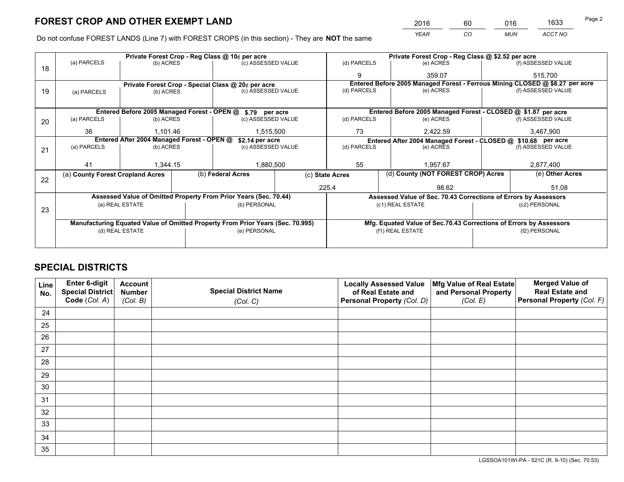*YEAR CO MUN ACCT NO* <sup>2016</sup> <sup>60</sup> <sup>016</sup> <sup>1633</sup>

Do not confuse FOREST LANDS (Line 7) with FOREST CROPS (in this section) - They are **NOT** the same

|    |                                                               |                                             |           | Private Forest Crop - Reg Class @ 10¢ per acre                                 |                 | Private Forest Crop - Reg Class @ \$2.52 per acre                  |                                                                              |  |  |
|----|---------------------------------------------------------------|---------------------------------------------|-----------|--------------------------------------------------------------------------------|-----------------|--------------------------------------------------------------------|------------------------------------------------------------------------------|--|--|
| 18 | (a) PARCELS                                                   | (b) ACRES                                   |           | (c) ASSESSED VALUE                                                             | (d) PARCELS     | (e) ACRES                                                          | (f) ASSESSED VALUE                                                           |  |  |
|    |                                                               |                                             |           |                                                                                | 9               | 359.07                                                             | 515,700                                                                      |  |  |
|    | Private Forest Crop - Special Class @ 20¢ per acre            |                                             |           |                                                                                |                 |                                                                    | Entered Before 2005 Managed Forest - Ferrous Mining CLOSED @ \$8.27 per acre |  |  |
| 19 | (a) PARCELS                                                   | (b) ACRES                                   |           | (c) ASSESSED VALUE                                                             | (d) PARCELS     | (e) ACRES                                                          | (f) ASSESSED VALUE                                                           |  |  |
|    |                                                               |                                             |           |                                                                                |                 |                                                                    |                                                                              |  |  |
|    |                                                               | Entered Before 2005 Managed Forest - OPEN @ |           | \$.79 per acre                                                                 |                 | Entered Before 2005 Managed Forest - CLOSED @ \$1.87 per acre      |                                                                              |  |  |
| 20 | (a) PARCELS                                                   | (b) ACRES                                   |           | (c) ASSESSED VALUE                                                             | (d) PARCELS     | (e) ACRES                                                          | (f) ASSESSED VALUE                                                           |  |  |
|    | 36<br>1.101.46                                                |                                             | 1,515,500 | 73                                                                             | 2,422.59        | 3,467,900                                                          |                                                                              |  |  |
|    | Entered After 2004 Managed Forest - OPEN @<br>\$2.14 per acre |                                             |           |                                                                                |                 | Entered After 2004 Managed Forest - CLOSED @ \$10.68 per acre      |                                                                              |  |  |
| 21 | (a) PARCELS                                                   | (b) ACRES                                   |           | (c) ASSESSED VALUE                                                             | (d) PARCELS     | (e) ACRES                                                          | (f) ASSESSED VALUE                                                           |  |  |
|    |                                                               |                                             |           |                                                                                |                 |                                                                    |                                                                              |  |  |
|    | 41                                                            | 1,344.15                                    |           | 1,880,500                                                                      | 55              | 1.957.67                                                           | 2,877,400                                                                    |  |  |
| 22 | (a) County Forest Cropland Acres                              |                                             |           | (b) Federal Acres                                                              | (c) State Acres | (d) County (NOT FOREST CROP) Acres                                 | (e) Other Acres                                                              |  |  |
|    |                                                               |                                             |           |                                                                                | 225.4           | 98.62                                                              | 51.08                                                                        |  |  |
|    |                                                               |                                             |           | Assessed Value of Omitted Property From Prior Years (Sec. 70.44)               |                 | Assessed Value of Sec. 70.43 Corrections of Errors by Assessors    |                                                                              |  |  |
|    |                                                               | (a) REAL ESTATE                             |           | (b) PERSONAL                                                                   |                 | (c1) REAL ESTATE                                                   | (c2) PERSONAL                                                                |  |  |
| 23 |                                                               |                                             |           |                                                                                |                 |                                                                    |                                                                              |  |  |
|    |                                                               |                                             |           | Manufacturing Equated Value of Omitted Property From Prior Years (Sec. 70.995) |                 | Mfg. Equated Value of Sec.70.43 Corrections of Errors by Assessors |                                                                              |  |  |
|    |                                                               | (d) REAL ESTATE                             |           | (e) PERSONAL                                                                   |                 | (f1) REAL ESTATE                                                   | (f2) PERSONAL                                                                |  |  |
|    |                                                               |                                             |           |                                                                                |                 |                                                                    |                                                                              |  |  |

## **SPECIAL DISTRICTS**

| Line<br>No. | Enter 6-digit<br>Special District<br>Code (Col. A) | <b>Account</b><br><b>Number</b> | <b>Special District Name</b> | <b>Locally Assessed Value</b><br>of Real Estate and | Mfg Value of Real Estate<br>and Personal Property | <b>Merged Value of</b><br><b>Real Estate and</b><br>Personal Property (Col. F) |
|-------------|----------------------------------------------------|---------------------------------|------------------------------|-----------------------------------------------------|---------------------------------------------------|--------------------------------------------------------------------------------|
|             |                                                    | (Col. B)                        | (Col. C)                     | Personal Property (Col. D)                          | (Col. E)                                          |                                                                                |
| 24          |                                                    |                                 |                              |                                                     |                                                   |                                                                                |
| 25          |                                                    |                                 |                              |                                                     |                                                   |                                                                                |
| 26          |                                                    |                                 |                              |                                                     |                                                   |                                                                                |
| 27          |                                                    |                                 |                              |                                                     |                                                   |                                                                                |
| 28          |                                                    |                                 |                              |                                                     |                                                   |                                                                                |
| 29          |                                                    |                                 |                              |                                                     |                                                   |                                                                                |
| 30          |                                                    |                                 |                              |                                                     |                                                   |                                                                                |
| 31          |                                                    |                                 |                              |                                                     |                                                   |                                                                                |
| 32          |                                                    |                                 |                              |                                                     |                                                   |                                                                                |
| 33          |                                                    |                                 |                              |                                                     |                                                   |                                                                                |
| 34          |                                                    |                                 |                              |                                                     |                                                   |                                                                                |
| 35          |                                                    |                                 |                              |                                                     |                                                   |                                                                                |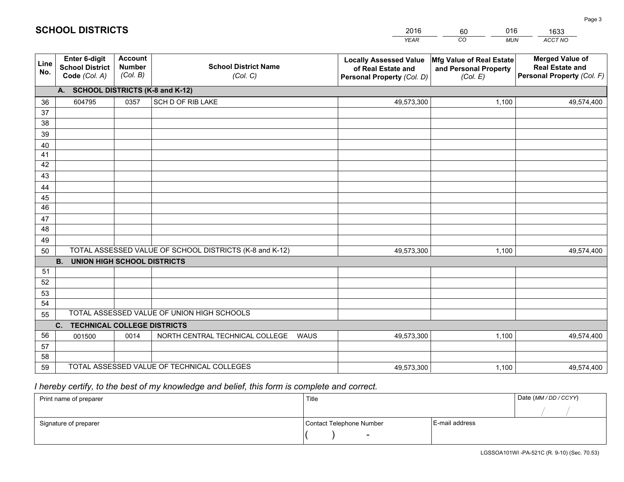|             |                                                                 |                                             |                                                         | YEAR                                                                              | CO<br><b>MUN</b>                                              | ACCT NO                                                                        |
|-------------|-----------------------------------------------------------------|---------------------------------------------|---------------------------------------------------------|-----------------------------------------------------------------------------------|---------------------------------------------------------------|--------------------------------------------------------------------------------|
| Line<br>No. | <b>Enter 6-digit</b><br><b>School District</b><br>Code (Col. A) | <b>Account</b><br><b>Number</b><br>(Col. B) | <b>School District Name</b><br>(Col. C)                 | <b>Locally Assessed Value</b><br>of Real Estate and<br>Personal Property (Col. D) | Mfg Value of Real Estate<br>and Personal Property<br>(Col. E) | <b>Merged Value of</b><br><b>Real Estate and</b><br>Personal Property (Col. F) |
|             | A. SCHOOL DISTRICTS (K-8 and K-12)                              |                                             |                                                         |                                                                                   |                                                               |                                                                                |
| 36          | 604795                                                          | 0357                                        | <b>SCH D OF RIB LAKE</b>                                | 49,573,300                                                                        | 1,100                                                         | 49,574,400                                                                     |
| 37          |                                                                 |                                             |                                                         |                                                                                   |                                                               |                                                                                |
| 38          |                                                                 |                                             |                                                         |                                                                                   |                                                               |                                                                                |
| 39          |                                                                 |                                             |                                                         |                                                                                   |                                                               |                                                                                |
| 40          |                                                                 |                                             |                                                         |                                                                                   |                                                               |                                                                                |
| 41<br>42    |                                                                 |                                             |                                                         |                                                                                   |                                                               |                                                                                |
| 43          |                                                                 |                                             |                                                         |                                                                                   |                                                               |                                                                                |
| 44          |                                                                 |                                             |                                                         |                                                                                   |                                                               |                                                                                |
| 45          |                                                                 |                                             |                                                         |                                                                                   |                                                               |                                                                                |
| 46          |                                                                 |                                             |                                                         |                                                                                   |                                                               |                                                                                |
| 47          |                                                                 |                                             |                                                         |                                                                                   |                                                               |                                                                                |
| 48          |                                                                 |                                             |                                                         |                                                                                   |                                                               |                                                                                |
| 49          |                                                                 |                                             |                                                         |                                                                                   |                                                               |                                                                                |
| 50          |                                                                 |                                             | TOTAL ASSESSED VALUE OF SCHOOL DISTRICTS (K-8 and K-12) | 49,573,300                                                                        | 1,100                                                         | 49,574,400                                                                     |
|             | <b>B.</b><br><b>UNION HIGH SCHOOL DISTRICTS</b>                 |                                             |                                                         |                                                                                   |                                                               |                                                                                |
| 51          |                                                                 |                                             |                                                         |                                                                                   |                                                               |                                                                                |
| 52          |                                                                 |                                             |                                                         |                                                                                   |                                                               |                                                                                |
| 53          |                                                                 |                                             |                                                         |                                                                                   |                                                               |                                                                                |
| 54<br>55    |                                                                 |                                             | TOTAL ASSESSED VALUE OF UNION HIGH SCHOOLS              |                                                                                   |                                                               |                                                                                |
|             | C.<br><b>TECHNICAL COLLEGE DISTRICTS</b>                        |                                             |                                                         |                                                                                   |                                                               |                                                                                |
| 56          | 001500                                                          | 0014                                        | NORTH CENTRAL TECHNICAL COLLEGE<br><b>WAUS</b>          | 49,573,300                                                                        | 1,100                                                         | 49,574,400                                                                     |
| 57          |                                                                 |                                             |                                                         |                                                                                   |                                                               |                                                                                |
| 58          |                                                                 |                                             |                                                         |                                                                                   |                                                               |                                                                                |
| 59          |                                                                 |                                             | TOTAL ASSESSED VALUE OF TECHNICAL COLLEGES              | 49,573,300                                                                        | 1,100                                                         | 49,574,400                                                                     |

60

016

 *I hereby certify, to the best of my knowledge and belief, this form is complete and correct.*

**SCHOOL DISTRICTS**

| Print name of preparer | Title                    |                | Date (MM / DD / CCYY) |
|------------------------|--------------------------|----------------|-----------------------|
|                        |                          |                |                       |
| Signature of preparer  | Contact Telephone Number | E-mail address |                       |
|                        | $\sim$                   |                |                       |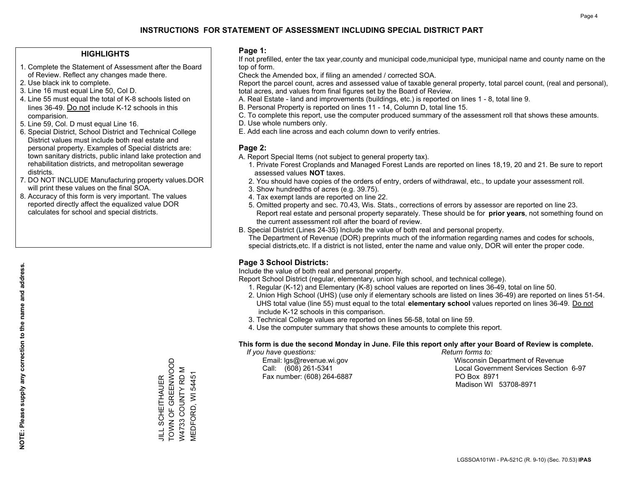### **HIGHLIGHTS**

- 1. Complete the Statement of Assessment after the Board of Review. Reflect any changes made there.
- 2. Use black ink to complete.
- 3. Line 16 must equal Line 50, Col D.
- 4. Line 55 must equal the total of K-8 schools listed on lines 36-49. Do not include K-12 schools in this comparision.
- 5. Line 59, Col. D must equal Line 16.
- 6. Special District, School District and Technical College District values must include both real estate and personal property. Examples of Special districts are: town sanitary districts, public inland lake protection and rehabilitation districts, and metropolitan sewerage districts.
- 7. DO NOT INCLUDE Manufacturing property values.DOR will print these values on the final SOA.
- 8. Accuracy of this form is very important. The values reported directly affect the equalized value DOR calculates for school and special districts.

#### **Page 1:**

 If not prefilled, enter the tax year,county and municipal code,municipal type, municipal name and county name on the top of form.

Check the Amended box, if filing an amended / corrected SOA.

 Report the parcel count, acres and assessed value of taxable general property, total parcel count, (real and personal), total acres, and values from final figures set by the Board of Review.

- A. Real Estate land and improvements (buildings, etc.) is reported on lines 1 8, total line 9.
- B. Personal Property is reported on lines 11 14, Column D, total line 15.
- C. To complete this report, use the computer produced summary of the assessment roll that shows these amounts.
- D. Use whole numbers only.
- E. Add each line across and each column down to verify entries.

#### **Page 2:**

- A. Report Special Items (not subject to general property tax).
- 1. Private Forest Croplands and Managed Forest Lands are reported on lines 18,19, 20 and 21. Be sure to report assessed values **NOT** taxes.
- 2. You should have copies of the orders of entry, orders of withdrawal, etc., to update your assessment roll.
	- 3. Show hundredths of acres (e.g. 39.75).
- 4. Tax exempt lands are reported on line 22.
- 5. Omitted property and sec. 70.43, Wis. Stats., corrections of errors by assessor are reported on line 23. Report real estate and personal property separately. These should be for **prior years**, not something found on the current assessment roll after the board of review.
- B. Special District (Lines 24-35) Include the value of both real and personal property.
- The Department of Revenue (DOR) preprints much of the information regarding names and codes for schools, special districts,etc. If a district is not listed, enter the name and value only, DOR will enter the proper code.

## **Page 3 School Districts:**

Include the value of both real and personal property.

Report School District (regular, elementary, union high school, and technical college).

- 1. Regular (K-12) and Elementary (K-8) school values are reported on lines 36-49, total on line 50.
- 2. Union High School (UHS) (use only if elementary schools are listed on lines 36-49) are reported on lines 51-54. UHS total value (line 55) must equal to the total **elementary school** values reported on lines 36-49. Do notinclude K-12 schools in this comparison.
- 3. Technical College values are reported on lines 56-58, total on line 59.
- 4. Use the computer summary that shows these amounts to complete this report.

#### **This form is due the second Monday in June. File this report only after your Board of Review is complete.**

 *If you have questions: Return forms to:*

Fax number: (608) 264-6887 PO Box 8971

 Email: lgs@revenue.wi.gov Wisconsin Department of Revenue Call: (608) 261-5341 Local Government Services Section 6-97Madison WI 53708-8971

TOWN OF GREENWOOD TOWN OF GREENWOOD W4733 COUNTY RD M W4733 COUNTY RD M **MEDFORD, WI 54451** MEDFORD, WI 54451 **JILL SCHEITHAUER** JILL SCHEITHAUER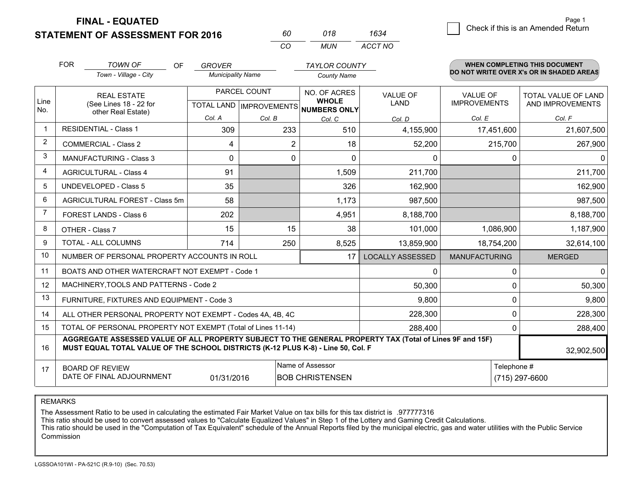**STATEMENT OF ASSESSMENT FOR 2016 FINAL - EQUATED**

| 60 | 018 1634    | Check if this is an Amended Return |
|----|-------------|------------------------------------|
| CO | MUN ACCT NO |                                    |

|                         | <b>FOR</b>                                                                                                                                                                                   | <b>TOWN OF</b><br>OF                                         | <b>GROVER</b>            |              | <b>TAYLOR COUNTY</b>                                 |                         |                      | <b>WHEN COMPLETING THIS DOCUMENT</b>     |
|-------------------------|----------------------------------------------------------------------------------------------------------------------------------------------------------------------------------------------|--------------------------------------------------------------|--------------------------|--------------|------------------------------------------------------|-------------------------|----------------------|------------------------------------------|
|                         |                                                                                                                                                                                              | Town - Village - City                                        | <b>Municipality Name</b> |              | <b>County Name</b>                                   |                         |                      | DO NOT WRITE OVER X's OR IN SHADED AREAS |
|                         |                                                                                                                                                                                              | <b>REAL ESTATE</b>                                           |                          | PARCEL COUNT | NO. OF ACRES                                         | <b>VALUE OF</b>         | <b>VALUE OF</b>      | TOTAL VALUE OF LAND                      |
| Line<br>No.             |                                                                                                                                                                                              | (See Lines 18 - 22 for<br>other Real Estate)                 |                          |              | <b>WHOLE</b><br>TOTAL LAND IMPROVEMENTS NUMBERS ONLY | <b>LAND</b>             | <b>IMPROVEMENTS</b>  | AND IMPROVEMENTS                         |
|                         |                                                                                                                                                                                              |                                                              | Col. A                   | Col. B       | Col. C                                               | Col. D                  | Col. E               | Col. F                                   |
| $\overline{\mathbf{1}}$ |                                                                                                                                                                                              | <b>RESIDENTIAL - Class 1</b>                                 | 309                      | 233          | 510                                                  | 4,155,900               | 17,451,600           | 21,607,500                               |
| 2                       |                                                                                                                                                                                              | <b>COMMERCIAL - Class 2</b>                                  | 4                        | 2            | 18                                                   | 52,200                  | 215,700              | 267,900                                  |
| 3                       |                                                                                                                                                                                              | <b>MANUFACTURING - Class 3</b>                               | $\Omega$                 | 0            | $\Omega$                                             | 0                       |                      | $\Omega$<br>$\Omega$                     |
| 4                       |                                                                                                                                                                                              | <b>AGRICULTURAL - Class 4</b>                                | 91                       |              | 1,509                                                | 211,700                 |                      | 211,700                                  |
| 5                       |                                                                                                                                                                                              | <b>UNDEVELOPED - Class 5</b>                                 | 35                       |              | 326                                                  | 162,900                 |                      | 162,900                                  |
| 6                       |                                                                                                                                                                                              | AGRICULTURAL FOREST - Class 5m                               | 58                       |              | 1,173                                                | 987,500                 |                      | 987,500                                  |
| $\overline{7}$          |                                                                                                                                                                                              | FOREST LANDS - Class 6                                       | 202                      |              | 4,951                                                | 8,188,700               |                      | 8,188,700                                |
| 8                       |                                                                                                                                                                                              | OTHER - Class 7                                              | 15                       | 15           | 38                                                   | 101,000                 | 1,086,900            | 1,187,900                                |
| 9                       |                                                                                                                                                                                              | TOTAL - ALL COLUMNS                                          | 714                      | 250          | 8,525                                                | 13,859,900              | 18,754,200           | 32,614,100                               |
| 10                      |                                                                                                                                                                                              | NUMBER OF PERSONAL PROPERTY ACCOUNTS IN ROLL                 |                          |              | 17                                                   | <b>LOCALLY ASSESSED</b> | <b>MANUFACTURING</b> | <b>MERGED</b>                            |
| 11                      |                                                                                                                                                                                              | BOATS AND OTHER WATERCRAFT NOT EXEMPT - Code 1               |                          |              |                                                      | 0                       |                      | $\mathbf{0}$<br>$\Omega$                 |
| 12                      |                                                                                                                                                                                              | MACHINERY, TOOLS AND PATTERNS - Code 2                       |                          |              |                                                      | 50,300                  |                      | 50,300<br>$\Omega$                       |
| 13                      |                                                                                                                                                                                              | FURNITURE, FIXTURES AND EQUIPMENT - Code 3                   |                          |              |                                                      | 9,800                   |                      | 9,800<br>0                               |
| 14                      |                                                                                                                                                                                              | ALL OTHER PERSONAL PROPERTY NOT EXEMPT - Codes 4A, 4B, 4C    |                          |              |                                                      | 228,300                 |                      | $\Omega$<br>228,300                      |
| 15                      |                                                                                                                                                                                              | TOTAL OF PERSONAL PROPERTY NOT EXEMPT (Total of Lines 11-14) |                          |              |                                                      | 288,400                 |                      | 288,400<br>0                             |
| 16                      | AGGREGATE ASSESSED VALUE OF ALL PROPERTY SUBJECT TO THE GENERAL PROPERTY TAX (Total of Lines 9F and 15F)<br>MUST EQUAL TOTAL VALUE OF THE SCHOOL DISTRICTS (K-12 PLUS K-8) - Line 50, Col. F |                                                              |                          |              |                                                      |                         |                      | 32,902,500                               |
| 17                      |                                                                                                                                                                                              | <b>BOARD OF REVIEW</b>                                       |                          |              | Name of Assessor                                     |                         | Telephone #          |                                          |
|                         | DATE OF FINAL ADJOURNMENT<br><b>BOB CHRISTENSEN</b><br>(715) 297-6600<br>01/31/2016                                                                                                          |                                                              |                          |              |                                                      |                         |                      |                                          |

*CO*

REMARKS

The Assessment Ratio to be used in calculating the estimated Fair Market Value on tax bills for this tax district is .977777316<br>This ratio should be used to convert assessed values to "Calculate Equalized Values" in Step 1 Commission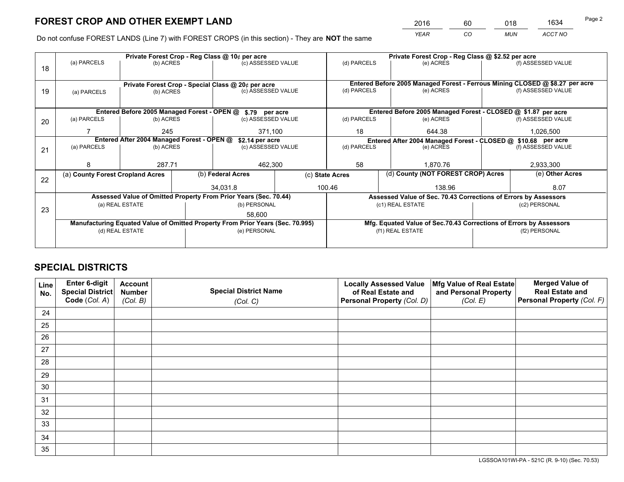*YEAR CO MUN ACCT NO* <sup>2016</sup> <sup>60</sup> <sup>018</sup> <sup>1634</sup>

Do not confuse FOREST LANDS (Line 7) with FOREST CROPS (in this section) - They are **NOT** the same

|    |                                            |                                                    |  | Private Forest Crop - Reg Class @ 10¢ per acre                                 |  |                 | Private Forest Crop - Reg Class @ \$2.52 per acre |                                                                    |  |                                                                                     |  |  |
|----|--------------------------------------------|----------------------------------------------------|--|--------------------------------------------------------------------------------|--|-----------------|---------------------------------------------------|--------------------------------------------------------------------|--|-------------------------------------------------------------------------------------|--|--|
| 18 | (a) PARCELS                                | (b) ACRES                                          |  | (c) ASSESSED VALUE                                                             |  | (d) PARCELS     |                                                   | (e) ACRES                                                          |  | (f) ASSESSED VALUE                                                                  |  |  |
|    |                                            |                                                    |  |                                                                                |  |                 |                                                   |                                                                    |  |                                                                                     |  |  |
|    |                                            | Private Forest Crop - Special Class @ 20¢ per acre |  |                                                                                |  |                 |                                                   |                                                                    |  | Entered Before 2005 Managed Forest - Ferrous Mining CLOSED @ \$8.27 per acre        |  |  |
| 19 | (a) PARCELS                                | (b) ACRES                                          |  | (c) ASSESSED VALUE                                                             |  | (d) PARCELS     |                                                   | (e) ACRES                                                          |  | (f) ASSESSED VALUE                                                                  |  |  |
|    |                                            |                                                    |  |                                                                                |  |                 |                                                   |                                                                    |  |                                                                                     |  |  |
|    |                                            |                                                    |  | Entered Before 2005 Managed Forest - OPEN @ \$.79 per acre                     |  |                 |                                                   | Entered Before 2005 Managed Forest - CLOSED @ \$1.87 per acre      |  |                                                                                     |  |  |
| 20 | (a) PARCELS                                | (b) ACRES                                          |  | (c) ASSESSED VALUE                                                             |  | (d) PARCELS     |                                                   | (e) ACRES                                                          |  | (f) ASSESSED VALUE                                                                  |  |  |
|    |                                            | 245                                                |  | 371,100                                                                        |  | 18              |                                                   | 644.38                                                             |  |                                                                                     |  |  |
|    | Entered After 2004 Managed Forest - OPEN @ |                                                    |  |                                                                                |  |                 |                                                   |                                                                    |  | 1,026,500                                                                           |  |  |
|    | (a) PARCELS<br>(b) ACRES                   |                                                    |  | \$2.14 per acre                                                                |  |                 |                                                   |                                                                    |  |                                                                                     |  |  |
| 21 |                                            |                                                    |  | (c) ASSESSED VALUE                                                             |  | (d) PARCELS     |                                                   | (e) ACRES                                                          |  | Entered After 2004 Managed Forest - CLOSED @ \$10.68 per acre<br>(f) ASSESSED VALUE |  |  |
|    |                                            |                                                    |  |                                                                                |  |                 |                                                   |                                                                    |  | 2,933,300                                                                           |  |  |
|    |                                            | 287.71                                             |  | 462,300                                                                        |  | 58              |                                                   | 1.870.76                                                           |  |                                                                                     |  |  |
| 22 | (a) County Forest Cropland Acres           |                                                    |  | (b) Federal Acres                                                              |  | (c) State Acres |                                                   | (d) County (NOT FOREST CROP) Acres                                 |  | (e) Other Acres                                                                     |  |  |
|    |                                            |                                                    |  | 34.031.8                                                                       |  | 100.46          |                                                   | 138.96                                                             |  | 8.07                                                                                |  |  |
|    |                                            |                                                    |  | Assessed Value of Omitted Property From Prior Years (Sec. 70.44)               |  |                 |                                                   | Assessed Value of Sec. 70.43 Corrections of Errors by Assessors    |  |                                                                                     |  |  |
|    |                                            | (a) REAL ESTATE                                    |  | (b) PERSONAL                                                                   |  |                 |                                                   | (c1) REAL ESTATE                                                   |  | (c2) PERSONAL                                                                       |  |  |
| 23 |                                            |                                                    |  |                                                                                |  |                 |                                                   |                                                                    |  |                                                                                     |  |  |
|    |                                            |                                                    |  | 58,600                                                                         |  |                 |                                                   |                                                                    |  |                                                                                     |  |  |
|    |                                            |                                                    |  | Manufacturing Equated Value of Omitted Property From Prior Years (Sec. 70.995) |  |                 |                                                   | Mfg. Equated Value of Sec.70.43 Corrections of Errors by Assessors |  |                                                                                     |  |  |
|    |                                            | (d) REAL ESTATE                                    |  | (e) PERSONAL                                                                   |  |                 |                                                   | (f1) REAL ESTATE                                                   |  | (f2) PERSONAL                                                                       |  |  |
|    |                                            |                                                    |  |                                                                                |  |                 |                                                   |                                                                    |  |                                                                                     |  |  |
|    |                                            |                                                    |  |                                                                                |  |                 |                                                   |                                                                    |  |                                                                                     |  |  |

## **SPECIAL DISTRICTS**

| Line<br>No. | Enter 6-digit<br><b>Special District</b> | <b>Account</b><br><b>Number</b> | <b>Special District Name</b> | <b>Locally Assessed Value</b><br>of Real Estate and | Mfg Value of Real Estate<br>and Personal Property | <b>Merged Value of</b><br><b>Real Estate and</b> |
|-------------|------------------------------------------|---------------------------------|------------------------------|-----------------------------------------------------|---------------------------------------------------|--------------------------------------------------|
|             | Code (Col. A)                            | (Col. B)                        | (Col. C)                     | Personal Property (Col. D)                          | (Col. E)                                          | Personal Property (Col. F)                       |
| 24          |                                          |                                 |                              |                                                     |                                                   |                                                  |
| 25          |                                          |                                 |                              |                                                     |                                                   |                                                  |
| 26          |                                          |                                 |                              |                                                     |                                                   |                                                  |
| 27          |                                          |                                 |                              |                                                     |                                                   |                                                  |
| 28          |                                          |                                 |                              |                                                     |                                                   |                                                  |
| 29          |                                          |                                 |                              |                                                     |                                                   |                                                  |
| 30          |                                          |                                 |                              |                                                     |                                                   |                                                  |
| 31          |                                          |                                 |                              |                                                     |                                                   |                                                  |
| 32          |                                          |                                 |                              |                                                     |                                                   |                                                  |
| 33          |                                          |                                 |                              |                                                     |                                                   |                                                  |
| 34          |                                          |                                 |                              |                                                     |                                                   |                                                  |
| 35          |                                          |                                 |                              |                                                     |                                                   |                                                  |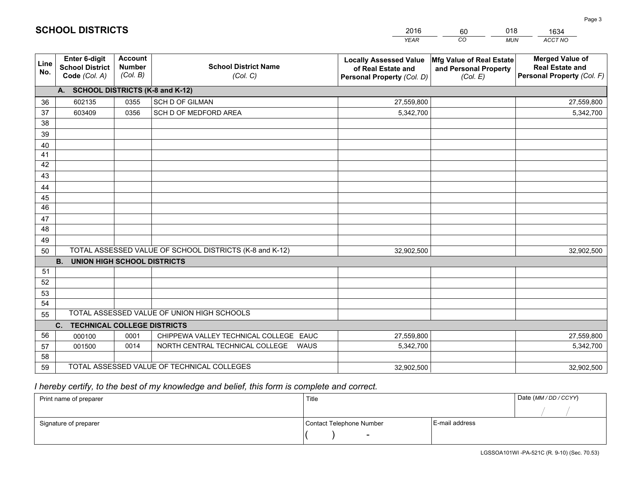|             |                                                          |                                             |                                                         | <b>YEAR</b>                                                                       | CO<br><b>MUN</b>                                              | ACCT NO                                                                        |
|-------------|----------------------------------------------------------|---------------------------------------------|---------------------------------------------------------|-----------------------------------------------------------------------------------|---------------------------------------------------------------|--------------------------------------------------------------------------------|
| Line<br>No. | Enter 6-digit<br><b>School District</b><br>Code (Col. A) | <b>Account</b><br><b>Number</b><br>(Col. B) | <b>School District Name</b><br>(Col. C)                 | <b>Locally Assessed Value</b><br>of Real Estate and<br>Personal Property (Col. D) | Mfg Value of Real Estate<br>and Personal Property<br>(Col. E) | <b>Merged Value of</b><br><b>Real Estate and</b><br>Personal Property (Col. F) |
|             | A. SCHOOL DISTRICTS (K-8 and K-12)                       |                                             |                                                         |                                                                                   |                                                               |                                                                                |
| 36          | 602135                                                   | 0355                                        | SCH D OF GILMAN                                         | 27,559,800                                                                        |                                                               | 27,559,800                                                                     |
| 37          | 603409                                                   | 0356                                        | SCH D OF MEDFORD AREA                                   | 5,342,700                                                                         |                                                               | 5,342,700                                                                      |
| 38          |                                                          |                                             |                                                         |                                                                                   |                                                               |                                                                                |
| 39          |                                                          |                                             |                                                         |                                                                                   |                                                               |                                                                                |
| 40          |                                                          |                                             |                                                         |                                                                                   |                                                               |                                                                                |
| 41          |                                                          |                                             |                                                         |                                                                                   |                                                               |                                                                                |
| 42          |                                                          |                                             |                                                         |                                                                                   |                                                               |                                                                                |
| 43          |                                                          |                                             |                                                         |                                                                                   |                                                               |                                                                                |
| 44          |                                                          |                                             |                                                         |                                                                                   |                                                               |                                                                                |
| 45          |                                                          |                                             |                                                         |                                                                                   |                                                               |                                                                                |
| 46          |                                                          |                                             |                                                         |                                                                                   |                                                               |                                                                                |
| 47          |                                                          |                                             |                                                         |                                                                                   |                                                               |                                                                                |
| 48          |                                                          |                                             |                                                         |                                                                                   |                                                               |                                                                                |
| 49          |                                                          |                                             |                                                         |                                                                                   |                                                               |                                                                                |
| 50          |                                                          |                                             | TOTAL ASSESSED VALUE OF SCHOOL DISTRICTS (K-8 and K-12) | 32,902,500                                                                        |                                                               | 32,902,500                                                                     |
|             | <b>B.</b><br><b>UNION HIGH SCHOOL DISTRICTS</b>          |                                             |                                                         |                                                                                   |                                                               |                                                                                |
| 51          |                                                          |                                             |                                                         |                                                                                   |                                                               |                                                                                |
| 52          |                                                          |                                             |                                                         |                                                                                   |                                                               |                                                                                |
| 53          |                                                          |                                             |                                                         |                                                                                   |                                                               |                                                                                |
| 54          |                                                          |                                             |                                                         |                                                                                   |                                                               |                                                                                |
| 55          |                                                          |                                             | TOTAL ASSESSED VALUE OF UNION HIGH SCHOOLS              |                                                                                   |                                                               |                                                                                |
|             | C. TECHNICAL COLLEGE DISTRICTS                           |                                             |                                                         |                                                                                   |                                                               |                                                                                |
| 56          | 000100                                                   | 0001                                        | CHIPPEWA VALLEY TECHNICAL COLLEGE EAUC                  | 27,559,800                                                                        |                                                               | 27,559,800                                                                     |
| 57          | 001500                                                   | 0014                                        | NORTH CENTRAL TECHNICAL COLLEGE<br><b>WAUS</b>          | 5,342,700                                                                         |                                                               | 5,342,700                                                                      |
| 58          |                                                          |                                             |                                                         |                                                                                   |                                                               |                                                                                |
| 59          |                                                          |                                             | TOTAL ASSESSED VALUE OF TECHNICAL COLLEGES              | 32,902,500                                                                        |                                                               | 32,902,500                                                                     |

60

018

 *I hereby certify, to the best of my knowledge and belief, this form is complete and correct.*

**SCHOOL DISTRICTS**

| Print name of preparer | Title                    |                | Date (MM/DD/CCYY) |
|------------------------|--------------------------|----------------|-------------------|
|                        |                          |                |                   |
| Signature of preparer  | Contact Telephone Number | E-mail address |                   |
|                        | $\overline{\phantom{a}}$ |                |                   |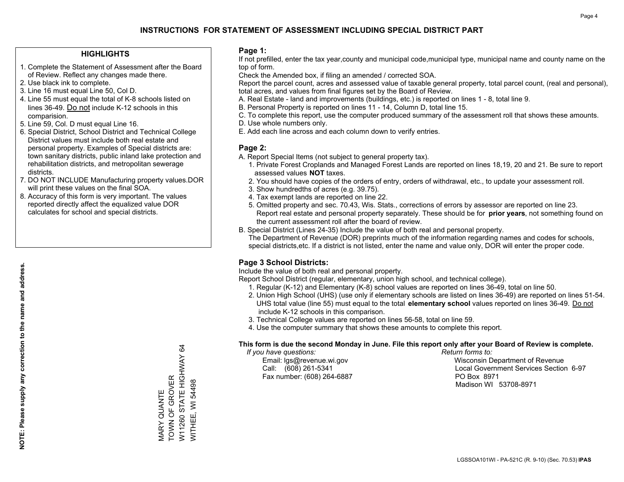## **HIGHLIGHTS**

- 1. Complete the Statement of Assessment after the Board of Review. Reflect any changes made there.
- 2. Use black ink to complete.
- 3. Line 16 must equal Line 50, Col D.
- 4. Line 55 must equal the total of K-8 schools listed on lines 36-49. Do not include K-12 schools in this comparision.
- 5. Line 59, Col. D must equal Line 16.
- 6. Special District, School District and Technical College District values must include both real estate and personal property. Examples of Special districts are: town sanitary districts, public inland lake protection and rehabilitation districts, and metropolitan sewerage districts.
- 7. DO NOT INCLUDE Manufacturing property values.DOR will print these values on the final SOA.

MARY QUANTE TOWN OF GROVER

VIARY QUANTE<br>TOWN OF GROVER

W11260 STATE HIGHWAY 64

, U.T., O.T., O.T., O.T., O.T.<br>11260 STATE HIGHWAY 64

WITHEE, WI 54498

WITHEE, WI 54498

 8. Accuracy of this form is very important. The values reported directly affect the equalized value DOR calculates for school and special districts.

#### **Page 1:**

 If not prefilled, enter the tax year,county and municipal code,municipal type, municipal name and county name on the top of form.

Check the Amended box, if filing an amended / corrected SOA.

 Report the parcel count, acres and assessed value of taxable general property, total parcel count, (real and personal), total acres, and values from final figures set by the Board of Review.

- A. Real Estate land and improvements (buildings, etc.) is reported on lines 1 8, total line 9.
- B. Personal Property is reported on lines 11 14, Column D, total line 15.
- C. To complete this report, use the computer produced summary of the assessment roll that shows these amounts.
- D. Use whole numbers only.
- E. Add each line across and each column down to verify entries.

## **Page 2:**

- A. Report Special Items (not subject to general property tax).
- 1. Private Forest Croplands and Managed Forest Lands are reported on lines 18,19, 20 and 21. Be sure to report assessed values **NOT** taxes.
- 2. You should have copies of the orders of entry, orders of withdrawal, etc., to update your assessment roll.
	- 3. Show hundredths of acres (e.g. 39.75).
- 4. Tax exempt lands are reported on line 22.
- 5. Omitted property and sec. 70.43, Wis. Stats., corrections of errors by assessor are reported on line 23. Report real estate and personal property separately. These should be for **prior years**, not something found on the current assessment roll after the board of review.
- B. Special District (Lines 24-35) Include the value of both real and personal property.

 The Department of Revenue (DOR) preprints much of the information regarding names and codes for schools, special districts,etc. If a district is not listed, enter the name and value only, DOR will enter the proper code.

## **Page 3 School Districts:**

Include the value of both real and personal property.

Report School District (regular, elementary, union high school, and technical college).

- 1. Regular (K-12) and Elementary (K-8) school values are reported on lines 36-49, total on line 50.
- 2. Union High School (UHS) (use only if elementary schools are listed on lines 36-49) are reported on lines 51-54. UHS total value (line 55) must equal to the total **elementary school** values reported on lines 36-49. Do notinclude K-12 schools in this comparison.
- 3. Technical College values are reported on lines 56-58, total on line 59.
- 4. Use the computer summary that shows these amounts to complete this report.

#### **This form is due the second Monday in June. File this report only after your Board of Review is complete.**

 *If you have questions: Return forms to:*

Fax number: (608) 264-6887 PO Box 8971

 Email: lgs@revenue.wi.gov Wisconsin Department of Revenue Call: (608) 261-5341 Local Government Services Section 6-97Madison WI 53708-8971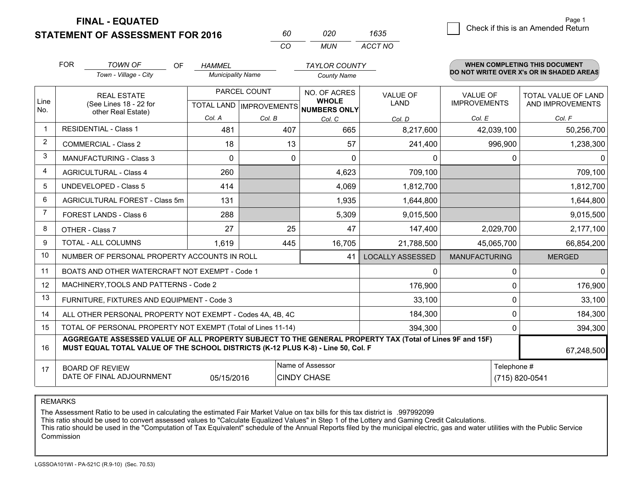**STATEMENT OF ASSESSMENT FOR 2016 FINAL - EQUATED**

 $\overline{5}$  Check if this is an Amended Return Page 1

|                | <b>FOR</b>                                 | <b>TOWN OF</b><br><b>OF</b><br>Town - Village - City                                                                                                                                         | <b>HAMMEL</b><br><b>Municipality Name</b> |              |                                                          | <b>TAYLOR COUNTY</b><br><b>County Name</b> |                      | <b>WHEN COMPLETING THIS DOCUMENT</b><br>DO NOT WRITE OVER X's OR IN SHADED AREAS |  |  |
|----------------|--------------------------------------------|----------------------------------------------------------------------------------------------------------------------------------------------------------------------------------------------|-------------------------------------------|--------------|----------------------------------------------------------|--------------------------------------------|----------------------|----------------------------------------------------------------------------------|--|--|
|                |                                            |                                                                                                                                                                                              |                                           |              |                                                          |                                            |                      |                                                                                  |  |  |
|                |                                            | <b>REAL ESTATE</b>                                                                                                                                                                           |                                           | PARCEL COUNT | NO. OF ACRES                                             | <b>VALUE OF</b>                            | <b>VALUE OF</b>      | TOTAL VALUE OF LAND                                                              |  |  |
| Line<br>No.    |                                            | (See Lines 18 - 22 for<br>other Real Estate)                                                                                                                                                 |                                           |              | <b>WHOLE</b><br>TOTAL LAND   IMPROVEMENTS   NUMBERS ONLY | <b>LAND</b>                                | <b>IMPROVEMENTS</b>  | AND IMPROVEMENTS                                                                 |  |  |
|                |                                            |                                                                                                                                                                                              | Col. A                                    | Col. B       | Col. C                                                   | Col. D                                     | Col. E               | Col. F                                                                           |  |  |
| $\mathbf{1}$   |                                            | <b>RESIDENTIAL - Class 1</b>                                                                                                                                                                 | 481                                       | 407          | 665                                                      | 8,217,600                                  | 42,039,100           | 50,256,700                                                                       |  |  |
| $\overline{2}$ |                                            | <b>COMMERCIAL - Class 2</b>                                                                                                                                                                  | 18                                        | 13           | 57                                                       | 241,400                                    | 996,900              | 1,238,300                                                                        |  |  |
| 3              |                                            | <b>MANUFACTURING - Class 3</b>                                                                                                                                                               | 0                                         | 0            | 0                                                        | 0                                          | 0                    | 0                                                                                |  |  |
| 4              |                                            | <b>AGRICULTURAL - Class 4</b>                                                                                                                                                                | 260                                       |              | 4,623                                                    | 709,100                                    |                      | 709,100                                                                          |  |  |
| 5              |                                            | UNDEVELOPED - Class 5                                                                                                                                                                        | 414                                       |              | 4,069                                                    | 1,812,700                                  |                      | 1,812,700                                                                        |  |  |
| 6              |                                            | <b>AGRICULTURAL FOREST - Class 5m</b>                                                                                                                                                        | 131                                       |              | 1,935                                                    | 1,644,800                                  |                      | 1,644,800                                                                        |  |  |
| $\overline{7}$ |                                            | FOREST LANDS - Class 6                                                                                                                                                                       | 288                                       |              | 5,309                                                    | 9,015,500                                  |                      | 9,015,500                                                                        |  |  |
| 8              |                                            | OTHER - Class 7                                                                                                                                                                              | 27                                        | 25           | 47                                                       | 147,400                                    | 2,029,700            | 2,177,100                                                                        |  |  |
| 9              |                                            | TOTAL - ALL COLUMNS                                                                                                                                                                          | 1,619                                     | 445          | 16,705                                                   | 21,788,500                                 | 45,065,700           | 66,854,200                                                                       |  |  |
| 10             |                                            | NUMBER OF PERSONAL PROPERTY ACCOUNTS IN ROLL                                                                                                                                                 |                                           |              | 41                                                       | <b>LOCALLY ASSESSED</b>                    | <b>MANUFACTURING</b> | <b>MERGED</b>                                                                    |  |  |
| 11             |                                            | BOATS AND OTHER WATERCRAFT NOT EXEMPT - Code 1                                                                                                                                               |                                           |              |                                                          | 0                                          | 0                    | $\mathbf{0}$                                                                     |  |  |
| 12             |                                            | MACHINERY, TOOLS AND PATTERNS - Code 2                                                                                                                                                       |                                           |              |                                                          | 176,900                                    | 0                    | 176,900                                                                          |  |  |
| 13             | FURNITURE, FIXTURES AND EQUIPMENT - Code 3 |                                                                                                                                                                                              |                                           |              |                                                          | 33,100                                     | 0                    | 33,100                                                                           |  |  |
| 14             |                                            | ALL OTHER PERSONAL PROPERTY NOT EXEMPT - Codes 4A, 4B, 4C                                                                                                                                    |                                           |              |                                                          | 184,300                                    | 0                    | 184,300                                                                          |  |  |
| 15             |                                            | TOTAL OF PERSONAL PROPERTY NOT EXEMPT (Total of Lines 11-14)                                                                                                                                 |                                           |              |                                                          | 394,300                                    | 0                    | 394,300                                                                          |  |  |
| 16             |                                            | AGGREGATE ASSESSED VALUE OF ALL PROPERTY SUBJECT TO THE GENERAL PROPERTY TAX (Total of Lines 9F and 15F)<br>MUST EQUAL TOTAL VALUE OF THE SCHOOL DISTRICTS (K-12 PLUS K-8) - Line 50, Col. F |                                           |              |                                                          |                                            | 67 248 500           |                                                                                  |  |  |

*CO*

*MUN*

*ACCT NO1635*

*<sup>60</sup> <sup>020</sup>*

17**MUST EQUAL TOTAL VALUE OF THE SCHOOL DISTRICTS (K-12 PLUS K-8) - Line 50, Col. F**BOARD OF REVIEW DATE OF FINAL ADJOURNMENTName of Assessor Telephone # $E$  (715) 820-0541 67,248,50005/15/2016CINDY CHASE

REMARKS

The Assessment Ratio to be used in calculating the estimated Fair Market Value on tax bills for this tax district is .997992099

This ratio should be used to convert assessed values to "Calculate Equalized Values" in Step 1 of the Lottery and Gaming Credit Calculations.<br>This ratio should be used in the "Computation of Tax Equivalent" schedule of the Commission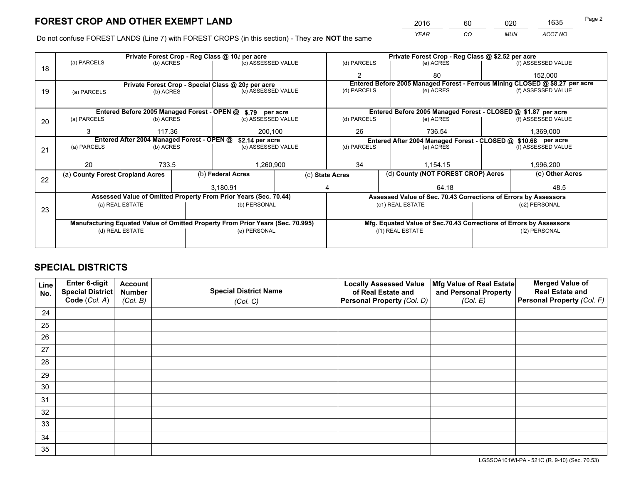*YEAR CO MUN ACCT NO* 2016 60 020 1635

Do not confuse FOREST LANDS (Line 7) with FOREST CROPS (in this section) - They are **NOT** the same

|                                                               |                                                                                |                                             |  | Private Forest Crop - Reg Class @ 10¢ per acre                   |                                                               | Private Forest Crop - Reg Class @ \$2.52 per acre |                                                                    |  |                                                                              |  |  |
|---------------------------------------------------------------|--------------------------------------------------------------------------------|---------------------------------------------|--|------------------------------------------------------------------|---------------------------------------------------------------|---------------------------------------------------|--------------------------------------------------------------------|--|------------------------------------------------------------------------------|--|--|
| 18                                                            | (a) PARCELS                                                                    | (b) ACRES                                   |  | (c) ASSESSED VALUE                                               |                                                               | (d) PARCELS                                       | (e) ACRES                                                          |  | (f) ASSESSED VALUE                                                           |  |  |
|                                                               |                                                                                |                                             |  |                                                                  |                                                               | $\mathfrak{p}$                                    | 80                                                                 |  | 152,000                                                                      |  |  |
|                                                               |                                                                                |                                             |  | Private Forest Crop - Special Class @ 20¢ per acre               |                                                               |                                                   |                                                                    |  | Entered Before 2005 Managed Forest - Ferrous Mining CLOSED @ \$8.27 per acre |  |  |
| 19                                                            | (a) PARCELS                                                                    | (b) ACRES                                   |  | (c) ASSESSED VALUE                                               |                                                               | (d) PARCELS                                       | (e) ACRES                                                          |  | (f) ASSESSED VALUE                                                           |  |  |
|                                                               |                                                                                |                                             |  |                                                                  |                                                               |                                                   |                                                                    |  |                                                                              |  |  |
|                                                               |                                                                                | Entered Before 2005 Managed Forest - OPEN @ |  | \$.79 per acre                                                   |                                                               |                                                   | Entered Before 2005 Managed Forest - CLOSED @ \$1.87 per acre      |  |                                                                              |  |  |
| 20                                                            | (a) PARCELS                                                                    | (b) ACRES                                   |  | (c) ASSESSED VALUE                                               |                                                               | (d) PARCELS                                       | (e) ACRES                                                          |  | (f) ASSESSED VALUE                                                           |  |  |
|                                                               | 3                                                                              | 117.36                                      |  | 200.100                                                          |                                                               | 26                                                | 736.54                                                             |  | 1,369,000                                                                    |  |  |
| Entered After 2004 Managed Forest - OPEN @<br>\$2.14 per acre |                                                                                |                                             |  |                                                                  | Entered After 2004 Managed Forest - CLOSED @ \$10.68 per acre |                                                   |                                                                    |  |                                                                              |  |  |
| 21                                                            | (a) PARCELS                                                                    | (b) ACRES                                   |  | (c) ASSESSED VALUE                                               |                                                               | (d) PARCELS<br>(e) ACRES                          |                                                                    |  | (f) ASSESSED VALUE                                                           |  |  |
|                                                               |                                                                                |                                             |  |                                                                  |                                                               |                                                   |                                                                    |  |                                                                              |  |  |
|                                                               | 20                                                                             | 733.5                                       |  | 1,260,900                                                        |                                                               | 34                                                | 1,154.15                                                           |  | 1,996,200                                                                    |  |  |
| 22                                                            |                                                                                | (a) County Forest Cropland Acres            |  | (b) Federal Acres                                                | (c) State Acres                                               |                                                   | (d) County (NOT FOREST CROP) Acres                                 |  | (e) Other Acres                                                              |  |  |
|                                                               |                                                                                |                                             |  | 3,180.91                                                         |                                                               | 64.18                                             |                                                                    |  | 48.5                                                                         |  |  |
|                                                               |                                                                                |                                             |  | Assessed Value of Omitted Property From Prior Years (Sec. 70.44) |                                                               |                                                   | Assessed Value of Sec. 70.43 Corrections of Errors by Assessors    |  |                                                                              |  |  |
|                                                               |                                                                                | (a) REAL ESTATE                             |  | (b) PERSONAL                                                     |                                                               | (c1) REAL ESTATE                                  |                                                                    |  | (c2) PERSONAL                                                                |  |  |
|                                                               | 23                                                                             |                                             |  |                                                                  |                                                               |                                                   |                                                                    |  |                                                                              |  |  |
|                                                               | Manufacturing Equated Value of Omitted Property From Prior Years (Sec. 70.995) |                                             |  |                                                                  |                                                               |                                                   | Mfg. Equated Value of Sec.70.43 Corrections of Errors by Assessors |  |                                                                              |  |  |
|                                                               | (d) REAL ESTATE                                                                |                                             |  | (e) PERSONAL                                                     |                                                               | (f1) REAL ESTATE                                  |                                                                    |  | (f2) PERSONAL                                                                |  |  |
|                                                               |                                                                                |                                             |  |                                                                  |                                                               |                                                   |                                                                    |  |                                                                              |  |  |

## **SPECIAL DISTRICTS**

| Line<br>No. | Enter 6-digit<br>Special District<br>Code (Col. A) | <b>Account</b><br><b>Number</b> | <b>Special District Name</b> | <b>Locally Assessed Value</b><br>of Real Estate and | Mfg Value of Real Estate<br>and Personal Property | <b>Merged Value of</b><br><b>Real Estate and</b><br>Personal Property (Col. F) |
|-------------|----------------------------------------------------|---------------------------------|------------------------------|-----------------------------------------------------|---------------------------------------------------|--------------------------------------------------------------------------------|
|             |                                                    | (Col. B)                        | (Col. C)                     | Personal Property (Col. D)                          | (Col. E)                                          |                                                                                |
| 24          |                                                    |                                 |                              |                                                     |                                                   |                                                                                |
| 25          |                                                    |                                 |                              |                                                     |                                                   |                                                                                |
| 26          |                                                    |                                 |                              |                                                     |                                                   |                                                                                |
| 27          |                                                    |                                 |                              |                                                     |                                                   |                                                                                |
| 28          |                                                    |                                 |                              |                                                     |                                                   |                                                                                |
| 29          |                                                    |                                 |                              |                                                     |                                                   |                                                                                |
| 30          |                                                    |                                 |                              |                                                     |                                                   |                                                                                |
| 31          |                                                    |                                 |                              |                                                     |                                                   |                                                                                |
| 32          |                                                    |                                 |                              |                                                     |                                                   |                                                                                |
| 33          |                                                    |                                 |                              |                                                     |                                                   |                                                                                |
| 34          |                                                    |                                 |                              |                                                     |                                                   |                                                                                |
| 35          |                                                    |                                 |                              |                                                     |                                                   |                                                                                |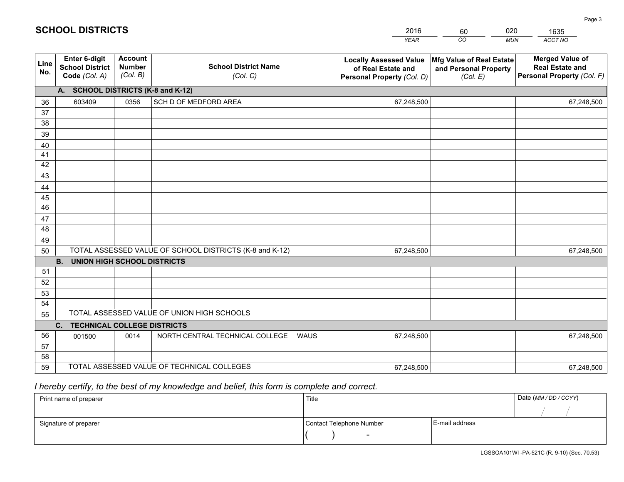|             |                                                                 |                                             |                                                         | <b>YEAR</b>                                                                       | CO<br><b>MUN</b>                                              | ACCT NO                                                                        |
|-------------|-----------------------------------------------------------------|---------------------------------------------|---------------------------------------------------------|-----------------------------------------------------------------------------------|---------------------------------------------------------------|--------------------------------------------------------------------------------|
| Line<br>No. | <b>Enter 6-digit</b><br><b>School District</b><br>Code (Col. A) | <b>Account</b><br><b>Number</b><br>(Col. B) | <b>School District Name</b><br>(Col. C)                 | <b>Locally Assessed Value</b><br>of Real Estate and<br>Personal Property (Col. D) | Mfg Value of Real Estate<br>and Personal Property<br>(Col. E) | <b>Merged Value of</b><br><b>Real Estate and</b><br>Personal Property (Col. F) |
|             | A. SCHOOL DISTRICTS (K-8 and K-12)                              |                                             |                                                         |                                                                                   |                                                               |                                                                                |
| 36          | 603409                                                          | 0356                                        | SCH D OF MEDFORD AREA                                   | 67,248,500                                                                        |                                                               | 67,248,500                                                                     |
| 37          |                                                                 |                                             |                                                         |                                                                                   |                                                               |                                                                                |
| 38          |                                                                 |                                             |                                                         |                                                                                   |                                                               |                                                                                |
| 39          |                                                                 |                                             |                                                         |                                                                                   |                                                               |                                                                                |
| 40          |                                                                 |                                             |                                                         |                                                                                   |                                                               |                                                                                |
| 41          |                                                                 |                                             |                                                         |                                                                                   |                                                               |                                                                                |
| 42          |                                                                 |                                             |                                                         |                                                                                   |                                                               |                                                                                |
| 43          |                                                                 |                                             |                                                         |                                                                                   |                                                               |                                                                                |
| 44          |                                                                 |                                             |                                                         |                                                                                   |                                                               |                                                                                |
| 45<br>46    |                                                                 |                                             |                                                         |                                                                                   |                                                               |                                                                                |
|             |                                                                 |                                             |                                                         |                                                                                   |                                                               |                                                                                |
| 47<br>48    |                                                                 |                                             |                                                         |                                                                                   |                                                               |                                                                                |
| 49          |                                                                 |                                             |                                                         |                                                                                   |                                                               |                                                                                |
| 50          |                                                                 |                                             | TOTAL ASSESSED VALUE OF SCHOOL DISTRICTS (K-8 and K-12) | 67,248,500                                                                        |                                                               | 67,248,500                                                                     |
|             | <b>UNION HIGH SCHOOL DISTRICTS</b><br><b>B.</b>                 |                                             |                                                         |                                                                                   |                                                               |                                                                                |
| 51          |                                                                 |                                             |                                                         |                                                                                   |                                                               |                                                                                |
| 52          |                                                                 |                                             |                                                         |                                                                                   |                                                               |                                                                                |
| 53          |                                                                 |                                             |                                                         |                                                                                   |                                                               |                                                                                |
| 54          |                                                                 |                                             |                                                         |                                                                                   |                                                               |                                                                                |
| 55          |                                                                 |                                             | TOTAL ASSESSED VALUE OF UNION HIGH SCHOOLS              |                                                                                   |                                                               |                                                                                |
|             | <b>TECHNICAL COLLEGE DISTRICTS</b><br>C.                        |                                             |                                                         |                                                                                   |                                                               |                                                                                |
| 56          | 001500                                                          | 0014                                        | NORTH CENTRAL TECHNICAL COLLEGE<br><b>WAUS</b>          | 67,248,500                                                                        |                                                               | 67,248,500                                                                     |
| 57          |                                                                 |                                             |                                                         |                                                                                   |                                                               |                                                                                |
| 58          |                                                                 |                                             |                                                         |                                                                                   |                                                               |                                                                                |
| 59          |                                                                 |                                             | TOTAL ASSESSED VALUE OF TECHNICAL COLLEGES              | 67,248,500                                                                        |                                                               | 67,248,500                                                                     |

60

020

## *I hereby certify, to the best of my knowledge and belief, this form is complete and correct.*

**SCHOOL DISTRICTS**

| Print name of preparer | Title                    |                | Date (MM / DD / CCYY) |
|------------------------|--------------------------|----------------|-----------------------|
|                        |                          |                |                       |
| Signature of preparer  | Contact Telephone Number | E-mail address |                       |
|                        | $\sim$                   |                |                       |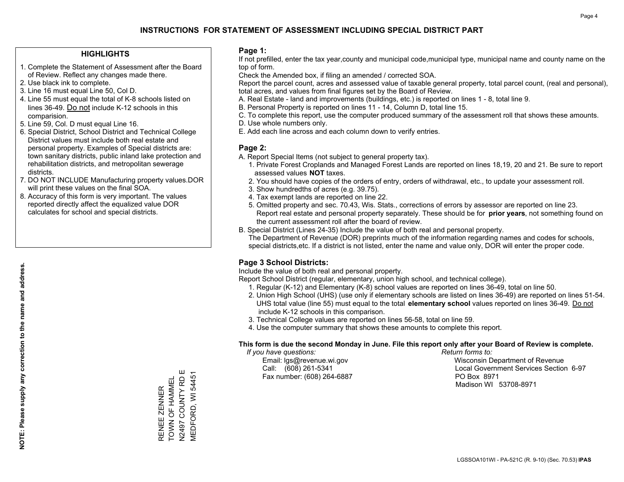#### **HIGHLIGHTS**

- 1. Complete the Statement of Assessment after the Board of Review. Reflect any changes made there.
- 2. Use black ink to complete.

**NOTE: Please supply any correction to the name and address.**

NOTE: Please supply any correction to the name and address.

- 3. Line 16 must equal Line 50, Col D.
- 4. Line 55 must equal the total of K-8 schools listed on lines 36-49. Do not include K-12 schools in this comparision.
- 5. Line 59, Col. D must equal Line 16.
- 6. Special District, School District and Technical College District values must include both real estate and personal property. Examples of Special districts are: town sanitary districts, public inland lake protection and rehabilitation districts, and metropolitan sewerage districts.
- 7. DO NOT INCLUDE Manufacturing property values.DOR will print these values on the final SOA.
- 8. Accuracy of this form is very important. The values reported directly affect the equalized value DOR calculates for school and special districts.

#### **Page 1:**

 If not prefilled, enter the tax year,county and municipal code,municipal type, municipal name and county name on the top of form.

Check the Amended box, if filing an amended / corrected SOA.

 Report the parcel count, acres and assessed value of taxable general property, total parcel count, (real and personal), total acres, and values from final figures set by the Board of Review.

- A. Real Estate land and improvements (buildings, etc.) is reported on lines 1 8, total line 9.
- B. Personal Property is reported on lines 11 14, Column D, total line 15.
- C. To complete this report, use the computer produced summary of the assessment roll that shows these amounts.
- D. Use whole numbers only.
- E. Add each line across and each column down to verify entries.

#### **Page 2:**

- A. Report Special Items (not subject to general property tax).
- 1. Private Forest Croplands and Managed Forest Lands are reported on lines 18,19, 20 and 21. Be sure to report assessed values **NOT** taxes.
- 2. You should have copies of the orders of entry, orders of withdrawal, etc., to update your assessment roll.
	- 3. Show hundredths of acres (e.g. 39.75).
- 4. Tax exempt lands are reported on line 22.
- 5. Omitted property and sec. 70.43, Wis. Stats., corrections of errors by assessor are reported on line 23. Report real estate and personal property separately. These should be for **prior years**, not something found on the current assessment roll after the board of review.
- B. Special District (Lines 24-35) Include the value of both real and personal property.
- The Department of Revenue (DOR) preprints much of the information regarding names and codes for schools, special districts,etc. If a district is not listed, enter the name and value only, DOR will enter the proper code.

### **Page 3 School Districts:**

Include the value of both real and personal property.

Report School District (regular, elementary, union high school, and technical college).

- 1. Regular (K-12) and Elementary (K-8) school values are reported on lines 36-49, total on line 50.
- 2. Union High School (UHS) (use only if elementary schools are listed on lines 36-49) are reported on lines 51-54. UHS total value (line 55) must equal to the total **elementary school** values reported on lines 36-49. Do notinclude K-12 schools in this comparison.
- 3. Technical College values are reported on lines 56-58, total on line 59.
- 4. Use the computer summary that shows these amounts to complete this report.

#### **This form is due the second Monday in June. File this report only after your Board of Review is complete.**

 *If you have questions: Return forms to:*

Fax number: (608) 264-6887 PO Box 8971

 Email: lgs@revenue.wi.gov Wisconsin Department of Revenue Call: (608) 261-5341 Local Government Services Section 6-97Madison WI 53708-8971

N2497 COUNTY RD E VIEDFORD, WI 54451 MEDFORD, WI 54451 TOWN OF HAMMEL TOWN OF HAMMEL RENEE ZENNER RENEE ZENNER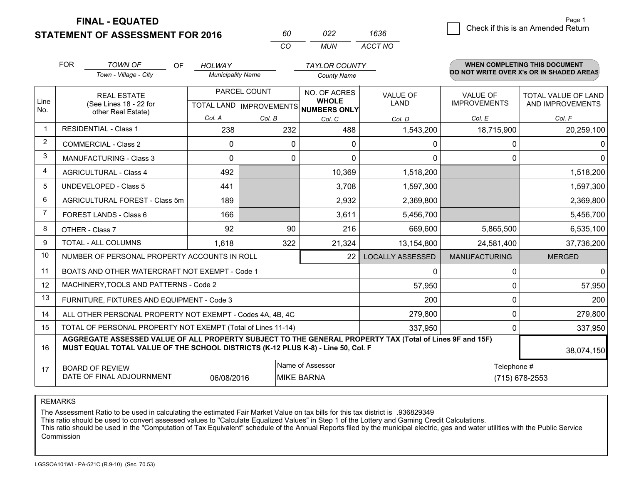**FINAL - EQUATED**

**STATEMENT OF ASSESSMENT FOR 2016** 

| 60  | N22 | 1636    |
|-----|-----|---------|
| rn. | MUN | ACCT NO |

|                | <b>FOR</b>                                                                                                                                                                                   | <b>TOWN OF</b><br><b>OF</b><br>Town - Village - City               | <b>HOLWAY</b><br><b>Municipality Name</b> |              | <b>TAYLOR COUNTY</b><br><b>County Name</b>                               |                         |                                        | <b>WHEN COMPLETING THIS DOCUMENT</b><br>DO NOT WRITE OVER X's OR IN SHADED AREAS |
|----------------|----------------------------------------------------------------------------------------------------------------------------------------------------------------------------------------------|--------------------------------------------------------------------|-------------------------------------------|--------------|--------------------------------------------------------------------------|-------------------------|----------------------------------------|----------------------------------------------------------------------------------|
| Line<br>No.    |                                                                                                                                                                                              | <b>REAL ESTATE</b><br>(See Lines 18 - 22 for<br>other Real Estate) |                                           | PARCEL COUNT | NO. OF ACRES<br><b>WHOLE</b><br>TOTAL LAND   IMPROVEMENTS   NUMBERS ONLY | <b>VALUE OF</b><br>LAND | <b>VALUE OF</b><br><b>IMPROVEMENTS</b> | <b>TOTAL VALUE OF LAND</b><br>AND IMPROVEMENTS                                   |
|                |                                                                                                                                                                                              |                                                                    | Col. A                                    | Col. B       | Col. C                                                                   | Col. D                  | Col. E                                 | Col. F                                                                           |
|                |                                                                                                                                                                                              | <b>RESIDENTIAL - Class 1</b>                                       | 238                                       | 232          | 488                                                                      | 1,543,200               | 18,715,900                             | 20,259,100                                                                       |
| 2              |                                                                                                                                                                                              | <b>COMMERCIAL - Class 2</b>                                        | $\Omega$                                  | $\Omega$     | $\Omega$                                                                 | 0                       | 0                                      | 0                                                                                |
| 3              |                                                                                                                                                                                              | <b>MANUFACTURING - Class 3</b>                                     | $\mathbf{0}$                              | 0            | $\Omega$                                                                 | 0                       | $\Omega$                               | $\mathbf{0}$                                                                     |
| 4              |                                                                                                                                                                                              | <b>AGRICULTURAL - Class 4</b>                                      | 492                                       |              | 10,369                                                                   | 1,518,200               |                                        | 1,518,200                                                                        |
| 5              |                                                                                                                                                                                              | <b>UNDEVELOPED - Class 5</b>                                       | 441                                       |              | 3,708                                                                    | 1,597,300               |                                        | 1,597,300                                                                        |
| 6              |                                                                                                                                                                                              | AGRICULTURAL FOREST - Class 5m                                     | 189                                       |              | 2,932                                                                    | 2,369,800               |                                        | 2,369,800                                                                        |
| $\overline{7}$ |                                                                                                                                                                                              | FOREST LANDS - Class 6                                             | 166                                       |              | 3,611                                                                    | 5,456,700               |                                        | 5,456,700                                                                        |
| 8              |                                                                                                                                                                                              | OTHER - Class 7                                                    | 92                                        | 90           | 216                                                                      | 669,600                 | 5,865,500                              | 6,535,100                                                                        |
| 9              |                                                                                                                                                                                              | TOTAL - ALL COLUMNS                                                | 1,618                                     | 322          | 21,324                                                                   | 13,154,800              | 24,581,400                             | 37,736,200                                                                       |
| 10             |                                                                                                                                                                                              | NUMBER OF PERSONAL PROPERTY ACCOUNTS IN ROLL                       |                                           |              | 22                                                                       | <b>LOCALLY ASSESSED</b> | <b>MANUFACTURING</b>                   | <b>MERGED</b>                                                                    |
| 11             |                                                                                                                                                                                              | BOATS AND OTHER WATERCRAFT NOT EXEMPT - Code 1                     |                                           |              |                                                                          | 0                       | $\Omega$                               | $\mathbf{0}$                                                                     |
| 12             |                                                                                                                                                                                              | MACHINERY, TOOLS AND PATTERNS - Code 2                             |                                           |              |                                                                          | 57,950                  | $\Omega$                               | 57,950                                                                           |
| 13             |                                                                                                                                                                                              | FURNITURE, FIXTURES AND EQUIPMENT - Code 3                         |                                           |              |                                                                          | 200                     | 0                                      | 200                                                                              |
| 14             |                                                                                                                                                                                              | ALL OTHER PERSONAL PROPERTY NOT EXEMPT - Codes 4A, 4B, 4C          |                                           |              |                                                                          | 279,800                 | $\mathbf{0}$                           | 279,800                                                                          |
| 15             |                                                                                                                                                                                              | TOTAL OF PERSONAL PROPERTY NOT EXEMPT (Total of Lines 11-14)       |                                           |              | 337,950                                                                  | $\mathbf 0$             | 337,950                                |                                                                                  |
| 16             | AGGREGATE ASSESSED VALUE OF ALL PROPERTY SUBJECT TO THE GENERAL PROPERTY TAX (Total of Lines 9F and 15F)<br>MUST EQUAL TOTAL VALUE OF THE SCHOOL DISTRICTS (K-12 PLUS K-8) - Line 50, Col. F |                                                                    |                                           |              |                                                                          |                         |                                        | 38,074,150                                                                       |
| 17             | Name of Assessor<br>Telephone #<br><b>BOARD OF REVIEW</b><br>DATE OF FINAL ADJOURNMENT<br><b>MIKE BARNA</b><br>06/08/2016<br>(715) 678-2553                                                  |                                                                    |                                           |              |                                                                          |                         |                                        |                                                                                  |

REMARKS

The Assessment Ratio to be used in calculating the estimated Fair Market Value on tax bills for this tax district is .936829349<br>This ratio should be used to convert assessed values to "Calculate Equalized Values" in Step 1 Commission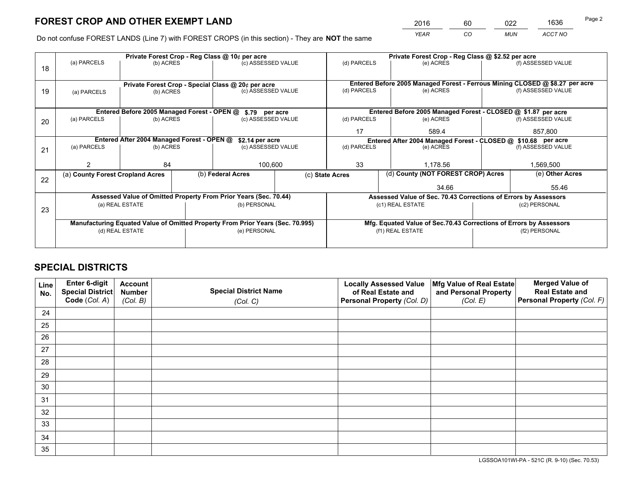*YEAR CO MUN ACCT NO* 2016 60 022 1636

Do not confuse FOREST LANDS (Line 7) with FOREST CROPS (in this section) - They are **NOT** the same

|    |                                                                                |                                             |  | Private Forest Crop - Reg Class @ 10¢ per acre                   |                                                               | Private Forest Crop - Reg Class @ \$2.52 per acre |                                                                                        |               |                    |  |
|----|--------------------------------------------------------------------------------|---------------------------------------------|--|------------------------------------------------------------------|---------------------------------------------------------------|---------------------------------------------------|----------------------------------------------------------------------------------------|---------------|--------------------|--|
| 18 | (a) PARCELS                                                                    | (b) ACRES                                   |  | (c) ASSESSED VALUE                                               |                                                               | (d) PARCELS                                       | (e) ACRES                                                                              |               | (f) ASSESSED VALUE |  |
|    |                                                                                |                                             |  |                                                                  |                                                               |                                                   |                                                                                        |               |                    |  |
|    |                                                                                |                                             |  | Private Forest Crop - Special Class @ 20¢ per acre               |                                                               |                                                   | Entered Before 2005 Managed Forest - Ferrous Mining CLOSED @ \$8.27 per acre           |               |                    |  |
| 19 | (a) PARCELS                                                                    | (b) ACRES                                   |  | (c) ASSESSED VALUE                                               |                                                               | (d) PARCELS                                       | (e) ACRES                                                                              |               | (f) ASSESSED VALUE |  |
|    |                                                                                |                                             |  |                                                                  |                                                               |                                                   |                                                                                        |               |                    |  |
|    |                                                                                | Entered Before 2005 Managed Forest - OPEN @ |  | \$.79 per acre                                                   |                                                               |                                                   | Entered Before 2005 Managed Forest - CLOSED @ \$1.87 per acre                          |               |                    |  |
| 20 | (a) PARCELS                                                                    | (b) ACRES                                   |  | (c) ASSESSED VALUE                                               |                                                               | (d) PARCELS                                       | (e) ACRES                                                                              |               | (f) ASSESSED VALUE |  |
|    |                                                                                |                                             |  |                                                                  |                                                               | 17                                                | 589.4                                                                                  |               | 857,800            |  |
|    | Entered After 2004 Managed Forest - OPEN @<br>\$2.14 per acre                  |                                             |  |                                                                  | Entered After 2004 Managed Forest - CLOSED @ \$10.68 per acre |                                                   |                                                                                        |               |                    |  |
| 21 | (a) PARCELS                                                                    | (b) ACRES                                   |  | (c) ASSESSED VALUE                                               |                                                               | (d) PARCELS<br>(e) ACRES                          |                                                                                        |               | (f) ASSESSED VALUE |  |
|    |                                                                                |                                             |  |                                                                  |                                                               |                                                   |                                                                                        |               |                    |  |
|    |                                                                                | 84                                          |  |                                                                  | 33<br>100,600                                                 |                                                   | 1.178.56                                                                               |               |                    |  |
|    |                                                                                | (a) County Forest Cropland Acres            |  | (b) Federal Acres                                                |                                                               |                                                   | (d) County (NOT FOREST CROP) Acres<br>(c) State Acres                                  |               | (e) Other Acres    |  |
| 22 |                                                                                |                                             |  |                                                                  |                                                               | 34.66                                             |                                                                                        |               | 55.46              |  |
|    |                                                                                |                                             |  | Assessed Value of Omitted Property From Prior Years (Sec. 70.44) |                                                               |                                                   | Assessed Value of Sec. 70.43 Corrections of Errors by Assessors                        |               |                    |  |
|    |                                                                                | (a) REAL ESTATE                             |  | (b) PERSONAL                                                     |                                                               |                                                   | (c1) REAL ESTATE                                                                       | (c2) PERSONAL |                    |  |
| 23 |                                                                                |                                             |  |                                                                  |                                                               |                                                   |                                                                                        |               |                    |  |
|    | Manufacturing Equated Value of Omitted Property From Prior Years (Sec. 70.995) |                                             |  |                                                                  |                                                               |                                                   |                                                                                        |               |                    |  |
|    |                                                                                | (d) REAL ESTATE                             |  | (e) PERSONAL                                                     |                                                               |                                                   | Mfg. Equated Value of Sec.70.43 Corrections of Errors by Assessors<br>(f1) REAL ESTATE |               | (f2) PERSONAL      |  |
|    |                                                                                |                                             |  |                                                                  |                                                               |                                                   |                                                                                        |               |                    |  |
|    |                                                                                |                                             |  |                                                                  |                                                               |                                                   |                                                                                        |               |                    |  |

## **SPECIAL DISTRICTS**

| Line<br>No. | Enter 6-digit<br>Special District<br>Code (Col. A) | <b>Account</b><br><b>Number</b> | <b>Special District Name</b> | <b>Locally Assessed Value</b><br>of Real Estate and | Mfg Value of Real Estate<br>and Personal Property | <b>Merged Value of</b><br><b>Real Estate and</b><br>Personal Property (Col. F) |
|-------------|----------------------------------------------------|---------------------------------|------------------------------|-----------------------------------------------------|---------------------------------------------------|--------------------------------------------------------------------------------|
|             |                                                    | (Col. B)                        | (Col. C)                     | Personal Property (Col. D)                          | (Col. E)                                          |                                                                                |
| 24          |                                                    |                                 |                              |                                                     |                                                   |                                                                                |
| 25          |                                                    |                                 |                              |                                                     |                                                   |                                                                                |
| 26          |                                                    |                                 |                              |                                                     |                                                   |                                                                                |
| 27          |                                                    |                                 |                              |                                                     |                                                   |                                                                                |
| 28          |                                                    |                                 |                              |                                                     |                                                   |                                                                                |
| 29          |                                                    |                                 |                              |                                                     |                                                   |                                                                                |
| 30          |                                                    |                                 |                              |                                                     |                                                   |                                                                                |
| 31          |                                                    |                                 |                              |                                                     |                                                   |                                                                                |
| 32          |                                                    |                                 |                              |                                                     |                                                   |                                                                                |
| 33          |                                                    |                                 |                              |                                                     |                                                   |                                                                                |
| 34          |                                                    |                                 |                              |                                                     |                                                   |                                                                                |
| 35          |                                                    |                                 |                              |                                                     |                                                   |                                                                                |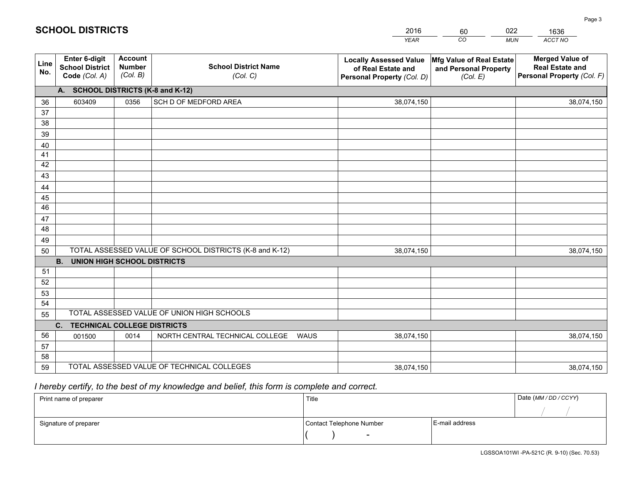|             |                                                                 |                                             |                                                         | <b>YEAR</b>                                                                       | CO<br><b>MUN</b>                                              | ACCT NO                                                                        |
|-------------|-----------------------------------------------------------------|---------------------------------------------|---------------------------------------------------------|-----------------------------------------------------------------------------------|---------------------------------------------------------------|--------------------------------------------------------------------------------|
| Line<br>No. | <b>Enter 6-digit</b><br><b>School District</b><br>Code (Col. A) | <b>Account</b><br><b>Number</b><br>(Col. B) | <b>School District Name</b><br>(Col. C)                 | <b>Locally Assessed Value</b><br>of Real Estate and<br>Personal Property (Col. D) | Mfg Value of Real Estate<br>and Personal Property<br>(Col. E) | <b>Merged Value of</b><br><b>Real Estate and</b><br>Personal Property (Col. F) |
|             | A. SCHOOL DISTRICTS (K-8 and K-12)                              |                                             |                                                         |                                                                                   |                                                               |                                                                                |
| 36          | 603409                                                          | 0356                                        | SCH D OF MEDFORD AREA                                   | 38,074,150                                                                        |                                                               | 38,074,150                                                                     |
| 37          |                                                                 |                                             |                                                         |                                                                                   |                                                               |                                                                                |
| 38          |                                                                 |                                             |                                                         |                                                                                   |                                                               |                                                                                |
| 39          |                                                                 |                                             |                                                         |                                                                                   |                                                               |                                                                                |
| 40          |                                                                 |                                             |                                                         |                                                                                   |                                                               |                                                                                |
| 41          |                                                                 |                                             |                                                         |                                                                                   |                                                               |                                                                                |
| 42          |                                                                 |                                             |                                                         |                                                                                   |                                                               |                                                                                |
| 43          |                                                                 |                                             |                                                         |                                                                                   |                                                               |                                                                                |
| 44          |                                                                 |                                             |                                                         |                                                                                   |                                                               |                                                                                |
| 45<br>46    |                                                                 |                                             |                                                         |                                                                                   |                                                               |                                                                                |
| 47          |                                                                 |                                             |                                                         |                                                                                   |                                                               |                                                                                |
| 48          |                                                                 |                                             |                                                         |                                                                                   |                                                               |                                                                                |
| 49          |                                                                 |                                             |                                                         |                                                                                   |                                                               |                                                                                |
| 50          |                                                                 |                                             | TOTAL ASSESSED VALUE OF SCHOOL DISTRICTS (K-8 and K-12) | 38,074,150                                                                        |                                                               | 38,074,150                                                                     |
|             | <b>B.</b><br><b>UNION HIGH SCHOOL DISTRICTS</b>                 |                                             |                                                         |                                                                                   |                                                               |                                                                                |
| 51          |                                                                 |                                             |                                                         |                                                                                   |                                                               |                                                                                |
| 52          |                                                                 |                                             |                                                         |                                                                                   |                                                               |                                                                                |
| 53          |                                                                 |                                             |                                                         |                                                                                   |                                                               |                                                                                |
| 54          |                                                                 |                                             |                                                         |                                                                                   |                                                               |                                                                                |
| 55          |                                                                 |                                             | TOTAL ASSESSED VALUE OF UNION HIGH SCHOOLS              |                                                                                   |                                                               |                                                                                |
|             | <b>TECHNICAL COLLEGE DISTRICTS</b><br>C.                        |                                             |                                                         |                                                                                   |                                                               |                                                                                |
| 56          | 001500                                                          | 0014                                        | NORTH CENTRAL TECHNICAL COLLEGE<br><b>WAUS</b>          | 38,074,150                                                                        |                                                               | 38,074,150                                                                     |
| 57          |                                                                 |                                             |                                                         |                                                                                   |                                                               |                                                                                |
| 58          |                                                                 |                                             |                                                         |                                                                                   |                                                               |                                                                                |
| 59          |                                                                 |                                             | TOTAL ASSESSED VALUE OF TECHNICAL COLLEGES              | 38,074,150                                                                        |                                                               | 38,074,150                                                                     |

60

022

## *I hereby certify, to the best of my knowledge and belief, this form is complete and correct.*

**SCHOOL DISTRICTS**

| Print name of preparer | Title                    |                | Date (MM / DD / CCYY) |
|------------------------|--------------------------|----------------|-----------------------|
|                        |                          |                |                       |
| Signature of preparer  | Contact Telephone Number | E-mail address |                       |
|                        | $\sim$                   |                |                       |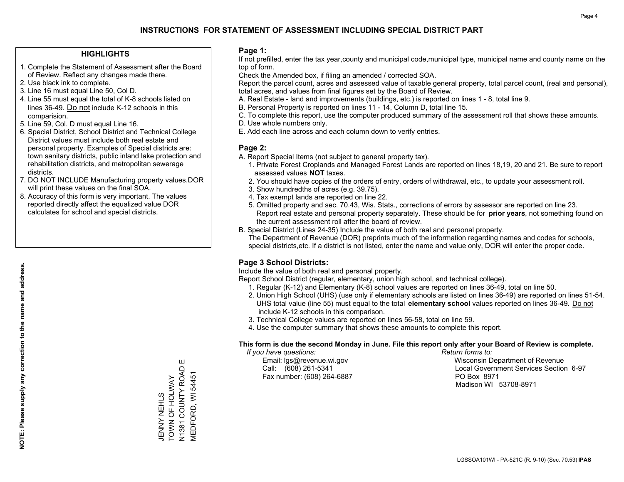#### **HIGHLIGHTS**

- 1. Complete the Statement of Assessment after the Board of Review. Reflect any changes made there.
- 2. Use black ink to complete.
- 3. Line 16 must equal Line 50, Col D.
- 4. Line 55 must equal the total of K-8 schools listed on lines 36-49. Do not include K-12 schools in this comparision.
- 5. Line 59, Col. D must equal Line 16.
- 6. Special District, School District and Technical College District values must include both real estate and personal property. Examples of Special districts are: town sanitary districts, public inland lake protection and rehabilitation districts, and metropolitan sewerage districts.
- 7. DO NOT INCLUDE Manufacturing property values.DOR will print these values on the final SOA.
- 8. Accuracy of this form is very important. The values reported directly affect the equalized value DOR calculates for school and special districts.

#### **Page 1:**

 If not prefilled, enter the tax year,county and municipal code,municipal type, municipal name and county name on the top of form.

Check the Amended box, if filing an amended / corrected SOA.

 Report the parcel count, acres and assessed value of taxable general property, total parcel count, (real and personal), total acres, and values from final figures set by the Board of Review.

- A. Real Estate land and improvements (buildings, etc.) is reported on lines 1 8, total line 9.
- B. Personal Property is reported on lines 11 14, Column D, total line 15.
- C. To complete this report, use the computer produced summary of the assessment roll that shows these amounts.
- D. Use whole numbers only.
- E. Add each line across and each column down to verify entries.

#### **Page 2:**

- A. Report Special Items (not subject to general property tax).
- 1. Private Forest Croplands and Managed Forest Lands are reported on lines 18,19, 20 and 21. Be sure to report assessed values **NOT** taxes.
- 2. You should have copies of the orders of entry, orders of withdrawal, etc., to update your assessment roll.
	- 3. Show hundredths of acres (e.g. 39.75).
- 4. Tax exempt lands are reported on line 22.
- 5. Omitted property and sec. 70.43, Wis. Stats., corrections of errors by assessor are reported on line 23. Report real estate and personal property separately. These should be for **prior years**, not something found on the current assessment roll after the board of review.
- B. Special District (Lines 24-35) Include the value of both real and personal property.
- The Department of Revenue (DOR) preprints much of the information regarding names and codes for schools, special districts,etc. If a district is not listed, enter the name and value only, DOR will enter the proper code.

### **Page 3 School Districts:**

Include the value of both real and personal property.

Report School District (regular, elementary, union high school, and technical college).

- 1. Regular (K-12) and Elementary (K-8) school values are reported on lines 36-49, total on line 50.
- 2. Union High School (UHS) (use only if elementary schools are listed on lines 36-49) are reported on lines 51-54. UHS total value (line 55) must equal to the total **elementary school** values reported on lines 36-49. Do notinclude K-12 schools in this comparison.
- 3. Technical College values are reported on lines 56-58, total on line 59.
- 4. Use the computer summary that shows these amounts to complete this report.

#### **This form is due the second Monday in June. File this report only after your Board of Review is complete.**

 *If you have questions: Return forms to:*

Fax number: (608) 264-6887 PO Box 8971

 Email: lgs@revenue.wi.gov Wisconsin Department of Revenue Call: (608) 261-5341 Local Government Services Section 6-97Madison WI 53708-8971

Ш N1381 COUNTY ROAD E N1381 COUNTY ROAD<br>MEDFORD, WI 54451 MEDFORD, WI 54451 JENNY NEHLS<br>TOWN OF HOLWAY TOWN OF HOLWAY JENNY NEHLS

**NOTE: Please supply any correction to the name and address.**

NOTE: Please supply any correction to the name and address.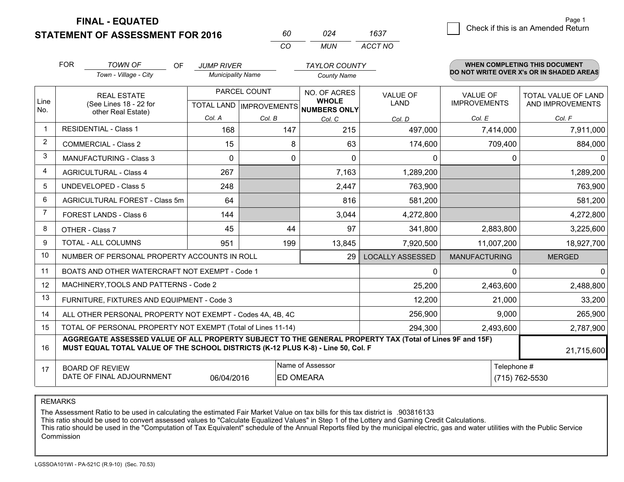**STATEMENT OF ASSESSMENT FOR 2016** 

**FINAL - EQUATED**

|                                    | Page i |
|------------------------------------|--------|
| Check if this is an Amended Return |        |
|                                    |        |

|                | <b>FOR</b><br><b>TOWN OF</b><br>OF                                                                                                                                                           | <b>JUMP RIVER</b>        |              | <b>TAYLOR COUNTY</b>                                     |                         |                      | WHEN COMPLETING THIS DOCUMENT            |
|----------------|----------------------------------------------------------------------------------------------------------------------------------------------------------------------------------------------|--------------------------|--------------|----------------------------------------------------------|-------------------------|----------------------|------------------------------------------|
|                | Town - Village - City                                                                                                                                                                        | <b>Municipality Name</b> |              | <b>County Name</b>                                       |                         |                      | DO NOT WRITE OVER X's OR IN SHADED AREAS |
|                | <b>REAL ESTATE</b>                                                                                                                                                                           |                          | PARCEL COUNT | NO. OF ACRES                                             | <b>VALUE OF</b>         | <b>VALUE OF</b>      | <b>TOTAL VALUE OF LAND</b>               |
| Line<br>No.    | (See Lines 18 - 22 for<br>other Real Estate)                                                                                                                                                 |                          |              | <b>WHOLE</b><br>TOTAL LAND   IMPROVEMENTS   NUMBERS ONLY | <b>LAND</b>             | <b>IMPROVEMENTS</b>  | AND IMPROVEMENTS                         |
|                |                                                                                                                                                                                              | Col. A                   | Col. B       | Col. C                                                   | Col. D                  | Col. E               | Col. F                                   |
| 1              | <b>RESIDENTIAL - Class 1</b>                                                                                                                                                                 | 168                      | 147          | 215                                                      | 497,000                 | 7,414,000            | 7,911,000                                |
| $\overline{2}$ | <b>COMMERCIAL - Class 2</b>                                                                                                                                                                  | 15                       | 8            | 63                                                       | 174,600                 | 709,400              | 884,000                                  |
| 3              | <b>MANUFACTURING - Class 3</b>                                                                                                                                                               | $\Omega$                 | 0            | $\Omega$                                                 | 0                       | $\Omega$             | $\Omega$                                 |
| $\overline{4}$ | <b>AGRICULTURAL - Class 4</b>                                                                                                                                                                | 267                      |              | 7,163                                                    | 1,289,200               |                      | 1,289,200                                |
| 5              | <b>UNDEVELOPED - Class 5</b>                                                                                                                                                                 | 248                      |              | 2,447                                                    | 763,900                 |                      | 763,900                                  |
| 6              | AGRICULTURAL FOREST - Class 5m                                                                                                                                                               | 64                       |              | 816                                                      | 581,200                 |                      | 581,200                                  |
| 7              | FOREST LANDS - Class 6                                                                                                                                                                       | 144                      |              | 3,044                                                    | 4,272,800               |                      | 4,272,800                                |
| 8              | OTHER - Class 7                                                                                                                                                                              | 45                       | 44           | 97                                                       | 341,800                 | 2,883,800            | 3,225,600                                |
| 9              | TOTAL - ALL COLUMNS                                                                                                                                                                          | 951                      | 199          | 13,845                                                   | 7,920,500               | 11,007,200           | 18,927,700                               |
| 10             | NUMBER OF PERSONAL PROPERTY ACCOUNTS IN ROLL                                                                                                                                                 |                          |              | 29                                                       | <b>LOCALLY ASSESSED</b> | <b>MANUFACTURING</b> | <b>MERGED</b>                            |
| 11             | BOATS AND OTHER WATERCRAFT NOT EXEMPT - Code 1                                                                                                                                               |                          |              |                                                          | 0                       | $\Omega$             | 0                                        |
| 12             | MACHINERY, TOOLS AND PATTERNS - Code 2                                                                                                                                                       |                          |              |                                                          | 25,200                  | 2,463,600            | 2,488,800                                |
| 13             | FURNITURE, FIXTURES AND EQUIPMENT - Code 3                                                                                                                                                   |                          |              |                                                          | 12,200                  | 21,000               | 33,200                                   |
| 14             | ALL OTHER PERSONAL PROPERTY NOT EXEMPT - Codes 4A, 4B, 4C                                                                                                                                    |                          |              |                                                          | 256,900                 | 9,000                | 265,900                                  |
| 15             | TOTAL OF PERSONAL PROPERTY NOT EXEMPT (Total of Lines 11-14)                                                                                                                                 |                          |              |                                                          | 294,300                 | 2,493,600            | 2,787,900                                |
| 16             | AGGREGATE ASSESSED VALUE OF ALL PROPERTY SUBJECT TO THE GENERAL PROPERTY TAX (Total of Lines 9F and 15F)<br>MUST EQUAL TOTAL VALUE OF THE SCHOOL DISTRICTS (K-12 PLUS K-8) - Line 50, Col. F |                          |              |                                                          |                         |                      | 21,715,600                               |
| 17             | <b>BOARD OF REVIEW</b>                                                                                                                                                                       |                          |              | Name of Assessor                                         |                         | Telephone #          |                                          |
|                | DATE OF FINAL ADJOURNMENT                                                                                                                                                                    | 06/04/2016               |              | <b>ED OMEARA</b>                                         |                         |                      | (715) 762-5530                           |

*CO*

*MUN*

*ACCT NO1637*

*<sup>60</sup> <sup>024</sup>*

REMARKS

The Assessment Ratio to be used in calculating the estimated Fair Market Value on tax bills for this tax district is .903816133<br>This ratio should be used to convert assessed values to "Calculate Equalized Values" in Step 1 Commission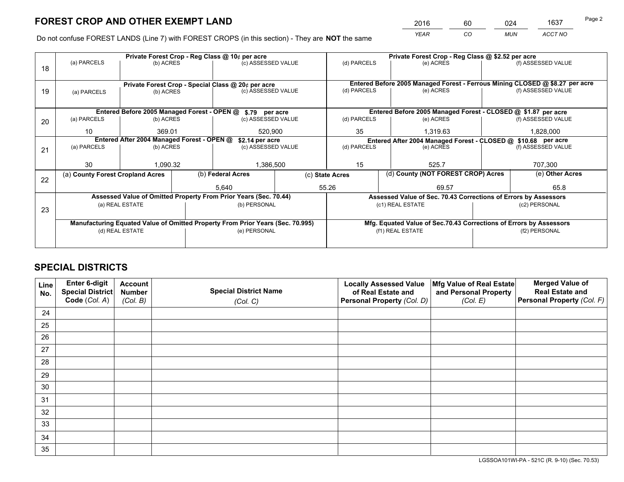*YEAR CO MUN ACCT NO* 2016 60 024 1637

Do not confuse FOREST LANDS (Line 7) with FOREST CROPS (in this section) - They are **NOT** the same

|    |                                                                                        |                 |  | Private Forest Crop - Reg Class @ 10¢ per acre                                 |                                   |                                                                              | Private Forest Crop - Reg Class @ \$2.52 per acre                  |           |                    |  |
|----|----------------------------------------------------------------------------------------|-----------------|--|--------------------------------------------------------------------------------|-----------------------------------|------------------------------------------------------------------------------|--------------------------------------------------------------------|-----------|--------------------|--|
| 18 | (a) PARCELS                                                                            | (b) ACRES       |  | (c) ASSESSED VALUE                                                             |                                   | (d) PARCELS                                                                  | (e) ACRES                                                          |           | (f) ASSESSED VALUE |  |
|    |                                                                                        |                 |  | Private Forest Crop - Special Class @ 20¢ per acre                             |                                   | Entered Before 2005 Managed Forest - Ferrous Mining CLOSED @ \$8.27 per acre |                                                                    |           |                    |  |
| 19 | (b) ACRES<br>(a) PARCELS                                                               |                 |  | (c) ASSESSED VALUE                                                             |                                   | (d) PARCELS                                                                  | (e) ACRES                                                          |           | (f) ASSESSED VALUE |  |
|    |                                                                                        |                 |  |                                                                                |                                   | Entered Before 2005 Managed Forest - CLOSED @ \$1.87 per acre                |                                                                    |           |                    |  |
|    | Entered Before 2005 Managed Forest - OPEN @ \$.79 per acre<br>(b) ACRES<br>(a) PARCELS |                 |  | (c) ASSESSED VALUE                                                             |                                   | (d) PARCELS                                                                  | (e) ACRES                                                          |           | (f) ASSESSED VALUE |  |
| 20 |                                                                                        |                 |  |                                                                                |                                   |                                                                              |                                                                    |           |                    |  |
|    | 10<br>369.01<br>520.900                                                                |                 |  |                                                                                | 35<br>1,319.63                    |                                                                              |                                                                    | 1,828,000 |                    |  |
|    | Entered After 2004 Managed Forest - OPEN @<br>\$2.14 per acre                          |                 |  |                                                                                |                                   | Entered After 2004 Managed Forest - CLOSED @ \$10.68 per acre                |                                                                    |           |                    |  |
| 21 | (a) PARCELS                                                                            | (b) ACRES       |  |                                                                                | (d) PARCELS<br>(c) ASSESSED VALUE |                                                                              | (e) ACRES                                                          |           | (f) ASSESSED VALUE |  |
|    |                                                                                        |                 |  |                                                                                |                                   |                                                                              |                                                                    |           |                    |  |
|    | 30                                                                                     | 1,090.32        |  | 1,386,500                                                                      |                                   | 15                                                                           | 525.7                                                              |           | 707,300            |  |
|    | (a) County Forest Cropland Acres                                                       |                 |  | (b) Federal Acres                                                              |                                   | (c) State Acres                                                              | (d) County (NOT FOREST CROP) Acres                                 |           | (e) Other Acres    |  |
| 22 |                                                                                        |                 |  |                                                                                |                                   |                                                                              |                                                                    |           |                    |  |
|    |                                                                                        |                 |  | 5.640                                                                          |                                   | 55.26                                                                        | 69.57                                                              |           | 65.8               |  |
|    |                                                                                        |                 |  | Assessed Value of Omitted Property From Prior Years (Sec. 70.44)               |                                   |                                                                              | Assessed Value of Sec. 70.43 Corrections of Errors by Assessors    |           |                    |  |
| 23 |                                                                                        | (a) REAL ESTATE |  | (b) PERSONAL                                                                   |                                   |                                                                              | (c1) REAL ESTATE                                                   |           | (c2) PERSONAL      |  |
|    |                                                                                        |                 |  |                                                                                |                                   |                                                                              |                                                                    |           |                    |  |
|    |                                                                                        |                 |  | Manufacturing Equated Value of Omitted Property From Prior Years (Sec. 70.995) |                                   |                                                                              | Mfg. Equated Value of Sec.70.43 Corrections of Errors by Assessors |           |                    |  |
|    |                                                                                        | (d) REAL ESTATE |  | (e) PERSONAL                                                                   |                                   |                                                                              | (f1) REAL ESTATE                                                   |           | (f2) PERSONAL      |  |
|    |                                                                                        |                 |  |                                                                                |                                   |                                                                              |                                                                    |           |                    |  |
|    |                                                                                        |                 |  |                                                                                |                                   |                                                                              |                                                                    |           |                    |  |

## **SPECIAL DISTRICTS**

| Line<br>No. | Enter 6-digit<br>Special District<br>Code (Col. A) | <b>Account</b><br><b>Number</b><br>(Col. B) | <b>Special District Name</b><br>(Col. C) | <b>Locally Assessed Value</b><br>of Real Estate and<br>Personal Property (Col. D) | Mfg Value of Real Estate<br>and Personal Property<br>(Col. E) | <b>Merged Value of</b><br><b>Real Estate and</b><br>Personal Property (Col. F) |
|-------------|----------------------------------------------------|---------------------------------------------|------------------------------------------|-----------------------------------------------------------------------------------|---------------------------------------------------------------|--------------------------------------------------------------------------------|
| 24          |                                                    |                                             |                                          |                                                                                   |                                                               |                                                                                |
| 25          |                                                    |                                             |                                          |                                                                                   |                                                               |                                                                                |
| 26          |                                                    |                                             |                                          |                                                                                   |                                                               |                                                                                |
| 27          |                                                    |                                             |                                          |                                                                                   |                                                               |                                                                                |
| 28          |                                                    |                                             |                                          |                                                                                   |                                                               |                                                                                |
| 29          |                                                    |                                             |                                          |                                                                                   |                                                               |                                                                                |
| 30          |                                                    |                                             |                                          |                                                                                   |                                                               |                                                                                |
| 31          |                                                    |                                             |                                          |                                                                                   |                                                               |                                                                                |
| 32          |                                                    |                                             |                                          |                                                                                   |                                                               |                                                                                |
| 33          |                                                    |                                             |                                          |                                                                                   |                                                               |                                                                                |
| 34          |                                                    |                                             |                                          |                                                                                   |                                                               |                                                                                |
| 35          |                                                    |                                             |                                          |                                                                                   |                                                               |                                                                                |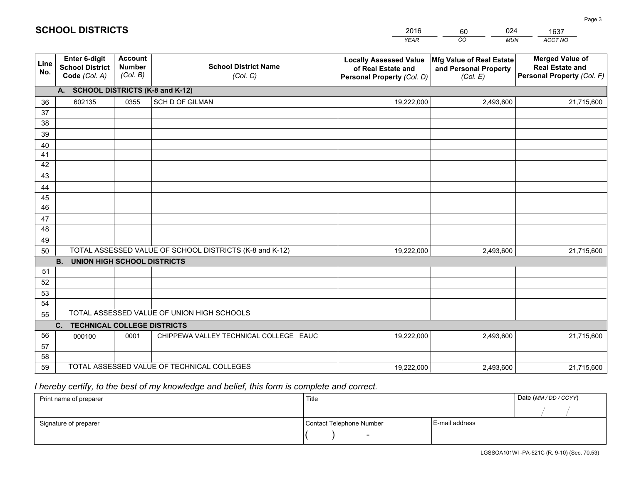|             |                                                                 |                                             |                                                         | <b>YEAR</b>                                                                       | CO<br><b>MUN</b>                                              | ACCT NO                                                                        |
|-------------|-----------------------------------------------------------------|---------------------------------------------|---------------------------------------------------------|-----------------------------------------------------------------------------------|---------------------------------------------------------------|--------------------------------------------------------------------------------|
| Line<br>No. | <b>Enter 6-digit</b><br><b>School District</b><br>Code (Col. A) | <b>Account</b><br><b>Number</b><br>(Col. B) | <b>School District Name</b><br>(Col. C)                 | <b>Locally Assessed Value</b><br>of Real Estate and<br>Personal Property (Col. D) | Mfg Value of Real Estate<br>and Personal Property<br>(Col. E) | <b>Merged Value of</b><br><b>Real Estate and</b><br>Personal Property (Col. F) |
|             | A. SCHOOL DISTRICTS (K-8 and K-12)                              |                                             |                                                         |                                                                                   |                                                               |                                                                                |
| 36          | 602135                                                          | 0355                                        | SCH D OF GILMAN                                         | 19,222,000                                                                        | 2,493,600                                                     | 21,715,600                                                                     |
| 37          |                                                                 |                                             |                                                         |                                                                                   |                                                               |                                                                                |
| 38          |                                                                 |                                             |                                                         |                                                                                   |                                                               |                                                                                |
| 39          |                                                                 |                                             |                                                         |                                                                                   |                                                               |                                                                                |
| 40          |                                                                 |                                             |                                                         |                                                                                   |                                                               |                                                                                |
| 41<br>42    |                                                                 |                                             |                                                         |                                                                                   |                                                               |                                                                                |
| 43          |                                                                 |                                             |                                                         |                                                                                   |                                                               |                                                                                |
|             |                                                                 |                                             |                                                         |                                                                                   |                                                               |                                                                                |
| 44<br>45    |                                                                 |                                             |                                                         |                                                                                   |                                                               |                                                                                |
| 46          |                                                                 |                                             |                                                         |                                                                                   |                                                               |                                                                                |
| 47          |                                                                 |                                             |                                                         |                                                                                   |                                                               |                                                                                |
| 48          |                                                                 |                                             |                                                         |                                                                                   |                                                               |                                                                                |
| 49          |                                                                 |                                             |                                                         |                                                                                   |                                                               |                                                                                |
| 50          |                                                                 |                                             | TOTAL ASSESSED VALUE OF SCHOOL DISTRICTS (K-8 and K-12) | 19,222,000                                                                        | 2,493,600                                                     | 21,715,600                                                                     |
|             | <b>B.</b><br>UNION HIGH SCHOOL DISTRICTS                        |                                             |                                                         |                                                                                   |                                                               |                                                                                |
| 51          |                                                                 |                                             |                                                         |                                                                                   |                                                               |                                                                                |
| 52          |                                                                 |                                             |                                                         |                                                                                   |                                                               |                                                                                |
| 53          |                                                                 |                                             |                                                         |                                                                                   |                                                               |                                                                                |
| 54          |                                                                 |                                             |                                                         |                                                                                   |                                                               |                                                                                |
| 55          |                                                                 |                                             | TOTAL ASSESSED VALUE OF UNION HIGH SCHOOLS              |                                                                                   |                                                               |                                                                                |
|             | C.<br><b>TECHNICAL COLLEGE DISTRICTS</b>                        |                                             |                                                         |                                                                                   |                                                               |                                                                                |
| 56          | 000100                                                          | 0001                                        | CHIPPEWA VALLEY TECHNICAL COLLEGE EAUC                  | 19,222,000                                                                        | 2,493,600                                                     | 21,715,600                                                                     |
| 57<br>58    |                                                                 |                                             |                                                         |                                                                                   |                                                               |                                                                                |
| 59          |                                                                 |                                             | TOTAL ASSESSED VALUE OF TECHNICAL COLLEGES              | 19,222,000                                                                        | 2,493,600                                                     | 21,715,600                                                                     |
|             |                                                                 |                                             |                                                         |                                                                                   |                                                               |                                                                                |

60

024

 *I hereby certify, to the best of my knowledge and belief, this form is complete and correct.*

**SCHOOL DISTRICTS**

| Print name of preparer | Title                    |                | Date (MM / DD / CCYY) |
|------------------------|--------------------------|----------------|-----------------------|
|                        |                          |                |                       |
| Signature of preparer  | Contact Telephone Number | E-mail address |                       |
|                        | $\sim$                   |                |                       |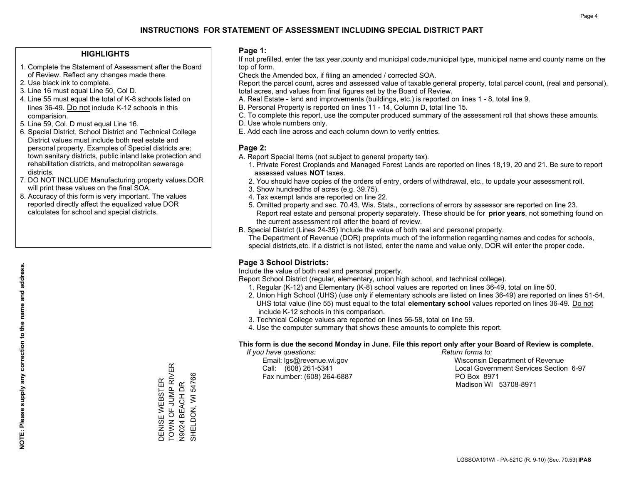#### **HIGHLIGHTS**

- 1. Complete the Statement of Assessment after the Board of Review. Reflect any changes made there.
- 2. Use black ink to complete.
- 3. Line 16 must equal Line 50, Col D.
- 4. Line 55 must equal the total of K-8 schools listed on lines 36-49. Do not include K-12 schools in this comparision.
- 5. Line 59, Col. D must equal Line 16.
- 6. Special District, School District and Technical College District values must include both real estate and personal property. Examples of Special districts are: town sanitary districts, public inland lake protection and rehabilitation districts, and metropolitan sewerage districts.
- 7. DO NOT INCLUDE Manufacturing property values.DOR will print these values on the final SOA.
- 8. Accuracy of this form is very important. The values reported directly affect the equalized value DOR calculates for school and special districts.

#### **Page 1:**

 If not prefilled, enter the tax year,county and municipal code,municipal type, municipal name and county name on the top of form.

Check the Amended box, if filing an amended / corrected SOA.

 Report the parcel count, acres and assessed value of taxable general property, total parcel count, (real and personal), total acres, and values from final figures set by the Board of Review.

- A. Real Estate land and improvements (buildings, etc.) is reported on lines 1 8, total line 9.
- B. Personal Property is reported on lines 11 14, Column D, total line 15.
- C. To complete this report, use the computer produced summary of the assessment roll that shows these amounts.
- D. Use whole numbers only.
- E. Add each line across and each column down to verify entries.

#### **Page 2:**

- A. Report Special Items (not subject to general property tax).
- 1. Private Forest Croplands and Managed Forest Lands are reported on lines 18,19, 20 and 21. Be sure to report assessed values **NOT** taxes.
- 2. You should have copies of the orders of entry, orders of withdrawal, etc., to update your assessment roll.
	- 3. Show hundredths of acres (e.g. 39.75).
- 4. Tax exempt lands are reported on line 22.
- 5. Omitted property and sec. 70.43, Wis. Stats., corrections of errors by assessor are reported on line 23. Report real estate and personal property separately. These should be for **prior years**, not something found on the current assessment roll after the board of review.
- B. Special District (Lines 24-35) Include the value of both real and personal property.
- The Department of Revenue (DOR) preprints much of the information regarding names and codes for schools, special districts,etc. If a district is not listed, enter the name and value only, DOR will enter the proper code.

### **Page 3 School Districts:**

Include the value of both real and personal property.

Report School District (regular, elementary, union high school, and technical college).

- 1. Regular (K-12) and Elementary (K-8) school values are reported on lines 36-49, total on line 50.
- 2. Union High School (UHS) (use only if elementary schools are listed on lines 36-49) are reported on lines 51-54. UHS total value (line 55) must equal to the total **elementary school** values reported on lines 36-49. Do notinclude K-12 schools in this comparison.
- 3. Technical College values are reported on lines 56-58, total on line 59.
- 4. Use the computer summary that shows these amounts to complete this report.

#### **This form is due the second Monday in June. File this report only after your Board of Review is complete.**

 *If you have questions: Return forms to:*

Fax number: (608) 264-6887 PO Box 8971

 Email: lgs@revenue.wi.gov Wisconsin Department of Revenue Call: (608) 261-5341 Local Government Services Section 6-97Madison WI 53708-8971

TOWN OF JUMP RIVER - ----- -- -- -- -- -- --<br>TOWN OF JUMP RIVER SHELDON, WI 54766 SHELDON, WI 54766 DENISE WEBSTER DENISE WEBSTER N9024 BEACH DR N9024 BEACH DR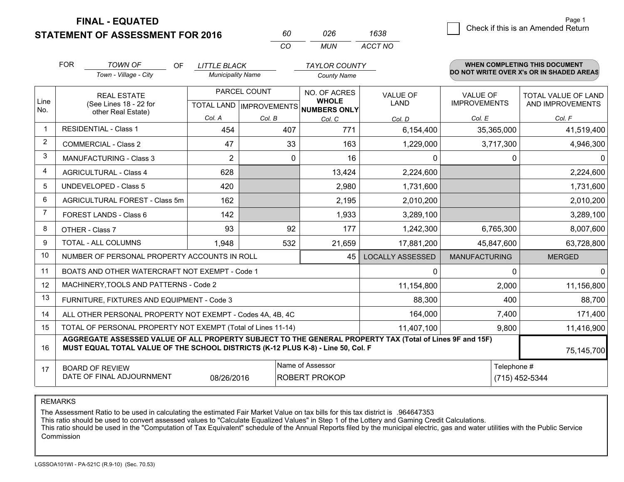**STATEMENT OF ASSESSMENT FOR 2016** 

**FINAL - EQUATED**

|             | <b>FOR</b>                                                        | <b>TOWN OF</b><br><b>OF</b><br>Town - Village - City                                                                                                                                         | <b>LITTLE BLACK</b><br><b>Municipality Name</b> |                                                | <b>TAYLOR COUNTY</b><br><b>County Name</b>   |                                |                                        | <b>WHEN COMPLETING THIS DOCUMENT</b><br>DO NOT WRITE OVER X's OR IN SHADED AREAS |  |
|-------------|-------------------------------------------------------------------|----------------------------------------------------------------------------------------------------------------------------------------------------------------------------------------------|-------------------------------------------------|------------------------------------------------|----------------------------------------------|--------------------------------|----------------------------------------|----------------------------------------------------------------------------------|--|
| Line<br>No. |                                                                   | <b>REAL ESTATE</b><br>(See Lines 18 - 22 for                                                                                                                                                 |                                                 | PARCEL COUNT<br><b>TOTAL LAND IMPROVEMENTS</b> | NO. OF ACRES<br><b>WHOLE</b><br>NUMBERS ONLY | <b>VALUE OF</b><br><b>LAND</b> | <b>VALUE OF</b><br><b>IMPROVEMENTS</b> | <b>TOTAL VALUE OF LAND</b><br>AND IMPROVEMENTS                                   |  |
|             |                                                                   | other Real Estate)                                                                                                                                                                           | Col. A                                          | Col. B                                         | Col. C                                       | Col. D                         | Col. E                                 | Col. F                                                                           |  |
|             |                                                                   | <b>RESIDENTIAL - Class 1</b>                                                                                                                                                                 | 454                                             | 407                                            | 771                                          | 6,154,400                      | 35,365,000                             | 41,519,400                                                                       |  |
| 2           |                                                                   | <b>COMMERCIAL - Class 2</b>                                                                                                                                                                  | 47                                              | 33                                             | 163                                          | 1,229,000                      | 3,717,300                              | 4,946,300                                                                        |  |
| 3           |                                                                   | <b>MANUFACTURING - Class 3</b>                                                                                                                                                               | $\overline{2}$                                  |                                                | $\Omega$<br>16                               | 0                              | 0                                      | 0                                                                                |  |
| 4           |                                                                   | <b>AGRICULTURAL - Class 4</b>                                                                                                                                                                | 628                                             |                                                | 13,424                                       | 2,224,600                      |                                        | 2,224,600                                                                        |  |
| 5           |                                                                   | <b>UNDEVELOPED - Class 5</b>                                                                                                                                                                 | 420                                             |                                                | 2,980                                        | 1,731,600                      |                                        | 1,731,600                                                                        |  |
| 6           |                                                                   | AGRICULTURAL FOREST - Class 5m                                                                                                                                                               | 162                                             |                                                | 2,195                                        | 2,010,200                      |                                        | 2,010,200                                                                        |  |
| 7           |                                                                   | FOREST LANDS - Class 6                                                                                                                                                                       | 142                                             |                                                | 1,933                                        | 3,289,100                      |                                        | 3,289,100                                                                        |  |
| 8           |                                                                   | OTHER - Class 7                                                                                                                                                                              | 93                                              | 92                                             | 177                                          | 1,242,300                      | 6,765,300                              | 8,007,600                                                                        |  |
| 9           |                                                                   | TOTAL - ALL COLUMNS                                                                                                                                                                          | 1,948                                           | 532                                            | 21,659                                       | 17,881,200                     | 45,847,600                             | 63,728,800                                                                       |  |
| 10          |                                                                   | NUMBER OF PERSONAL PROPERTY ACCOUNTS IN ROLL                                                                                                                                                 |                                                 |                                                | 45                                           | <b>LOCALLY ASSESSED</b>        | <b>MANUFACTURING</b>                   | <b>MERGED</b>                                                                    |  |
| 11          |                                                                   | BOATS AND OTHER WATERCRAFT NOT EXEMPT - Code 1                                                                                                                                               |                                                 |                                                |                                              | 0                              | $\Omega$                               | $\Omega$                                                                         |  |
| 12          |                                                                   | MACHINERY, TOOLS AND PATTERNS - Code 2                                                                                                                                                       |                                                 |                                                |                                              | 11,154,800                     | 2,000                                  | 11,156,800                                                                       |  |
| 13          |                                                                   | FURNITURE, FIXTURES AND EQUIPMENT - Code 3                                                                                                                                                   |                                                 |                                                |                                              | 88,300                         | 400                                    | 88,700                                                                           |  |
| 14          |                                                                   | ALL OTHER PERSONAL PROPERTY NOT EXEMPT - Codes 4A, 4B, 4C                                                                                                                                    |                                                 |                                                |                                              | 164,000                        | 7,400                                  | 171,400                                                                          |  |
| 15          |                                                                   | TOTAL OF PERSONAL PROPERTY NOT EXEMPT (Total of Lines 11-14)                                                                                                                                 |                                                 |                                                |                                              | 11,407,100                     | 9,800                                  | 11,416,900                                                                       |  |
| 16          |                                                                   | AGGREGATE ASSESSED VALUE OF ALL PROPERTY SUBJECT TO THE GENERAL PROPERTY TAX (Total of Lines 9F and 15F)<br>MUST EQUAL TOTAL VALUE OF THE SCHOOL DISTRICTS (K-12 PLUS K-8) - Line 50, Col. F |                                                 |                                                |                                              |                                |                                        | 75,145,700                                                                       |  |
| 17          | <b>BOARD OF REVIEW</b><br>DATE OF FINAL ADJOURNMENT<br>08/26/2016 |                                                                                                                                                                                              |                                                 |                                                | Name of Assessor<br><b>ROBERT PROKOP</b>     |                                |                                        | Telephone #<br>(715) 452-5344                                                    |  |

*CO*

*MUN*

*ACCT NO1638*

*<sup>60</sup> <sup>026</sup>*

REMARKS

The Assessment Ratio to be used in calculating the estimated Fair Market Value on tax bills for this tax district is .964647353<br>This ratio should be used to convert assessed values to "Calculate Equalized Values" in Step 1 Commission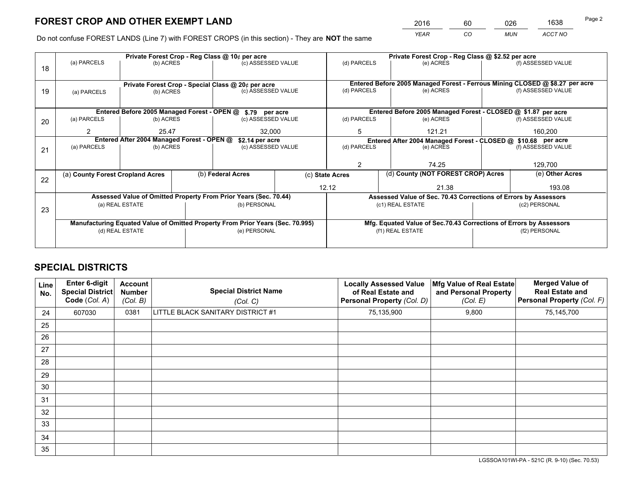*YEAR CO MUN ACCT NO* <sup>2016</sup> <sup>60</sup> <sup>026</sup> <sup>1638</sup>

Do not confuse FOREST LANDS (Line 7) with FOREST CROPS (in this section) - They are **NOT** the same

|    |                                                               |                                             |  | Private Forest Crop - Reg Class @ 10¢ per acre                                 |                    |                                                               | Private Forest Crop - Reg Class @ \$2.52 per acre                            |               |                    |  |
|----|---------------------------------------------------------------|---------------------------------------------|--|--------------------------------------------------------------------------------|--------------------|---------------------------------------------------------------|------------------------------------------------------------------------------|---------------|--------------------|--|
| 18 | (a) PARCELS                                                   | (b) ACRES                                   |  | (c) ASSESSED VALUE                                                             |                    | (d) PARCELS                                                   | (e) ACRES                                                                    |               | (f) ASSESSED VALUE |  |
|    |                                                               |                                             |  |                                                                                |                    |                                                               |                                                                              |               |                    |  |
|    |                                                               |                                             |  | Private Forest Crop - Special Class @ 20¢ per acre                             |                    |                                                               | Entered Before 2005 Managed Forest - Ferrous Mining CLOSED @ \$8.27 per acre |               |                    |  |
| 19 | (a) PARCELS                                                   | (b) ACRES                                   |  | (c) ASSESSED VALUE                                                             |                    | (d) PARCELS                                                   | (e) ACRES                                                                    |               | (f) ASSESSED VALUE |  |
|    |                                                               |                                             |  |                                                                                |                    |                                                               |                                                                              |               |                    |  |
|    |                                                               | Entered Before 2005 Managed Forest - OPEN @ |  | \$.79 per acre                                                                 |                    | Entered Before 2005 Managed Forest - CLOSED @ \$1.87 per acre |                                                                              |               |                    |  |
| 20 | (a) PARCELS                                                   | (c) ASSESSED VALUE<br>(b) ACRES             |  |                                                                                | (d) PARCELS        | (e) ACRES                                                     |                                                                              |               |                    |  |
|    | 2                                                             | 25.47                                       |  | 32.000                                                                         |                    | 121.21<br>5                                                   |                                                                              |               | 160,200            |  |
|    | Entered After 2004 Managed Forest - OPEN @<br>\$2.14 per acre |                                             |  |                                                                                |                    |                                                               | Entered After 2004 Managed Forest - CLOSED @ \$10.68 per acre                |               |                    |  |
| 21 | (a) PARCELS                                                   | (b) ACRES                                   |  |                                                                                | (c) ASSESSED VALUE |                                                               | (e) ACRES                                                                    |               | (f) ASSESSED VALUE |  |
|    |                                                               |                                             |  |                                                                                |                    | 2                                                             |                                                                              |               | 129,700            |  |
|    |                                                               |                                             |  |                                                                                |                    |                                                               | 74.25                                                                        |               |                    |  |
| 22 | (a) County Forest Cropland Acres                              |                                             |  | (b) Federal Acres                                                              | (c) State Acres    |                                                               | (d) County (NOT FOREST CROP) Acres                                           |               | (e) Other Acres    |  |
|    |                                                               |                                             |  |                                                                                |                    | 12.12                                                         | 21.38                                                                        |               | 193.08             |  |
|    |                                                               |                                             |  | Assessed Value of Omitted Property From Prior Years (Sec. 70.44)               |                    |                                                               | Assessed Value of Sec. 70.43 Corrections of Errors by Assessors              |               |                    |  |
| 23 |                                                               | (a) REAL ESTATE                             |  | (b) PERSONAL                                                                   |                    |                                                               | (c1) REAL ESTATE                                                             |               | (c2) PERSONAL      |  |
|    |                                                               |                                             |  |                                                                                |                    |                                                               |                                                                              |               |                    |  |
|    |                                                               |                                             |  | Manufacturing Equated Value of Omitted Property From Prior Years (Sec. 70.995) |                    |                                                               | Mfg. Equated Value of Sec.70.43 Corrections of Errors by Assessors           |               |                    |  |
|    | (d) REAL ESTATE                                               |                                             |  | (e) PERSONAL                                                                   |                    |                                                               | (f1) REAL ESTATE                                                             | (f2) PERSONAL |                    |  |
|    |                                                               |                                             |  |                                                                                |                    |                                                               |                                                                              |               |                    |  |

## **SPECIAL DISTRICTS**

| <b>Line</b><br>No. | Enter 6-digit<br><b>Special District</b><br>Code (Col. A) | <b>Account</b><br><b>Number</b><br>(Col. B) | <b>Special District Name</b><br>(Col. C) | <b>Locally Assessed Value</b><br>of Real Estate and<br><b>Personal Property (Col. D)</b> | Mfg Value of Real Estate<br>and Personal Property<br>(Col. E) | <b>Merged Value of</b><br><b>Real Estate and</b><br>Personal Property (Col. F) |
|--------------------|-----------------------------------------------------------|---------------------------------------------|------------------------------------------|------------------------------------------------------------------------------------------|---------------------------------------------------------------|--------------------------------------------------------------------------------|
| 24                 | 607030                                                    | 0381                                        | LITTLE BLACK SANITARY DISTRICT #1        | 75,135,900                                                                               | 9,800                                                         | 75,145,700                                                                     |
| 25                 |                                                           |                                             |                                          |                                                                                          |                                                               |                                                                                |
| 26                 |                                                           |                                             |                                          |                                                                                          |                                                               |                                                                                |
| 27                 |                                                           |                                             |                                          |                                                                                          |                                                               |                                                                                |
| 28                 |                                                           |                                             |                                          |                                                                                          |                                                               |                                                                                |
| 29                 |                                                           |                                             |                                          |                                                                                          |                                                               |                                                                                |
| 30                 |                                                           |                                             |                                          |                                                                                          |                                                               |                                                                                |
| 31                 |                                                           |                                             |                                          |                                                                                          |                                                               |                                                                                |
| 32                 |                                                           |                                             |                                          |                                                                                          |                                                               |                                                                                |
| 33                 |                                                           |                                             |                                          |                                                                                          |                                                               |                                                                                |
| 34                 |                                                           |                                             |                                          |                                                                                          |                                                               |                                                                                |
| 35                 |                                                           |                                             |                                          |                                                                                          |                                                               |                                                                                |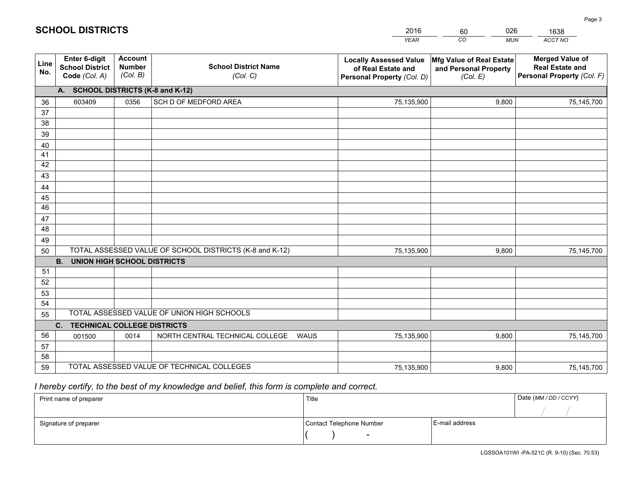| <b>Account</b><br><b>Enter 6-digit</b><br><b>Merged Value of</b><br>Mfg Value of Real Estate<br><b>Locally Assessed Value</b><br>Line<br><b>School District Name</b><br><b>Number</b><br><b>School District</b><br><b>Real Estate and</b><br>of Real Estate and<br>and Personal Property<br>No.<br>(Col. B)<br>Personal Property (Col. F)<br>Code (Col. A)<br>(Col. C)<br>(Col. E)<br>Personal Property (Col. D)<br>A. SCHOOL DISTRICTS (K-8 and K-12)<br>0356<br>SCH D OF MEDFORD AREA<br>603409<br>75,135,900<br>9,800<br>36<br>75,145,700<br>37 |  |
|----------------------------------------------------------------------------------------------------------------------------------------------------------------------------------------------------------------------------------------------------------------------------------------------------------------------------------------------------------------------------------------------------------------------------------------------------------------------------------------------------------------------------------------------------|--|
|                                                                                                                                                                                                                                                                                                                                                                                                                                                                                                                                                    |  |
|                                                                                                                                                                                                                                                                                                                                                                                                                                                                                                                                                    |  |
|                                                                                                                                                                                                                                                                                                                                                                                                                                                                                                                                                    |  |
|                                                                                                                                                                                                                                                                                                                                                                                                                                                                                                                                                    |  |
| 38                                                                                                                                                                                                                                                                                                                                                                                                                                                                                                                                                 |  |
| 39                                                                                                                                                                                                                                                                                                                                                                                                                                                                                                                                                 |  |
| 40                                                                                                                                                                                                                                                                                                                                                                                                                                                                                                                                                 |  |
| 41<br>42                                                                                                                                                                                                                                                                                                                                                                                                                                                                                                                                           |  |
| 43                                                                                                                                                                                                                                                                                                                                                                                                                                                                                                                                                 |  |
| 44                                                                                                                                                                                                                                                                                                                                                                                                                                                                                                                                                 |  |
| 45                                                                                                                                                                                                                                                                                                                                                                                                                                                                                                                                                 |  |
| $\overline{46}$                                                                                                                                                                                                                                                                                                                                                                                                                                                                                                                                    |  |
| 47                                                                                                                                                                                                                                                                                                                                                                                                                                                                                                                                                 |  |
| 48                                                                                                                                                                                                                                                                                                                                                                                                                                                                                                                                                 |  |
| 49                                                                                                                                                                                                                                                                                                                                                                                                                                                                                                                                                 |  |
| TOTAL ASSESSED VALUE OF SCHOOL DISTRICTS (K-8 and K-12)<br>50<br>9,800<br>75,145,700<br>75,135,900                                                                                                                                                                                                                                                                                                                                                                                                                                                 |  |
| <b>B.</b><br><b>UNION HIGH SCHOOL DISTRICTS</b>                                                                                                                                                                                                                                                                                                                                                                                                                                                                                                    |  |
| 51                                                                                                                                                                                                                                                                                                                                                                                                                                                                                                                                                 |  |
| 52                                                                                                                                                                                                                                                                                                                                                                                                                                                                                                                                                 |  |
| 53                                                                                                                                                                                                                                                                                                                                                                                                                                                                                                                                                 |  |
| 54<br>TOTAL ASSESSED VALUE OF UNION HIGH SCHOOLS                                                                                                                                                                                                                                                                                                                                                                                                                                                                                                   |  |
| 55                                                                                                                                                                                                                                                                                                                                                                                                                                                                                                                                                 |  |
| C.<br><b>TECHNICAL COLLEGE DISTRICTS</b><br>56<br>NORTH CENTRAL TECHNICAL COLLEGE<br>0014<br>WAUS                                                                                                                                                                                                                                                                                                                                                                                                                                                  |  |
| 75,135,900<br>9,800<br>001500<br>75,145,700<br>57                                                                                                                                                                                                                                                                                                                                                                                                                                                                                                  |  |
| 58                                                                                                                                                                                                                                                                                                                                                                                                                                                                                                                                                 |  |
| TOTAL ASSESSED VALUE OF TECHNICAL COLLEGES<br>59<br>9,800<br>75,135,900<br>75,145,700                                                                                                                                                                                                                                                                                                                                                                                                                                                              |  |

60

026

## *I hereby certify, to the best of my knowledge and belief, this form is complete and correct.*

**SCHOOL DISTRICTS**

| Print name of preparer | Title                    |                | Date (MM / DD / CCYY) |
|------------------------|--------------------------|----------------|-----------------------|
|                        |                          |                |                       |
| Signature of preparer  | Contact Telephone Number | E-mail address |                       |
|                        | $\overline{\phantom{0}}$ |                |                       |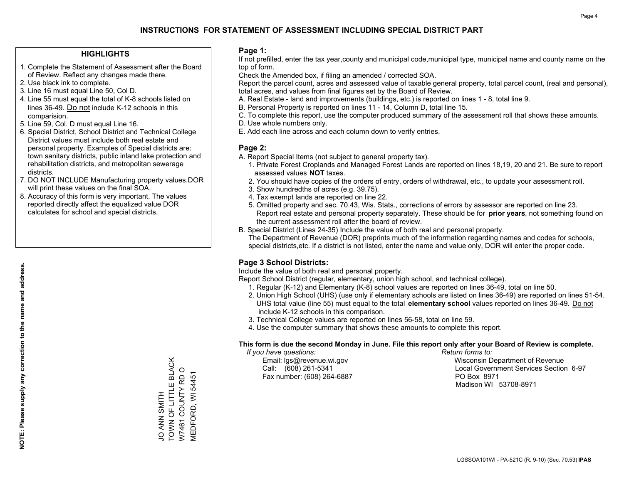#### **HIGHLIGHTS**

- 1. Complete the Statement of Assessment after the Board of Review. Reflect any changes made there.
- 2. Use black ink to complete.

**NOTE: Please supply any correction to the name and address.**

NOTE: Please supply any correction to the name and address.

- 3. Line 16 must equal Line 50, Col D.
- 4. Line 55 must equal the total of K-8 schools listed on lines 36-49. Do not include K-12 schools in this comparision.
- 5. Line 59, Col. D must equal Line 16.
- 6. Special District, School District and Technical College District values must include both real estate and personal property. Examples of Special districts are: town sanitary districts, public inland lake protection and rehabilitation districts, and metropolitan sewerage districts.
- 7. DO NOT INCLUDE Manufacturing property values.DOR will print these values on the final SOA.
- 8. Accuracy of this form is very important. The values reported directly affect the equalized value DOR calculates for school and special districts.

#### **Page 1:**

 If not prefilled, enter the tax year,county and municipal code,municipal type, municipal name and county name on the top of form.

Check the Amended box, if filing an amended / corrected SOA.

 Report the parcel count, acres and assessed value of taxable general property, total parcel count, (real and personal), total acres, and values from final figures set by the Board of Review.

- A. Real Estate land and improvements (buildings, etc.) is reported on lines 1 8, total line 9.
- B. Personal Property is reported on lines 11 14, Column D, total line 15.
- C. To complete this report, use the computer produced summary of the assessment roll that shows these amounts.
- D. Use whole numbers only.
- E. Add each line across and each column down to verify entries.

### **Page 2:**

- A. Report Special Items (not subject to general property tax).
- 1. Private Forest Croplands and Managed Forest Lands are reported on lines 18,19, 20 and 21. Be sure to report assessed values **NOT** taxes.
- 2. You should have copies of the orders of entry, orders of withdrawal, etc., to update your assessment roll.
	- 3. Show hundredths of acres (e.g. 39.75).
- 4. Tax exempt lands are reported on line 22.
- 5. Omitted property and sec. 70.43, Wis. Stats., corrections of errors by assessor are reported on line 23. Report real estate and personal property separately. These should be for **prior years**, not something found on the current assessment roll after the board of review.
- B. Special District (Lines 24-35) Include the value of both real and personal property.
- The Department of Revenue (DOR) preprints much of the information regarding names and codes for schools, special districts,etc. If a district is not listed, enter the name and value only, DOR will enter the proper code.

## **Page 3 School Districts:**

Include the value of both real and personal property.

Report School District (regular, elementary, union high school, and technical college).

- 1. Regular (K-12) and Elementary (K-8) school values are reported on lines 36-49, total on line 50.
- 2. Union High School (UHS) (use only if elementary schools are listed on lines 36-49) are reported on lines 51-54. UHS total value (line 55) must equal to the total **elementary school** values reported on lines 36-49. Do notinclude K-12 schools in this comparison.
- 3. Technical College values are reported on lines 56-58, total on line 59.
- 4. Use the computer summary that shows these amounts to complete this report.

#### **This form is due the second Monday in June. File this report only after your Board of Review is complete.**

 *If you have questions: Return forms to:*

Fax number: (608) 264-6887 PO Box 8971

 Email: lgs@revenue.wi.gov Wisconsin Department of Revenue Call: (608) 261-5341 Local Government Services Section 6-97Madison WI 53708-8971

TOWN OF LITTLE BLACK JO ANN SMITH<br>TOWN OF LITTLE BLACK W7461 COUNTY RD O W7461 COUNTY RD O VIEDFORD, WI 54451 HIMNS NAK<br>O

MEDFORD, WI 54451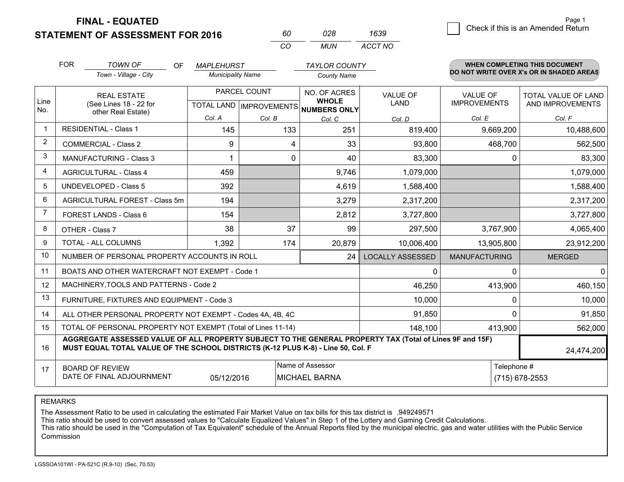**STATEMENT OF ASSESSMENT FOR 2016** 

**FINAL - EQUATED**

|                | <b>FOR</b> | <b>TOWN OF</b><br>OF                                                                                                                                                                         | <b>MAPLEHURST</b>        |                                  | <b>TAYLOR COUNTY</b>         |                         |                      | <b>WHEN COMPLETING THIS DOCUMENT</b>     |  |
|----------------|------------|----------------------------------------------------------------------------------------------------------------------------------------------------------------------------------------------|--------------------------|----------------------------------|------------------------------|-------------------------|----------------------|------------------------------------------|--|
|                |            | Town - Village - City                                                                                                                                                                        | <b>Municipality Name</b> |                                  | <b>County Name</b>           |                         |                      | DO NOT WRITE OVER X's OR IN SHADED AREAS |  |
|                |            | <b>REAL ESTATE</b>                                                                                                                                                                           |                          | PARCEL COUNT                     | NO. OF ACRES                 | <b>VALUE OF</b>         | <b>VALUE OF</b>      | TOTAL VALUE OF LAND                      |  |
| Line<br>No.    |            | (See Lines 18 - 22 for<br>other Real Estate)                                                                                                                                                 |                          | <b>TOTAL LAND   IMPROVEMENTS</b> | <b>WHOLE</b><br>NUMBERS ONLY | <b>LAND</b>             | <b>IMPROVEMENTS</b>  | AND IMPROVEMENTS                         |  |
|                |            |                                                                                                                                                                                              | Col. A                   | Col. B                           | Col. C                       | Col. D                  | Col. E               | Col. F                                   |  |
| $\mathbf{1}$   |            | <b>RESIDENTIAL - Class 1</b>                                                                                                                                                                 | 145                      | 133                              | 251                          | 819,400                 | 9,669,200            | 10,488,600                               |  |
| $\overline{2}$ |            | <b>COMMERCIAL - Class 2</b>                                                                                                                                                                  | 9                        | 4                                | 33                           | 93,800                  | 468,700              | 562,500                                  |  |
| 3              |            | <b>MANUFACTURING - Class 3</b>                                                                                                                                                               |                          | 0                                | 40                           | 83,300                  | 0                    | 83,300                                   |  |
| $\overline{4}$ |            | <b>AGRICULTURAL - Class 4</b>                                                                                                                                                                | 459                      |                                  | 9,746                        | 1,079,000               |                      | 1,079,000                                |  |
| 5              |            | <b>UNDEVELOPED - Class 5</b>                                                                                                                                                                 | 392                      |                                  | 4,619                        | 1,588,400               |                      | 1,588,400                                |  |
| 6              |            | AGRICULTURAL FOREST - Class 5m                                                                                                                                                               | 194                      |                                  | 3,279                        | 2,317,200               |                      | 2,317,200                                |  |
| $\overline{7}$ |            | FOREST LANDS - Class 6                                                                                                                                                                       | 154                      |                                  | 2,812                        | 3,727,800               |                      | 3,727,800                                |  |
| 8              |            | OTHER - Class 7                                                                                                                                                                              | 38                       | 37                               | 99                           | 297,500                 | 3,767,900            | 4,065,400                                |  |
| $\mathbf{Q}$   |            | <b>TOTAL - ALL COLUMNS</b>                                                                                                                                                                   | 1,392                    | 174                              | 20,879                       | 10,006,400              | 13,905,800           | 23,912,200                               |  |
| 10             |            | NUMBER OF PERSONAL PROPERTY ACCOUNTS IN ROLL                                                                                                                                                 |                          |                                  | 24                           | <b>LOCALLY ASSESSED</b> | <b>MANUFACTURING</b> | <b>MERGED</b>                            |  |
| 11             |            | BOATS AND OTHER WATERCRAFT NOT EXEMPT - Code 1                                                                                                                                               |                          |                                  |                              | 0                       | $\Omega$             | $\Omega$                                 |  |
| 12             |            | MACHINERY, TOOLS AND PATTERNS - Code 2                                                                                                                                                       |                          |                                  |                              | 46,250                  | 413,900              | 460,150                                  |  |
| 13             |            | FURNITURE, FIXTURES AND EQUIPMENT - Code 3                                                                                                                                                   |                          |                                  |                              | 10,000                  | 0                    | 10,000                                   |  |
| 14             |            | ALL OTHER PERSONAL PROPERTY NOT EXEMPT - Codes 4A, 4B, 4C                                                                                                                                    |                          |                                  |                              | 91,850                  | $\Omega$             | 91,850                                   |  |
| 15             |            | TOTAL OF PERSONAL PROPERTY NOT EXEMPT (Total of Lines 11-14)                                                                                                                                 |                          |                                  |                              | 148.100                 | 413,900              | 562,000                                  |  |
| 16             |            | AGGREGATE ASSESSED VALUE OF ALL PROPERTY SUBJECT TO THE GENERAL PROPERTY TAX (Total of Lines 9F and 15F)<br>MUST EQUAL TOTAL VALUE OF THE SCHOOL DISTRICTS (K-12 PLUS K-8) - Line 50, Col. F |                          |                                  |                              |                         |                      | 24,474,200                               |  |
| 17             |            | <b>BOARD OF REVIEW</b>                                                                                                                                                                       |                          |                                  | Name of Assessor             |                         | Telephone #          |                                          |  |
|                |            | DATE OF FINAL ADJOURNMENT                                                                                                                                                                    | 05/12/2016               |                                  | <b>MICHAEL BARNA</b>         |                         |                      | (715) 678-2553                           |  |

*CO*

*MUN*

*ACCT NO1639*

*<sup>60</sup> <sup>028</sup>*

REMARKS

The Assessment Ratio to be used in calculating the estimated Fair Market Value on tax bills for this tax district is .949249571<br>This ratio should be used to convert assessed values to "Calculate Equalized Values" in Step 1 Commission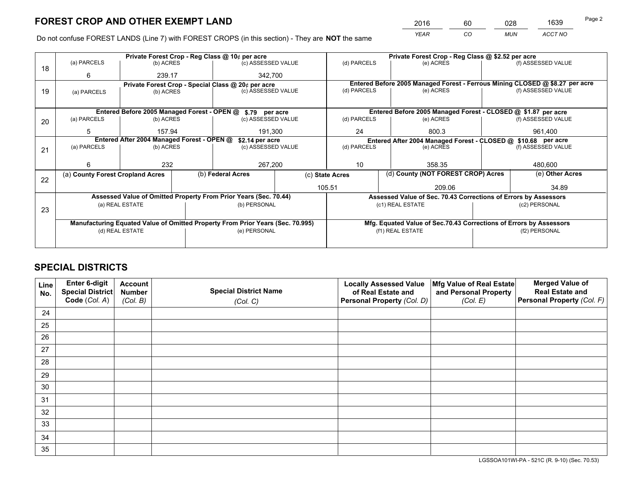*YEAR CO MUN ACCT NO* <sup>2016</sup> <sup>60</sup> <sup>028</sup> <sup>1639</sup>

Do not confuse FOREST LANDS (Line 7) with FOREST CROPS (in this section) - They are **NOT** the same

|    |                                                               |                                 |  | Private Forest Crop - Reg Class @ 10¢ per acre                                 |                 |                                                                              | Private Forest Crop - Reg Class @ \$2.52 per acre                  |                                    |                    |
|----|---------------------------------------------------------------|---------------------------------|--|--------------------------------------------------------------------------------|-----------------|------------------------------------------------------------------------------|--------------------------------------------------------------------|------------------------------------|--------------------|
| 18 | (a) PARCELS                                                   | (b) ACRES                       |  | (c) ASSESSED VALUE                                                             |                 | (d) PARCELS                                                                  | (e) ACRES                                                          |                                    | (f) ASSESSED VALUE |
|    | 6                                                             | 239.17                          |  | 342.700                                                                        |                 |                                                                              |                                                                    |                                    |                    |
|    |                                                               |                                 |  | Private Forest Crop - Special Class @ 20¢ per acre                             |                 | Entered Before 2005 Managed Forest - Ferrous Mining CLOSED @ \$8.27 per acre |                                                                    |                                    |                    |
| 19 | (a) PARCELS                                                   | (b) ACRES                       |  | (c) ASSESSED VALUE                                                             |                 | (d) PARCELS                                                                  | (e) ACRES                                                          |                                    | (f) ASSESSED VALUE |
|    |                                                               |                                 |  |                                                                                |                 |                                                                              |                                                                    |                                    |                    |
|    |                                                               |                                 |  | Entered Before 2005 Managed Forest - OPEN @ \$.79 per acre                     |                 | Entered Before 2005 Managed Forest - CLOSED @ \$1.87 per acre                |                                                                    |                                    |                    |
| 20 | (a) PARCELS                                                   | (b) ACRES<br>(c) ASSESSED VALUE |  |                                                                                | (d) PARCELS     | (e) ACRES                                                                    |                                                                    | (f) ASSESSED VALUE                 |                    |
|    | 5                                                             | 157.94                          |  | 191,300                                                                        |                 | 24<br>800.3                                                                  |                                                                    |                                    | 961,400            |
|    | Entered After 2004 Managed Forest - OPEN @<br>\$2.14 per acre |                                 |  |                                                                                |                 |                                                                              | Entered After 2004 Managed Forest - CLOSED @ \$10.68 per acre      |                                    |                    |
| 21 | (a) PARCELS                                                   | (b) ACRES                       |  | (c) ASSESSED VALUE                                                             |                 | (d) PARCELS                                                                  | (e) ACRES                                                          |                                    | (f) ASSESSED VALUE |
|    |                                                               |                                 |  |                                                                                |                 |                                                                              |                                                                    |                                    |                    |
|    | 6                                                             | 232                             |  | 267,200                                                                        |                 | 10                                                                           | 358.35                                                             |                                    |                    |
| 22 | (a) County Forest Cropland Acres                              |                                 |  | (b) Federal Acres                                                              | (c) State Acres |                                                                              |                                                                    | (d) County (NOT FOREST CROP) Acres |                    |
|    |                                                               |                                 |  |                                                                                |                 | 105.51                                                                       | 209.06                                                             |                                    | 34.89              |
|    |                                                               |                                 |  | Assessed Value of Omitted Property From Prior Years (Sec. 70.44)               |                 |                                                                              | Assessed Value of Sec. 70.43 Corrections of Errors by Assessors    |                                    |                    |
|    |                                                               | (a) REAL ESTATE                 |  | (b) PERSONAL                                                                   |                 |                                                                              | (c1) REAL ESTATE                                                   |                                    | (c2) PERSONAL      |
| 23 |                                                               |                                 |  |                                                                                |                 |                                                                              |                                                                    |                                    |                    |
|    |                                                               |                                 |  | Manufacturing Equated Value of Omitted Property From Prior Years (Sec. 70.995) |                 |                                                                              | Mfg. Equated Value of Sec.70.43 Corrections of Errors by Assessors |                                    |                    |
|    |                                                               | (d) REAL ESTATE                 |  | (e) PERSONAL                                                                   |                 |                                                                              | (f1) REAL ESTATE                                                   | (f2) PERSONAL                      |                    |
|    |                                                               |                                 |  |                                                                                |                 |                                                                              |                                                                    |                                    |                    |

## **SPECIAL DISTRICTS**

| Line<br>No. | Enter 6-digit<br>Special District<br>Code (Col. A) | <b>Account</b><br><b>Number</b><br>(Col. B) | <b>Special District Name</b><br>(Col. C) | <b>Locally Assessed Value</b><br>of Real Estate and<br>Personal Property (Col. D) | Mfg Value of Real Estate<br>and Personal Property<br>(Col. E) | <b>Merged Value of</b><br><b>Real Estate and</b><br>Personal Property (Col. F) |
|-------------|----------------------------------------------------|---------------------------------------------|------------------------------------------|-----------------------------------------------------------------------------------|---------------------------------------------------------------|--------------------------------------------------------------------------------|
| 24          |                                                    |                                             |                                          |                                                                                   |                                                               |                                                                                |
| 25          |                                                    |                                             |                                          |                                                                                   |                                                               |                                                                                |
| 26          |                                                    |                                             |                                          |                                                                                   |                                                               |                                                                                |
| 27          |                                                    |                                             |                                          |                                                                                   |                                                               |                                                                                |
| 28          |                                                    |                                             |                                          |                                                                                   |                                                               |                                                                                |
| 29          |                                                    |                                             |                                          |                                                                                   |                                                               |                                                                                |
| 30          |                                                    |                                             |                                          |                                                                                   |                                                               |                                                                                |
| 31          |                                                    |                                             |                                          |                                                                                   |                                                               |                                                                                |
| 32          |                                                    |                                             |                                          |                                                                                   |                                                               |                                                                                |
| 33          |                                                    |                                             |                                          |                                                                                   |                                                               |                                                                                |
| 34          |                                                    |                                             |                                          |                                                                                   |                                                               |                                                                                |
| 35          |                                                    |                                             |                                          |                                                                                   |                                                               |                                                                                |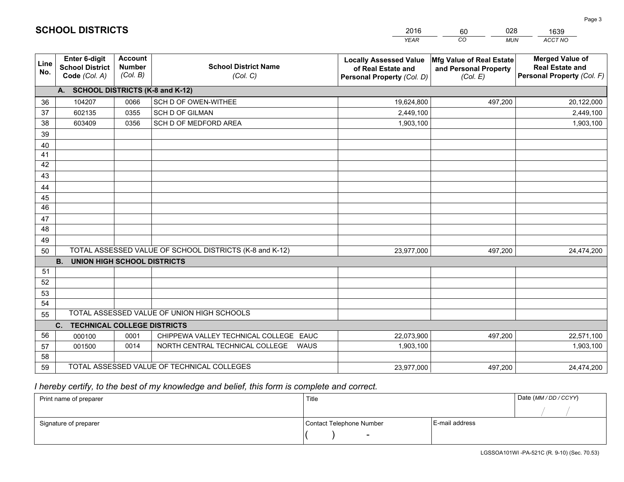|             |                                                                 |                                             |                                                                                   | <b>YEAR</b>                                                                       | CO<br><b>MUN</b>                                              | ACCT NO                                                                        |
|-------------|-----------------------------------------------------------------|---------------------------------------------|-----------------------------------------------------------------------------------|-----------------------------------------------------------------------------------|---------------------------------------------------------------|--------------------------------------------------------------------------------|
| Line<br>No. | <b>Enter 6-digit</b><br><b>School District</b><br>Code (Col. A) | <b>Account</b><br><b>Number</b><br>(Col. B) | <b>School District Name</b><br>(Col. C)                                           | <b>Locally Assessed Value</b><br>of Real Estate and<br>Personal Property (Col. D) | Mfg Value of Real Estate<br>and Personal Property<br>(Col. E) | <b>Merged Value of</b><br><b>Real Estate and</b><br>Personal Property (Col. F) |
|             | A. SCHOOL DISTRICTS (K-8 and K-12)                              |                                             |                                                                                   |                                                                                   |                                                               |                                                                                |
| 36          | 104207                                                          | 0066                                        | SCH D OF OWEN-WITHEE                                                              | 19,624,800                                                                        | 497,200                                                       | 20,122,000                                                                     |
| 37          | 602135                                                          | 0355                                        | <b>SCH D OF GILMAN</b>                                                            | 2,449,100                                                                         |                                                               | 2,449,100                                                                      |
| 38          | 603409                                                          | 0356                                        | SCH D OF MEDFORD AREA                                                             | 1,903,100                                                                         |                                                               | 1,903,100                                                                      |
| 39          |                                                                 |                                             |                                                                                   |                                                                                   |                                                               |                                                                                |
| 40          |                                                                 |                                             |                                                                                   |                                                                                   |                                                               |                                                                                |
| 41          |                                                                 |                                             |                                                                                   |                                                                                   |                                                               |                                                                                |
| 42          |                                                                 |                                             |                                                                                   |                                                                                   |                                                               |                                                                                |
| 43          |                                                                 |                                             |                                                                                   |                                                                                   |                                                               |                                                                                |
| 44          |                                                                 |                                             |                                                                                   |                                                                                   |                                                               |                                                                                |
| 45          |                                                                 |                                             |                                                                                   |                                                                                   |                                                               |                                                                                |
| 46          |                                                                 |                                             |                                                                                   |                                                                                   |                                                               |                                                                                |
| 47          |                                                                 |                                             |                                                                                   |                                                                                   |                                                               |                                                                                |
| 48          |                                                                 |                                             |                                                                                   |                                                                                   |                                                               |                                                                                |
| 49          |                                                                 |                                             |                                                                                   |                                                                                   |                                                               |                                                                                |
| 50          |                                                                 |                                             | TOTAL ASSESSED VALUE OF SCHOOL DISTRICTS (K-8 and K-12)                           | 23,977,000                                                                        | 497,200                                                       | 24,474,200                                                                     |
|             | <b>UNION HIGH SCHOOL DISTRICTS</b><br><b>B.</b>                 |                                             |                                                                                   |                                                                                   |                                                               |                                                                                |
| 51          |                                                                 |                                             |                                                                                   |                                                                                   |                                                               |                                                                                |
| 52          |                                                                 |                                             |                                                                                   |                                                                                   |                                                               |                                                                                |
| 53          |                                                                 |                                             |                                                                                   |                                                                                   |                                                               |                                                                                |
| 54          |                                                                 |                                             | TOTAL ASSESSED VALUE OF UNION HIGH SCHOOLS                                        |                                                                                   |                                                               |                                                                                |
| 55          |                                                                 |                                             |                                                                                   |                                                                                   |                                                               |                                                                                |
|             | C.<br><b>TECHNICAL COLLEGE DISTRICTS</b>                        |                                             |                                                                                   |                                                                                   |                                                               |                                                                                |
| 56          | 000100                                                          | 0001<br>0014                                | CHIPPEWA VALLEY TECHNICAL COLLEGE EAUC<br>NORTH CENTRAL TECHNICAL COLLEGE<br>WAUS | 22,073,900                                                                        | 497,200                                                       | 22,571,100                                                                     |
| 57<br>58    | 001500                                                          |                                             |                                                                                   | 1,903,100                                                                         |                                                               | 1,903,100                                                                      |
| 59          |                                                                 |                                             | TOTAL ASSESSED VALUE OF TECHNICAL COLLEGES                                        | 23,977,000                                                                        | 497,200                                                       | 24,474,200                                                                     |
|             |                                                                 |                                             |                                                                                   |                                                                                   |                                                               |                                                                                |

60

028

 *I hereby certify, to the best of my knowledge and belief, this form is complete and correct.*

**SCHOOL DISTRICTS**

| Print name of preparer | Title                    | Date (MM/DD/CCYY) |  |
|------------------------|--------------------------|-------------------|--|
|                        |                          |                   |  |
| Signature of preparer  | Contact Telephone Number | E-mail address    |  |
|                        | $\overline{\phantom{a}}$ |                   |  |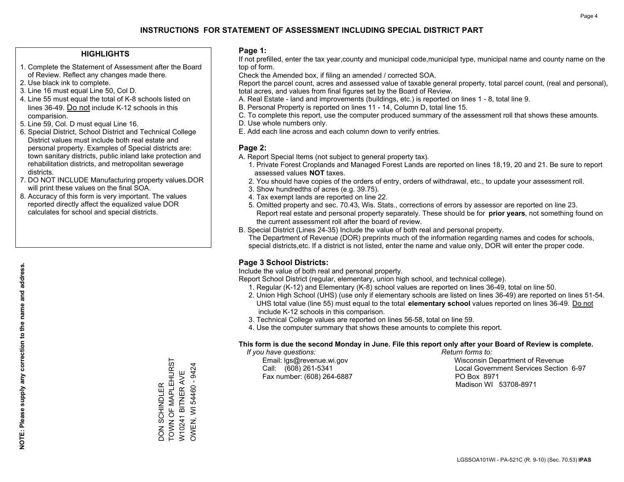#### **HIGHLIGHTS**

- 1. Complete the Statement of Assessment after the Board of Review. Reflect any changes made there.
- 2. Use black ink to complete.
- 3. Line 16 must equal Line 50, Col D.
- 4. Line 55 must equal the total of K-8 schools listed on lines 36-49. Do not include K-12 schools in this comparision.
- 5. Line 59, Col. D must equal Line 16.
- 6. Special District, School District and Technical College District values must include both real estate and personal property. Examples of Special districts are: town sanitary districts, public inland lake protection and rehabilitation districts, and metropolitan sewerage districts.
- 7. DO NOT INCLUDE Manufacturing property values.DOR will print these values on the final SOA.

DON SCHINDLER

TOWN OF MAPLEHURST W10241 BITNER AVE OWEN, WI 54460 - 9424

W10241 BITNER AVE<br>OWEN, WI 54460 - 9424

DON SCHINDLER<br>TOWN OF MAPLEHURST

 8. Accuracy of this form is very important. The values reported directly affect the equalized value DOR calculates for school and special districts.

#### **Page 1:**

 If not prefilled, enter the tax year,county and municipal code,municipal type, municipal name and county name on the top of form.

Check the Amended box, if filing an amended / corrected SOA.

 Report the parcel count, acres and assessed value of taxable general property, total parcel count, (real and personal), total acres, and values from final figures set by the Board of Review.

- A. Real Estate land and improvements (buildings, etc.) is reported on lines 1 8, total line 9.
- B. Personal Property is reported on lines 11 14, Column D, total line 15.
- C. To complete this report, use the computer produced summary of the assessment roll that shows these amounts.
- D. Use whole numbers only.
- E. Add each line across and each column down to verify entries.

#### **Page 2:**

- A. Report Special Items (not subject to general property tax).
- 1. Private Forest Croplands and Managed Forest Lands are reported on lines 18,19, 20 and 21. Be sure to report assessed values **NOT** taxes.
- 2. You should have copies of the orders of entry, orders of withdrawal, etc., to update your assessment roll.
	- 3. Show hundredths of acres (e.g. 39.75).
- 4. Tax exempt lands are reported on line 22.
- 5. Omitted property and sec. 70.43, Wis. Stats., corrections of errors by assessor are reported on line 23. Report real estate and personal property separately. These should be for **prior years**, not something found on the current assessment roll after the board of review.
- B. Special District (Lines 24-35) Include the value of both real and personal property.
- The Department of Revenue (DOR) preprints much of the information regarding names and codes for schools, special districts,etc. If a district is not listed, enter the name and value only, DOR will enter the proper code.

### **Page 3 School Districts:**

Include the value of both real and personal property.

Report School District (regular, elementary, union high school, and technical college).

- 1. Regular (K-12) and Elementary (K-8) school values are reported on lines 36-49, total on line 50.
- 2. Union High School (UHS) (use only if elementary schools are listed on lines 36-49) are reported on lines 51-54. UHS total value (line 55) must equal to the total **elementary school** values reported on lines 36-49. Do notinclude K-12 schools in this comparison.
- 3. Technical College values are reported on lines 56-58, total on line 59.
- 4. Use the computer summary that shows these amounts to complete this report.

#### **This form is due the second Monday in June. File this report only after your Board of Review is complete.**

 *If you have questions: Return forms to:*

Fax number: (608) 264-6887 PO Box 8971

 Email: lgs@revenue.wi.gov Wisconsin Department of Revenue Call: (608) 261-5341 Local Government Services Section 6-97Madison WI 53708-8971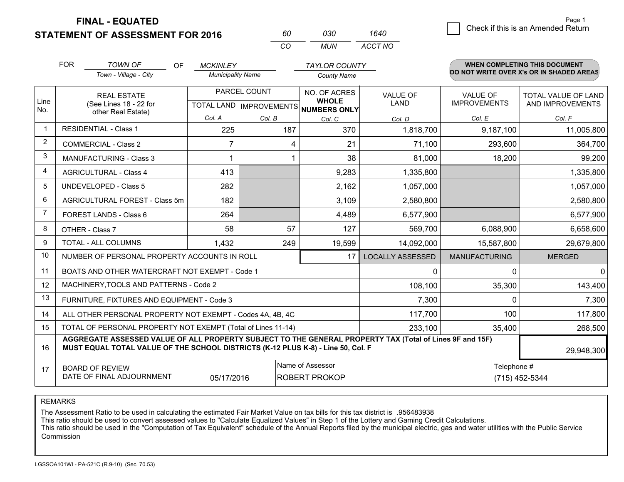**STATEMENT OF ASSESSMENT FOR 2016 FINAL - EQUATED**

0 **Check if this is an Amended Return** Page 1

(715) 452-5344

|                | <b>FOR</b>             | <b>TOWN OF</b><br>OF.                                                                                                                                                                        | <b>MCKINLEY</b>          |                                          | <b>TAYLOR COUNTY</b>         |                         |                      | WHEN COMPLETING THIS DOCUMENT            |
|----------------|------------------------|----------------------------------------------------------------------------------------------------------------------------------------------------------------------------------------------|--------------------------|------------------------------------------|------------------------------|-------------------------|----------------------|------------------------------------------|
|                | Town - Village - City  |                                                                                                                                                                                              | <b>Municipality Name</b> |                                          | <b>County Name</b>           |                         |                      | DO NOT WRITE OVER X's OR IN SHADED AREAS |
| Line           |                        | <b>REAL ESTATE</b>                                                                                                                                                                           |                          | PARCEL COUNT                             | NO. OF ACRES<br><b>WHOLE</b> | <b>VALUE OF</b>         | <b>VALUE OF</b>      | <b>TOTAL VALUE OF LAND</b>               |
| No.            |                        | (See Lines 18 - 22 for<br>other Real Estate)                                                                                                                                                 |                          | TOTAL LAND   IMPROVEMENTS   NUMBERS ONLY |                              | LAND                    | <b>IMPROVEMENTS</b>  | AND IMPROVEMENTS                         |
|                |                        |                                                                                                                                                                                              | Col. A                   | Col. B                                   | Col. C                       | Col. D                  | Col. E               | Col. F                                   |
| $\mathbf{1}$   |                        | <b>RESIDENTIAL - Class 1</b>                                                                                                                                                                 | 225                      | 187                                      | 370                          | 1,818,700               | 9,187,100            | 11,005,800                               |
| $\overline{2}$ |                        | <b>COMMERCIAL - Class 2</b>                                                                                                                                                                  | $\overline{7}$           | 4                                        | 21                           | 71,100                  | 293,600              | 364,700                                  |
| 3              |                        | <b>MANUFACTURING - Class 3</b>                                                                                                                                                               |                          |                                          | 38                           | 81,000                  | 18,200               | 99,200                                   |
| 4              |                        | <b>AGRICULTURAL - Class 4</b>                                                                                                                                                                | 413                      |                                          | 9,283                        | 1,335,800               |                      | 1,335,800                                |
| 5              |                        | UNDEVELOPED - Class 5                                                                                                                                                                        | 282                      |                                          | 2,162                        | 1,057,000               |                      | 1,057,000                                |
| 6              |                        | AGRICULTURAL FOREST - Class 5m                                                                                                                                                               | 182                      |                                          | 3,109                        | 2,580,800               |                      | 2,580,800                                |
| $\overline{7}$ |                        | FOREST LANDS - Class 6                                                                                                                                                                       | 264                      |                                          | 4,489                        | 6,577,900               |                      | 6,577,900                                |
| 8              |                        | OTHER - Class 7                                                                                                                                                                              | 58                       | 57                                       | 127                          | 569,700                 | 6,088,900            | 6,658,600                                |
| 9              |                        | <b>TOTAL - ALL COLUMNS</b>                                                                                                                                                                   | 1,432                    | 249                                      | 19,599                       | 14,092,000              | 15,587,800           | 29,679,800                               |
| 10             |                        | NUMBER OF PERSONAL PROPERTY ACCOUNTS IN ROLL                                                                                                                                                 |                          |                                          | 17                           | <b>LOCALLY ASSESSED</b> | <b>MANUFACTURING</b> | <b>MERGED</b>                            |
| 11             |                        | BOATS AND OTHER WATERCRAFT NOT EXEMPT - Code 1                                                                                                                                               |                          |                                          |                              | 0                       | $\mathbf 0$          | $\mathbf 0$                              |
| 12             |                        | MACHINERY, TOOLS AND PATTERNS - Code 2                                                                                                                                                       |                          |                                          |                              | 108,100                 | 35,300               | 143,400                                  |
| 13             |                        | FURNITURE, FIXTURES AND EQUIPMENT - Code 3                                                                                                                                                   |                          |                                          |                              | 7,300                   | $\mathbf{0}$         | 7,300                                    |
| 14             |                        | ALL OTHER PERSONAL PROPERTY NOT EXEMPT - Codes 4A, 4B, 4C                                                                                                                                    |                          |                                          |                              | 117,700                 | 100                  | 117,800                                  |
| 15             |                        | TOTAL OF PERSONAL PROPERTY NOT EXEMPT (Total of Lines 11-14)                                                                                                                                 |                          |                                          |                              | 233,100                 | 35,400               | 268,500                                  |
| 16             |                        | AGGREGATE ASSESSED VALUE OF ALL PROPERTY SUBJECT TO THE GENERAL PROPERTY TAX (Total of Lines 9F and 15F)<br>MUST EQUAL TOTAL VALUE OF THE SCHOOL DISTRICTS (K-12 PLUS K-8) - Line 50, Col. F |                          |                                          |                              |                         |                      | 29,948,300                               |
| 17             | <b>BOARD OF REVIEW</b> | Telephone #                                                                                                                                                                                  |                          |                                          |                              |                         |                      |                                          |

*CO*

*MUN*

*ACCT NO1640*

*<sup>60</sup> <sup>030</sup>*

DATE OF FINAL ADJOURNMENT

REMARKS

05/17/2016

The Assessment Ratio to be used in calculating the estimated Fair Market Value on tax bills for this tax district is .956483938<br>This ratio should be used to convert assessed values to "Calculate Equalized Values" in Step 1 Commission

ROBERT PROKOP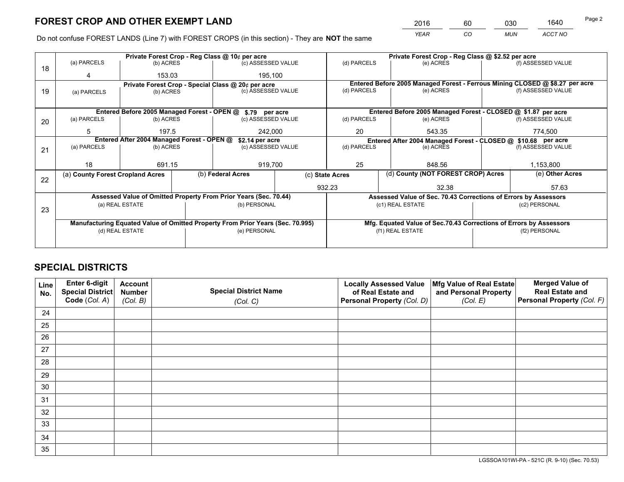*YEAR CO MUN ACCT NO* <sup>2016</sup> <sup>60</sup> <sup>030</sup> <sup>1640</sup>

Do not confuse FOREST LANDS (Line 7) with FOREST CROPS (in this section) - They are **NOT** the same

|    |                                                               |                                             |  | Private Forest Crop - Reg Class @ 10¢ per acre                                 |             |                                                                    | Private Forest Crop - Reg Class @ \$2.52 per acre                            |                    |                    |
|----|---------------------------------------------------------------|---------------------------------------------|--|--------------------------------------------------------------------------------|-------------|--------------------------------------------------------------------|------------------------------------------------------------------------------|--------------------|--------------------|
| 18 | (a) PARCELS                                                   | (b) ACRES                                   |  | (c) ASSESSED VALUE                                                             |             | (d) PARCELS                                                        | (e) ACRES                                                                    |                    | (f) ASSESSED VALUE |
|    |                                                               | 153.03                                      |  | 195.100                                                                        |             |                                                                    |                                                                              |                    |                    |
|    |                                                               |                                             |  | Private Forest Crop - Special Class @ 20¢ per acre                             |             |                                                                    | Entered Before 2005 Managed Forest - Ferrous Mining CLOSED @ \$8.27 per acre |                    |                    |
| 19 | (a) PARCELS                                                   | (c) ASSESSED VALUE<br>(b) ACRES             |  |                                                                                | (d) PARCELS | (e) ACRES                                                          |                                                                              | (f) ASSESSED VALUE |                    |
|    |                                                               |                                             |  |                                                                                |             |                                                                    |                                                                              |                    |                    |
|    |                                                               | Entered Before 2005 Managed Forest - OPEN @ |  | \$.79 per acre                                                                 |             |                                                                    | Entered Before 2005 Managed Forest - CLOSED @ \$1.87 per acre                |                    |                    |
| 20 | (a) PARCELS                                                   | (b) ACRES                                   |  | (c) ASSESSED VALUE                                                             |             | (d) PARCELS                                                        | (e) ACRES                                                                    |                    | (f) ASSESSED VALUE |
|    | 5                                                             | 197.5                                       |  | 242,000                                                                        |             | 20                                                                 | 543.35                                                                       | 774,500            |                    |
|    | Entered After 2004 Managed Forest - OPEN @<br>\$2.14 per acre |                                             |  |                                                                                |             |                                                                    | Entered After 2004 Managed Forest - CLOSED @ \$10.68 per acre                |                    |                    |
| 21 | (a) PARCELS                                                   | (b) ACRES                                   |  | (c) ASSESSED VALUE                                                             |             | (d) PARCELS                                                        | (e) ACRES                                                                    |                    |                    |
|    |                                                               |                                             |  |                                                                                |             |                                                                    |                                                                              |                    |                    |
|    | 18                                                            | 691.15                                      |  | 919,700                                                                        | 25          |                                                                    | 848.56                                                                       |                    |                    |
| 22 | (a) County Forest Cropland Acres                              |                                             |  | (b) Federal Acres<br>(c) State Acres                                           |             | (d) County (NOT FOREST CROP) Acres                                 |                                                                              |                    | (e) Other Acres    |
|    |                                                               |                                             |  |                                                                                | 932.23      |                                                                    | 32.38                                                                        |                    | 57.63              |
|    |                                                               |                                             |  | Assessed Value of Omitted Property From Prior Years (Sec. 70.44)               |             |                                                                    | Assessed Value of Sec. 70.43 Corrections of Errors by Assessors              |                    |                    |
|    |                                                               | (a) REAL ESTATE                             |  | (b) PERSONAL                                                                   |             |                                                                    | (c1) REAL ESTATE                                                             |                    | (c2) PERSONAL      |
| 23 |                                                               |                                             |  |                                                                                |             |                                                                    |                                                                              |                    |                    |
|    |                                                               |                                             |  | Manufacturing Equated Value of Omitted Property From Prior Years (Sec. 70.995) |             | Mfg. Equated Value of Sec.70.43 Corrections of Errors by Assessors |                                                                              |                    |                    |
|    |                                                               | (d) REAL ESTATE                             |  | (e) PERSONAL                                                                   |             |                                                                    | (f1) REAL ESTATE                                                             | (f2) PERSONAL      |                    |
|    |                                                               |                                             |  |                                                                                |             |                                                                    |                                                                              |                    |                    |

## **SPECIAL DISTRICTS**

| Line<br>No. | Enter 6-digit<br><b>Special District</b> | <b>Account</b><br><b>Number</b> | <b>Special District Name</b> | <b>Locally Assessed Value</b><br>of Real Estate and | Mfg Value of Real Estate<br>and Personal Property | <b>Merged Value of</b><br><b>Real Estate and</b> |
|-------------|------------------------------------------|---------------------------------|------------------------------|-----------------------------------------------------|---------------------------------------------------|--------------------------------------------------|
|             | Code (Col. A)                            | (Col. B)                        | (Col. C)                     | Personal Property (Col. D)                          | (Col. E)                                          | Personal Property (Col. F)                       |
| 24          |                                          |                                 |                              |                                                     |                                                   |                                                  |
| 25          |                                          |                                 |                              |                                                     |                                                   |                                                  |
| 26          |                                          |                                 |                              |                                                     |                                                   |                                                  |
| 27          |                                          |                                 |                              |                                                     |                                                   |                                                  |
| 28          |                                          |                                 |                              |                                                     |                                                   |                                                  |
| 29          |                                          |                                 |                              |                                                     |                                                   |                                                  |
| 30          |                                          |                                 |                              |                                                     |                                                   |                                                  |
| 31          |                                          |                                 |                              |                                                     |                                                   |                                                  |
| 32          |                                          |                                 |                              |                                                     |                                                   |                                                  |
| 33          |                                          |                                 |                              |                                                     |                                                   |                                                  |
| 34          |                                          |                                 |                              |                                                     |                                                   |                                                  |
| 35          |                                          |                                 |                              |                                                     |                                                   |                                                  |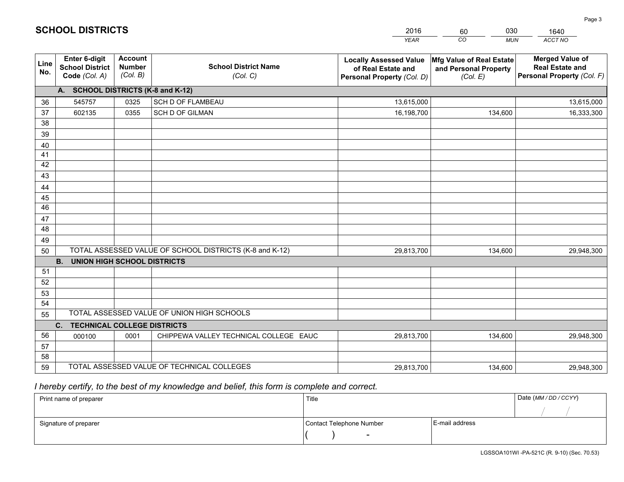|                       |                                                                 |                                             |                                                         | <b>YEAR</b>                                                                       | CO<br><b>MUN</b>                                              | ACCT NO                                                                        |
|-----------------------|-----------------------------------------------------------------|---------------------------------------------|---------------------------------------------------------|-----------------------------------------------------------------------------------|---------------------------------------------------------------|--------------------------------------------------------------------------------|
| Line<br>No.           | <b>Enter 6-digit</b><br><b>School District</b><br>Code (Col. A) | <b>Account</b><br><b>Number</b><br>(Col. B) | <b>School District Name</b><br>(Col. C)                 | <b>Locally Assessed Value</b><br>of Real Estate and<br>Personal Property (Col. D) | Mfg Value of Real Estate<br>and Personal Property<br>(Col. E) | <b>Merged Value of</b><br><b>Real Estate and</b><br>Personal Property (Col. F) |
|                       | A. SCHOOL DISTRICTS (K-8 and K-12)                              |                                             |                                                         |                                                                                   |                                                               |                                                                                |
| 36                    | 545757                                                          | 0325                                        | SCH D OF FLAMBEAU                                       | 13,615,000                                                                        |                                                               | 13,615,000                                                                     |
| 37                    | 602135                                                          | 0355                                        | <b>SCH D OF GILMAN</b>                                  | 16,198,700                                                                        | 134,600                                                       | 16,333,300                                                                     |
| 38                    |                                                                 |                                             |                                                         |                                                                                   |                                                               |                                                                                |
| 39                    |                                                                 |                                             |                                                         |                                                                                   |                                                               |                                                                                |
| 40                    |                                                                 |                                             |                                                         |                                                                                   |                                                               |                                                                                |
| 41                    |                                                                 |                                             |                                                         |                                                                                   |                                                               |                                                                                |
| 42                    |                                                                 |                                             |                                                         |                                                                                   |                                                               |                                                                                |
| 43                    |                                                                 |                                             |                                                         |                                                                                   |                                                               |                                                                                |
| 44                    |                                                                 |                                             |                                                         |                                                                                   |                                                               |                                                                                |
| 45<br>$\overline{46}$ |                                                                 |                                             |                                                         |                                                                                   |                                                               |                                                                                |
| 47                    |                                                                 |                                             |                                                         |                                                                                   |                                                               |                                                                                |
| 48                    |                                                                 |                                             |                                                         |                                                                                   |                                                               |                                                                                |
| 49                    |                                                                 |                                             |                                                         |                                                                                   |                                                               |                                                                                |
| 50                    |                                                                 |                                             | TOTAL ASSESSED VALUE OF SCHOOL DISTRICTS (K-8 and K-12) | 29,813,700                                                                        | 134,600                                                       | 29,948,300                                                                     |
|                       | <b>B.</b><br><b>UNION HIGH SCHOOL DISTRICTS</b>                 |                                             |                                                         |                                                                                   |                                                               |                                                                                |
| 51                    |                                                                 |                                             |                                                         |                                                                                   |                                                               |                                                                                |
| 52                    |                                                                 |                                             |                                                         |                                                                                   |                                                               |                                                                                |
| 53                    |                                                                 |                                             |                                                         |                                                                                   |                                                               |                                                                                |
| 54                    |                                                                 |                                             |                                                         |                                                                                   |                                                               |                                                                                |
| 55                    |                                                                 |                                             | TOTAL ASSESSED VALUE OF UNION HIGH SCHOOLS              |                                                                                   |                                                               |                                                                                |
|                       | C.<br><b>TECHNICAL COLLEGE DISTRICTS</b>                        |                                             |                                                         |                                                                                   |                                                               |                                                                                |
| 56                    | 000100                                                          | 0001                                        | CHIPPEWA VALLEY TECHNICAL COLLEGE EAUC                  | 29,813,700                                                                        | 134,600                                                       | 29,948,300                                                                     |
| 57                    |                                                                 |                                             |                                                         |                                                                                   |                                                               |                                                                                |
| 58                    |                                                                 |                                             |                                                         |                                                                                   |                                                               |                                                                                |
| 59                    |                                                                 |                                             | TOTAL ASSESSED VALUE OF TECHNICAL COLLEGES              | 29,813,700                                                                        | 134,600                                                       | 29,948,300                                                                     |

60

030

 *I hereby certify, to the best of my knowledge and belief, this form is complete and correct.*

**SCHOOL DISTRICTS**

| Print name of preparer | Title                    | Date (MM/DD/CCYY) |  |
|------------------------|--------------------------|-------------------|--|
|                        |                          |                   |  |
| Signature of preparer  | Contact Telephone Number | E-mail address    |  |
|                        | $\overline{\phantom{a}}$ |                   |  |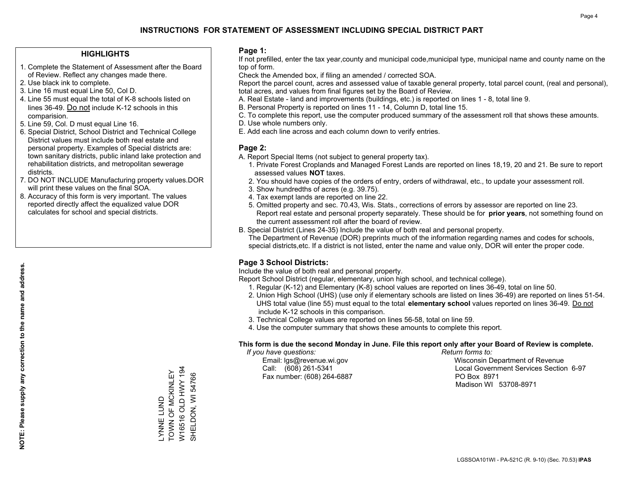#### **HIGHLIGHTS**

- 1. Complete the Statement of Assessment after the Board of Review. Reflect any changes made there.
- 2. Use black ink to complete.
- 3. Line 16 must equal Line 50, Col D.
- 4. Line 55 must equal the total of K-8 schools listed on lines 36-49. Do not include K-12 schools in this comparision.
- 5. Line 59, Col. D must equal Line 16.
- 6. Special District, School District and Technical College District values must include both real estate and personal property. Examples of Special districts are: town sanitary districts, public inland lake protection and rehabilitation districts, and metropolitan sewerage districts.
- 7. DO NOT INCLUDE Manufacturing property values.DOR will print these values on the final SOA.
- 8. Accuracy of this form is very important. The values reported directly affect the equalized value DOR calculates for school and special districts.

#### **Page 1:**

 If not prefilled, enter the tax year,county and municipal code,municipal type, municipal name and county name on the top of form.

Check the Amended box, if filing an amended / corrected SOA.

 Report the parcel count, acres and assessed value of taxable general property, total parcel count, (real and personal), total acres, and values from final figures set by the Board of Review.

- A. Real Estate land and improvements (buildings, etc.) is reported on lines 1 8, total line 9.
- B. Personal Property is reported on lines 11 14, Column D, total line 15.
- C. To complete this report, use the computer produced summary of the assessment roll that shows these amounts.
- D. Use whole numbers only.
- E. Add each line across and each column down to verify entries.

### **Page 2:**

- A. Report Special Items (not subject to general property tax).
- 1. Private Forest Croplands and Managed Forest Lands are reported on lines 18,19, 20 and 21. Be sure to report assessed values **NOT** taxes.
- 2. You should have copies of the orders of entry, orders of withdrawal, etc., to update your assessment roll.
	- 3. Show hundredths of acres (e.g. 39.75).
- 4. Tax exempt lands are reported on line 22.
- 5. Omitted property and sec. 70.43, Wis. Stats., corrections of errors by assessor are reported on line 23. Report real estate and personal property separately. These should be for **prior years**, not something found on the current assessment roll after the board of review.
- B. Special District (Lines 24-35) Include the value of both real and personal property.
- The Department of Revenue (DOR) preprints much of the information regarding names and codes for schools, special districts,etc. If a district is not listed, enter the name and value only, DOR will enter the proper code.

### **Page 3 School Districts:**

Include the value of both real and personal property.

Report School District (regular, elementary, union high school, and technical college).

- 1. Regular (K-12) and Elementary (K-8) school values are reported on lines 36-49, total on line 50.
- 2. Union High School (UHS) (use only if elementary schools are listed on lines 36-49) are reported on lines 51-54. UHS total value (line 55) must equal to the total **elementary school** values reported on lines 36-49. Do notinclude K-12 schools in this comparison.
- 3. Technical College values are reported on lines 56-58, total on line 59.
- 4. Use the computer summary that shows these amounts to complete this report.

#### **This form is due the second Monday in June. File this report only after your Board of Review is complete.**

 *If you have questions: Return forms to:*

Fax number: (608) 264-6887 PO Box 8971

 Email: lgs@revenue.wi.gov Wisconsin Department of Revenue Call: (608) 261-5341 Local Government Services Section 6-97Madison WI 53708-8971

W16516 OLD HWY 194 W16516 OLD HWY 194 TOWN OF MCKINLEY \_YNNE LUND<br>TOWN OF MCKINLEY SHELDON, WI 54766 SHELDON, WI 54766 LYNNE LUND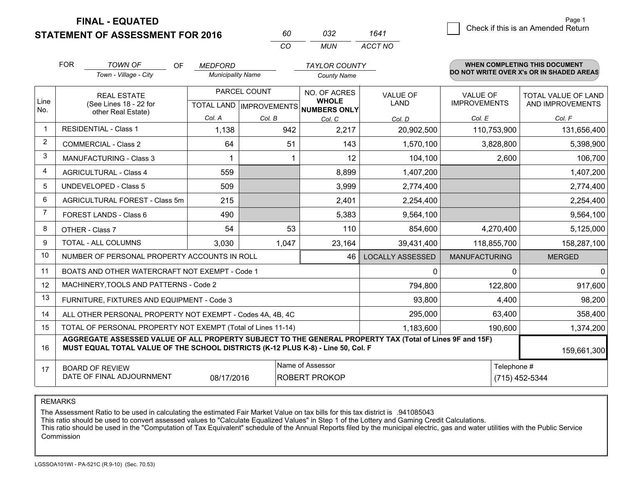**FINAL - EQUATED**

**STATEMENT OF ASSESSMENT FOR 2016** 

| 60       | 7132 | 1641    |
|----------|------|---------|
| $\cdots$ | MUN  | ACCT NO |

|                | <b>FOR</b><br><b>TOWN OF</b><br>OF<br><b>MEDFORD</b><br><b>TAYLOR COUNTY</b><br>Town - Village - City<br><b>Municipality Name</b><br><b>County Name</b>                                      |        | <b>WHEN COMPLETING THIS DOCUMENT</b><br>DO NOT WRITE OVER X's OR IN SHADED AREAS |        |                                |                                        |                                         |
|----------------|----------------------------------------------------------------------------------------------------------------------------------------------------------------------------------------------|--------|----------------------------------------------------------------------------------|--------|--------------------------------|----------------------------------------|-----------------------------------------|
| Line<br>No.    | <b>REAL ESTATE</b><br>(See Lines 18 - 22 for<br>other Real Estate)                                                                                                                           |        | PARCEL COUNT<br>TOTAL LAND   IMPROVEMENTS   NUMBERS ONLY                         |        | <b>VALUE OF</b><br><b>LAND</b> | <b>VALUE OF</b><br><b>IMPROVEMENTS</b> | TOTAL VALUE OF LAND<br>AND IMPROVEMENTS |
|                |                                                                                                                                                                                              | Col. A | Col. B                                                                           | Col. C | Col. D                         | Col. E                                 | Col. F                                  |
| $\mathbf{1}$   | <b>RESIDENTIAL - Class 1</b>                                                                                                                                                                 | 1,138  | 942                                                                              | 2,217  | 20,902,500                     | 110,753,900                            | 131,656,400                             |
| 2              | <b>COMMERCIAL - Class 2</b>                                                                                                                                                                  | 64     | 51                                                                               | 143    | 1,570,100                      | 3,828,800                              | 5,398,900                               |
| 3              | <b>MANUFACTURING - Class 3</b>                                                                                                                                                               |        |                                                                                  | 12     | 104,100                        | 2,600                                  | 106,700                                 |
| 4              | <b>AGRICULTURAL - Class 4</b>                                                                                                                                                                | 559    |                                                                                  | 8,899  | 1,407,200                      |                                        | 1,407,200                               |
| 5              | UNDEVELOPED - Class 5                                                                                                                                                                        | 509    |                                                                                  | 3,999  | 2,774,400                      |                                        | 2,774,400                               |
| 6              | AGRICULTURAL FOREST - Class 5m                                                                                                                                                               | 215    |                                                                                  | 2,401  | 2,254,400                      |                                        | 2,254,400                               |
| $\overline{7}$ | FOREST LANDS - Class 6                                                                                                                                                                       | 490    |                                                                                  | 5,383  | 9,564,100                      |                                        | 9,564,100                               |
| 8              | OTHER - Class 7                                                                                                                                                                              | 54     | 53                                                                               | 110    | 854,600                        | 4,270,400                              | 5,125,000                               |
| 9              | TOTAL - ALL COLUMNS                                                                                                                                                                          | 3,030  | 1,047                                                                            | 23,164 | 39,431,400                     | 118,855,700                            | 158,287,100                             |
| 10             | NUMBER OF PERSONAL PROPERTY ACCOUNTS IN ROLL                                                                                                                                                 |        |                                                                                  | 46     | <b>LOCALLY ASSESSED</b>        | <b>MANUFACTURING</b>                   | <b>MERGED</b>                           |
| 11             | BOATS AND OTHER WATERCRAFT NOT EXEMPT - Code 1                                                                                                                                               |        |                                                                                  |        | $\mathbf{0}$                   | 0                                      | $\Omega$                                |
| 12             | MACHINERY, TOOLS AND PATTERNS - Code 2                                                                                                                                                       |        |                                                                                  |        | 794,800                        | 122,800                                | 917,600                                 |
| 13             | FURNITURE, FIXTURES AND EQUIPMENT - Code 3                                                                                                                                                   |        |                                                                                  |        | 93,800                         | 4,400                                  | 98,200                                  |
| 14             | ALL OTHER PERSONAL PROPERTY NOT EXEMPT - Codes 4A, 4B, 4C                                                                                                                                    |        |                                                                                  |        | 295,000                        | 63,400                                 | 358,400                                 |
| 15             | TOTAL OF PERSONAL PROPERTY NOT EXEMPT (Total of Lines 11-14)                                                                                                                                 |        |                                                                                  |        | 1,183,600                      | 190,600                                | 1,374,200                               |
| 16             | AGGREGATE ASSESSED VALUE OF ALL PROPERTY SUBJECT TO THE GENERAL PROPERTY TAX (Total of Lines 9F and 15F)<br>MUST EQUAL TOTAL VALUE OF THE SCHOOL DISTRICTS (K-12 PLUS K-8) - Line 50, Col. F |        |                                                                                  |        |                                |                                        | 159,661,300                             |
| 17             | Name of Assessor<br>Telephone #<br><b>BOARD OF REVIEW</b><br>DATE OF FINAL ADJOURNMENT<br><b>ROBERT PROKOP</b><br>08/17/2016                                                                 |        |                                                                                  |        |                                |                                        | (715) 452-5344                          |

REMARKS

The Assessment Ratio to be used in calculating the estimated Fair Market Value on tax bills for this tax district is .941085043

This ratio should be used to convert assessed values to "Calculate Equalized Values" in Step 1 of the Lottery and Gaming Credit Calculations.<br>This ratio should be used in the "Computation of Tax Equivalent" schedule of the Commission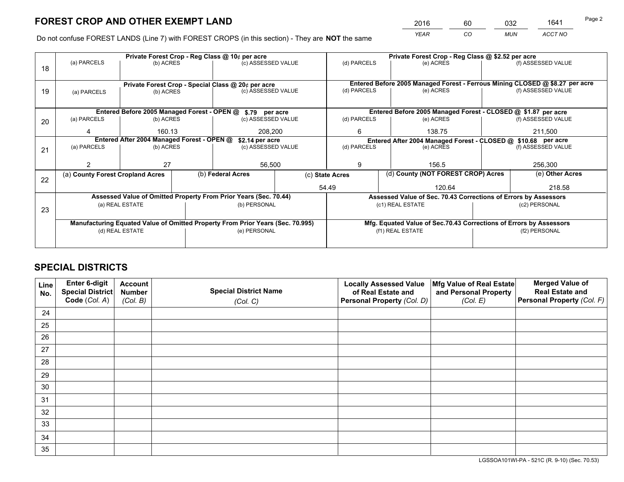*YEAR CO MUN ACCT NO* 2016 60 032 1641

Do not confuse FOREST LANDS (Line 7) with FOREST CROPS (in this section) - They are **NOT** the same

|    |                                  |                                                    |  | Private Forest Crop - Reg Class @ 10¢ per acre                                                 |                 |                                                               | Private Forest Crop - Reg Class @ \$2.52 per acre |                                                                              |                    |                    |  |
|----|----------------------------------|----------------------------------------------------|--|------------------------------------------------------------------------------------------------|-----------------|---------------------------------------------------------------|---------------------------------------------------|------------------------------------------------------------------------------|--------------------|--------------------|--|
| 18 | (a) PARCELS                      | (b) ACRES                                          |  | (c) ASSESSED VALUE                                                                             |                 | (d) PARCELS                                                   |                                                   | (e) ACRES                                                                    |                    | (f) ASSESSED VALUE |  |
|    |                                  | Private Forest Crop - Special Class @ 20¢ per acre |  |                                                                                                |                 |                                                               |                                                   | Entered Before 2005 Managed Forest - Ferrous Mining CLOSED @ \$8.27 per acre |                    |                    |  |
| 19 | (a) PARCELS                      | (b) ACRES                                          |  | (c) ASSESSED VALUE                                                                             |                 | (d) PARCELS                                                   |                                                   | (e) ACRES                                                                    |                    | (f) ASSESSED VALUE |  |
|    |                                  |                                                    |  | Entered Before 2005 Managed Forest - OPEN @ \$.79 per acre                                     |                 |                                                               |                                                   | Entered Before 2005 Managed Forest - CLOSED @ \$1.87 per acre                |                    |                    |  |
| 20 | (a) PARCELS                      | (b) ACRES                                          |  | (c) ASSESSED VALUE                                                                             |                 | (d) PARCELS                                                   |                                                   | (e) ACRES                                                                    |                    | (f) ASSESSED VALUE |  |
|    | Δ                                | 160.13                                             |  | 208,200                                                                                        |                 | 6                                                             |                                                   | 138.75                                                                       | 211,500            |                    |  |
|    |                                  | Entered After 2004 Managed Forest - OPEN @         |  | \$2.14 per acre                                                                                |                 | Entered After 2004 Managed Forest - CLOSED @ \$10.68 per acre |                                                   |                                                                              |                    |                    |  |
| 21 | (a) PARCELS                      | (b) ACRES                                          |  | (c) ASSESSED VALUE                                                                             |                 | (d) PARCELS<br>(e) ACRES                                      |                                                   |                                                                              | (f) ASSESSED VALUE |                    |  |
|    |                                  |                                                    |  |                                                                                                |                 |                                                               |                                                   |                                                                              |                    |                    |  |
|    |                                  | 27                                                 |  | 56,500                                                                                         |                 | 9                                                             |                                                   | 156.5                                                                        |                    | 256,300            |  |
| 22 | (a) County Forest Cropland Acres |                                                    |  | (b) Federal Acres                                                                              | (c) State Acres |                                                               |                                                   | (d) County (NOT FOREST CROP) Acres                                           |                    | (e) Other Acres    |  |
|    |                                  |                                                    |  |                                                                                                |                 | 54.49                                                         |                                                   | 120.64                                                                       |                    | 218.58             |  |
|    |                                  |                                                    |  | Assessed Value of Omitted Property From Prior Years (Sec. 70.44)                               |                 |                                                               |                                                   | Assessed Value of Sec. 70.43 Corrections of Errors by Assessors              |                    |                    |  |
| 23 |                                  | (a) REAL ESTATE                                    |  | (b) PERSONAL                                                                                   |                 | (c1) REAL ESTATE                                              |                                                   |                                                                              | (c2) PERSONAL      |                    |  |
|    |                                  |                                                    |  |                                                                                                |                 |                                                               |                                                   | Mfg. Equated Value of Sec.70.43 Corrections of Errors by Assessors           |                    |                    |  |
|    |                                  | (d) REAL ESTATE                                    |  | Manufacturing Equated Value of Omitted Property From Prior Years (Sec. 70.995)<br>(e) PERSONAL |                 |                                                               | (f1) REAL ESTATE                                  |                                                                              |                    | (f2) PERSONAL      |  |
|    |                                  |                                                    |  |                                                                                                |                 |                                                               |                                                   |                                                                              |                    |                    |  |

## **SPECIAL DISTRICTS**

| Line<br>No. | Enter 6-digit<br><b>Special District</b> | <b>Account</b><br><b>Number</b> | <b>Special District Name</b> | <b>Locally Assessed Value</b><br>of Real Estate and | Mfg Value of Real Estate<br>and Personal Property | <b>Merged Value of</b><br><b>Real Estate and</b> |
|-------------|------------------------------------------|---------------------------------|------------------------------|-----------------------------------------------------|---------------------------------------------------|--------------------------------------------------|
|             | Code (Col. A)                            | (Col. B)                        | (Col. C)                     | Personal Property (Col. D)                          | (Col. E)                                          | Personal Property (Col. F)                       |
| 24          |                                          |                                 |                              |                                                     |                                                   |                                                  |
| 25          |                                          |                                 |                              |                                                     |                                                   |                                                  |
| 26          |                                          |                                 |                              |                                                     |                                                   |                                                  |
| 27          |                                          |                                 |                              |                                                     |                                                   |                                                  |
| 28          |                                          |                                 |                              |                                                     |                                                   |                                                  |
| 29          |                                          |                                 |                              |                                                     |                                                   |                                                  |
| 30          |                                          |                                 |                              |                                                     |                                                   |                                                  |
| 31          |                                          |                                 |                              |                                                     |                                                   |                                                  |
| 32          |                                          |                                 |                              |                                                     |                                                   |                                                  |
| 33          |                                          |                                 |                              |                                                     |                                                   |                                                  |
| 34          |                                          |                                 |                              |                                                     |                                                   |                                                  |
| 35          |                                          |                                 |                              |                                                     |                                                   |                                                  |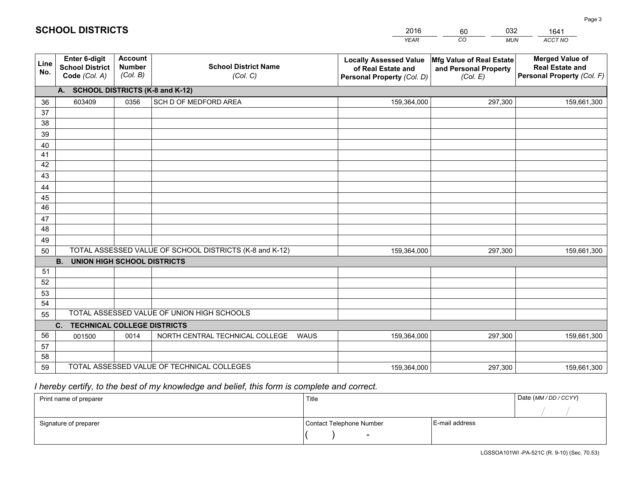|             |                                                                 |                                             |                                                         | <b>YEAR</b>                                                                       | CO<br><b>MUN</b>                                              | ACCT NO                                                                        |
|-------------|-----------------------------------------------------------------|---------------------------------------------|---------------------------------------------------------|-----------------------------------------------------------------------------------|---------------------------------------------------------------|--------------------------------------------------------------------------------|
| Line<br>No. | <b>Enter 6-digit</b><br><b>School District</b><br>Code (Col. A) | <b>Account</b><br><b>Number</b><br>(Col. B) | <b>School District Name</b><br>(Col. C)                 | <b>Locally Assessed Value</b><br>of Real Estate and<br>Personal Property (Col. D) | Mfg Value of Real Estate<br>and Personal Property<br>(Col. E) | <b>Merged Value of</b><br><b>Real Estate and</b><br>Personal Property (Col. F) |
|             | A. SCHOOL DISTRICTS (K-8 and K-12)                              |                                             |                                                         |                                                                                   |                                                               |                                                                                |
| 36          | 603409                                                          | 0356                                        | SCH D OF MEDFORD AREA                                   | 159,364,000                                                                       | 297,300                                                       | 159,661,300                                                                    |
| 37          |                                                                 |                                             |                                                         |                                                                                   |                                                               |                                                                                |
| 38          |                                                                 |                                             |                                                         |                                                                                   |                                                               |                                                                                |
| 39          |                                                                 |                                             |                                                         |                                                                                   |                                                               |                                                                                |
| 40          |                                                                 |                                             |                                                         |                                                                                   |                                                               |                                                                                |
| 41          |                                                                 |                                             |                                                         |                                                                                   |                                                               |                                                                                |
| 42          |                                                                 |                                             |                                                         |                                                                                   |                                                               |                                                                                |
| 43          |                                                                 |                                             |                                                         |                                                                                   |                                                               |                                                                                |
| 44          |                                                                 |                                             |                                                         |                                                                                   |                                                               |                                                                                |
| 45<br>46    |                                                                 |                                             |                                                         |                                                                                   |                                                               |                                                                                |
| 47          |                                                                 |                                             |                                                         |                                                                                   |                                                               |                                                                                |
| 48          |                                                                 |                                             |                                                         |                                                                                   |                                                               |                                                                                |
| 49          |                                                                 |                                             |                                                         |                                                                                   |                                                               |                                                                                |
| 50          |                                                                 |                                             | TOTAL ASSESSED VALUE OF SCHOOL DISTRICTS (K-8 and K-12) | 159,364,000                                                                       | 297,300                                                       | 159,661,300                                                                    |
|             | <b>B.</b><br><b>UNION HIGH SCHOOL DISTRICTS</b>                 |                                             |                                                         |                                                                                   |                                                               |                                                                                |
| 51          |                                                                 |                                             |                                                         |                                                                                   |                                                               |                                                                                |
| 52          |                                                                 |                                             |                                                         |                                                                                   |                                                               |                                                                                |
| 53          |                                                                 |                                             |                                                         |                                                                                   |                                                               |                                                                                |
| 54          |                                                                 |                                             |                                                         |                                                                                   |                                                               |                                                                                |
| 55          |                                                                 |                                             | TOTAL ASSESSED VALUE OF UNION HIGH SCHOOLS              |                                                                                   |                                                               |                                                                                |
|             | C.<br><b>TECHNICAL COLLEGE DISTRICTS</b>                        |                                             |                                                         |                                                                                   |                                                               |                                                                                |
| 56          | 001500                                                          | 0014                                        | NORTH CENTRAL TECHNICAL COLLEGE<br>WAUS                 | 159,364,000                                                                       | 297,300                                                       | 159,661,300                                                                    |
| 57          |                                                                 |                                             |                                                         |                                                                                   |                                                               |                                                                                |
| 58          |                                                                 |                                             |                                                         |                                                                                   |                                                               |                                                                                |
| 59          |                                                                 |                                             | TOTAL ASSESSED VALUE OF TECHNICAL COLLEGES              | 159,364,000                                                                       | 297,300                                                       | 159,661,300                                                                    |

60

032

 *I hereby certify, to the best of my knowledge and belief, this form is complete and correct.*

**SCHOOL DISTRICTS**

| Print name of preparer | Title                    |                | Date (MM / DD / CCYY) |
|------------------------|--------------------------|----------------|-----------------------|
|                        |                          |                |                       |
| Signature of preparer  | Contact Telephone Number | E-mail address |                       |
|                        |                          |                |                       |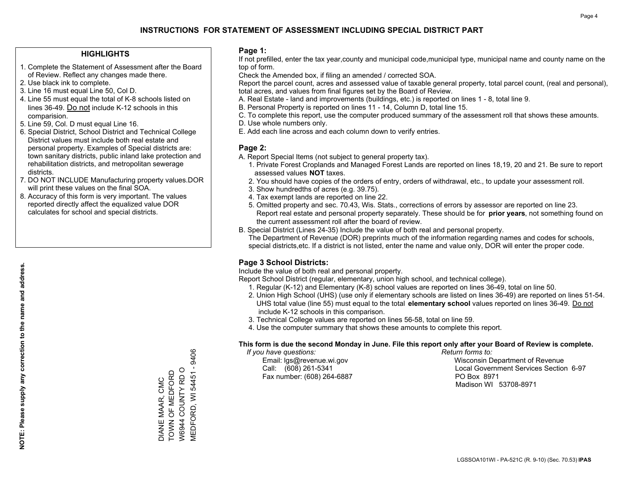#### **HIGHLIGHTS**

- 1. Complete the Statement of Assessment after the Board of Review. Reflect any changes made there.
- 2. Use black ink to complete.
- 3. Line 16 must equal Line 50, Col D.
- 4. Line 55 must equal the total of K-8 schools listed on lines 36-49. Do not include K-12 schools in this comparision.
- 5. Line 59, Col. D must equal Line 16.
- 6. Special District, School District and Technical College District values must include both real estate and personal property. Examples of Special districts are: town sanitary districts, public inland lake protection and rehabilitation districts, and metropolitan sewerage districts.
- 7. DO NOT INCLUDE Manufacturing property values.DOR will print these values on the final SOA.
- 8. Accuracy of this form is very important. The values reported directly affect the equalized value DOR calculates for school and special districts.

#### **Page 1:**

 If not prefilled, enter the tax year,county and municipal code,municipal type, municipal name and county name on the top of form.

Check the Amended box, if filing an amended / corrected SOA.

 Report the parcel count, acres and assessed value of taxable general property, total parcel count, (real and personal), total acres, and values from final figures set by the Board of Review.

- A. Real Estate land and improvements (buildings, etc.) is reported on lines 1 8, total line 9.
- B. Personal Property is reported on lines 11 14, Column D, total line 15.
- C. To complete this report, use the computer produced summary of the assessment roll that shows these amounts.
- D. Use whole numbers only.
- E. Add each line across and each column down to verify entries.

### **Page 2:**

- A. Report Special Items (not subject to general property tax).
- 1. Private Forest Croplands and Managed Forest Lands are reported on lines 18,19, 20 and 21. Be sure to report assessed values **NOT** taxes.
- 2. You should have copies of the orders of entry, orders of withdrawal, etc., to update your assessment roll.
	- 3. Show hundredths of acres (e.g. 39.75).
- 4. Tax exempt lands are reported on line 22.
- 5. Omitted property and sec. 70.43, Wis. Stats., corrections of errors by assessor are reported on line 23. Report real estate and personal property separately. These should be for **prior years**, not something found on the current assessment roll after the board of review.
- B. Special District (Lines 24-35) Include the value of both real and personal property.

 The Department of Revenue (DOR) preprints much of the information regarding names and codes for schools, special districts,etc. If a district is not listed, enter the name and value only, DOR will enter the proper code.

### **Page 3 School Districts:**

Include the value of both real and personal property.

Report School District (regular, elementary, union high school, and technical college).

- 1. Regular (K-12) and Elementary (K-8) school values are reported on lines 36-49, total on line 50.
- 2. Union High School (UHS) (use only if elementary schools are listed on lines 36-49) are reported on lines 51-54. UHS total value (line 55) must equal to the total **elementary school** values reported on lines 36-49. Do notinclude K-12 schools in this comparison.
- 3. Technical College values are reported on lines 56-58, total on line 59.
- 4. Use the computer summary that shows these amounts to complete this report.

#### **This form is due the second Monday in June. File this report only after your Board of Review is complete.**

 *If you have questions: Return forms to:*

Fax number: (608) 264-6887 PO Box 8971

 Email: lgs@revenue.wi.gov Wisconsin Department of Revenue Call: (608) 261-5341 Local Government Services Section 6-97Madison WI 53708-8971

**NOTE: Please supply any correction to the name and address.**

NOTE: Please supply any correction to the name and address.

9406 MEDFORD, WI 54451 - 9406 **MEDFORD, WI 54451 -**W6944 COUNTY RD O W6944 COUNTY RD O TOWN OF MEDFORD DIANE MAAR, CMC<br>TOWN OF MEDFORD DIANE MAAR, CMC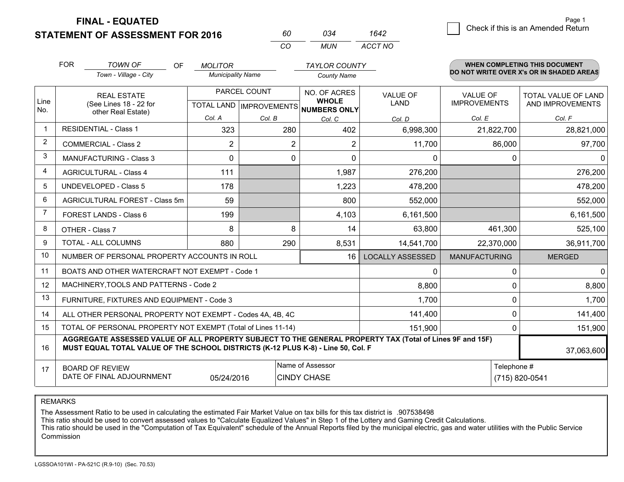**FINAL - EQUATED**

**STATEMENT OF ASSESSMENT FOR 2016** 

| m | กว4 | 1642    |
|---|-----|---------|
| ( | MUN | ACCT NO |

|             | <b>FOR</b>                                                                                                                                                                                   | <b>TOWN OF</b><br><b>OF</b><br>Town - Village - City      | <b>MOLITOR</b><br><b>Municipality Name</b>               |                | <b>TAYLOR COUNTY</b><br><b>County Name</b> |                                |                                        | <b>WHEN COMPLETING THIS DOCUMENT</b><br>DO NOT WRITE OVER X's OR IN SHADED AREAS |
|-------------|----------------------------------------------------------------------------------------------------------------------------------------------------------------------------------------------|-----------------------------------------------------------|----------------------------------------------------------|----------------|--------------------------------------------|--------------------------------|----------------------------------------|----------------------------------------------------------------------------------|
| Line<br>No. | <b>REAL ESTATE</b><br>(See Lines 18 - 22 for                                                                                                                                                 |                                                           | PARCEL COUNT<br>TOTAL LAND   IMPROVEMENTS   NUMBERS ONLY |                | NO. OF ACRES<br><b>WHOLE</b>               | <b>VALUE OF</b><br><b>LAND</b> | <b>VALUE OF</b><br><b>IMPROVEMENTS</b> | <b>TOTAL VALUE OF LAND</b><br>AND IMPROVEMENTS                                   |
|             |                                                                                                                                                                                              | other Real Estate)                                        | Col. A                                                   | Col. B         | Col. C                                     | Col. D                         | Col. E                                 | Col. F                                                                           |
| $\mathbf 1$ |                                                                                                                                                                                              | <b>RESIDENTIAL - Class 1</b>                              | 323                                                      | 280            | 402                                        | 6,998,300                      | 21,822,700                             | 28,821,000                                                                       |
| 2           |                                                                                                                                                                                              | <b>COMMERCIAL - Class 2</b>                               | 2                                                        | $\overline{2}$ | 2                                          | 11,700                         | 86,000                                 | 97,700                                                                           |
| 3           |                                                                                                                                                                                              | <b>MANUFACTURING - Class 3</b>                            | $\Omega$                                                 | $\Omega$       | $\Omega$                                   | 0                              | $\Omega$                               | $\Omega$                                                                         |
| 4           |                                                                                                                                                                                              | <b>AGRICULTURAL - Class 4</b>                             | 111                                                      |                | 1,987                                      | 276,200                        |                                        | 276,200                                                                          |
| 5           |                                                                                                                                                                                              | UNDEVELOPED - Class 5                                     | 178                                                      |                | 1,223                                      | 478,200                        |                                        | 478,200                                                                          |
| 6           |                                                                                                                                                                                              | AGRICULTURAL FOREST - Class 5m                            | 59                                                       |                | 800                                        | 552,000                        |                                        | 552,000                                                                          |
|             |                                                                                                                                                                                              | FOREST LANDS - Class 6                                    | 199                                                      |                | 4,103                                      | 6,161,500                      |                                        | 6,161,500                                                                        |
| 8           |                                                                                                                                                                                              | OTHER - Class 7                                           | 8                                                        | 8              | 14                                         | 63,800                         | 461,300                                | 525,100                                                                          |
| 9           |                                                                                                                                                                                              | TOTAL - ALL COLUMNS                                       | 880                                                      | 290            | 8,531                                      | 14,541,700                     | 22,370,000                             | 36,911,700                                                                       |
| 10          |                                                                                                                                                                                              | NUMBER OF PERSONAL PROPERTY ACCOUNTS IN ROLL              |                                                          |                | 16 I                                       | <b>LOCALLY ASSESSED</b>        | <b>MANUFACTURING</b>                   | <b>MERGED</b>                                                                    |
| 11          |                                                                                                                                                                                              | BOATS AND OTHER WATERCRAFT NOT EXEMPT - Code 1            |                                                          |                |                                            | $\mathbf{0}$                   | 0                                      | $\mathbf 0$                                                                      |
| 12          |                                                                                                                                                                                              | MACHINERY, TOOLS AND PATTERNS - Code 2                    |                                                          |                |                                            | 8,800                          | $\Omega$                               | 8,800                                                                            |
| 13          |                                                                                                                                                                                              | FURNITURE, FIXTURES AND EQUIPMENT - Code 3                |                                                          |                |                                            | 1,700                          | 0                                      | 1,700                                                                            |
| 14          |                                                                                                                                                                                              | ALL OTHER PERSONAL PROPERTY NOT EXEMPT - Codes 4A, 4B, 4C |                                                          |                |                                            | 141,400                        | $\Omega$                               | 141,400                                                                          |
| 15          | TOTAL OF PERSONAL PROPERTY NOT EXEMPT (Total of Lines 11-14)                                                                                                                                 |                                                           |                                                          |                |                                            | 151,900                        | $\mathbf 0$                            | 151,900                                                                          |
| 16          | AGGREGATE ASSESSED VALUE OF ALL PROPERTY SUBJECT TO THE GENERAL PROPERTY TAX (Total of Lines 9F and 15F)<br>MUST EQUAL TOTAL VALUE OF THE SCHOOL DISTRICTS (K-12 PLUS K-8) - Line 50, Col. F |                                                           |                                                          |                |                                            | 37,063,600                     |                                        |                                                                                  |
| 17          | <b>BOARD OF REVIEW</b><br>DATE OF FINAL ADJOURNMENT<br>05/24/2016                                                                                                                            |                                                           |                                                          |                | Name of Assessor<br><b>CINDY CHASE</b>     |                                |                                        | Telephone #<br>(715) 820-0541                                                    |

REMARKS

The Assessment Ratio to be used in calculating the estimated Fair Market Value on tax bills for this tax district is .907538498

This ratio should be used to convert assessed values to "Calculate Equalized Values" in Step 1 of the Lottery and Gaming Credit Calculations.<br>This ratio should be used in the "Computation of Tax Equivalent" schedule of the Commission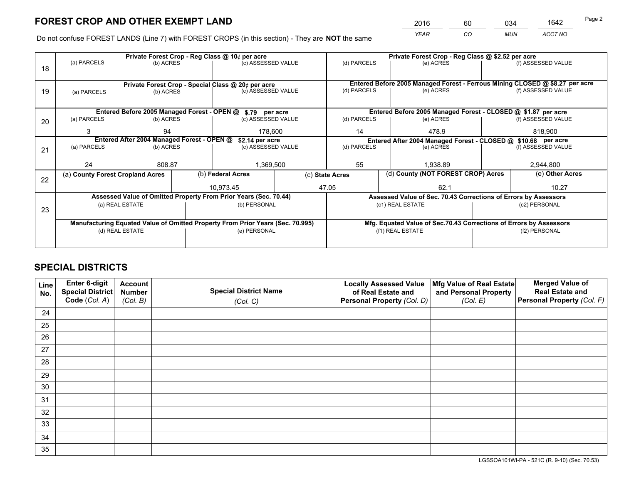*YEAR CO MUN ACCT NO* 2016 60 034 1642

Do not confuse FOREST LANDS (Line 7) with FOREST CROPS (in this section) - They are **NOT** the same

|    |                                                               |                 |  | Private Forest Crop - Reg Class @ 10¢ per acre                                 |                    | Private Forest Crop - Reg Class @ \$2.52 per acre                            |                                                               |                                                                    |                    |                    |  |
|----|---------------------------------------------------------------|-----------------|--|--------------------------------------------------------------------------------|--------------------|------------------------------------------------------------------------------|---------------------------------------------------------------|--------------------------------------------------------------------|--------------------|--------------------|--|
| 18 | (a) PARCELS                                                   | (b) ACRES       |  | (c) ASSESSED VALUE                                                             |                    | (d) PARCELS                                                                  |                                                               | (e) ACRES                                                          |                    | (f) ASSESSED VALUE |  |
|    |                                                               |                 |  |                                                                                |                    |                                                                              |                                                               |                                                                    |                    |                    |  |
|    | Private Forest Crop - Special Class @ 20¢ per acre            |                 |  |                                                                                |                    | Entered Before 2005 Managed Forest - Ferrous Mining CLOSED @ \$8.27 per acre |                                                               |                                                                    |                    |                    |  |
| 19 | (a) PARCELS                                                   | (b) ACRES       |  | (c) ASSESSED VALUE                                                             |                    | (d) PARCELS                                                                  |                                                               | (e) ACRES                                                          |                    | (f) ASSESSED VALUE |  |
|    |                                                               |                 |  |                                                                                |                    |                                                                              |                                                               |                                                                    |                    |                    |  |
|    |                                                               |                 |  | Entered Before 2005 Managed Forest - OPEN @ \$.79 per acre                     |                    |                                                                              |                                                               | Entered Before 2005 Managed Forest - CLOSED @ \$1.87 per acre      |                    |                    |  |
| 20 | (a) PARCELS                                                   | (b) ACRES       |  | (c) ASSESSED VALUE                                                             |                    | (d) PARCELS                                                                  |                                                               | (e) ACRES                                                          |                    | (f) ASSESSED VALUE |  |
|    | 3                                                             | 94              |  | 178.600                                                                        |                    | 14                                                                           |                                                               | 478.9                                                              |                    | 818.900            |  |
|    | Entered After 2004 Managed Forest - OPEN @<br>\$2.14 per acre |                 |  |                                                                                |                    |                                                                              | Entered After 2004 Managed Forest - CLOSED @ \$10.68 per acre |                                                                    |                    |                    |  |
| 21 | (a) PARCELS                                                   | (b) ACRES       |  |                                                                                | (c) ASSESSED VALUE |                                                                              | (d) PARCELS<br>(e) ACRES                                      |                                                                    | (f) ASSESSED VALUE |                    |  |
|    |                                                               |                 |  |                                                                                |                    |                                                                              |                                                               |                                                                    |                    |                    |  |
|    | 24                                                            | 808.87          |  | 1,369,500                                                                      |                    | 55                                                                           |                                                               | 1.938.89                                                           |                    | 2,944,800          |  |
| 22 | (a) County Forest Cropland Acres                              |                 |  | (b) Federal Acres                                                              |                    | (c) State Acres                                                              |                                                               | (d) County (NOT FOREST CROP) Acres                                 |                    | (e) Other Acres    |  |
|    |                                                               |                 |  | 10,973.45                                                                      |                    | 47.05<br>62.1                                                                |                                                               |                                                                    | 10.27              |                    |  |
|    |                                                               |                 |  | Assessed Value of Omitted Property From Prior Years (Sec. 70.44)               |                    |                                                                              |                                                               | Assessed Value of Sec. 70.43 Corrections of Errors by Assessors    |                    |                    |  |
| 23 |                                                               | (a) REAL ESTATE |  | (b) PERSONAL                                                                   |                    | (c1) REAL ESTATE                                                             |                                                               |                                                                    |                    | (c2) PERSONAL      |  |
|    |                                                               |                 |  |                                                                                |                    |                                                                              |                                                               |                                                                    |                    |                    |  |
|    |                                                               |                 |  | Manufacturing Equated Value of Omitted Property From Prior Years (Sec. 70.995) |                    |                                                                              |                                                               | Mfg. Equated Value of Sec.70.43 Corrections of Errors by Assessors |                    |                    |  |
|    | (d) REAL ESTATE                                               |                 |  | (e) PERSONAL                                                                   |                    |                                                                              | (f1) REAL ESTATE                                              |                                                                    |                    | (f2) PERSONAL      |  |
|    |                                                               |                 |  |                                                                                |                    |                                                                              |                                                               |                                                                    |                    |                    |  |

## **SPECIAL DISTRICTS**

| Line<br>No. | Enter 6-digit<br><b>Special District</b> | <b>Account</b><br><b>Number</b> | <b>Special District Name</b> | <b>Locally Assessed Value</b><br>of Real Estate and | Mfg Value of Real Estate<br>and Personal Property | <b>Merged Value of</b><br><b>Real Estate and</b> |
|-------------|------------------------------------------|---------------------------------|------------------------------|-----------------------------------------------------|---------------------------------------------------|--------------------------------------------------|
|             | Code (Col. A)                            | (Col. B)                        | (Col. C)                     | Personal Property (Col. D)                          | (Col. E)                                          | Personal Property (Col. F)                       |
| 24          |                                          |                                 |                              |                                                     |                                                   |                                                  |
| 25          |                                          |                                 |                              |                                                     |                                                   |                                                  |
| 26          |                                          |                                 |                              |                                                     |                                                   |                                                  |
| 27          |                                          |                                 |                              |                                                     |                                                   |                                                  |
| 28          |                                          |                                 |                              |                                                     |                                                   |                                                  |
| 29          |                                          |                                 |                              |                                                     |                                                   |                                                  |
| 30          |                                          |                                 |                              |                                                     |                                                   |                                                  |
| 31          |                                          |                                 |                              |                                                     |                                                   |                                                  |
| 32          |                                          |                                 |                              |                                                     |                                                   |                                                  |
| 33          |                                          |                                 |                              |                                                     |                                                   |                                                  |
| 34          |                                          |                                 |                              |                                                     |                                                   |                                                  |
| 35          |                                          |                                 |                              |                                                     |                                                   |                                                  |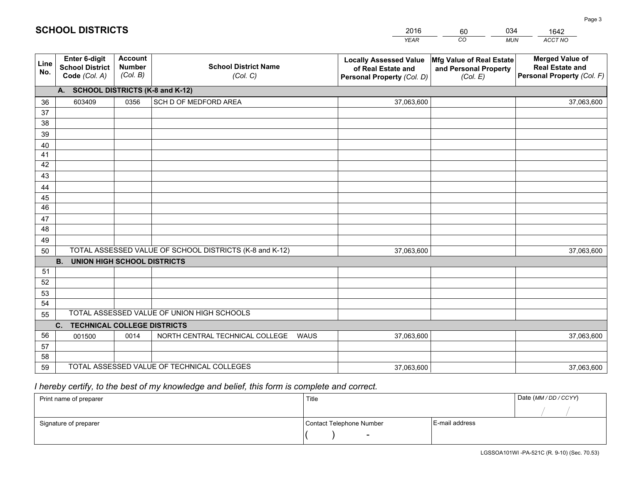|             |                                                                 |                                             |                                                         | <b>YEAR</b>                                                                       | CO<br><b>MUN</b>                                              | ACCT NO                                                                        |
|-------------|-----------------------------------------------------------------|---------------------------------------------|---------------------------------------------------------|-----------------------------------------------------------------------------------|---------------------------------------------------------------|--------------------------------------------------------------------------------|
| Line<br>No. | <b>Enter 6-digit</b><br><b>School District</b><br>Code (Col. A) | <b>Account</b><br><b>Number</b><br>(Col. B) | <b>School District Name</b><br>(Col. C)                 | <b>Locally Assessed Value</b><br>of Real Estate and<br>Personal Property (Col. D) | Mfg Value of Real Estate<br>and Personal Property<br>(Col. E) | <b>Merged Value of</b><br><b>Real Estate and</b><br>Personal Property (Col. F) |
|             | A. SCHOOL DISTRICTS (K-8 and K-12)                              |                                             |                                                         |                                                                                   |                                                               |                                                                                |
| 36          | 603409                                                          | 0356                                        | SCH D OF MEDFORD AREA                                   | 37,063,600                                                                        |                                                               | 37,063,600                                                                     |
| 37          |                                                                 |                                             |                                                         |                                                                                   |                                                               |                                                                                |
| 38          |                                                                 |                                             |                                                         |                                                                                   |                                                               |                                                                                |
| 39          |                                                                 |                                             |                                                         |                                                                                   |                                                               |                                                                                |
| 40          |                                                                 |                                             |                                                         |                                                                                   |                                                               |                                                                                |
| 41          |                                                                 |                                             |                                                         |                                                                                   |                                                               |                                                                                |
| 42          |                                                                 |                                             |                                                         |                                                                                   |                                                               |                                                                                |
| 43          |                                                                 |                                             |                                                         |                                                                                   |                                                               |                                                                                |
| 44<br>45    |                                                                 |                                             |                                                         |                                                                                   |                                                               |                                                                                |
| 46          |                                                                 |                                             |                                                         |                                                                                   |                                                               |                                                                                |
| 47          |                                                                 |                                             |                                                         |                                                                                   |                                                               |                                                                                |
| 48          |                                                                 |                                             |                                                         |                                                                                   |                                                               |                                                                                |
| 49          |                                                                 |                                             |                                                         |                                                                                   |                                                               |                                                                                |
| 50          |                                                                 |                                             | TOTAL ASSESSED VALUE OF SCHOOL DISTRICTS (K-8 and K-12) | 37,063,600                                                                        |                                                               | 37,063,600                                                                     |
|             | <b>B.</b><br><b>UNION HIGH SCHOOL DISTRICTS</b>                 |                                             |                                                         |                                                                                   |                                                               |                                                                                |
| 51          |                                                                 |                                             |                                                         |                                                                                   |                                                               |                                                                                |
| 52          |                                                                 |                                             |                                                         |                                                                                   |                                                               |                                                                                |
| 53          |                                                                 |                                             |                                                         |                                                                                   |                                                               |                                                                                |
| 54          |                                                                 |                                             |                                                         |                                                                                   |                                                               |                                                                                |
| 55          |                                                                 |                                             | TOTAL ASSESSED VALUE OF UNION HIGH SCHOOLS              |                                                                                   |                                                               |                                                                                |
|             | C.<br><b>TECHNICAL COLLEGE DISTRICTS</b>                        |                                             |                                                         |                                                                                   |                                                               |                                                                                |
| 56          | 001500                                                          | 0014                                        | NORTH CENTRAL TECHNICAL COLLEGE<br><b>WAUS</b>          | 37,063,600                                                                        |                                                               | 37,063,600                                                                     |
| 57          |                                                                 |                                             |                                                         |                                                                                   |                                                               |                                                                                |
| 58          |                                                                 |                                             |                                                         |                                                                                   |                                                               |                                                                                |
| 59          |                                                                 |                                             | TOTAL ASSESSED VALUE OF TECHNICAL COLLEGES              | 37,063,600                                                                        |                                                               | 37,063,600                                                                     |

60

034

## *I hereby certify, to the best of my knowledge and belief, this form is complete and correct.*

**SCHOOL DISTRICTS**

| Print name of preparer | Title                    |                | Date (MM / DD / CCYY) |
|------------------------|--------------------------|----------------|-----------------------|
|                        |                          |                |                       |
| Signature of preparer  | Contact Telephone Number | E-mail address |                       |
|                        | $\overline{\phantom{0}}$ |                |                       |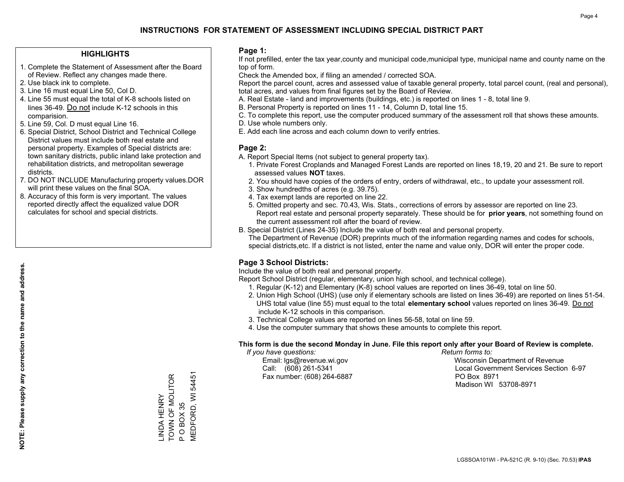#### **HIGHLIGHTS**

- 1. Complete the Statement of Assessment after the Board of Review. Reflect any changes made there.
- 2. Use black ink to complete.
- 3. Line 16 must equal Line 50, Col D.
- 4. Line 55 must equal the total of K-8 schools listed on lines 36-49. Do not include K-12 schools in this comparision.
- 5. Line 59, Col. D must equal Line 16.
- 6. Special District, School District and Technical College District values must include both real estate and personal property. Examples of Special districts are: town sanitary districts, public inland lake protection and rehabilitation districts, and metropolitan sewerage districts.
- 7. DO NOT INCLUDE Manufacturing property values.DOR will print these values on the final SOA.

LINDA HENRY TOWN OF MOLITOR

\_INDA HENRY<br>TOWN OF MOLITOR

P O BOX 35

 $\Delta$ 

O BOX 35

MEDFORD, WI 54451

MEDFORD, WI 54451

 8. Accuracy of this form is very important. The values reported directly affect the equalized value DOR calculates for school and special districts.

#### **Page 1:**

 If not prefilled, enter the tax year,county and municipal code,municipal type, municipal name and county name on the top of form.

Check the Amended box, if filing an amended / corrected SOA.

 Report the parcel count, acres and assessed value of taxable general property, total parcel count, (real and personal), total acres, and values from final figures set by the Board of Review.

- A. Real Estate land and improvements (buildings, etc.) is reported on lines 1 8, total line 9.
- B. Personal Property is reported on lines 11 14, Column D, total line 15.
- C. To complete this report, use the computer produced summary of the assessment roll that shows these amounts.
- D. Use whole numbers only.
- E. Add each line across and each column down to verify entries.

#### **Page 2:**

- A. Report Special Items (not subject to general property tax).
- 1. Private Forest Croplands and Managed Forest Lands are reported on lines 18,19, 20 and 21. Be sure to report assessed values **NOT** taxes.
- 2. You should have copies of the orders of entry, orders of withdrawal, etc., to update your assessment roll.
	- 3. Show hundredths of acres (e.g. 39.75).
- 4. Tax exempt lands are reported on line 22.
- 5. Omitted property and sec. 70.43, Wis. Stats., corrections of errors by assessor are reported on line 23. Report real estate and personal property separately. These should be for **prior years**, not something found on the current assessment roll after the board of review.
- B. Special District (Lines 24-35) Include the value of both real and personal property.
- The Department of Revenue (DOR) preprints much of the information regarding names and codes for schools, special districts,etc. If a district is not listed, enter the name and value only, DOR will enter the proper code.

### **Page 3 School Districts:**

Include the value of both real and personal property.

Report School District (regular, elementary, union high school, and technical college).

- 1. Regular (K-12) and Elementary (K-8) school values are reported on lines 36-49, total on line 50.
- 2. Union High School (UHS) (use only if elementary schools are listed on lines 36-49) are reported on lines 51-54. UHS total value (line 55) must equal to the total **elementary school** values reported on lines 36-49. Do notinclude K-12 schools in this comparison.
- 3. Technical College values are reported on lines 56-58, total on line 59.
- 4. Use the computer summary that shows these amounts to complete this report.

#### **This form is due the second Monday in June. File this report only after your Board of Review is complete.**

 *If you have questions: Return forms to:*

Fax number: (608) 264-6887 PO Box 8971

 Email: lgs@revenue.wi.gov Wisconsin Department of Revenue Call: (608) 261-5341 Local Government Services Section 6-97Madison WI 53708-8971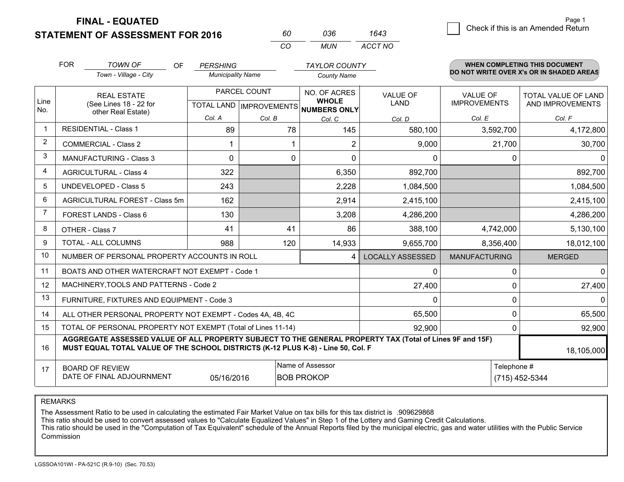**STATEMENT OF ASSESSMENT FOR 2016** 

**FINAL - EQUATED**

|             | <b>FOR</b>                                                                                                                                                                                   | <b>TOWN OF</b><br><b>OF</b>                    | <b>PERSHING</b>          |              | <b>TAYLOR COUNTY</b>                                |                         |                      | <b>WHEN COMPLETING THIS DOCUMENT</b>     |
|-------------|----------------------------------------------------------------------------------------------------------------------------------------------------------------------------------------------|------------------------------------------------|--------------------------|--------------|-----------------------------------------------------|-------------------------|----------------------|------------------------------------------|
|             |                                                                                                                                                                                              | Town - Village - City                          | <b>Municipality Name</b> |              | <b>County Name</b>                                  |                         |                      | DO NOT WRITE OVER X's OR IN SHADED AREAS |
|             |                                                                                                                                                                                              | <b>REAL ESTATE</b>                             |                          | PARCEL COUNT | NO. OF ACRES                                        | <b>VALUE OF</b>         | <b>VALUE OF</b>      | TOTAL VALUE OF LAND                      |
| Line<br>No. |                                                                                                                                                                                              | (See Lines 18 - 22 for<br>other Real Estate)   |                          |              | <b>WHOLE</b><br>TOTAL LAND MPROVEMENTS NUMBERS ONLY | <b>LAND</b>             | <b>IMPROVEMENTS</b>  | AND IMPROVEMENTS                         |
|             |                                                                                                                                                                                              |                                                | Col. A                   | Col. B       | Col. C                                              | Col. D                  | Col. E               | Col. F                                   |
| $\mathbf 1$ |                                                                                                                                                                                              | <b>RESIDENTIAL - Class 1</b>                   | 89                       | 78           | 145                                                 | 580,100                 | 3,592,700            | 4,172,800                                |
| 2           |                                                                                                                                                                                              | <b>COMMERCIAL - Class 2</b>                    |                          |              | 2                                                   | 9,000                   | 21,700               | 30,700                                   |
| 3           |                                                                                                                                                                                              | <b>MANUFACTURING - Class 3</b>                 | 0                        | 0            | $\mathbf{0}$                                        | 0                       | 0                    | $\Omega$                                 |
| 4           |                                                                                                                                                                                              | <b>AGRICULTURAL - Class 4</b>                  | 322                      |              | 6,350                                               | 892,700                 |                      | 892,700                                  |
| 5           |                                                                                                                                                                                              | <b>UNDEVELOPED - Class 5</b>                   | 243                      |              | 2,228                                               | 1,084,500               |                      | 1,084,500                                |
| 6           |                                                                                                                                                                                              | AGRICULTURAL FOREST - Class 5m                 | 162                      |              | 2,914                                               | 2,415,100               |                      | 2,415,100                                |
| 7           |                                                                                                                                                                                              | FOREST LANDS - Class 6                         | 130                      |              | 3,208                                               | 4,286,200               |                      | 4,286,200                                |
| 8           |                                                                                                                                                                                              | OTHER - Class 7                                | 41                       | 41           | 86                                                  | 388,100                 | 4,742,000            | 5,130,100                                |
| 9           |                                                                                                                                                                                              | TOTAL - ALL COLUMNS                            | 988                      | 120          | 14,933                                              | 9,655,700               | 8,356,400            | 18,012,100                               |
| 10          |                                                                                                                                                                                              | NUMBER OF PERSONAL PROPERTY ACCOUNTS IN ROLL   |                          |              | 4                                                   | <b>LOCALLY ASSESSED</b> | <b>MANUFACTURING</b> | <b>MERGED</b>                            |
| 11          |                                                                                                                                                                                              | BOATS AND OTHER WATERCRAFT NOT EXEMPT - Code 1 |                          |              |                                                     | $\Omega$                | $\Omega$             | $\Omega$                                 |
| 12          |                                                                                                                                                                                              | MACHINERY, TOOLS AND PATTERNS - Code 2         |                          |              |                                                     | 27,400                  | 0                    | 27,400                                   |
| 13          |                                                                                                                                                                                              | FURNITURE, FIXTURES AND EQUIPMENT - Code 3     |                          |              |                                                     | $\Omega$                | 0                    | $\Omega$                                 |
| 14          | ALL OTHER PERSONAL PROPERTY NOT EXEMPT - Codes 4A, 4B, 4C                                                                                                                                    |                                                |                          |              |                                                     | 65,500                  | $\Omega$             | 65,500                                   |
| 15          | TOTAL OF PERSONAL PROPERTY NOT EXEMPT (Total of Lines 11-14)                                                                                                                                 |                                                |                          |              |                                                     | 92,900                  | 0                    | 92,900                                   |
| 16          | AGGREGATE ASSESSED VALUE OF ALL PROPERTY SUBJECT TO THE GENERAL PROPERTY TAX (Total of Lines 9F and 15F)<br>MUST EQUAL TOTAL VALUE OF THE SCHOOL DISTRICTS (K-12 PLUS K-8) - Line 50, Col. F |                                                |                          |              |                                                     |                         | 18,105,000           |                                          |
| 17          | <b>BOARD OF REVIEW</b><br>DATE OF FINAL ADJOURNMENT<br>05/16/2016                                                                                                                            |                                                |                          |              | Name of Assessor<br><b>BOB PROKOP</b>               |                         | Telephone #          | (715) 452-5344                           |

*CO*

*MUN*

*ACCT NO1643*

*<sup>60</sup> <sup>036</sup>*

REMARKS

The Assessment Ratio to be used in calculating the estimated Fair Market Value on tax bills for this tax district is .909629868<br>This ratio should be used to convert assessed values to "Calculate Equalized Values" in Step 1 Commission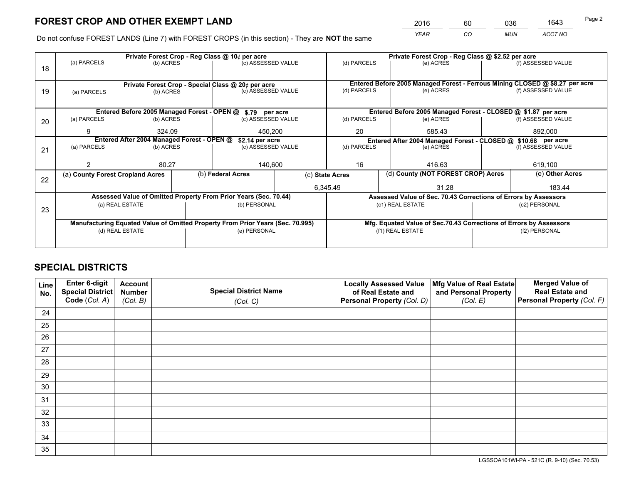*YEAR CO MUN ACCT NO* <sup>2016</sup> <sup>60</sup> <sup>036</sup> <sup>1643</sup>

Do not confuse FOREST LANDS (Line 7) with FOREST CROPS (in this section) - They are **NOT** the same

| Private Forest Crop - Reg Class @ \$2.52 per acre<br>(d) PARCELS                          |  |  |  |
|-------------------------------------------------------------------------------------------|--|--|--|
| (f) ASSESSED VALUE                                                                        |  |  |  |
|                                                                                           |  |  |  |
| Entered Before 2005 Managed Forest - Ferrous Mining CLOSED @ \$8.27 per acre              |  |  |  |
| (f) ASSESSED VALUE                                                                        |  |  |  |
|                                                                                           |  |  |  |
| Entered Before 2005 Managed Forest - CLOSED @ \$1.87 per acre                             |  |  |  |
| (f) ASSESSED VALUE                                                                        |  |  |  |
| 892,000                                                                                   |  |  |  |
| Entered After 2004 Managed Forest - CLOSED @ \$10.68 per acre<br>(d) PARCELS<br>(e) ACRES |  |  |  |
| (f) ASSESSED VALUE                                                                        |  |  |  |
|                                                                                           |  |  |  |
| 619,100                                                                                   |  |  |  |
| (e) Other Acres                                                                           |  |  |  |
| 183.44                                                                                    |  |  |  |
| Assessed Value of Sec. 70.43 Corrections of Errors by Assessors                           |  |  |  |
| (c2) PERSONAL                                                                             |  |  |  |
|                                                                                           |  |  |  |
| Mfg. Equated Value of Sec.70.43 Corrections of Errors by Assessors                        |  |  |  |
| (f2) PERSONAL                                                                             |  |  |  |
|                                                                                           |  |  |  |
|                                                                                           |  |  |  |

## **SPECIAL DISTRICTS**

| Line<br>No. | Enter 6-digit<br><b>Special District</b> | <b>Account</b><br><b>Number</b> | <b>Special District Name</b> | <b>Locally Assessed Value</b><br>of Real Estate and | Mfg Value of Real Estate<br>and Personal Property | <b>Merged Value of</b><br><b>Real Estate and</b> |
|-------------|------------------------------------------|---------------------------------|------------------------------|-----------------------------------------------------|---------------------------------------------------|--------------------------------------------------|
|             | Code (Col. A)                            | (Col. B)                        | (Col. C)                     | Personal Property (Col. D)                          | (Col. E)                                          | Personal Property (Col. F)                       |
| 24          |                                          |                                 |                              |                                                     |                                                   |                                                  |
| 25          |                                          |                                 |                              |                                                     |                                                   |                                                  |
| 26          |                                          |                                 |                              |                                                     |                                                   |                                                  |
| 27          |                                          |                                 |                              |                                                     |                                                   |                                                  |
| 28          |                                          |                                 |                              |                                                     |                                                   |                                                  |
| 29          |                                          |                                 |                              |                                                     |                                                   |                                                  |
| 30          |                                          |                                 |                              |                                                     |                                                   |                                                  |
| 31          |                                          |                                 |                              |                                                     |                                                   |                                                  |
| 32          |                                          |                                 |                              |                                                     |                                                   |                                                  |
| 33          |                                          |                                 |                              |                                                     |                                                   |                                                  |
| 34          |                                          |                                 |                              |                                                     |                                                   |                                                  |
| 35          |                                          |                                 |                              |                                                     |                                                   |                                                  |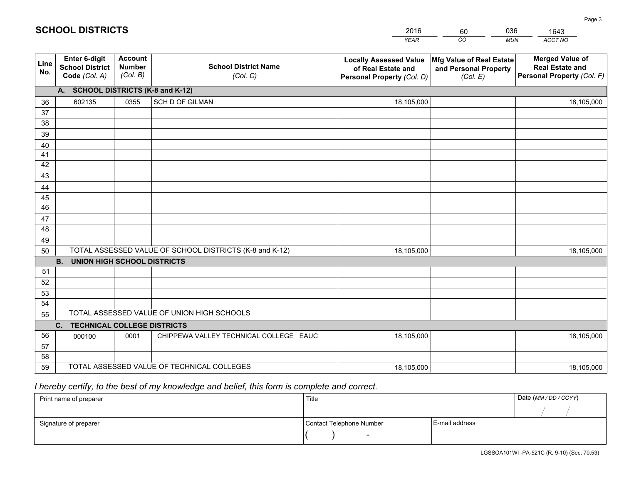|             |                                                          |                                             |                                                         | <b>YEAR</b>                                                                       | CO<br><b>MUN</b>                                              | ACCT NO                                                                        |
|-------------|----------------------------------------------------------|---------------------------------------------|---------------------------------------------------------|-----------------------------------------------------------------------------------|---------------------------------------------------------------|--------------------------------------------------------------------------------|
| Line<br>No. | Enter 6-digit<br><b>School District</b><br>Code (Col. A) | <b>Account</b><br><b>Number</b><br>(Col. B) | <b>School District Name</b><br>(Col. C)                 | <b>Locally Assessed Value</b><br>of Real Estate and<br>Personal Property (Col. D) | Mfg Value of Real Estate<br>and Personal Property<br>(Col. E) | <b>Merged Value of</b><br><b>Real Estate and</b><br>Personal Property (Col. F) |
|             | A. SCHOOL DISTRICTS (K-8 and K-12)                       |                                             |                                                         |                                                                                   |                                                               |                                                                                |
| 36          | 602135                                                   | 0355                                        | SCH D OF GILMAN                                         | 18,105,000                                                                        |                                                               | 18,105,000                                                                     |
| 37          |                                                          |                                             |                                                         |                                                                                   |                                                               |                                                                                |
| 38          |                                                          |                                             |                                                         |                                                                                   |                                                               |                                                                                |
| 39          |                                                          |                                             |                                                         |                                                                                   |                                                               |                                                                                |
| 40          |                                                          |                                             |                                                         |                                                                                   |                                                               |                                                                                |
| 41          |                                                          |                                             |                                                         |                                                                                   |                                                               |                                                                                |
| 42<br>43    |                                                          |                                             |                                                         |                                                                                   |                                                               |                                                                                |
|             |                                                          |                                             |                                                         |                                                                                   |                                                               |                                                                                |
| 44<br>45    |                                                          |                                             |                                                         |                                                                                   |                                                               |                                                                                |
| 46          |                                                          |                                             |                                                         |                                                                                   |                                                               |                                                                                |
| 47          |                                                          |                                             |                                                         |                                                                                   |                                                               |                                                                                |
| 48          |                                                          |                                             |                                                         |                                                                                   |                                                               |                                                                                |
| 49          |                                                          |                                             |                                                         |                                                                                   |                                                               |                                                                                |
| 50          |                                                          |                                             | TOTAL ASSESSED VALUE OF SCHOOL DISTRICTS (K-8 and K-12) | 18,105,000                                                                        |                                                               | 18,105,000                                                                     |
|             | B <sub>1</sub><br><b>UNION HIGH SCHOOL DISTRICTS</b>     |                                             |                                                         |                                                                                   |                                                               |                                                                                |
| 51          |                                                          |                                             |                                                         |                                                                                   |                                                               |                                                                                |
| 52          |                                                          |                                             |                                                         |                                                                                   |                                                               |                                                                                |
| 53          |                                                          |                                             |                                                         |                                                                                   |                                                               |                                                                                |
| 54          |                                                          |                                             |                                                         |                                                                                   |                                                               |                                                                                |
| 55          |                                                          |                                             | TOTAL ASSESSED VALUE OF UNION HIGH SCHOOLS              |                                                                                   |                                                               |                                                                                |
|             | C. TECHNICAL COLLEGE DISTRICTS                           |                                             |                                                         |                                                                                   |                                                               |                                                                                |
| 56          | 000100                                                   | 0001                                        | CHIPPEWA VALLEY TECHNICAL COLLEGE EAUC                  | 18,105,000                                                                        |                                                               | 18,105,000                                                                     |
| 57<br>58    |                                                          |                                             |                                                         |                                                                                   |                                                               |                                                                                |
| 59          |                                                          |                                             | TOTAL ASSESSED VALUE OF TECHNICAL COLLEGES              | 18,105,000                                                                        |                                                               | 18,105,000                                                                     |
|             |                                                          |                                             |                                                         |                                                                                   |                                                               |                                                                                |

60

036

## *I hereby certify, to the best of my knowledge and belief, this form is complete and correct.*

**SCHOOL DISTRICTS**

| Print name of preparer | Title                    |                | Date (MM / DD / CCYY) |
|------------------------|--------------------------|----------------|-----------------------|
|                        |                          |                |                       |
| Signature of preparer  | Contact Telephone Number | E-mail address |                       |
|                        | $\overline{\phantom{0}}$ |                |                       |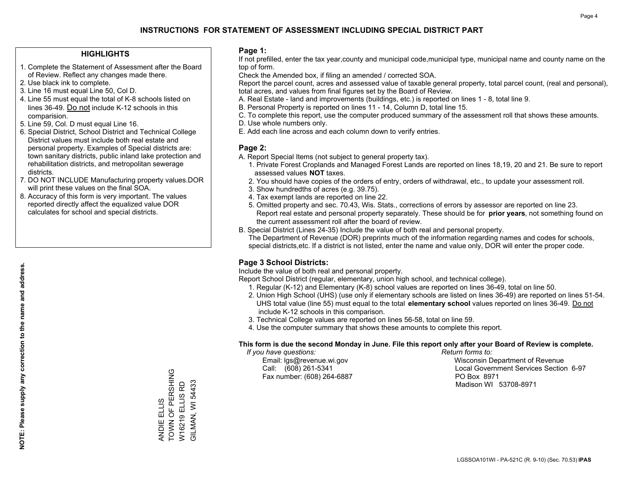#### **HIGHLIGHTS**

- 1. Complete the Statement of Assessment after the Board of Review. Reflect any changes made there.
- 2. Use black ink to complete.
- 3. Line 16 must equal Line 50, Col D.
- 4. Line 55 must equal the total of K-8 schools listed on lines 36-49. Do not include K-12 schools in this comparision.
- 5. Line 59, Col. D must equal Line 16.
- 6. Special District, School District and Technical College District values must include both real estate and personal property. Examples of Special districts are: town sanitary districts, public inland lake protection and rehabilitation districts, and metropolitan sewerage districts.
- 7. DO NOT INCLUDE Manufacturing property values.DOR will print these values on the final SOA.
- 8. Accuracy of this form is very important. The values reported directly affect the equalized value DOR calculates for school and special districts.

#### **Page 1:**

 If not prefilled, enter the tax year,county and municipal code,municipal type, municipal name and county name on the top of form.

Check the Amended box, if filing an amended / corrected SOA.

 Report the parcel count, acres and assessed value of taxable general property, total parcel count, (real and personal), total acres, and values from final figures set by the Board of Review.

- A. Real Estate land and improvements (buildings, etc.) is reported on lines 1 8, total line 9.
- B. Personal Property is reported on lines 11 14, Column D, total line 15.
- C. To complete this report, use the computer produced summary of the assessment roll that shows these amounts.
- D. Use whole numbers only.
- E. Add each line across and each column down to verify entries.

#### **Page 2:**

- A. Report Special Items (not subject to general property tax).
- 1. Private Forest Croplands and Managed Forest Lands are reported on lines 18,19, 20 and 21. Be sure to report assessed values **NOT** taxes.
- 2. You should have copies of the orders of entry, orders of withdrawal, etc., to update your assessment roll.
	- 3. Show hundredths of acres (e.g. 39.75).
- 4. Tax exempt lands are reported on line 22.
- 5. Omitted property and sec. 70.43, Wis. Stats., corrections of errors by assessor are reported on line 23. Report real estate and personal property separately. These should be for **prior years**, not something found on the current assessment roll after the board of review.
- B. Special District (Lines 24-35) Include the value of both real and personal property.
- The Department of Revenue (DOR) preprints much of the information regarding names and codes for schools, special districts,etc. If a district is not listed, enter the name and value only, DOR will enter the proper code.

### **Page 3 School Districts:**

Include the value of both real and personal property.

Report School District (regular, elementary, union high school, and technical college).

- 1. Regular (K-12) and Elementary (K-8) school values are reported on lines 36-49, total on line 50.
- 2. Union High School (UHS) (use only if elementary schools are listed on lines 36-49) are reported on lines 51-54. UHS total value (line 55) must equal to the total **elementary school** values reported on lines 36-49. Do notinclude K-12 schools in this comparison.
- 3. Technical College values are reported on lines 56-58, total on line 59.
- 4. Use the computer summary that shows these amounts to complete this report.

#### **This form is due the second Monday in June. File this report only after your Board of Review is complete.**

 *If you have questions: Return forms to:*

Fax number: (608) 264-6887 PO Box 8971

 Email: lgs@revenue.wi.gov Wisconsin Department of Revenue Call: (608) 261-5341 Local Government Services Section 6-97Madison WI 53708-8971

TOWN OF PERSHING ANDIE ELLIS<br>TOWN OF PERSHING W16219 ELLIS RD<br>GILMAN, WI 54433 W16219 ELLIS RD ANDIE ELLIS

GILMAN, WI 54433

**NOTE: Please supply any correction to the name and address.**

NOTE: Please supply any correction to the name and address.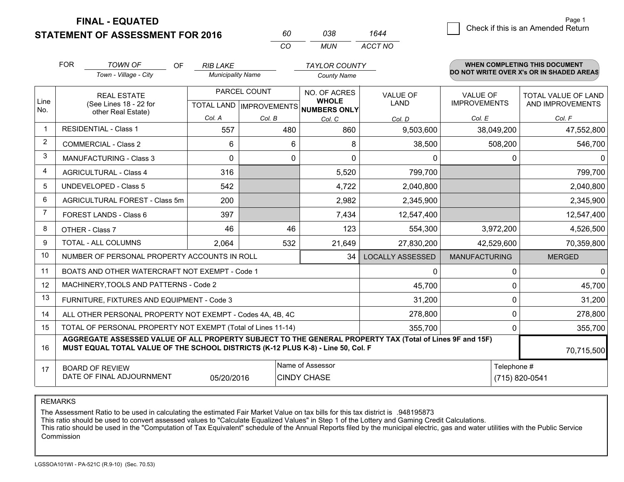**FINAL - EQUATED**

**STATEMENT OF ASSESSMENT FOR 2016** 

| 60  | กาล | 1644    |
|-----|-----|---------|
| CO. | MUN | ACCT NO |

|                | <b>FOR</b>                                                                                                                                                                                   | <b>TOWN OF</b><br><b>OF</b><br>Town - Village - City               | <b>RIB LAKE</b><br><b>Municipality Name</b> |                                                      | <b>TAYLOR COUNTY</b><br><b>County Name</b>             |                                   |                                                  | <b>WHEN COMPLETING THIS DOCUMENT</b><br>DO NOT WRITE OVER X's OR IN SHADED AREAS |
|----------------|----------------------------------------------------------------------------------------------------------------------------------------------------------------------------------------------|--------------------------------------------------------------------|---------------------------------------------|------------------------------------------------------|--------------------------------------------------------|-----------------------------------|--------------------------------------------------|----------------------------------------------------------------------------------|
| Line<br>No.    |                                                                                                                                                                                              | <b>REAL ESTATE</b><br>(See Lines 18 - 22 for<br>other Real Estate) | Col. A                                      | PARCEL COUNT<br>TOTAL LAND   IMPROVEMENTS <br>Col. B | NO. OF ACRES<br><b>WHOLE</b><br>NUMBERS ONLY<br>Col. C | <b>VALUE OF</b><br>LAND<br>Col. D | <b>VALUE OF</b><br><b>IMPROVEMENTS</b><br>Col. E | <b>TOTAL VALUE OF LAND</b><br>AND IMPROVEMENTS<br>Col. F                         |
|                |                                                                                                                                                                                              | <b>RESIDENTIAL - Class 1</b>                                       | 557                                         | 480                                                  | 860                                                    | 9,503,600                         | 38,049,200                                       | 47,552,800                                                                       |
| 2              |                                                                                                                                                                                              | <b>COMMERCIAL - Class 2</b>                                        | 6                                           | 6                                                    | 8                                                      | 38,500                            | 508,200                                          | 546,700                                                                          |
| 3              |                                                                                                                                                                                              | <b>MANUFACTURING - Class 3</b>                                     | $\Omega$                                    | 0                                                    | $\mathbf 0$                                            | 0                                 | 0                                                | $\Omega$                                                                         |
| 4              |                                                                                                                                                                                              | <b>AGRICULTURAL - Class 4</b>                                      | 316                                         |                                                      | 5,520                                                  | 799,700                           |                                                  | 799,700                                                                          |
| 5              |                                                                                                                                                                                              | UNDEVELOPED - Class 5                                              | 542                                         |                                                      | 4,722                                                  | 2,040,800                         |                                                  | 2,040,800                                                                        |
| 6              |                                                                                                                                                                                              | AGRICULTURAL FOREST - Class 5m                                     | 200                                         |                                                      | 2,982                                                  | 2,345,900                         |                                                  | 2,345,900                                                                        |
| $\overline{7}$ |                                                                                                                                                                                              | FOREST LANDS - Class 6                                             | 397                                         |                                                      | 7,434                                                  | 12,547,400                        |                                                  | 12,547,400                                                                       |
| 8              |                                                                                                                                                                                              | OTHER - Class 7                                                    | 46                                          | 46                                                   | 123                                                    | 554,300                           | 3,972,200                                        | 4,526,500                                                                        |
| 9              |                                                                                                                                                                                              | TOTAL - ALL COLUMNS                                                | 2,064                                       | 532                                                  | 21,649                                                 | 27,830,200                        | 42,529,600                                       | 70,359,800                                                                       |
| 10             |                                                                                                                                                                                              | NUMBER OF PERSONAL PROPERTY ACCOUNTS IN ROLL                       |                                             |                                                      | 34                                                     | <b>LOCALLY ASSESSED</b>           | <b>MANUFACTURING</b>                             | <b>MERGED</b>                                                                    |
| 11             |                                                                                                                                                                                              | BOATS AND OTHER WATERCRAFT NOT EXEMPT - Code 1                     |                                             |                                                      |                                                        | 0                                 | 0                                                | $\overline{0}$                                                                   |
| 12             |                                                                                                                                                                                              | MACHINERY, TOOLS AND PATTERNS - Code 2                             |                                             |                                                      |                                                        | 45,700                            | 0                                                | 45,700                                                                           |
| 13             |                                                                                                                                                                                              | FURNITURE, FIXTURES AND EQUIPMENT - Code 3                         |                                             |                                                      |                                                        | 31,200                            | 0                                                | 31,200                                                                           |
| 14             |                                                                                                                                                                                              | ALL OTHER PERSONAL PROPERTY NOT EXEMPT - Codes 4A, 4B, 4C          |                                             |                                                      |                                                        | 278,800                           | 0                                                | 278,800                                                                          |
| 15             | TOTAL OF PERSONAL PROPERTY NOT EXEMPT (Total of Lines 11-14)<br>355,700                                                                                                                      |                                                                    |                                             |                                                      |                                                        |                                   |                                                  | 355,700                                                                          |
| 16             | AGGREGATE ASSESSED VALUE OF ALL PROPERTY SUBJECT TO THE GENERAL PROPERTY TAX (Total of Lines 9F and 15F)<br>MUST EQUAL TOTAL VALUE OF THE SCHOOL DISTRICTS (K-12 PLUS K-8) - Line 50, Col. F |                                                                    |                                             |                                                      |                                                        |                                   | 70,715,500                                       |                                                                                  |
| 17             | Name of Assessor<br><b>BOARD OF REVIEW</b><br>DATE OF FINAL ADJOURNMENT<br>05/20/2016<br><b>CINDY CHASE</b>                                                                                  |                                                                    |                                             |                                                      |                                                        | Telephone #                       | (715) 820-0541                                   |                                                                                  |

REMARKS

The Assessment Ratio to be used in calculating the estimated Fair Market Value on tax bills for this tax district is .948195873

This ratio should be used to convert assessed values to "Calculate Equalized Values" in Step 1 of the Lottery and Gaming Credit Calculations.<br>This ratio should be used in the "Computation of Tax Equivalent" schedule of the Commission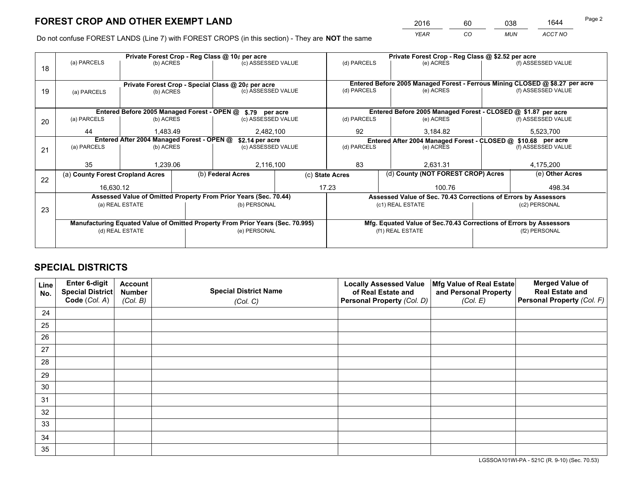*YEAR CO MUN ACCT NO* <sup>2016</sup> <sup>60</sup> <sup>038</sup> <sup>1644</sup>

Do not confuse FOREST LANDS (Line 7) with FOREST CROPS (in this section) - They are **NOT** the same

|    |                                                                                |           |  | Private Forest Crop - Reg Class @ 10¢ per acre                   |  | Private Forest Crop - Reg Class @ \$2.52 per acre             |                                                       |           |                    |                                                                              |
|----|--------------------------------------------------------------------------------|-----------|--|------------------------------------------------------------------|--|---------------------------------------------------------------|-------------------------------------------------------|-----------|--------------------|------------------------------------------------------------------------------|
| 18 | (a) PARCELS                                                                    | (b) ACRES |  | (c) ASSESSED VALUE                                               |  | (d) PARCELS                                                   |                                                       | (e) ACRES |                    | (f) ASSESSED VALUE                                                           |
|    | Private Forest Crop - Special Class @ 20¢ per acre                             |           |  |                                                                  |  |                                                               |                                                       |           |                    | Entered Before 2005 Managed Forest - Ferrous Mining CLOSED @ \$8.27 per acre |
| 19 | (b) ACRES<br>(a) PARCELS                                                       |           |  | (d) PARCELS<br>(c) ASSESSED VALUE                                |  |                                                               | (e) ACRES                                             |           | (f) ASSESSED VALUE |                                                                              |
|    |                                                                                |           |  | Entered Before 2005 Managed Forest - OPEN @ \$.79 per acre       |  |                                                               |                                                       |           |                    | Entered Before 2005 Managed Forest - CLOSED @ \$1.87 per acre                |
| 20 | (a) PARCELS                                                                    | (b) ACRES |  | (c) ASSESSED VALUE                                               |  | (d) PARCELS                                                   |                                                       | (e) ACRES |                    | (f) ASSESSED VALUE                                                           |
|    | 44                                                                             | 1,483.49  |  | 2,482,100                                                        |  | 92<br>3,184.82                                                |                                                       |           | 5,523,700          |                                                                              |
|    | Entered After 2004 Managed Forest - OPEN @<br>\$2.14 per acre                  |           |  |                                                                  |  | Entered After 2004 Managed Forest - CLOSED @ \$10.68 per acre |                                                       |           |                    |                                                                              |
| 21 | (a) PARCELS                                                                    | (b) ACRES |  | (c) ASSESSED VALUE                                               |  | (d) PARCELS                                                   |                                                       | (e) ACRES |                    | (f) ASSESSED VALUE                                                           |
|    |                                                                                |           |  |                                                                  |  |                                                               |                                                       |           |                    |                                                                              |
|    | 35                                                                             | 1,239.06  |  | 2,116,100                                                        |  | 83<br>2.631.31                                                |                                                       |           | 4,175,200          |                                                                              |
| 22 | (a) County Forest Cropland Acres                                               |           |  | (b) Federal Acres                                                |  |                                                               | (d) County (NOT FOREST CROP) Acres<br>(c) State Acres |           |                    | (e) Other Acres                                                              |
|    | 16,630.12                                                                      |           |  |                                                                  |  | 17.23                                                         |                                                       | 100.76    |                    | 498.34                                                                       |
|    |                                                                                |           |  | Assessed Value of Omitted Property From Prior Years (Sec. 70.44) |  |                                                               |                                                       |           |                    | Assessed Value of Sec. 70.43 Corrections of Errors by Assessors              |
| 23 | (a) REAL ESTATE<br>(b) PERSONAL                                                |           |  | (c1) REAL ESTATE<br>(c2) PERSONAL                                |  |                                                               |                                                       |           |                    |                                                                              |
|    | Manufacturing Equated Value of Omitted Property From Prior Years (Sec. 70.995) |           |  |                                                                  |  |                                                               |                                                       |           |                    | Mfg. Equated Value of Sec.70.43 Corrections of Errors by Assessors           |
|    | (d) REAL ESTATE                                                                |           |  | (e) PERSONAL                                                     |  | (f1) REAL ESTATE                                              |                                                       |           | (f2) PERSONAL      |                                                                              |
|    |                                                                                |           |  |                                                                  |  |                                                               |                                                       |           |                    |                                                                              |

## **SPECIAL DISTRICTS**

| Line<br>No. | Enter 6-digit<br><b>Special District</b> | <b>Account</b><br><b>Number</b> | <b>Special District Name</b> | <b>Locally Assessed Value</b><br>of Real Estate and | Mfg Value of Real Estate<br>and Personal Property | <b>Merged Value of</b><br><b>Real Estate and</b> |
|-------------|------------------------------------------|---------------------------------|------------------------------|-----------------------------------------------------|---------------------------------------------------|--------------------------------------------------|
|             | Code (Col. A)                            | (Col. B)                        | (Col. C)                     | Personal Property (Col. D)                          | (Col. E)                                          | Personal Property (Col. F)                       |
| 24          |                                          |                                 |                              |                                                     |                                                   |                                                  |
| 25          |                                          |                                 |                              |                                                     |                                                   |                                                  |
| 26          |                                          |                                 |                              |                                                     |                                                   |                                                  |
| 27          |                                          |                                 |                              |                                                     |                                                   |                                                  |
| 28          |                                          |                                 |                              |                                                     |                                                   |                                                  |
| 29          |                                          |                                 |                              |                                                     |                                                   |                                                  |
| 30          |                                          |                                 |                              |                                                     |                                                   |                                                  |
| 31          |                                          |                                 |                              |                                                     |                                                   |                                                  |
| 32          |                                          |                                 |                              |                                                     |                                                   |                                                  |
| 33          |                                          |                                 |                              |                                                     |                                                   |                                                  |
| 34          |                                          |                                 |                              |                                                     |                                                   |                                                  |
| 35          |                                          |                                 |                              |                                                     |                                                   |                                                  |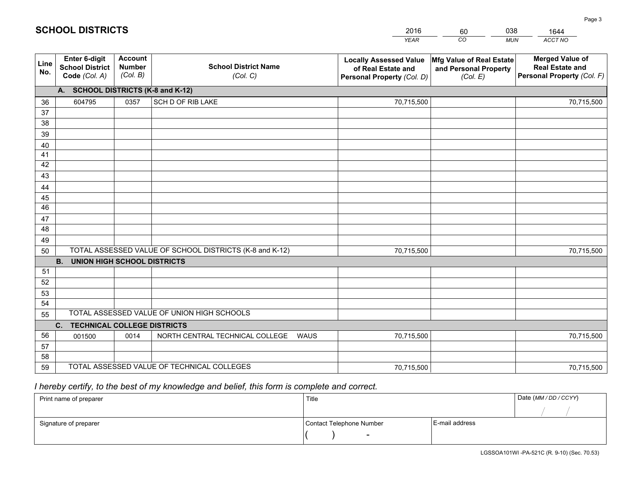|             |                                                          |                                             |                                                         | <b>YEAR</b>                                                                       | CO<br><b>MUN</b>                                              | ACCT NO                                                                        |
|-------------|----------------------------------------------------------|---------------------------------------------|---------------------------------------------------------|-----------------------------------------------------------------------------------|---------------------------------------------------------------|--------------------------------------------------------------------------------|
| Line<br>No. | Enter 6-digit<br><b>School District</b><br>Code (Col. A) | <b>Account</b><br><b>Number</b><br>(Col. B) | <b>School District Name</b><br>(Col. C)                 | <b>Locally Assessed Value</b><br>of Real Estate and<br>Personal Property (Col. D) | Mfg Value of Real Estate<br>and Personal Property<br>(Col. E) | <b>Merged Value of</b><br><b>Real Estate and</b><br>Personal Property (Col. F) |
|             | A. SCHOOL DISTRICTS (K-8 and K-12)                       |                                             |                                                         |                                                                                   |                                                               |                                                                                |
| 36          | 604795                                                   | 0357                                        | SCH D OF RIB LAKE                                       | 70,715,500                                                                        |                                                               | 70,715,500                                                                     |
| 37          |                                                          |                                             |                                                         |                                                                                   |                                                               |                                                                                |
| 38          |                                                          |                                             |                                                         |                                                                                   |                                                               |                                                                                |
| 39          |                                                          |                                             |                                                         |                                                                                   |                                                               |                                                                                |
| 40          |                                                          |                                             |                                                         |                                                                                   |                                                               |                                                                                |
| 41          |                                                          |                                             |                                                         |                                                                                   |                                                               |                                                                                |
| 42          |                                                          |                                             |                                                         |                                                                                   |                                                               |                                                                                |
| 43          |                                                          |                                             |                                                         |                                                                                   |                                                               |                                                                                |
| 44          |                                                          |                                             |                                                         |                                                                                   |                                                               |                                                                                |
| 45<br>46    |                                                          |                                             |                                                         |                                                                                   |                                                               |                                                                                |
|             |                                                          |                                             |                                                         |                                                                                   |                                                               |                                                                                |
| 47<br>48    |                                                          |                                             |                                                         |                                                                                   |                                                               |                                                                                |
| 49          |                                                          |                                             |                                                         |                                                                                   |                                                               |                                                                                |
| 50          |                                                          |                                             | TOTAL ASSESSED VALUE OF SCHOOL DISTRICTS (K-8 and K-12) | 70,715,500                                                                        |                                                               | 70,715,500                                                                     |
|             | <b>UNION HIGH SCHOOL DISTRICTS</b><br><b>B.</b>          |                                             |                                                         |                                                                                   |                                                               |                                                                                |
| 51          |                                                          |                                             |                                                         |                                                                                   |                                                               |                                                                                |
| 52          |                                                          |                                             |                                                         |                                                                                   |                                                               |                                                                                |
| 53          |                                                          |                                             |                                                         |                                                                                   |                                                               |                                                                                |
| 54          |                                                          |                                             |                                                         |                                                                                   |                                                               |                                                                                |
| 55          |                                                          |                                             | TOTAL ASSESSED VALUE OF UNION HIGH SCHOOLS              |                                                                                   |                                                               |                                                                                |
|             | $C_{1}$<br><b>TECHNICAL COLLEGE DISTRICTS</b>            |                                             |                                                         |                                                                                   |                                                               |                                                                                |
| 56          | 001500                                                   | 0014                                        | NORTH CENTRAL TECHNICAL COLLEGE<br><b>WAUS</b>          | 70,715,500                                                                        |                                                               | 70,715,500                                                                     |
| 57          |                                                          |                                             |                                                         |                                                                                   |                                                               |                                                                                |
| 58          |                                                          |                                             |                                                         |                                                                                   |                                                               |                                                                                |
| 59          |                                                          |                                             | TOTAL ASSESSED VALUE OF TECHNICAL COLLEGES              | 70,715,500                                                                        |                                                               | 70,715,500                                                                     |

60

038

 *I hereby certify, to the best of my knowledge and belief, this form is complete and correct.*

**SCHOOL DISTRICTS**

| Print name of preparer | Title                    |                | Date (MM / DD / CCYY) |
|------------------------|--------------------------|----------------|-----------------------|
|                        |                          |                |                       |
| Signature of preparer  | Contact Telephone Number | E-mail address |                       |
|                        | $\overline{\phantom{0}}$ |                |                       |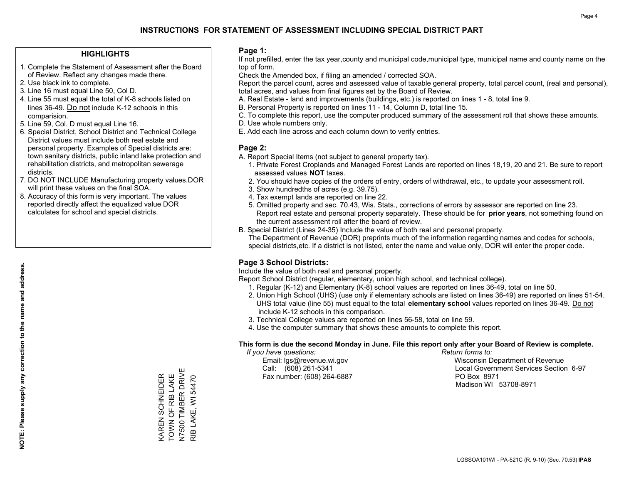### **HIGHLIGHTS**

- 1. Complete the Statement of Assessment after the Board of Review. Reflect any changes made there.
- 2. Use black ink to complete.
- 3. Line 16 must equal Line 50, Col D.
- 4. Line 55 must equal the total of K-8 schools listed on lines 36-49. Do not include K-12 schools in this comparision.
- 5. Line 59, Col. D must equal Line 16.
- 6. Special District, School District and Technical College District values must include both real estate and personal property. Examples of Special districts are: town sanitary districts, public inland lake protection and rehabilitation districts, and metropolitan sewerage districts.
- 7. DO NOT INCLUDE Manufacturing property values.DOR will print these values on the final SOA.
- 8. Accuracy of this form is very important. The values reported directly affect the equalized value DOR calculates for school and special districts.

### **Page 1:**

 If not prefilled, enter the tax year,county and municipal code,municipal type, municipal name and county name on the top of form.

Check the Amended box, if filing an amended / corrected SOA.

 Report the parcel count, acres and assessed value of taxable general property, total parcel count, (real and personal), total acres, and values from final figures set by the Board of Review.

- A. Real Estate land and improvements (buildings, etc.) is reported on lines 1 8, total line 9.
- B. Personal Property is reported on lines 11 14, Column D, total line 15.
- C. To complete this report, use the computer produced summary of the assessment roll that shows these amounts.
- D. Use whole numbers only.
- E. Add each line across and each column down to verify entries.

### **Page 2:**

- A. Report Special Items (not subject to general property tax).
- 1. Private Forest Croplands and Managed Forest Lands are reported on lines 18,19, 20 and 21. Be sure to report assessed values **NOT** taxes.
- 2. You should have copies of the orders of entry, orders of withdrawal, etc., to update your assessment roll.
	- 3. Show hundredths of acres (e.g. 39.75).
- 4. Tax exempt lands are reported on line 22.
- 5. Omitted property and sec. 70.43, Wis. Stats., corrections of errors by assessor are reported on line 23. Report real estate and personal property separately. These should be for **prior years**, not something found on the current assessment roll after the board of review.
- B. Special District (Lines 24-35) Include the value of both real and personal property.
- The Department of Revenue (DOR) preprints much of the information regarding names and codes for schools, special districts,etc. If a district is not listed, enter the name and value only, DOR will enter the proper code.

## **Page 3 School Districts:**

Include the value of both real and personal property.

Report School District (regular, elementary, union high school, and technical college).

- 1. Regular (K-12) and Elementary (K-8) school values are reported on lines 36-49, total on line 50.
- 2. Union High School (UHS) (use only if elementary schools are listed on lines 36-49) are reported on lines 51-54. UHS total value (line 55) must equal to the total **elementary school** values reported on lines 36-49. Do notinclude K-12 schools in this comparison.
- 3. Technical College values are reported on lines 56-58, total on line 59.
- 4. Use the computer summary that shows these amounts to complete this report.

#### **This form is due the second Monday in June. File this report only after your Board of Review is complete.**

 *If you have questions: Return forms to:*

Fax number: (608) 264-6887 PO Box 8971

 Email: lgs@revenue.wi.gov Wisconsin Department of Revenue Call: (608) 261-5341 Local Government Services Section 6-97Madison WI 53708-8971

KAREN SCHNEIDER<br>TOWN OF RIB LAKE<br>N7500 TIMBER DRIVE N7500 TIMBER DRIVE TOWN OF RIB LAKE KAREN SCHNEIDER RIB LAKE, WI 54470 RIB LAKE, WI 54470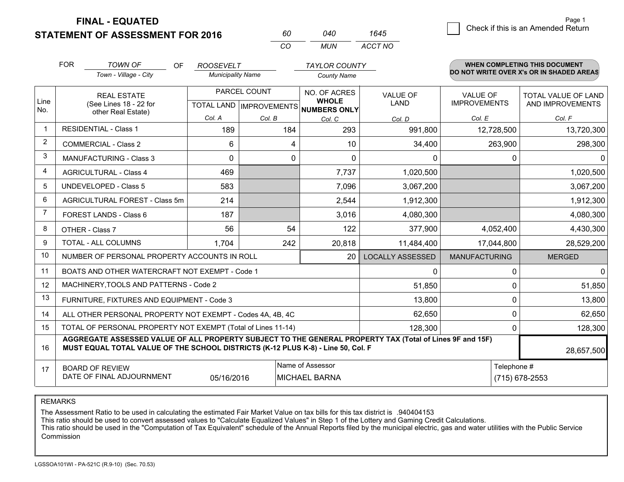**STATEMENT OF ASSESSMENT FOR 2016** 

**FINAL - EQUATED**

|                | <b>FOR</b>                                                                                                                                                                                   | <b>TOWN OF</b><br><b>OF</b><br>Town - Village - City         | <b>ROOSEVELT</b><br><b>Municipality Name</b> |                                           | <b>TAYLOR COUNTY</b><br><b>County Name</b>   |                         |                                 | WHEN COMPLETING THIS DOCUMENT<br>DO NOT WRITE OVER X's OR IN SHADED AREAS |
|----------------|----------------------------------------------------------------------------------------------------------------------------------------------------------------------------------------------|--------------------------------------------------------------|----------------------------------------------|-------------------------------------------|----------------------------------------------|-------------------------|---------------------------------|---------------------------------------------------------------------------|
| Line<br>No.    |                                                                                                                                                                                              | <b>REAL ESTATE</b><br>(See Lines 18 - 22 for                 |                                              | PARCEL COUNT<br>TOTAL LAND   IMPROVEMENTS | NO. OF ACRES<br><b>WHOLE</b><br>NUMBERS ONLY | <b>VALUE OF</b><br>LAND | VALUE OF<br><b>IMPROVEMENTS</b> | TOTAL VALUE OF LAND<br>AND IMPROVEMENTS                                   |
|                |                                                                                                                                                                                              | other Real Estate)                                           | Col. A                                       | Col. B                                    | Col. C                                       | Col. D                  | Col. E                          | Col. F                                                                    |
| $\mathbf 1$    |                                                                                                                                                                                              | <b>RESIDENTIAL - Class 1</b>                                 | 189                                          | 184                                       | 293                                          | 991,800                 | 12,728,500                      | 13,720,300                                                                |
| 2              |                                                                                                                                                                                              | <b>COMMERCIAL - Class 2</b>                                  | 6                                            |                                           | 10<br>4                                      | 34,400                  | 263,900                         | 298,300                                                                   |
| 3              |                                                                                                                                                                                              | <b>MANUFACTURING - Class 3</b>                               | $\Omega$                                     |                                           | 0<br>$\Omega$                                | $\Omega$                | 0                               | $\Omega$                                                                  |
| 4              |                                                                                                                                                                                              | <b>AGRICULTURAL - Class 4</b>                                | 469                                          |                                           | 7,737                                        | 1,020,500               |                                 | 1,020,500                                                                 |
| 5              |                                                                                                                                                                                              | <b>UNDEVELOPED - Class 5</b>                                 | 583                                          |                                           | 7,096                                        | 3,067,200               |                                 | 3,067,200                                                                 |
| 6              |                                                                                                                                                                                              | AGRICULTURAL FOREST - Class 5m                               | 214                                          |                                           | 2,544                                        | 1,912,300               |                                 | 1,912,300                                                                 |
| $\overline{7}$ |                                                                                                                                                                                              | FOREST LANDS - Class 6                                       | 187                                          |                                           | 3,016                                        | 4,080,300               |                                 | 4,080,300                                                                 |
| 8              |                                                                                                                                                                                              | OTHER - Class 7                                              | 56                                           | 54                                        | 122                                          | 377,900                 | 4,052,400                       | 4,430,300                                                                 |
| 9              |                                                                                                                                                                                              | TOTAL - ALL COLUMNS                                          | 1,704                                        | 242                                       | 20,818                                       | 11,484,400              | 17,044,800                      | 28,529,200                                                                |
| 10             |                                                                                                                                                                                              | NUMBER OF PERSONAL PROPERTY ACCOUNTS IN ROLL                 |                                              |                                           | 20                                           | <b>LOCALLY ASSESSED</b> | <b>MANUFACTURING</b>            | <b>MERGED</b>                                                             |
| 11             |                                                                                                                                                                                              | BOATS AND OTHER WATERCRAFT NOT EXEMPT - Code 1               |                                              |                                           |                                              | 0                       | 0                               | $\Omega$                                                                  |
| 12             |                                                                                                                                                                                              | MACHINERY, TOOLS AND PATTERNS - Code 2                       |                                              |                                           |                                              | 51,850                  | $\Omega$                        | 51,850                                                                    |
| 13             |                                                                                                                                                                                              | FURNITURE, FIXTURES AND EQUIPMENT - Code 3                   |                                              |                                           |                                              | 13,800                  | 0                               | 13,800                                                                    |
| 14             |                                                                                                                                                                                              | ALL OTHER PERSONAL PROPERTY NOT EXEMPT - Codes 4A, 4B, 4C    |                                              |                                           |                                              | 62,650                  | 0                               | 62,650                                                                    |
| 15             |                                                                                                                                                                                              | TOTAL OF PERSONAL PROPERTY NOT EXEMPT (Total of Lines 11-14) |                                              |                                           | 128,300                                      | 0                       | 128,300                         |                                                                           |
| 16             | AGGREGATE ASSESSED VALUE OF ALL PROPERTY SUBJECT TO THE GENERAL PROPERTY TAX (Total of Lines 9F and 15F)<br>MUST EQUAL TOTAL VALUE OF THE SCHOOL DISTRICTS (K-12 PLUS K-8) - Line 50, Col. F |                                                              |                                              |                                           |                                              |                         | 28,657,500                      |                                                                           |
| 17             |                                                                                                                                                                                              | <b>BOARD OF REVIEW</b>                                       |                                              |                                           | Name of Assessor                             |                         | Telephone #                     |                                                                           |
|                |                                                                                                                                                                                              | DATE OF FINAL ADJOURNMENT                                    | 05/16/2016                                   |                                           | <b>MICHAEL BARNA</b>                         |                         |                                 | (715) 678-2553                                                            |

*CO*

*MUN*

*ACCT NO1645*

*<sup>60</sup> <sup>040</sup>*

REMARKS

The Assessment Ratio to be used in calculating the estimated Fair Market Value on tax bills for this tax district is .940404153<br>This ratio should be used to convert assessed values to "Calculate Equalized Values" in Step 1 Commission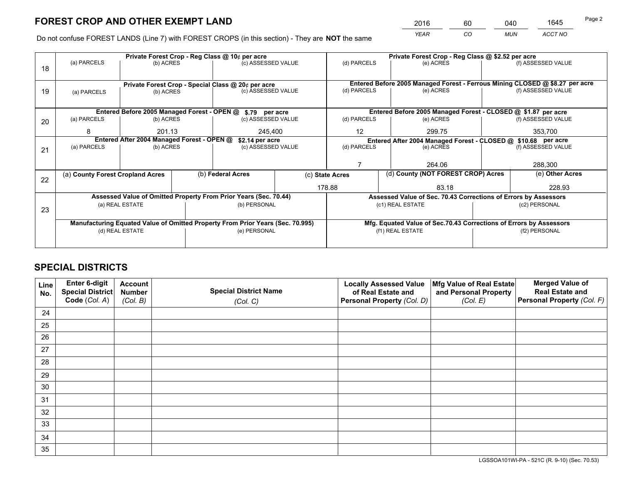*YEAR CO MUN ACCT NO* <sup>2016</sup> <sup>60</sup> <sup>040</sup> <sup>1645</sup>

Do not confuse FOREST LANDS (Line 7) with FOREST CROPS (in this section) - They are **NOT** the same

|    |                                                                                |                 |  | Private Forest Crop - Reg Class @ 10¢ per acre                           |  | Private Forest Crop - Reg Class @ \$2.52 per acre |                                                                              |         |                    |
|----|--------------------------------------------------------------------------------|-----------------|--|--------------------------------------------------------------------------|--|---------------------------------------------------|------------------------------------------------------------------------------|---------|--------------------|
| 18 | (a) PARCELS                                                                    | (b) ACRES       |  | (c) ASSESSED VALUE                                                       |  | (d) PARCELS                                       | (e) ACRES                                                                    |         | (f) ASSESSED VALUE |
|    |                                                                                |                 |  |                                                                          |  |                                                   | Entered Before 2005 Managed Forest - Ferrous Mining CLOSED @ \$8.27 per acre |         |                    |
| 19 | (a) PARCELS                                                                    | (b) ACRES       |  | Private Forest Crop - Special Class @ 20¢ per acre<br>(c) ASSESSED VALUE |  | (d) PARCELS                                       | (e) ACRES                                                                    |         | (f) ASSESSED VALUE |
|    |                                                                                |                 |  |                                                                          |  |                                                   |                                                                              |         |                    |
|    |                                                                                |                 |  | Entered Before 2005 Managed Forest - OPEN @ \$.79 per acre               |  |                                                   | Entered Before 2005 Managed Forest - CLOSED @ \$1.87 per acre                |         |                    |
| 20 | (a) PARCELS                                                                    | (b) ACRES       |  | (c) ASSESSED VALUE                                                       |  | (d) PARCELS                                       | (e) ACRES                                                                    |         | (f) ASSESSED VALUE |
|    | 8                                                                              | 201.13          |  | 245,400                                                                  |  | 12<br>299.75                                      |                                                                              | 353,700 |                    |
|    | Entered After 2004 Managed Forest - OPEN @<br>\$2.14 per acre                  |                 |  |                                                                          |  |                                                   | Entered After 2004 Managed Forest - CLOSED @ \$10.68 per acre                |         |                    |
| 21 | (a) PARCELS                                                                    | (b) ACRES       |  | (c) ASSESSED VALUE                                                       |  | (d) PARCELS                                       | (e) ACRES                                                                    |         |                    |
|    |                                                                                |                 |  |                                                                          |  |                                                   |                                                                              |         |                    |
|    |                                                                                |                 |  |                                                                          |  | 264.06                                            |                                                                              | 288,300 |                    |
| 22 | (a) County Forest Cropland Acres                                               |                 |  | (b) Federal Acres                                                        |  | (c) State Acres                                   | (d) County (NOT FOREST CROP) Acres                                           |         | (e) Other Acres    |
|    |                                                                                |                 |  |                                                                          |  | 178.88                                            | 83.18                                                                        |         | 228.93             |
|    |                                                                                |                 |  | Assessed Value of Omitted Property From Prior Years (Sec. 70.44)         |  |                                                   | Assessed Value of Sec. 70.43 Corrections of Errors by Assessors              |         |                    |
| 23 |                                                                                | (a) REAL ESTATE |  | (b) PERSONAL                                                             |  |                                                   | (c1) REAL ESTATE                                                             |         | (c2) PERSONAL      |
|    |                                                                                |                 |  |                                                                          |  |                                                   |                                                                              |         |                    |
|    | Manufacturing Equated Value of Omitted Property From Prior Years (Sec. 70.995) |                 |  |                                                                          |  |                                                   | Mfg. Equated Value of Sec.70.43 Corrections of Errors by Assessors           |         |                    |
|    |                                                                                | (d) REAL ESTATE |  | (e) PERSONAL                                                             |  |                                                   | (f1) REAL ESTATE                                                             |         | (f2) PERSONAL      |
|    |                                                                                |                 |  |                                                                          |  |                                                   |                                                                              |         |                    |

## **SPECIAL DISTRICTS**

| Line<br>No. | Enter 6-digit<br><b>Special District</b> | <b>Account</b><br><b>Number</b> | <b>Special District Name</b> | <b>Locally Assessed Value</b><br>of Real Estate and | Mfg Value of Real Estate<br>and Personal Property | <b>Merged Value of</b><br><b>Real Estate and</b> |
|-------------|------------------------------------------|---------------------------------|------------------------------|-----------------------------------------------------|---------------------------------------------------|--------------------------------------------------|
|             | Code (Col. A)                            | (Col. B)                        | (Col. C)                     | Personal Property (Col. D)                          | (Col. E)                                          | Personal Property (Col. F)                       |
| 24          |                                          |                                 |                              |                                                     |                                                   |                                                  |
| 25          |                                          |                                 |                              |                                                     |                                                   |                                                  |
| 26          |                                          |                                 |                              |                                                     |                                                   |                                                  |
| 27          |                                          |                                 |                              |                                                     |                                                   |                                                  |
| 28          |                                          |                                 |                              |                                                     |                                                   |                                                  |
| 29          |                                          |                                 |                              |                                                     |                                                   |                                                  |
| 30          |                                          |                                 |                              |                                                     |                                                   |                                                  |
| 31          |                                          |                                 |                              |                                                     |                                                   |                                                  |
| 32          |                                          |                                 |                              |                                                     |                                                   |                                                  |
| 33          |                                          |                                 |                              |                                                     |                                                   |                                                  |
| 34          |                                          |                                 |                              |                                                     |                                                   |                                                  |
| 35          |                                          |                                 |                              |                                                     |                                                   |                                                  |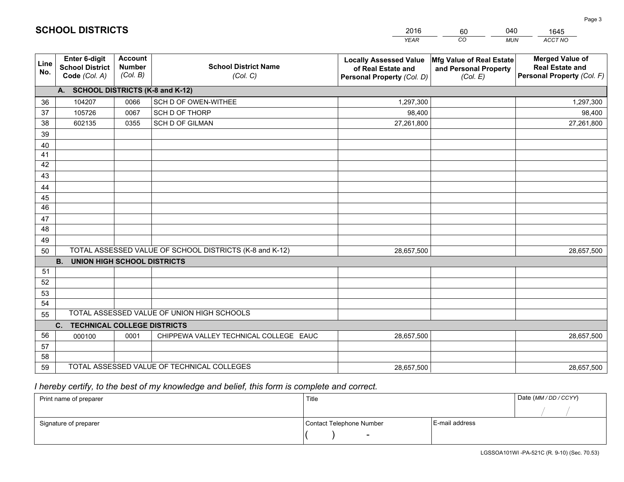|             |                                                          |                                             |                                                         | <b>YEAR</b>                                                                       | CO<br><b>MUN</b>                                              | ACCT NO                                                                        |
|-------------|----------------------------------------------------------|---------------------------------------------|---------------------------------------------------------|-----------------------------------------------------------------------------------|---------------------------------------------------------------|--------------------------------------------------------------------------------|
| Line<br>No. | Enter 6-digit<br><b>School District</b><br>Code (Col. A) | <b>Account</b><br><b>Number</b><br>(Col. B) | <b>School District Name</b><br>(Col. C)                 | <b>Locally Assessed Value</b><br>of Real Estate and<br>Personal Property (Col. D) | Mfg Value of Real Estate<br>and Personal Property<br>(Col. E) | <b>Merged Value of</b><br><b>Real Estate and</b><br>Personal Property (Col. F) |
|             | A. SCHOOL DISTRICTS (K-8 and K-12)                       |                                             |                                                         |                                                                                   |                                                               |                                                                                |
| 36          | 104207                                                   | 0066                                        | SCH D OF OWEN-WITHEE                                    | 1,297,300                                                                         |                                                               | 1,297,300                                                                      |
| 37          | 105726                                                   | 0067                                        | SCH D OF THORP                                          | 98,400                                                                            |                                                               | 98,400                                                                         |
| 38          | 602135                                                   | 0355                                        | <b>SCH D OF GILMAN</b>                                  | 27,261,800                                                                        |                                                               | 27,261,800                                                                     |
| 39          |                                                          |                                             |                                                         |                                                                                   |                                                               |                                                                                |
| 40          |                                                          |                                             |                                                         |                                                                                   |                                                               |                                                                                |
| 41          |                                                          |                                             |                                                         |                                                                                   |                                                               |                                                                                |
| 42          |                                                          |                                             |                                                         |                                                                                   |                                                               |                                                                                |
| 43          |                                                          |                                             |                                                         |                                                                                   |                                                               |                                                                                |
| 44          |                                                          |                                             |                                                         |                                                                                   |                                                               |                                                                                |
| 45          |                                                          |                                             |                                                         |                                                                                   |                                                               |                                                                                |
| 46          |                                                          |                                             |                                                         |                                                                                   |                                                               |                                                                                |
| 47          |                                                          |                                             |                                                         |                                                                                   |                                                               |                                                                                |
| 48          |                                                          |                                             |                                                         |                                                                                   |                                                               |                                                                                |
| 49          |                                                          |                                             |                                                         |                                                                                   |                                                               |                                                                                |
| 50          |                                                          |                                             | TOTAL ASSESSED VALUE OF SCHOOL DISTRICTS (K-8 and K-12) | 28,657,500                                                                        |                                                               | 28,657,500                                                                     |
| 51          | <b>B.</b><br><b>UNION HIGH SCHOOL DISTRICTS</b>          |                                             |                                                         |                                                                                   |                                                               |                                                                                |
| 52          |                                                          |                                             |                                                         |                                                                                   |                                                               |                                                                                |
| 53          |                                                          |                                             |                                                         |                                                                                   |                                                               |                                                                                |
| 54          |                                                          |                                             |                                                         |                                                                                   |                                                               |                                                                                |
| 55          |                                                          |                                             | TOTAL ASSESSED VALUE OF UNION HIGH SCHOOLS              |                                                                                   |                                                               |                                                                                |
|             | C. TECHNICAL COLLEGE DISTRICTS                           |                                             |                                                         |                                                                                   |                                                               |                                                                                |
| 56          | 000100                                                   | 0001                                        | CHIPPEWA VALLEY TECHNICAL COLLEGE EAUC                  | 28,657,500                                                                        |                                                               | 28,657,500                                                                     |
| 57          |                                                          |                                             |                                                         |                                                                                   |                                                               |                                                                                |
| 58          |                                                          |                                             |                                                         |                                                                                   |                                                               |                                                                                |
| 59          |                                                          |                                             | TOTAL ASSESSED VALUE OF TECHNICAL COLLEGES              | 28,657,500                                                                        |                                                               | 28,657,500                                                                     |

60

040

 *I hereby certify, to the best of my knowledge and belief, this form is complete and correct.*

**SCHOOL DISTRICTS**

| Print name of preparer | Title                    |                | Date (MM / DD / CCYY) |
|------------------------|--------------------------|----------------|-----------------------|
|                        |                          |                |                       |
| Signature of preparer  | Contact Telephone Number | E-mail address |                       |
|                        |                          |                |                       |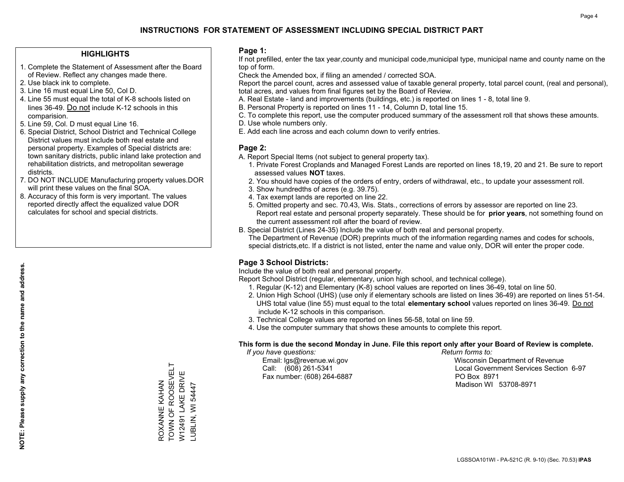### **HIGHLIGHTS**

- 1. Complete the Statement of Assessment after the Board of Review. Reflect any changes made there.
- 2. Use black ink to complete.
- 3. Line 16 must equal Line 50, Col D.
- 4. Line 55 must equal the total of K-8 schools listed on lines 36-49. Do not include K-12 schools in this comparision.
- 5. Line 59, Col. D must equal Line 16.
- 6. Special District, School District and Technical College District values must include both real estate and personal property. Examples of Special districts are: town sanitary districts, public inland lake protection and rehabilitation districts, and metropolitan sewerage districts.
- 7. DO NOT INCLUDE Manufacturing property values.DOR will print these values on the final SOA.
- 8. Accuracy of this form is very important. The values reported directly affect the equalized value DOR calculates for school and special districts.

### **Page 1:**

 If not prefilled, enter the tax year,county and municipal code,municipal type, municipal name and county name on the top of form.

Check the Amended box, if filing an amended / corrected SOA.

 Report the parcel count, acres and assessed value of taxable general property, total parcel count, (real and personal), total acres, and values from final figures set by the Board of Review.

- A. Real Estate land and improvements (buildings, etc.) is reported on lines 1 8, total line 9.
- B. Personal Property is reported on lines 11 14, Column D, total line 15.
- C. To complete this report, use the computer produced summary of the assessment roll that shows these amounts.
- D. Use whole numbers only.
- E. Add each line across and each column down to verify entries.

### **Page 2:**

- A. Report Special Items (not subject to general property tax).
- 1. Private Forest Croplands and Managed Forest Lands are reported on lines 18,19, 20 and 21. Be sure to report assessed values **NOT** taxes.
- 2. You should have copies of the orders of entry, orders of withdrawal, etc., to update your assessment roll.
	- 3. Show hundredths of acres (e.g. 39.75).
- 4. Tax exempt lands are reported on line 22.
- 5. Omitted property and sec. 70.43, Wis. Stats., corrections of errors by assessor are reported on line 23. Report real estate and personal property separately. These should be for **prior years**, not something found on the current assessment roll after the board of review.
- B. Special District (Lines 24-35) Include the value of both real and personal property.
- The Department of Revenue (DOR) preprints much of the information regarding names and codes for schools, special districts,etc. If a district is not listed, enter the name and value only, DOR will enter the proper code.

## **Page 3 School Districts:**

Include the value of both real and personal property.

Report School District (regular, elementary, union high school, and technical college).

- 1. Regular (K-12) and Elementary (K-8) school values are reported on lines 36-49, total on line 50.
- 2. Union High School (UHS) (use only if elementary schools are listed on lines 36-49) are reported on lines 51-54. UHS total value (line 55) must equal to the total **elementary school** values reported on lines 36-49. Do notinclude K-12 schools in this comparison.
- 3. Technical College values are reported on lines 56-58, total on line 59.
- 4. Use the computer summary that shows these amounts to complete this report.

#### **This form is due the second Monday in June. File this report only after your Board of Review is complete.**

 *If you have questions: Return forms to:*

Fax number: (608) 264-6887 PO Box 8971

 Email: lgs@revenue.wi.gov Wisconsin Department of Revenue Call: (608) 261-5341 Local Government Services Section 6-97Madison WI 53708-8971

TOWN OF ROOSEVELT ROXANNE KAHAN<br>TOWN OF ROOSEVELT W12491 LAKE DRIVE W12491 LAKE DRIVE ROXANNE KAHAN LUBLIN, WI 54447 LUBLIN, WI 54447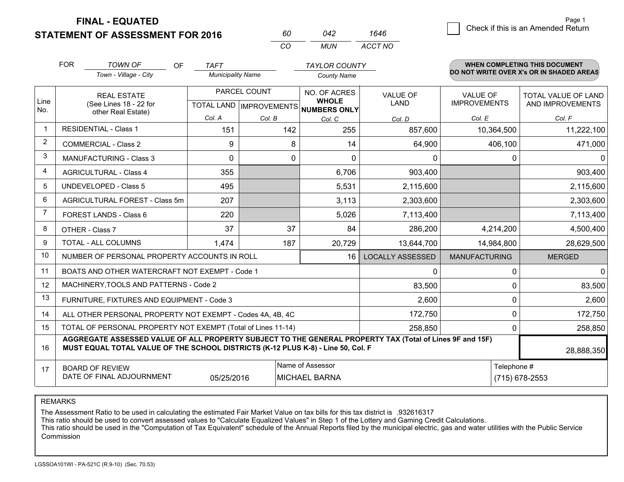**STATEMENT OF FINAL - EQUATED**

FOR

6 **Check if this is an Amended Return** Page 1

**WHEN COMPLETING THIS DOCUMENT**

| <b>ASSESSMENT FOR 2016</b> | 042 |
|----------------------------|-----|
|                            |     |

| 60  | 042 | 1646    |
|-----|-----|---------|
| CO. | MUN | ACCT NO |

|                | <b>FOR</b>                                                                                                    | <b>TOWN OF</b><br>OF                                                                                                                                                                         | <b>TAFT</b>              |                                           | <b>TAYLOR COUNTY</b>                                |                         |                                 | <b>WHEN COMPLETING THIS DOCUMENT</b>     |
|----------------|---------------------------------------------------------------------------------------------------------------|----------------------------------------------------------------------------------------------------------------------------------------------------------------------------------------------|--------------------------|-------------------------------------------|-----------------------------------------------------|-------------------------|---------------------------------|------------------------------------------|
|                |                                                                                                               | Town - Village - City                                                                                                                                                                        | <b>Municipality Name</b> |                                           | <b>County Name</b>                                  |                         |                                 | DO NOT WRITE OVER X's OR IN SHADED AREAS |
| Line<br>No.    |                                                                                                               | <b>REAL ESTATE</b><br>(See Lines 18 - 22 for                                                                                                                                                 |                          | PARCEL COUNT<br>TOTAL LAND   IMPROVEMENTS | NO. OF ACRES<br><b>WHOLE</b><br><b>NUMBERS ONLY</b> | VALUE OF<br><b>LAND</b> | VALUE OF<br><b>IMPROVEMENTS</b> | TOTAL VALUE OF LAND<br>AND IMPROVEMENTS  |
|                |                                                                                                               | other Real Estate)<br>Col. A<br>Col. B                                                                                                                                                       |                          | Col. C                                    | Col. D                                              | Col. E                  | Col. F                          |                                          |
| 1              |                                                                                                               | <b>RESIDENTIAL - Class 1</b>                                                                                                                                                                 | 151                      | 142                                       | 255                                                 | 857,600                 | 10,364,500                      | 11,222,100                               |
| 2              |                                                                                                               | <b>COMMERCIAL - Class 2</b>                                                                                                                                                                  | 9                        | 8                                         | 14                                                  | 64,900                  | 406,100                         | 471,000                                  |
| 3              |                                                                                                               | <b>MANUFACTURING - Class 3</b>                                                                                                                                                               | $\Omega$                 | $\Omega$                                  | $\Omega$                                            | 0                       | 0                               | $\mathbf{0}$                             |
| 4              |                                                                                                               | <b>AGRICULTURAL - Class 4</b>                                                                                                                                                                | 355                      |                                           | 6,706                                               | 903,400                 |                                 | 903,400                                  |
| 5              |                                                                                                               | <b>UNDEVELOPED - Class 5</b>                                                                                                                                                                 | 495                      |                                           | 5,531                                               | 2,115,600               |                                 | 2,115,600                                |
| 6              |                                                                                                               | AGRICULTURAL FOREST - Class 5m                                                                                                                                                               | 207                      |                                           | 3,113                                               | 2,303,600               |                                 | 2,303,600                                |
| $\overline{7}$ |                                                                                                               | FOREST LANDS - Class 6                                                                                                                                                                       | 220                      |                                           | 5,026                                               | 7,113,400               |                                 | 7,113,400                                |
| 8              |                                                                                                               | OTHER - Class 7                                                                                                                                                                              | 37                       | 37                                        | 84                                                  | 286,200                 | 4,214,200                       | 4,500,400                                |
| 9              |                                                                                                               | TOTAL - ALL COLUMNS                                                                                                                                                                          | 1,474                    | 187                                       | 20,729                                              | 13,644,700              | 14,984,800                      | 28,629,500                               |
| 10             |                                                                                                               | NUMBER OF PERSONAL PROPERTY ACCOUNTS IN ROLL                                                                                                                                                 |                          |                                           | 16                                                  | <b>LOCALLY ASSESSED</b> | <b>MANUFACTURING</b>            | <b>MERGED</b>                            |
| 11             |                                                                                                               | BOATS AND OTHER WATERCRAFT NOT EXEMPT - Code 1                                                                                                                                               |                          |                                           |                                                     | 0                       | 0                               | $\mathbf 0$                              |
| 12             |                                                                                                               | MACHINERY, TOOLS AND PATTERNS - Code 2                                                                                                                                                       |                          |                                           |                                                     | 83,500                  | $\Omega$                        | 83,500                                   |
| 13             |                                                                                                               | FURNITURE, FIXTURES AND EQUIPMENT - Code 3                                                                                                                                                   |                          |                                           |                                                     | 2,600                   | 0                               | 2,600                                    |
| 14             |                                                                                                               | ALL OTHER PERSONAL PROPERTY NOT EXEMPT - Codes 4A, 4B, 4C                                                                                                                                    |                          |                                           |                                                     | 172,750                 | 0                               | 172,750                                  |
| 15             |                                                                                                               | TOTAL OF PERSONAL PROPERTY NOT EXEMPT (Total of Lines 11-14)                                                                                                                                 |                          |                                           |                                                     | 258,850                 | 0                               | 258,850                                  |
| 16             |                                                                                                               | AGGREGATE ASSESSED VALUE OF ALL PROPERTY SUBJECT TO THE GENERAL PROPERTY TAX (Total of Lines 9F and 15F)<br>MUST EQUAL TOTAL VALUE OF THE SCHOOL DISTRICTS (K-12 PLUS K-8) - Line 50, Col. F |                          |                                           |                                                     |                         |                                 | 28,888,350                               |
| 17             | Name of Assessor<br><b>BOARD OF REVIEW</b><br>DATE OF FINAL ADJOURNMENT<br>05/25/2016<br><b>MICHAEL BARNA</b> |                                                                                                                                                                                              |                          |                                           |                                                     |                         | Telephone #                     | (715) 678-2553                           |

REMARKS

The Assessment Ratio to be used in calculating the estimated Fair Market Value on tax bills for this tax district is .932616317

This ratio should be used to convert assessed values to "Calculate Equalized Values" in Step 1 of the Lottery and Gaming Credit Calculations.

 This ratio should be used in the "Computation of Tax Equivalent" schedule of the Annual Reports filed by the municipal electric, gas and water utilities with the Public Service Commission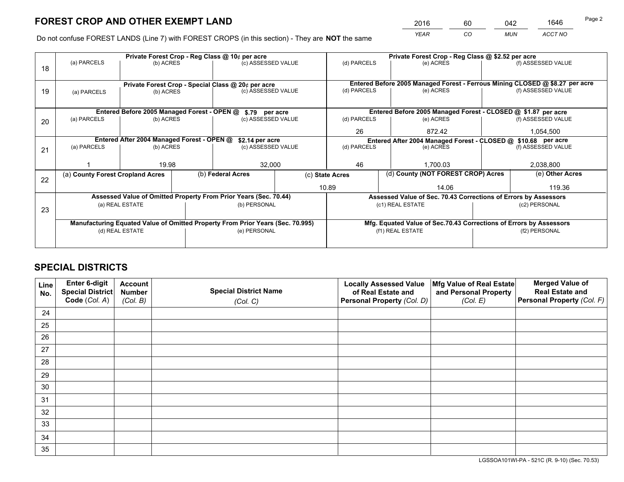*YEAR CO MUN ACCT NO* <sup>2016</sup> <sup>60</sup> <sup>042</sup> <sup>1646</sup>

Do not confuse FOREST LANDS (Line 7) with FOREST CROPS (in this section) - They are **NOT** the same

|                 |                            |                                                     |                                                           |                                                                                                                                                                  | (d) PARCELS                                                                                                                                                                                                                                                                                                                                                           | (e) ACRES |                                                   | (f) ASSESSED VALUE                                                                                                                                                                                                                                                                                                                                                                                                                                 |  |
|-----------------|----------------------------|-----------------------------------------------------|-----------------------------------------------------------|------------------------------------------------------------------------------------------------------------------------------------------------------------------|-----------------------------------------------------------------------------------------------------------------------------------------------------------------------------------------------------------------------------------------------------------------------------------------------------------------------------------------------------------------------|-----------|---------------------------------------------------|----------------------------------------------------------------------------------------------------------------------------------------------------------------------------------------------------------------------------------------------------------------------------------------------------------------------------------------------------------------------------------------------------------------------------------------------------|--|
|                 |                            |                                                     |                                                           |                                                                                                                                                                  |                                                                                                                                                                                                                                                                                                                                                                       |           |                                                   |                                                                                                                                                                                                                                                                                                                                                                                                                                                    |  |
|                 |                            |                                                     |                                                           |                                                                                                                                                                  | (d) PARCELS                                                                                                                                                                                                                                                                                                                                                           |           |                                                   | (f) ASSESSED VALUE                                                                                                                                                                                                                                                                                                                                                                                                                                 |  |
|                 |                            |                                                     |                                                           |                                                                                                                                                                  |                                                                                                                                                                                                                                                                                                                                                                       |           |                                                   |                                                                                                                                                                                                                                                                                                                                                                                                                                                    |  |
|                 |                            |                                                     |                                                           |                                                                                                                                                                  |                                                                                                                                                                                                                                                                                                                                                                       |           |                                                   |                                                                                                                                                                                                                                                                                                                                                                                                                                                    |  |
| (a) PARCELS     |                            |                                                     |                                                           |                                                                                                                                                                  | (d) PARCELS                                                                                                                                                                                                                                                                                                                                                           | (e) ACRES |                                                   | (f) ASSESSED VALUE                                                                                                                                                                                                                                                                                                                                                                                                                                 |  |
|                 |                            |                                                     |                                                           | 26                                                                                                                                                               | 872.42                                                                                                                                                                                                                                                                                                                                                                |           | 1,054,500                                         |                                                                                                                                                                                                                                                                                                                                                                                                                                                    |  |
|                 |                            |                                                     |                                                           |                                                                                                                                                                  |                                                                                                                                                                                                                                                                                                                                                                       |           |                                                   |                                                                                                                                                                                                                                                                                                                                                                                                                                                    |  |
| (a) PARCELS     |                            |                                                     |                                                           |                                                                                                                                                                  | (d) PARCELS                                                                                                                                                                                                                                                                                                                                                           | (e) ACRES |                                                   | (f) ASSESSED VALUE                                                                                                                                                                                                                                                                                                                                                                                                                                 |  |
|                 |                            |                                                     |                                                           |                                                                                                                                                                  |                                                                                                                                                                                                                                                                                                                                                                       |           |                                                   |                                                                                                                                                                                                                                                                                                                                                                                                                                                    |  |
|                 |                            |                                                     | 32,000                                                    |                                                                                                                                                                  | 46                                                                                                                                                                                                                                                                                                                                                                    | 1.700.03  |                                                   | 2,038,800                                                                                                                                                                                                                                                                                                                                                                                                                                          |  |
|                 |                            |                                                     |                                                           | (c) State Acres                                                                                                                                                  |                                                                                                                                                                                                                                                                                                                                                                       |           |                                                   |                                                                                                                                                                                                                                                                                                                                                                                                                                                    |  |
|                 |                            |                                                     |                                                           |                                                                                                                                                                  |                                                                                                                                                                                                                                                                                                                                                                       | 14.06     |                                                   | 119.36                                                                                                                                                                                                                                                                                                                                                                                                                                             |  |
|                 |                            |                                                     |                                                           |                                                                                                                                                                  |                                                                                                                                                                                                                                                                                                                                                                       |           |                                                   |                                                                                                                                                                                                                                                                                                                                                                                                                                                    |  |
|                 |                            |                                                     |                                                           |                                                                                                                                                                  |                                                                                                                                                                                                                                                                                                                                                                       |           |                                                   | (c2) PERSONAL                                                                                                                                                                                                                                                                                                                                                                                                                                      |  |
|                 |                            |                                                     |                                                           |                                                                                                                                                                  |                                                                                                                                                                                                                                                                                                                                                                       |           |                                                   |                                                                                                                                                                                                                                                                                                                                                                                                                                                    |  |
|                 |                            |                                                     |                                                           |                                                                                                                                                                  |                                                                                                                                                                                                                                                                                                                                                                       |           |                                                   |                                                                                                                                                                                                                                                                                                                                                                                                                                                    |  |
| (d) REAL ESTATE |                            |                                                     |                                                           |                                                                                                                                                                  |                                                                                                                                                                                                                                                                                                                                                                       |           |                                                   | (f2) PERSONAL                                                                                                                                                                                                                                                                                                                                                                                                                                      |  |
|                 |                            |                                                     |                                                           |                                                                                                                                                                  |                                                                                                                                                                                                                                                                                                                                                                       |           |                                                   |                                                                                                                                                                                                                                                                                                                                                                                                                                                    |  |
|                 | (a) PARCELS<br>(a) PARCELS | (a) County Forest Cropland Acres<br>(a) REAL ESTATE | (b) ACRES<br>(b) ACRES<br>(b) ACRES<br>(b) ACRES<br>19.98 | Private Forest Crop - Reg Class @ 10¢ per acre<br>Entered Before 2005 Managed Forest - OPEN @<br>Entered After 2004 Managed Forest - OPEN @<br>(b) Federal Acres | (c) ASSESSED VALUE<br>Private Forest Crop - Special Class @ 20¢ per acre<br>(c) ASSESSED VALUE<br>\$.79 per acre<br>(c) ASSESSED VALUE<br>\$2.14 per acre<br>(c) ASSESSED VALUE<br>Assessed Value of Omitted Property From Prior Years (Sec. 70.44)<br>(b) PERSONAL<br>Manufacturing Equated Value of Omitted Property From Prior Years (Sec. 70.995)<br>(e) PERSONAL | 10.89     | (e) ACRES<br>(c1) REAL ESTATE<br>(f1) REAL ESTATE | Private Forest Crop - Reg Class @ \$2.52 per acre<br>Entered Before 2005 Managed Forest - Ferrous Mining CLOSED @ \$8.27 per acre<br>Entered Before 2005 Managed Forest - CLOSED @ \$1.87 per acre<br>Entered After 2004 Managed Forest - CLOSED @ \$10.68 per acre<br>(d) County (NOT FOREST CROP) Acres<br>Assessed Value of Sec. 70.43 Corrections of Errors by Assessors<br>Mfg. Equated Value of Sec.70.43 Corrections of Errors by Assessors |  |

## **SPECIAL DISTRICTS**

| Line<br>No. | Enter 6-digit<br>Special District<br>Code (Col. A) | <b>Account</b><br><b>Number</b><br>(Col. B) | <b>Special District Name</b><br>(Col. C) | <b>Locally Assessed Value</b><br>of Real Estate and<br>Personal Property (Col. D) | Mfg Value of Real Estate<br>and Personal Property<br>(Col. E) | <b>Merged Value of</b><br><b>Real Estate and</b><br>Personal Property (Col. F) |
|-------------|----------------------------------------------------|---------------------------------------------|------------------------------------------|-----------------------------------------------------------------------------------|---------------------------------------------------------------|--------------------------------------------------------------------------------|
| 24          |                                                    |                                             |                                          |                                                                                   |                                                               |                                                                                |
| 25          |                                                    |                                             |                                          |                                                                                   |                                                               |                                                                                |
| 26          |                                                    |                                             |                                          |                                                                                   |                                                               |                                                                                |
| 27          |                                                    |                                             |                                          |                                                                                   |                                                               |                                                                                |
| 28          |                                                    |                                             |                                          |                                                                                   |                                                               |                                                                                |
| 29          |                                                    |                                             |                                          |                                                                                   |                                                               |                                                                                |
| 30          |                                                    |                                             |                                          |                                                                                   |                                                               |                                                                                |
| 31          |                                                    |                                             |                                          |                                                                                   |                                                               |                                                                                |
| 32          |                                                    |                                             |                                          |                                                                                   |                                                               |                                                                                |
| 33          |                                                    |                                             |                                          |                                                                                   |                                                               |                                                                                |
| 34          |                                                    |                                             |                                          |                                                                                   |                                                               |                                                                                |
| 35          |                                                    |                                             |                                          |                                                                                   |                                                               |                                                                                |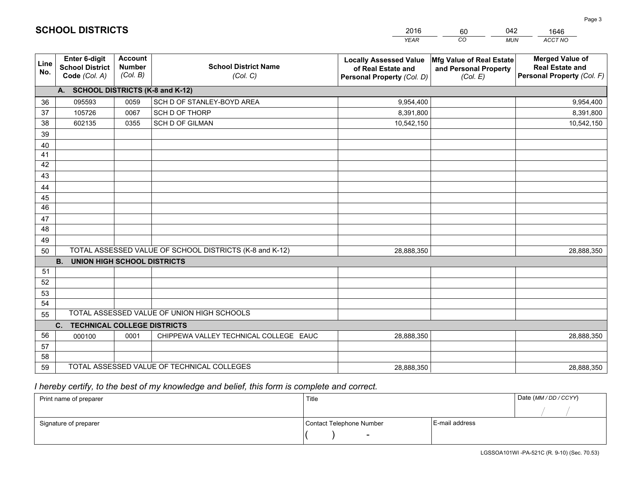|             |                                                          |                                             |                                                         | <b>YEAR</b>                                                                       | CO<br><b>MUN</b>                                              | ACCT NO                                                                        |
|-------------|----------------------------------------------------------|---------------------------------------------|---------------------------------------------------------|-----------------------------------------------------------------------------------|---------------------------------------------------------------|--------------------------------------------------------------------------------|
| Line<br>No. | Enter 6-digit<br><b>School District</b><br>Code (Col. A) | <b>Account</b><br><b>Number</b><br>(Col. B) | <b>School District Name</b><br>(Col. C)                 | <b>Locally Assessed Value</b><br>of Real Estate and<br>Personal Property (Col. D) | Mfg Value of Real Estate<br>and Personal Property<br>(Col. E) | <b>Merged Value of</b><br><b>Real Estate and</b><br>Personal Property (Col. F) |
|             | A. SCHOOL DISTRICTS (K-8 and K-12)                       |                                             |                                                         |                                                                                   |                                                               |                                                                                |
| 36          | 095593                                                   | 0059                                        | SCH D OF STANLEY-BOYD AREA                              | 9,954,400                                                                         |                                                               | 9,954,400                                                                      |
| 37          | 105726                                                   | 0067                                        | SCH D OF THORP                                          | 8,391,800                                                                         |                                                               | 8,391,800                                                                      |
| 38          | 602135                                                   | 0355                                        | <b>SCH D OF GILMAN</b>                                  | 10,542,150                                                                        |                                                               | 10,542,150                                                                     |
| 39          |                                                          |                                             |                                                         |                                                                                   |                                                               |                                                                                |
| 40          |                                                          |                                             |                                                         |                                                                                   |                                                               |                                                                                |
| 41          |                                                          |                                             |                                                         |                                                                                   |                                                               |                                                                                |
| 42          |                                                          |                                             |                                                         |                                                                                   |                                                               |                                                                                |
| 43          |                                                          |                                             |                                                         |                                                                                   |                                                               |                                                                                |
| 44          |                                                          |                                             |                                                         |                                                                                   |                                                               |                                                                                |
| 45          |                                                          |                                             |                                                         |                                                                                   |                                                               |                                                                                |
| 46          |                                                          |                                             |                                                         |                                                                                   |                                                               |                                                                                |
| 47          |                                                          |                                             |                                                         |                                                                                   |                                                               |                                                                                |
| 48          |                                                          |                                             |                                                         |                                                                                   |                                                               |                                                                                |
| 49          |                                                          |                                             | TOTAL ASSESSED VALUE OF SCHOOL DISTRICTS (K-8 and K-12) | 28,888,350                                                                        |                                                               |                                                                                |
| 50          | <b>B.</b><br><b>UNION HIGH SCHOOL DISTRICTS</b>          |                                             |                                                         |                                                                                   |                                                               | 28,888,350                                                                     |
| 51          |                                                          |                                             |                                                         |                                                                                   |                                                               |                                                                                |
| 52          |                                                          |                                             |                                                         |                                                                                   |                                                               |                                                                                |
| 53          |                                                          |                                             |                                                         |                                                                                   |                                                               |                                                                                |
| 54          |                                                          |                                             |                                                         |                                                                                   |                                                               |                                                                                |
| 55          |                                                          |                                             | TOTAL ASSESSED VALUE OF UNION HIGH SCHOOLS              |                                                                                   |                                                               |                                                                                |
|             | C. TECHNICAL COLLEGE DISTRICTS                           |                                             |                                                         |                                                                                   |                                                               |                                                                                |
| 56          | 000100                                                   | 0001                                        | CHIPPEWA VALLEY TECHNICAL COLLEGE EAUC                  | 28,888,350                                                                        |                                                               | 28,888,350                                                                     |
| 57          |                                                          |                                             |                                                         |                                                                                   |                                                               |                                                                                |
| 58          |                                                          |                                             |                                                         |                                                                                   |                                                               |                                                                                |
| 59          |                                                          |                                             | TOTAL ASSESSED VALUE OF TECHNICAL COLLEGES              | 28,888,350                                                                        |                                                               | 28,888,350                                                                     |

60

042

 *I hereby certify, to the best of my knowledge and belief, this form is complete and correct.*

**SCHOOL DISTRICTS**

| Print name of preparer | Title                    | Date (MM / DD / CCYY) |  |
|------------------------|--------------------------|-----------------------|--|
|                        |                          |                       |  |
| Signature of preparer  | Contact Telephone Number | E-mail address        |  |
|                        |                          |                       |  |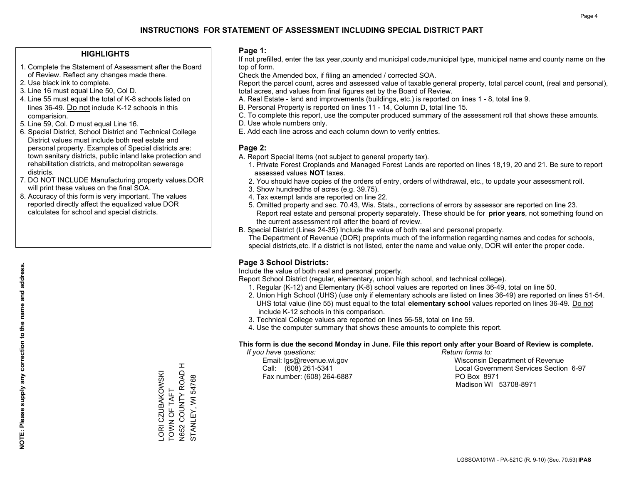### **HIGHLIGHTS**

- 1. Complete the Statement of Assessment after the Board of Review. Reflect any changes made there.
- 2. Use black ink to complete.
- 3. Line 16 must equal Line 50, Col D.
- 4. Line 55 must equal the total of K-8 schools listed on lines 36-49. Do not include K-12 schools in this comparision.
- 5. Line 59, Col. D must equal Line 16.
- 6. Special District, School District and Technical College District values must include both real estate and personal property. Examples of Special districts are: town sanitary districts, public inland lake protection and rehabilitation districts, and metropolitan sewerage districts.
- 7. DO NOT INCLUDE Manufacturing property values.DOR will print these values on the final SOA.

LORI CZUBAKOWSKI TOWN OF TAFT N652 COUNTY ROAD H STANLEY, WI 54768

TOWN OF TAFT

**ORI CZUBAKOWSKI** 

N652 COUNTY ROAD H

STANLEY, WI 54768

 8. Accuracy of this form is very important. The values reported directly affect the equalized value DOR calculates for school and special districts.

### **Page 1:**

 If not prefilled, enter the tax year,county and municipal code,municipal type, municipal name and county name on the top of form.

Check the Amended box, if filing an amended / corrected SOA.

 Report the parcel count, acres and assessed value of taxable general property, total parcel count, (real and personal), total acres, and values from final figures set by the Board of Review.

- A. Real Estate land and improvements (buildings, etc.) is reported on lines 1 8, total line 9.
- B. Personal Property is reported on lines 11 14, Column D, total line 15.
- C. To complete this report, use the computer produced summary of the assessment roll that shows these amounts.
- D. Use whole numbers only.
- E. Add each line across and each column down to verify entries.

### **Page 2:**

- A. Report Special Items (not subject to general property tax).
- 1. Private Forest Croplands and Managed Forest Lands are reported on lines 18,19, 20 and 21. Be sure to report assessed values **NOT** taxes.
- 2. You should have copies of the orders of entry, orders of withdrawal, etc., to update your assessment roll.
	- 3. Show hundredths of acres (e.g. 39.75).
- 4. Tax exempt lands are reported on line 22.
- 5. Omitted property and sec. 70.43, Wis. Stats., corrections of errors by assessor are reported on line 23. Report real estate and personal property separately. These should be for **prior years**, not something found on the current assessment roll after the board of review.
- B. Special District (Lines 24-35) Include the value of both real and personal property.
- The Department of Revenue (DOR) preprints much of the information regarding names and codes for schools, special districts,etc. If a district is not listed, enter the name and value only, DOR will enter the proper code.

## **Page 3 School Districts:**

Include the value of both real and personal property.

Report School District (regular, elementary, union high school, and technical college).

- 1. Regular (K-12) and Elementary (K-8) school values are reported on lines 36-49, total on line 50.
- 2. Union High School (UHS) (use only if elementary schools are listed on lines 36-49) are reported on lines 51-54. UHS total value (line 55) must equal to the total **elementary school** values reported on lines 36-49. Do notinclude K-12 schools in this comparison.
- 3. Technical College values are reported on lines 56-58, total on line 59.
- 4. Use the computer summary that shows these amounts to complete this report.

#### **This form is due the second Monday in June. File this report only after your Board of Review is complete.**

 *If you have questions: Return forms to:*

Fax number: (608) 264-6887 PO Box 8971

 Email: lgs@revenue.wi.gov Wisconsin Department of Revenue Call: (608) 261-5341 Local Government Services Section 6-97Madison WI 53708-8971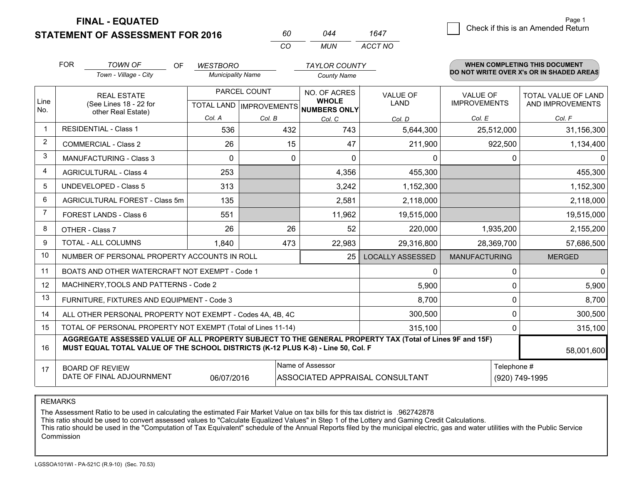**STATEMENT OF ASSESSMENT FOR 2016** 

**FINAL - EQUATED**

|             | <b>FOR</b>                                 | <b>TOWN OF</b><br><b>OF</b>                                                                                                                                                                  | <b>WESTBORO</b>          |        | <b>TAYLOR COUNTY</b>                                 |                                 |                      |             | <b>WHEN COMPLETING THIS DOCUMENT</b>     |
|-------------|--------------------------------------------|----------------------------------------------------------------------------------------------------------------------------------------------------------------------------------------------|--------------------------|--------|------------------------------------------------------|---------------------------------|----------------------|-------------|------------------------------------------|
|             |                                            | Town - Village - City                                                                                                                                                                        | <b>Municipality Name</b> |        | <b>County Name</b>                                   |                                 |                      |             | DO NOT WRITE OVER X's OR IN SHADED AREAS |
|             |                                            | <b>REAL ESTATE</b>                                                                                                                                                                           | PARCEL COUNT             |        | NO. OF ACRES                                         | <b>VALUE OF</b>                 | <b>VALUE OF</b>      |             | TOTAL VALUE OF LAND                      |
| Line<br>No. |                                            | (See Lines 18 - 22 for<br>other Real Estate)                                                                                                                                                 |                          |        | <b>WHOLE</b><br>TOTAL LAND IMPROVEMENTS NUMBERS ONLY | <b>LAND</b>                     | <b>IMPROVEMENTS</b>  |             | AND IMPROVEMENTS                         |
|             |                                            |                                                                                                                                                                                              | Col. A                   | Col. B | Col. C                                               | Col. D                          | Col. E               |             | Col. F                                   |
|             | <b>RESIDENTIAL - Class 1</b>               |                                                                                                                                                                                              | 536                      | 432    | 743                                                  | 5,644,300                       | 25,512,000           |             | 31,156,300                               |
| 2           |                                            | <b>COMMERCIAL - Class 2</b>                                                                                                                                                                  | 26                       | 15     | 47                                                   | 211,900                         | 922,500              |             | 1,134,400                                |
| 3           |                                            | <b>MANUFACTURING - Class 3</b>                                                                                                                                                               | $\Omega$                 |        | 0<br>$\Omega$                                        | $\Omega$                        |                      | $\Omega$    | $\Omega$                                 |
| 4           |                                            | <b>AGRICULTURAL - Class 4</b>                                                                                                                                                                | 253                      |        | 4,356                                                | 455,300                         |                      |             | 455,300                                  |
| 5           |                                            | <b>UNDEVELOPED - Class 5</b>                                                                                                                                                                 | 313                      |        | 3,242                                                | 1,152,300                       |                      |             | 1,152,300                                |
| 6           | AGRICULTURAL FOREST - Class 5m             |                                                                                                                                                                                              | 135                      |        | 2,581                                                | 2,118,000                       |                      |             | 2,118,000                                |
| 7           | FOREST LANDS - Class 6                     |                                                                                                                                                                                              | 551                      |        | 11,962                                               | 19,515,000                      |                      |             | 19,515,000                               |
| 8           |                                            | OTHER - Class 7                                                                                                                                                                              | 26                       | 26     | 52                                                   | 220,000                         | 1,935,200            |             | 2,155,200                                |
| 9           |                                            | TOTAL - ALL COLUMNS                                                                                                                                                                          | 1,840                    | 473    | 22,983                                               | 29,316,800                      | 28,369,700           |             | 57,686,500                               |
| 10          |                                            | NUMBER OF PERSONAL PROPERTY ACCOUNTS IN ROLL                                                                                                                                                 |                          |        | 25                                                   | <b>LOCALLY ASSESSED</b>         | <b>MANUFACTURING</b> |             | <b>MERGED</b>                            |
| 11          |                                            | BOATS AND OTHER WATERCRAFT NOT EXEMPT - Code 1                                                                                                                                               |                          |        |                                                      | 0                               |                      | $\Omega$    | $\mathbf{0}$                             |
| 12          |                                            | MACHINERY, TOOLS AND PATTERNS - Code 2                                                                                                                                                       |                          |        |                                                      | 5,900                           |                      | 0           | 5,900                                    |
| 13          |                                            | FURNITURE, FIXTURES AND EQUIPMENT - Code 3                                                                                                                                                   |                          |        |                                                      | 8,700                           |                      | 0           | 8,700                                    |
| 14          |                                            | ALL OTHER PERSONAL PROPERTY NOT EXEMPT - Codes 4A, 4B, 4C                                                                                                                                    |                          |        |                                                      | 300,500                         |                      | $\Omega$    | 300,500                                  |
| 15          |                                            | TOTAL OF PERSONAL PROPERTY NOT EXEMPT (Total of Lines 11-14)                                                                                                                                 |                          |        |                                                      | 315,100                         |                      | 0           | 315,100                                  |
| 16          |                                            | AGGREGATE ASSESSED VALUE OF ALL PROPERTY SUBJECT TO THE GENERAL PROPERTY TAX (Total of Lines 9F and 15F)<br>MUST EQUAL TOTAL VALUE OF THE SCHOOL DISTRICTS (K-12 PLUS K-8) - Line 50, Col. F |                          |        |                                                      |                                 |                      |             | 58,001,600                               |
| 17          | Name of Assessor<br><b>BOARD OF REVIEW</b> |                                                                                                                                                                                              |                          |        |                                                      |                                 |                      | Telephone # |                                          |
|             |                                            | DATE OF FINAL ADJOURNMENT                                                                                                                                                                    | 06/07/2016               |        |                                                      | ASSOCIATED APPRAISAL CONSULTANT |                      |             | (920) 749-1995                           |

*CO*

*MUN*

*ACCT NO1647*

*<sup>60</sup> <sup>044</sup>*

REMARKS

The Assessment Ratio to be used in calculating the estimated Fair Market Value on tax bills for this tax district is .962742878<br>This ratio should be used to convert assessed values to "Calculate Equalized Values" in Step 1 Commission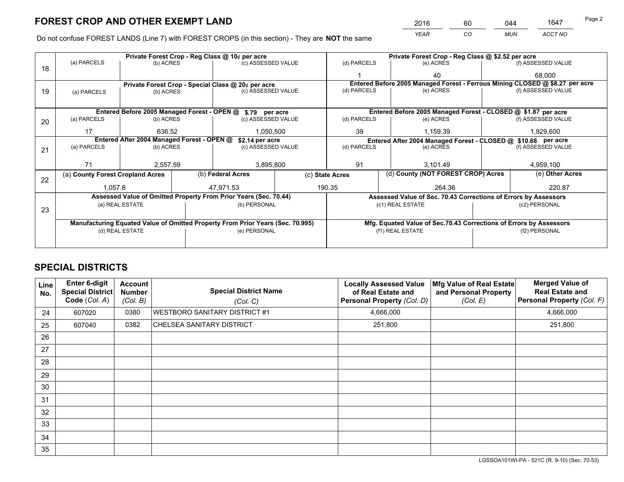*YEAR CO MUN ACCT NO* <sup>2016</sup> <sup>60</sup> <sup>044</sup> <sup>1647</sup>

Do not confuse FOREST LANDS (Line 7) with FOREST CROPS (in this section) - They are **NOT** the same

|    |                                                               |                                             |  | Private Forest Crop - Reg Class @ 10¢ per acre                                 |             |                                                                              | Private Forest Crop - Reg Class @ \$2.52 per acre                  |                    |                    |  |
|----|---------------------------------------------------------------|---------------------------------------------|--|--------------------------------------------------------------------------------|-------------|------------------------------------------------------------------------------|--------------------------------------------------------------------|--------------------|--------------------|--|
| 18 | (a) PARCELS                                                   | (b) ACRES                                   |  | (c) ASSESSED VALUE                                                             |             | (d) PARCELS                                                                  | (e) ACRES                                                          |                    | (f) ASSESSED VALUE |  |
|    |                                                               |                                             |  |                                                                                |             |                                                                              | 40                                                                 |                    | 68,000             |  |
|    |                                                               |                                             |  | Private Forest Crop - Special Class @ 20¢ per acre                             |             | Entered Before 2005 Managed Forest - Ferrous Mining CLOSED @ \$8.27 per acre |                                                                    |                    |                    |  |
| 19 | (a) PARCELS                                                   | (b) ACRES                                   |  | (c) ASSESSED VALUE                                                             |             | (d) PARCELS                                                                  | (e) ACRES                                                          |                    | (f) ASSESSED VALUE |  |
|    |                                                               |                                             |  |                                                                                |             |                                                                              |                                                                    |                    |                    |  |
|    |                                                               | Entered Before 2005 Managed Forest - OPEN @ |  | \$.79 per acre                                                                 |             |                                                                              | Entered Before 2005 Managed Forest - CLOSED @ \$1.87 per acre      |                    |                    |  |
| 20 | (a) PARCELS                                                   | (b) ACRES<br>(c) ASSESSED VALUE             |  |                                                                                | (d) PARCELS | (e) ACRES                                                                    |                                                                    | (f) ASSESSED VALUE |                    |  |
|    | 17                                                            | 636.52                                      |  | 1,050,500                                                                      |             | 39<br>1.159.39                                                               |                                                                    |                    | 1,929,600          |  |
|    | Entered After 2004 Managed Forest - OPEN @<br>\$2.14 per acre |                                             |  |                                                                                |             |                                                                              | Entered After 2004 Managed Forest - CLOSED @ \$10.68 per acre      |                    |                    |  |
| 21 | (a) PARCELS                                                   | (b) ACRES                                   |  | (c) ASSESSED VALUE                                                             |             | (d) PARCELS                                                                  | (e) ACRES                                                          |                    | (f) ASSESSED VALUE |  |
|    |                                                               |                                             |  |                                                                                |             |                                                                              |                                                                    |                    |                    |  |
|    | 71                                                            | 2,557.59                                    |  |                                                                                | 3,895,800   |                                                                              | 91<br>3,101.49                                                     |                    | 4,959,100          |  |
| 22 | (a) County Forest Cropland Acres                              |                                             |  | (b) Federal Acres                                                              |             | (d) County (NOT FOREST CROP) Acres<br>(c) State Acres                        |                                                                    |                    | (e) Other Acres    |  |
|    | 1,057.8                                                       |                                             |  | 47,971.53                                                                      | 190.35      |                                                                              | 264.36                                                             |                    | 220.87             |  |
|    |                                                               |                                             |  | Assessed Value of Omitted Property From Prior Years (Sec. 70.44)               |             |                                                                              | Assessed Value of Sec. 70.43 Corrections of Errors by Assessors    |                    |                    |  |
|    |                                                               | (a) REAL ESTATE                             |  | (b) PERSONAL                                                                   |             |                                                                              | (c1) REAL ESTATE                                                   |                    | (c2) PERSONAL      |  |
| 23 |                                                               |                                             |  |                                                                                |             |                                                                              |                                                                    |                    |                    |  |
|    |                                                               |                                             |  | Manufacturing Equated Value of Omitted Property From Prior Years (Sec. 70.995) |             |                                                                              | Mfg. Equated Value of Sec.70.43 Corrections of Errors by Assessors |                    |                    |  |
|    | (d) REAL ESTATE                                               |                                             |  | (e) PERSONAL                                                                   |             |                                                                              | (f1) REAL ESTATE                                                   |                    | (f2) PERSONAL      |  |
|    |                                                               |                                             |  |                                                                                |             |                                                                              |                                                                    |                    |                    |  |

## **SPECIAL DISTRICTS**

| <b>Line</b><br>No. | Enter 6-digit<br><b>Special District</b><br>Code (Col. A) | <b>Account</b><br><b>Number</b><br>(Col. B) | <b>Special District Name</b><br>(Col. C) | <b>Locally Assessed Value</b><br>of Real Estate and<br>Personal Property (Col. D) | Mfg Value of Real Estate<br>and Personal Property<br>(Col. E) | <b>Merged Value of</b><br><b>Real Estate and</b><br>Personal Property (Col. F) |
|--------------------|-----------------------------------------------------------|---------------------------------------------|------------------------------------------|-----------------------------------------------------------------------------------|---------------------------------------------------------------|--------------------------------------------------------------------------------|
| 24                 | 607020                                                    | 0380                                        | <b>WESTBORO SANITARY DISTRICT #1</b>     | 4,666,000                                                                         |                                                               | 4,666,000                                                                      |
| 25                 | 607040                                                    | 0382                                        | CHELSEA SANITARY DISTRICT                | 251,800                                                                           |                                                               | 251,800                                                                        |
| 26                 |                                                           |                                             |                                          |                                                                                   |                                                               |                                                                                |
| 27                 |                                                           |                                             |                                          |                                                                                   |                                                               |                                                                                |
| 28                 |                                                           |                                             |                                          |                                                                                   |                                                               |                                                                                |
| 29                 |                                                           |                                             |                                          |                                                                                   |                                                               |                                                                                |
| 30                 |                                                           |                                             |                                          |                                                                                   |                                                               |                                                                                |
| 31                 |                                                           |                                             |                                          |                                                                                   |                                                               |                                                                                |
| 32                 |                                                           |                                             |                                          |                                                                                   |                                                               |                                                                                |
| 33                 |                                                           |                                             |                                          |                                                                                   |                                                               |                                                                                |
| 34                 |                                                           |                                             |                                          |                                                                                   |                                                               |                                                                                |
| 35                 |                                                           |                                             |                                          |                                                                                   |                                                               |                                                                                |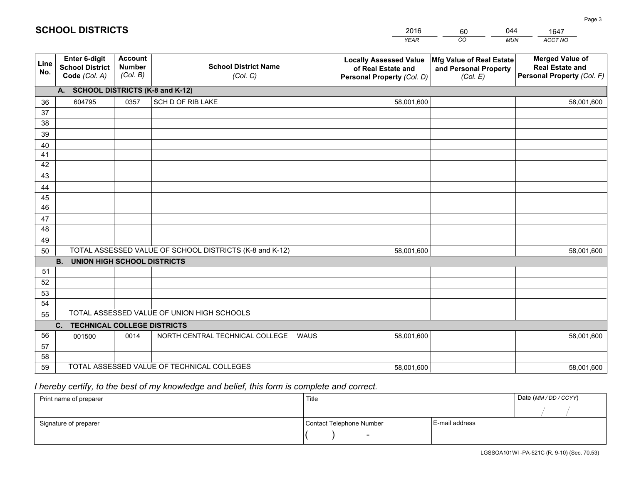|             |                                                          |                                             |                                                         | YEAR                                                                              | CO.<br><b>MUN</b>                                             | ACCT NO                                                                        |  |  |  |  |  |  |
|-------------|----------------------------------------------------------|---------------------------------------------|---------------------------------------------------------|-----------------------------------------------------------------------------------|---------------------------------------------------------------|--------------------------------------------------------------------------------|--|--|--|--|--|--|
| Line<br>No. | Enter 6-digit<br><b>School District</b><br>Code (Col. A) | <b>Account</b><br><b>Number</b><br>(Col. B) | <b>School District Name</b><br>(Col. C)                 | <b>Locally Assessed Value</b><br>of Real Estate and<br>Personal Property (Col. D) | Mfg Value of Real Estate<br>and Personal Property<br>(Col. E) | <b>Merged Value of</b><br><b>Real Estate and</b><br>Personal Property (Col. F) |  |  |  |  |  |  |
|             | A. SCHOOL DISTRICTS (K-8 and K-12)                       |                                             |                                                         |                                                                                   |                                                               |                                                                                |  |  |  |  |  |  |
| 36          | 604795                                                   | 0357                                        | SCH D OF RIB LAKE                                       | 58,001,600                                                                        |                                                               | 58,001,600                                                                     |  |  |  |  |  |  |
| 37          |                                                          |                                             |                                                         |                                                                                   |                                                               |                                                                                |  |  |  |  |  |  |
| 38          |                                                          |                                             |                                                         |                                                                                   |                                                               |                                                                                |  |  |  |  |  |  |
| 39          |                                                          |                                             |                                                         |                                                                                   |                                                               |                                                                                |  |  |  |  |  |  |
| 40          |                                                          |                                             |                                                         |                                                                                   |                                                               |                                                                                |  |  |  |  |  |  |
| 41          |                                                          |                                             |                                                         |                                                                                   |                                                               |                                                                                |  |  |  |  |  |  |
| 42          |                                                          |                                             |                                                         |                                                                                   |                                                               |                                                                                |  |  |  |  |  |  |
| 43          |                                                          |                                             |                                                         |                                                                                   |                                                               |                                                                                |  |  |  |  |  |  |
| 44          |                                                          |                                             |                                                         |                                                                                   |                                                               |                                                                                |  |  |  |  |  |  |
| 45<br>46    |                                                          |                                             |                                                         |                                                                                   |                                                               |                                                                                |  |  |  |  |  |  |
| 47          |                                                          |                                             |                                                         |                                                                                   |                                                               |                                                                                |  |  |  |  |  |  |
| 48          |                                                          |                                             |                                                         |                                                                                   |                                                               |                                                                                |  |  |  |  |  |  |
| 49          |                                                          |                                             |                                                         |                                                                                   |                                                               |                                                                                |  |  |  |  |  |  |
| 50          |                                                          |                                             | TOTAL ASSESSED VALUE OF SCHOOL DISTRICTS (K-8 and K-12) | 58,001,600                                                                        |                                                               | 58,001,600                                                                     |  |  |  |  |  |  |
|             | <b>UNION HIGH SCHOOL DISTRICTS</b><br><b>B.</b>          |                                             |                                                         |                                                                                   |                                                               |                                                                                |  |  |  |  |  |  |
| 51          |                                                          |                                             |                                                         |                                                                                   |                                                               |                                                                                |  |  |  |  |  |  |
| 52          |                                                          |                                             |                                                         |                                                                                   |                                                               |                                                                                |  |  |  |  |  |  |
| 53          |                                                          |                                             |                                                         |                                                                                   |                                                               |                                                                                |  |  |  |  |  |  |
| 54          |                                                          |                                             |                                                         |                                                                                   |                                                               |                                                                                |  |  |  |  |  |  |
| 55          |                                                          |                                             | TOTAL ASSESSED VALUE OF UNION HIGH SCHOOLS              |                                                                                   |                                                               |                                                                                |  |  |  |  |  |  |
|             | C.<br><b>TECHNICAL COLLEGE DISTRICTS</b>                 |                                             |                                                         |                                                                                   |                                                               |                                                                                |  |  |  |  |  |  |
| 56          | 001500                                                   | 0014                                        | NORTH CENTRAL TECHNICAL COLLEGE<br><b>WAUS</b>          | 58,001,600                                                                        |                                                               | 58,001,600                                                                     |  |  |  |  |  |  |
| 57          |                                                          |                                             |                                                         |                                                                                   |                                                               |                                                                                |  |  |  |  |  |  |
| 58          |                                                          |                                             |                                                         |                                                                                   |                                                               |                                                                                |  |  |  |  |  |  |
| 59          |                                                          |                                             | TOTAL ASSESSED VALUE OF TECHNICAL COLLEGES              | 58,001,600                                                                        |                                                               | 58,001,600                                                                     |  |  |  |  |  |  |

60

044

 *I hereby certify, to the best of my knowledge and belief, this form is complete and correct.*

**SCHOOL DISTRICTS**

| Print name of preparer | Title                    | Date (MM / DD / CCYY) |  |
|------------------------|--------------------------|-----------------------|--|
|                        |                          |                       |  |
| Signature of preparer  | Contact Telephone Number | E-mail address        |  |
|                        | $\sim$                   |                       |  |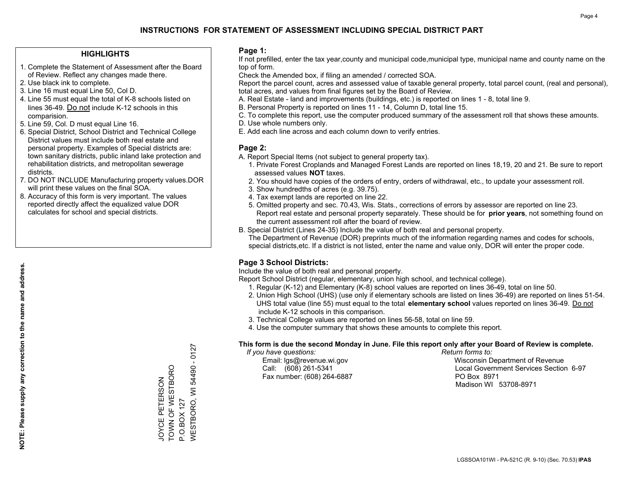### **HIGHLIGHTS**

- 1. Complete the Statement of Assessment after the Board of Review. Reflect any changes made there.
- 2. Use black ink to complete.
- 3. Line 16 must equal Line 50, Col D.
- 4. Line 55 must equal the total of K-8 schools listed on lines 36-49. Do not include K-12 schools in this comparision.
- 5. Line 59, Col. D must equal Line 16.
- 6. Special District, School District and Technical College District values must include both real estate and personal property. Examples of Special districts are: town sanitary districts, public inland lake protection and rehabilitation districts, and metropolitan sewerage districts.
- 7. DO NOT INCLUDE Manufacturing property values.DOR will print these values on the final SOA.

JOYCE PETERSON TOWN OF WESTBORO

JOYCE PETERSON<br>TOWN OF WESTBORO

P.O.BOX 127

WESTBORO, WI 54490 - 0127

**NESTBORO, WI** P.O.BOX 127

54490 - 0127

 8. Accuracy of this form is very important. The values reported directly affect the equalized value DOR calculates for school and special districts.

### **Page 1:**

 If not prefilled, enter the tax year,county and municipal code,municipal type, municipal name and county name on the top of form.

Check the Amended box, if filing an amended / corrected SOA.

 Report the parcel count, acres and assessed value of taxable general property, total parcel count, (real and personal), total acres, and values from final figures set by the Board of Review.

- A. Real Estate land and improvements (buildings, etc.) is reported on lines 1 8, total line 9.
- B. Personal Property is reported on lines 11 14, Column D, total line 15.
- C. To complete this report, use the computer produced summary of the assessment roll that shows these amounts.
- D. Use whole numbers only.
- E. Add each line across and each column down to verify entries.

### **Page 2:**

- A. Report Special Items (not subject to general property tax).
- 1. Private Forest Croplands and Managed Forest Lands are reported on lines 18,19, 20 and 21. Be sure to report assessed values **NOT** taxes.
- 2. You should have copies of the orders of entry, orders of withdrawal, etc., to update your assessment roll.
	- 3. Show hundredths of acres (e.g. 39.75).
- 4. Tax exempt lands are reported on line 22.
- 5. Omitted property and sec. 70.43, Wis. Stats., corrections of errors by assessor are reported on line 23. Report real estate and personal property separately. These should be for **prior years**, not something found on the current assessment roll after the board of review.
- B. Special District (Lines 24-35) Include the value of both real and personal property.
- The Department of Revenue (DOR) preprints much of the information regarding names and codes for schools, special districts,etc. If a district is not listed, enter the name and value only, DOR will enter the proper code.

## **Page 3 School Districts:**

Include the value of both real and personal property.

Report School District (regular, elementary, union high school, and technical college).

- 1. Regular (K-12) and Elementary (K-8) school values are reported on lines 36-49, total on line 50.
- 2. Union High School (UHS) (use only if elementary schools are listed on lines 36-49) are reported on lines 51-54. UHS total value (line 55) must equal to the total **elementary school** values reported on lines 36-49. Do notinclude K-12 schools in this comparison.
- 3. Technical College values are reported on lines 56-58, total on line 59.
- 4. Use the computer summary that shows these amounts to complete this report.

#### **This form is due the second Monday in June. File this report only after your Board of Review is complete.**

 *If you have questions: Return forms to:*

Fax number: (608) 264-6887 PO Box 8971

 Email: lgs@revenue.wi.gov Wisconsin Department of Revenue Call: (608) 261-5341 Local Government Services Section 6-97Madison WI 53708-8971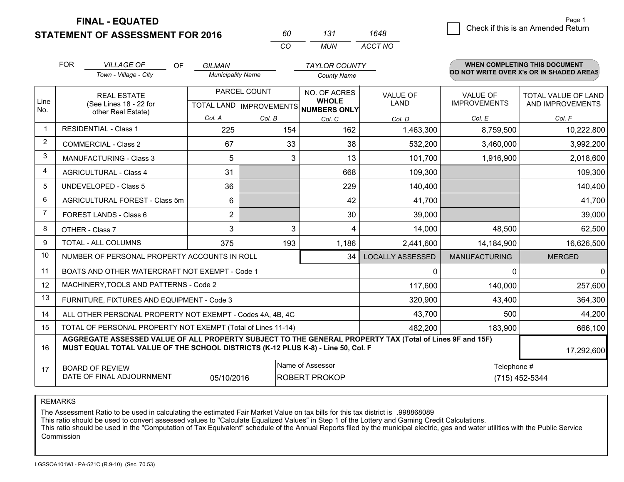**FINAL - EQUATED**

**STATEMENT OF ASSESSMENT FOR 2016** 

*CO MUN <sup>60</sup> <sup>131</sup> ACCT NO1648*

|                | <b>FOR</b>                                                                                                                                                                                                 | <b>VILLAGE OF</b><br><b>OF</b>                               | <b>GILMAN</b>            |                                           | <b>TAYLOR COUNTY</b>         |                         |                                        | <b>WHEN COMPLETING THIS DOCUMENT</b>     |  |
|----------------|------------------------------------------------------------------------------------------------------------------------------------------------------------------------------------------------------------|--------------------------------------------------------------|--------------------------|-------------------------------------------|------------------------------|-------------------------|----------------------------------------|------------------------------------------|--|
|                |                                                                                                                                                                                                            | Town - Village - City                                        | <b>Municipality Name</b> |                                           | <b>County Name</b>           |                         |                                        | DO NOT WRITE OVER X's OR IN SHADED AREAS |  |
| Line           |                                                                                                                                                                                                            | <b>REAL ESTATE</b><br>(See Lines 18 - 22 for                 |                          | PARCEL COUNT<br>TOTAL LAND   IMPROVEMENTS | NO. OF ACRES<br><b>WHOLE</b> | VALUE OF<br><b>LAND</b> | <b>VALUE OF</b><br><b>IMPROVEMENTS</b> | TOTAL VALUE OF LAND<br>AND IMPROVEMENTS  |  |
| No.            |                                                                                                                                                                                                            | other Real Estate)                                           | Col. A                   | Col. B                                    | NUMBERS ONLY<br>Col. C       | Col. D                  | Col. E                                 | Col. F                                   |  |
| -1             |                                                                                                                                                                                                            | <b>RESIDENTIAL - Class 1</b>                                 | 225                      | 154                                       | 162                          | 1,463,300               | 8,759,500                              | 10,222,800                               |  |
| 2              |                                                                                                                                                                                                            | <b>COMMERCIAL - Class 2</b>                                  | 67                       | 33                                        | 38                           | 532,200                 | 3,460,000                              | 3,992,200                                |  |
| 3              |                                                                                                                                                                                                            | <b>MANUFACTURING - Class 3</b>                               | 5                        | 3                                         | 13                           | 101,700                 | 1,916,900                              | 2,018,600                                |  |
| 4              |                                                                                                                                                                                                            | <b>AGRICULTURAL - Class 4</b>                                | 31                       |                                           | 668                          | 109,300                 |                                        | 109,300                                  |  |
| 5              |                                                                                                                                                                                                            | <b>UNDEVELOPED - Class 5</b>                                 | 36                       |                                           | 229                          | 140,400                 |                                        | 140,400                                  |  |
| 6              |                                                                                                                                                                                                            | AGRICULTURAL FOREST - Class 5m                               | 6                        |                                           | 42                           | 41,700                  |                                        | 41,700                                   |  |
| $\overline{7}$ |                                                                                                                                                                                                            | FOREST LANDS - Class 6                                       | $\overline{2}$           |                                           | 30                           | 39,000                  |                                        | 39,000                                   |  |
| 8              |                                                                                                                                                                                                            | OTHER - Class 7                                              | 3                        | 3                                         | 4                            | 14,000                  | 48,500                                 | 62,500                                   |  |
| 9              |                                                                                                                                                                                                            | TOTAL - ALL COLUMNS                                          | 375                      | 193                                       | 1,186                        | 2,441,600               | 14,184,900                             | 16,626,500                               |  |
| 10             |                                                                                                                                                                                                            | NUMBER OF PERSONAL PROPERTY ACCOUNTS IN ROLL                 |                          |                                           | 34                           | <b>LOCALLY ASSESSED</b> | <b>MANUFACTURING</b>                   | <b>MERGED</b>                            |  |
| 11             |                                                                                                                                                                                                            | BOATS AND OTHER WATERCRAFT NOT EXEMPT - Code 1               |                          |                                           |                              | 0                       | $\Omega$                               | 0                                        |  |
| 12             |                                                                                                                                                                                                            | MACHINERY, TOOLS AND PATTERNS - Code 2                       |                          |                                           |                              | 117,600                 | 140,000                                | 257,600                                  |  |
| 13             |                                                                                                                                                                                                            | FURNITURE, FIXTURES AND EQUIPMENT - Code 3                   |                          |                                           |                              | 320,900                 | 43,400                                 | 364,300                                  |  |
| 14             |                                                                                                                                                                                                            | ALL OTHER PERSONAL PROPERTY NOT EXEMPT - Codes 4A, 4B, 4C    |                          |                                           |                              | 43,700                  | 500                                    | 44,200                                   |  |
| 15             |                                                                                                                                                                                                            | TOTAL OF PERSONAL PROPERTY NOT EXEMPT (Total of Lines 11-14) |                          |                                           |                              | 482,200                 | 183,900                                | 666,100                                  |  |
| 16             | AGGREGATE ASSESSED VALUE OF ALL PROPERTY SUBJECT TO THE GENERAL PROPERTY TAX (Total of Lines 9F and 15F)<br>MUST EQUAL TOTAL VALUE OF THE SCHOOL DISTRICTS (K-12 PLUS K-8) - Line 50, Col. F<br>17,292,600 |                                                              |                          |                                           |                              |                         |                                        |                                          |  |
| 17             | Name of Assessor<br>Telephone #<br><b>BOARD OF REVIEW</b><br>DATE OF FINAL ADJOURNMENT<br><b>ROBERT PROKOP</b><br>05/10/2016<br>(715) 452-5344                                                             |                                                              |                          |                                           |                              |                         |                                        |                                          |  |

REMARKS

The Assessment Ratio to be used in calculating the estimated Fair Market Value on tax bills for this tax district is .998868089<br>This ratio should be used to convert assessed values to "Calculate Equalized Values" in Step 1 Commission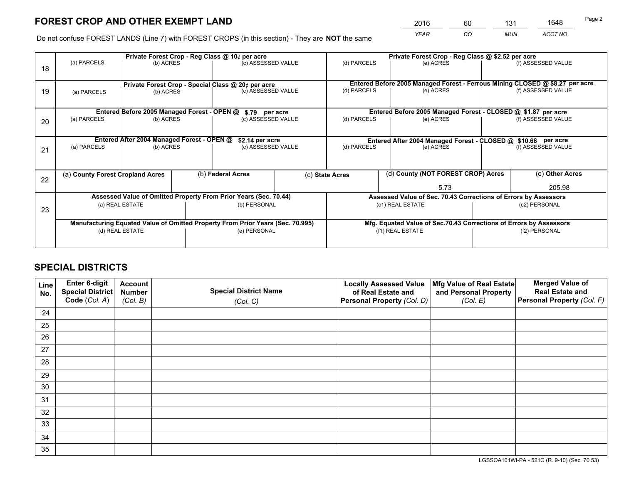*YEAR CO MUN ACCT NO* <sup>2016</sup> <sup>60</sup> <sup>131</sup> <sup>1648</sup>

Do not confuse FOREST LANDS (Line 7) with FOREST CROPS (in this section) - They are **NOT** the same

|    |                 |                                                       |  | Private Forest Crop - Reg Class @ 10¢ per acre                                 |                 | Private Forest Crop - Reg Class @ \$2.52 per acre                  |                                                                              |                    |                    |  |
|----|-----------------|-------------------------------------------------------|--|--------------------------------------------------------------------------------|-----------------|--------------------------------------------------------------------|------------------------------------------------------------------------------|--------------------|--------------------|--|
| 18 | (a) PARCELS     | (b) ACRES                                             |  | (c) ASSESSED VALUE                                                             |                 | (d) PARCELS                                                        | (e) ACRES                                                                    |                    | (f) ASSESSED VALUE |  |
|    |                 |                                                       |  |                                                                                |                 |                                                                    |                                                                              |                    |                    |  |
|    |                 |                                                       |  | Private Forest Crop - Special Class @ 20¢ per acre                             |                 |                                                                    | Entered Before 2005 Managed Forest - Ferrous Mining CLOSED @ \$8.27 per acre |                    |                    |  |
| 19 | (a) PARCELS     | (b) ACRES                                             |  | (c) ASSESSED VALUE                                                             |                 | (d) PARCELS                                                        | (e) ACRES                                                                    |                    | (f) ASSESSED VALUE |  |
|    |                 |                                                       |  |                                                                                |                 |                                                                    |                                                                              |                    |                    |  |
|    |                 | Entered Before 2005 Managed Forest - OPEN @           |  | \$.79 per acre                                                                 |                 |                                                                    | Entered Before 2005 Managed Forest - CLOSED @ \$1.87 per acre                |                    |                    |  |
| 20 | (a) PARCELS     | (b) ACRES                                             |  | (c) ASSESSED VALUE                                                             |                 | (d) PARCELS                                                        | (e) ACRES                                                                    |                    | (f) ASSESSED VALUE |  |
|    |                 |                                                       |  |                                                                                |                 |                                                                    |                                                                              |                    |                    |  |
|    |                 | Entered After 2004 Managed Forest - OPEN @            |  | \$2.14 per acre                                                                |                 | Entered After 2004 Managed Forest - CLOSED @ \$10.68 per acre      |                                                                              |                    |                    |  |
| 21 | (a) PARCELS     | (b) ACRES                                             |  | (c) ASSESSED VALUE                                                             |                 | (d) PARCELS<br>(e) ACRES                                           |                                                                              | (f) ASSESSED VALUE |                    |  |
|    |                 |                                                       |  |                                                                                |                 |                                                                    |                                                                              |                    |                    |  |
|    |                 |                                                       |  |                                                                                |                 |                                                                    |                                                                              |                    |                    |  |
| 22 |                 | (b) Federal Acres<br>(a) County Forest Cropland Acres |  |                                                                                | (c) State Acres |                                                                    | (d) County (NOT FOREST CROP) Acres                                           |                    | (e) Other Acres    |  |
|    |                 |                                                       |  |                                                                                | 5.73            |                                                                    |                                                                              | 205.98             |                    |  |
|    |                 |                                                       |  | Assessed Value of Omitted Property From Prior Years (Sec. 70.44)               |                 | Assessed Value of Sec. 70.43 Corrections of Errors by Assessors    |                                                                              |                    |                    |  |
| 23 |                 | (a) REAL ESTATE                                       |  | (b) PERSONAL                                                                   |                 | (c1) REAL ESTATE                                                   |                                                                              | (c2) PERSONAL      |                    |  |
|    |                 |                                                       |  |                                                                                |                 |                                                                    |                                                                              |                    |                    |  |
|    |                 |                                                       |  | Manufacturing Equated Value of Omitted Property From Prior Years (Sec. 70.995) |                 | Mfg. Equated Value of Sec.70.43 Corrections of Errors by Assessors |                                                                              |                    |                    |  |
|    | (d) REAL ESTATE |                                                       |  | (e) PERSONAL                                                                   |                 |                                                                    | (f1) REAL ESTATE                                                             | (f2) PERSONAL      |                    |  |
|    |                 |                                                       |  |                                                                                |                 |                                                                    |                                                                              |                    |                    |  |

## **SPECIAL DISTRICTS**

| Line<br>No. | Enter 6-digit<br>Special District<br>Code (Col. A) | <b>Account</b><br><b>Number</b> | <b>Special District Name</b> | <b>Locally Assessed Value</b><br>of Real Estate and | Mfg Value of Real Estate<br>and Personal Property | <b>Merged Value of</b><br><b>Real Estate and</b><br>Personal Property (Col. F) |
|-------------|----------------------------------------------------|---------------------------------|------------------------------|-----------------------------------------------------|---------------------------------------------------|--------------------------------------------------------------------------------|
|             |                                                    | (Col. B)                        | (Col. C)                     | Personal Property (Col. D)                          | (Col. E)                                          |                                                                                |
| 24          |                                                    |                                 |                              |                                                     |                                                   |                                                                                |
| 25          |                                                    |                                 |                              |                                                     |                                                   |                                                                                |
| 26          |                                                    |                                 |                              |                                                     |                                                   |                                                                                |
| 27          |                                                    |                                 |                              |                                                     |                                                   |                                                                                |
| 28          |                                                    |                                 |                              |                                                     |                                                   |                                                                                |
| 29          |                                                    |                                 |                              |                                                     |                                                   |                                                                                |
| 30          |                                                    |                                 |                              |                                                     |                                                   |                                                                                |
| 31          |                                                    |                                 |                              |                                                     |                                                   |                                                                                |
| 32          |                                                    |                                 |                              |                                                     |                                                   |                                                                                |
| 33          |                                                    |                                 |                              |                                                     |                                                   |                                                                                |
| 34          |                                                    |                                 |                              |                                                     |                                                   |                                                                                |
| 35          |                                                    |                                 |                              |                                                     |                                                   |                                                                                |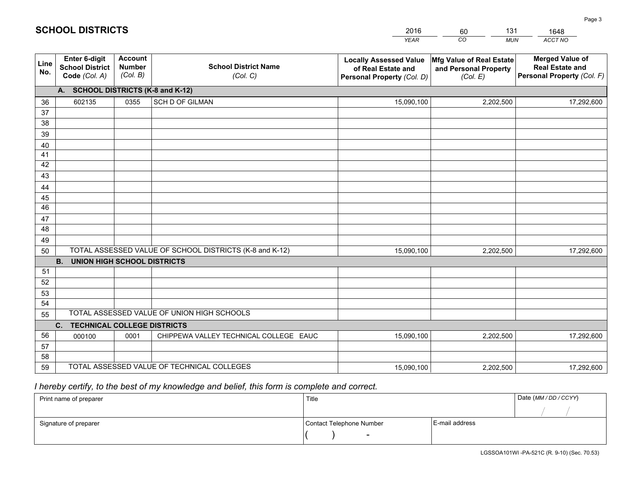|             |                                                                 |                                             |                                                         | <b>YEAR</b>                                                                       | CO<br><b>MUN</b>                                              | ACCT NO                                                                        |
|-------------|-----------------------------------------------------------------|---------------------------------------------|---------------------------------------------------------|-----------------------------------------------------------------------------------|---------------------------------------------------------------|--------------------------------------------------------------------------------|
| Line<br>No. | <b>Enter 6-digit</b><br><b>School District</b><br>Code (Col. A) | <b>Account</b><br><b>Number</b><br>(Col. B) | <b>School District Name</b><br>(Col. C)                 | <b>Locally Assessed Value</b><br>of Real Estate and<br>Personal Property (Col. D) | Mfg Value of Real Estate<br>and Personal Property<br>(Col. E) | <b>Merged Value of</b><br><b>Real Estate and</b><br>Personal Property (Col. F) |
|             | A. SCHOOL DISTRICTS (K-8 and K-12)                              |                                             |                                                         |                                                                                   |                                                               |                                                                                |
| 36          | 602135                                                          | 0355                                        | <b>SCH D OF GILMAN</b>                                  | 15,090,100                                                                        | 2,202,500                                                     | 17,292,600                                                                     |
| 37          |                                                                 |                                             |                                                         |                                                                                   |                                                               |                                                                                |
| 38          |                                                                 |                                             |                                                         |                                                                                   |                                                               |                                                                                |
| 39          |                                                                 |                                             |                                                         |                                                                                   |                                                               |                                                                                |
| 40          |                                                                 |                                             |                                                         |                                                                                   |                                                               |                                                                                |
| 41<br>42    |                                                                 |                                             |                                                         |                                                                                   |                                                               |                                                                                |
| 43          |                                                                 |                                             |                                                         |                                                                                   |                                                               |                                                                                |
| 44          |                                                                 |                                             |                                                         |                                                                                   |                                                               |                                                                                |
| 45          |                                                                 |                                             |                                                         |                                                                                   |                                                               |                                                                                |
| 46          |                                                                 |                                             |                                                         |                                                                                   |                                                               |                                                                                |
| 47          |                                                                 |                                             |                                                         |                                                                                   |                                                               |                                                                                |
| 48          |                                                                 |                                             |                                                         |                                                                                   |                                                               |                                                                                |
| 49          |                                                                 |                                             |                                                         |                                                                                   |                                                               |                                                                                |
| 50          |                                                                 |                                             | TOTAL ASSESSED VALUE OF SCHOOL DISTRICTS (K-8 and K-12) | 15,090,100                                                                        | 2,202,500                                                     | 17,292,600                                                                     |
|             | <b>B. UNION HIGH SCHOOL DISTRICTS</b>                           |                                             |                                                         |                                                                                   |                                                               |                                                                                |
| 51          |                                                                 |                                             |                                                         |                                                                                   |                                                               |                                                                                |
| 52          |                                                                 |                                             |                                                         |                                                                                   |                                                               |                                                                                |
| 53<br>54    |                                                                 |                                             |                                                         |                                                                                   |                                                               |                                                                                |
| 55          |                                                                 |                                             | TOTAL ASSESSED VALUE OF UNION HIGH SCHOOLS              |                                                                                   |                                                               |                                                                                |
|             | C.<br><b>TECHNICAL COLLEGE DISTRICTS</b>                        |                                             |                                                         |                                                                                   |                                                               |                                                                                |
| 56          | 000100                                                          | 0001                                        | CHIPPEWA VALLEY TECHNICAL COLLEGE EAUC                  | 15,090,100                                                                        | 2,202,500                                                     | 17,292,600                                                                     |
| 57          |                                                                 |                                             |                                                         |                                                                                   |                                                               |                                                                                |
| 58          |                                                                 |                                             |                                                         |                                                                                   |                                                               |                                                                                |
| 59          |                                                                 |                                             | TOTAL ASSESSED VALUE OF TECHNICAL COLLEGES              | 15,090,100                                                                        | 2,202,500                                                     | 17,292,600                                                                     |

60

131

 *I hereby certify, to the best of my knowledge and belief, this form is complete and correct.*

**SCHOOL DISTRICTS**

| Print name of preparer | Title                    |                | Date (MM / DD / CCYY) |
|------------------------|--------------------------|----------------|-----------------------|
|                        |                          |                |                       |
| Signature of preparer  | Contact Telephone Number | E-mail address |                       |
|                        | $\sim$                   |                |                       |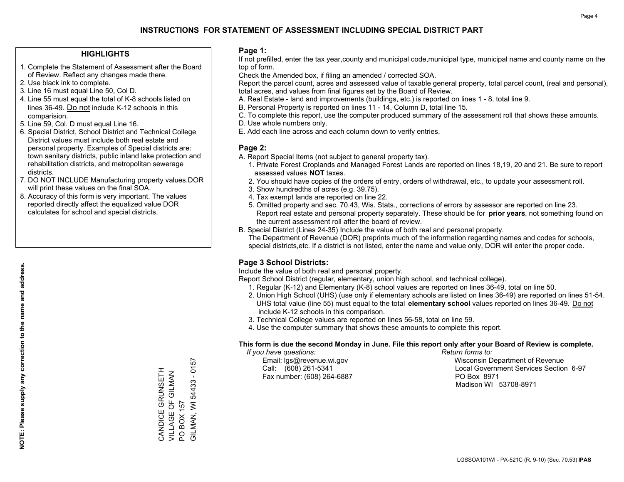### **HIGHLIGHTS**

- 1. Complete the Statement of Assessment after the Board of Review. Reflect any changes made there.
- 2. Use black ink to complete.
- 3. Line 16 must equal Line 50, Col D.
- 4. Line 55 must equal the total of K-8 schools listed on lines 36-49. Do not include K-12 schools in this comparision.
- 5. Line 59, Col. D must equal Line 16.
- 6. Special District, School District and Technical College District values must include both real estate and personal property. Examples of Special districts are: town sanitary districts, public inland lake protection and rehabilitation districts, and metropolitan sewerage districts.
- 7. DO NOT INCLUDE Manufacturing property values.DOR will print these values on the final SOA.

CANDICE GRUNSETH VILLAGE OF GILMAN

CANDICE GRUNSETH VILLAGE OF GILMAN BOX 157

PO BOX 157

 $\overline{S}$ 

GILMAN, WI 54433 - 0157

GILMAN, WI 54433 - 0157

 8. Accuracy of this form is very important. The values reported directly affect the equalized value DOR calculates for school and special districts.

### **Page 1:**

 If not prefilled, enter the tax year,county and municipal code,municipal type, municipal name and county name on the top of form.

Check the Amended box, if filing an amended / corrected SOA.

 Report the parcel count, acres and assessed value of taxable general property, total parcel count, (real and personal), total acres, and values from final figures set by the Board of Review.

- A. Real Estate land and improvements (buildings, etc.) is reported on lines 1 8, total line 9.
- B. Personal Property is reported on lines 11 14, Column D, total line 15.
- C. To complete this report, use the computer produced summary of the assessment roll that shows these amounts.
- D. Use whole numbers only.
- E. Add each line across and each column down to verify entries.

### **Page 2:**

- A. Report Special Items (not subject to general property tax).
- 1. Private Forest Croplands and Managed Forest Lands are reported on lines 18,19, 20 and 21. Be sure to report assessed values **NOT** taxes.
- 2. You should have copies of the orders of entry, orders of withdrawal, etc., to update your assessment roll.
	- 3. Show hundredths of acres (e.g. 39.75).
- 4. Tax exempt lands are reported on line 22.
- 5. Omitted property and sec. 70.43, Wis. Stats., corrections of errors by assessor are reported on line 23. Report real estate and personal property separately. These should be for **prior years**, not something found on the current assessment roll after the board of review.
- B. Special District (Lines 24-35) Include the value of both real and personal property.

 The Department of Revenue (DOR) preprints much of the information regarding names and codes for schools, special districts,etc. If a district is not listed, enter the name and value only, DOR will enter the proper code.

## **Page 3 School Districts:**

Include the value of both real and personal property.

Report School District (regular, elementary, union high school, and technical college).

- 1. Regular (K-12) and Elementary (K-8) school values are reported on lines 36-49, total on line 50.
- 2. Union High School (UHS) (use only if elementary schools are listed on lines 36-49) are reported on lines 51-54. UHS total value (line 55) must equal to the total **elementary school** values reported on lines 36-49. Do notinclude K-12 schools in this comparison.
- 3. Technical College values are reported on lines 56-58, total on line 59.
- 4. Use the computer summary that shows these amounts to complete this report.

#### **This form is due the second Monday in June. File this report only after your Board of Review is complete.**

 *If you have questions: Return forms to:*

Fax number: (608) 264-6887 PO Box 8971

 Email: lgs@revenue.wi.gov Wisconsin Department of Revenue Call: (608) 261-5341 Local Government Services Section 6-97Madison WI 53708-8971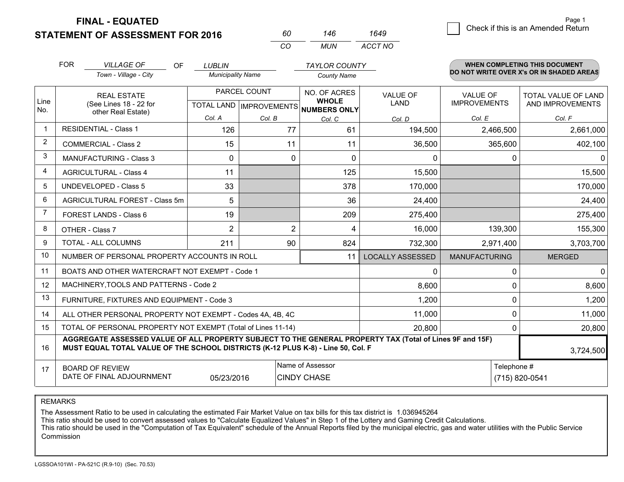**STATEMENT OF ASSESSMENT FOR 2016** 

**FINAL - EQUATED**

FOR

**WHEN COMPLETING THIS DOCUMENT** 

| RΠ  | 146 | 1649    |
|-----|-----|---------|
| CO. | MUN | ACCT NO |

|                | <b>FOR</b>                                                                                                                 | <b>VILLAGE OF</b><br><b>OF</b>                                                                                                                                                               | <b>LUBLIN</b>            |                                           | <b>TAYLOR COUNTY</b>                                |                                |                                        | <b>WHEN COMPLETING THIS DOCUMENT</b>           |
|----------------|----------------------------------------------------------------------------------------------------------------------------|----------------------------------------------------------------------------------------------------------------------------------------------------------------------------------------------|--------------------------|-------------------------------------------|-----------------------------------------------------|--------------------------------|----------------------------------------|------------------------------------------------|
|                |                                                                                                                            | Town - Village - City                                                                                                                                                                        | <b>Municipality Name</b> |                                           | <b>County Name</b>                                  |                                |                                        | DO NOT WRITE OVER X's OR IN SHADED AREAS       |
| Line<br>No.    |                                                                                                                            | <b>REAL ESTATE</b><br>(See Lines 18 - 22 for                                                                                                                                                 |                          | PARCEL COUNT<br>TOTAL LAND   IMPROVEMENTS | NO. OF ACRES<br><b>WHOLE</b><br><b>NUMBERS ONLY</b> | <b>VALUE OF</b><br><b>LAND</b> | <b>VALUE OF</b><br><b>IMPROVEMENTS</b> | <b>TOTAL VALUE OF LAND</b><br>AND IMPROVEMENTS |
|                |                                                                                                                            | other Real Estate)                                                                                                                                                                           | Col. A                   | Col. B                                    | Col. C                                              | Col. D                         | Col. E                                 | Col. F                                         |
| $\mathbf{1}$   |                                                                                                                            | <b>RESIDENTIAL - Class 1</b>                                                                                                                                                                 | 126                      | 77                                        | 61                                                  | 194,500                        | 2,466,500                              | 2,661,000                                      |
| 2              |                                                                                                                            | <b>COMMERCIAL - Class 2</b>                                                                                                                                                                  | 15                       | 11                                        | 11                                                  | 36,500                         | 365,600                                | 402,100                                        |
| 3              |                                                                                                                            | <b>MANUFACTURING - Class 3</b>                                                                                                                                                               | $\mathbf{0}$             | $\Omega$                                  | $\Omega$                                            | 0                              | 0                                      |                                                |
| 4              |                                                                                                                            | <b>AGRICULTURAL - Class 4</b>                                                                                                                                                                | 11                       |                                           | 125                                                 | 15,500                         |                                        | 15,500                                         |
| 5              |                                                                                                                            | <b>UNDEVELOPED - Class 5</b>                                                                                                                                                                 | 33                       |                                           | 378                                                 | 170,000                        |                                        | 170,000                                        |
| 6              | AGRICULTURAL FOREST - Class 5m                                                                                             |                                                                                                                                                                                              | 5                        |                                           | 36                                                  | 24,400                         |                                        | 24,400                                         |
| $\overline{7}$ |                                                                                                                            | FOREST LANDS - Class 6                                                                                                                                                                       | 19                       |                                           | 209                                                 | 275,400                        |                                        | 275,400                                        |
| 8              |                                                                                                                            | OTHER - Class 7                                                                                                                                                                              | $\overline{2}$           | $\overline{2}$                            | 4                                                   | 16,000                         | 139,300                                | 155,300                                        |
| 9              |                                                                                                                            | TOTAL - ALL COLUMNS                                                                                                                                                                          | 211                      | 90                                        | 824                                                 | 732,300                        | 2,971,400                              | 3,703,700                                      |
| 10             |                                                                                                                            | NUMBER OF PERSONAL PROPERTY ACCOUNTS IN ROLL                                                                                                                                                 |                          |                                           | 11                                                  | <b>LOCALLY ASSESSED</b>        | <b>MANUFACTURING</b>                   | <b>MERGED</b>                                  |
| 11             |                                                                                                                            | BOATS AND OTHER WATERCRAFT NOT EXEMPT - Code 1                                                                                                                                               |                          |                                           |                                                     | 0                              | $\Omega$                               | 0                                              |
| 12             |                                                                                                                            | MACHINERY, TOOLS AND PATTERNS - Code 2                                                                                                                                                       |                          |                                           |                                                     | 8,600                          | $\Omega$                               | 8,600                                          |
| 13             |                                                                                                                            | FURNITURE, FIXTURES AND EQUIPMENT - Code 3                                                                                                                                                   |                          |                                           |                                                     | 1,200                          | 0                                      | 1,200                                          |
| 14             |                                                                                                                            | ALL OTHER PERSONAL PROPERTY NOT EXEMPT - Codes 4A, 4B, 4C                                                                                                                                    |                          |                                           |                                                     | 11,000                         | 0                                      | 11,000                                         |
| 15             | TOTAL OF PERSONAL PROPERTY NOT EXEMPT (Total of Lines 11-14)<br>20,800<br>$\Omega$                                         |                                                                                                                                                                                              |                          |                                           |                                                     |                                |                                        | 20,800                                         |
| 16             |                                                                                                                            | AGGREGATE ASSESSED VALUE OF ALL PROPERTY SUBJECT TO THE GENERAL PROPERTY TAX (Total of Lines 9F and 15F)<br>MUST EQUAL TOTAL VALUE OF THE SCHOOL DISTRICTS (K-12 PLUS K-8) - Line 50, Col. F |                          |                                           |                                                     |                                |                                        | 3,724,500                                      |
| 17             | Name of Assessor<br>Telephone #<br><b>BOARD OF REVIEW</b><br>DATE OF FINAL ADJOURNMENT<br>05/23/2016<br><b>CINDY CHASE</b> |                                                                                                                                                                                              |                          |                                           |                                                     |                                | (715) 820-0541                         |                                                |

REMARKS

The Assessment Ratio to be used in calculating the estimated Fair Market Value on tax bills for this tax district is 1.036945264

This ratio should be used to convert assessed values to "Calculate Equalized Values" in Step 1 of the Lottery and Gaming Credit Calculations.

 This ratio should be used in the "Computation of Tax Equivalent" schedule of the Annual Reports filed by the municipal electric, gas and water utilities with the Public Service Commission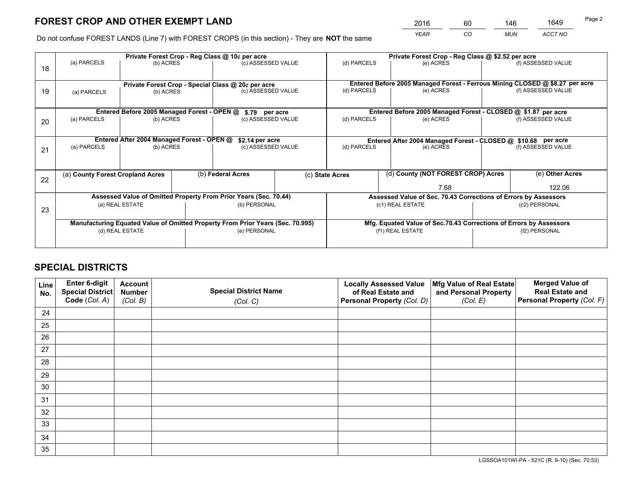*YEAR CO MUN ACCT NO* <sup>2016</sup> <sup>60</sup> <sup>146</sup> <sup>1649</sup>

Do not confuse FOREST LANDS (Line 7) with FOREST CROPS (in this section) - They are **NOT** the same

|    |                                  |                                             |                                                                                | Private Forest Crop - Reg Class @ 10¢ per acre                   |      | Private Forest Crop - Reg Class @ \$2.52 per acre                  |                                                               |  |                                                                              |  |
|----|----------------------------------|---------------------------------------------|--------------------------------------------------------------------------------|------------------------------------------------------------------|------|--------------------------------------------------------------------|---------------------------------------------------------------|--|------------------------------------------------------------------------------|--|
| 18 | (a) PARCELS                      | (b) ACRES                                   |                                                                                | (c) ASSESSED VALUE                                               |      | (d) PARCELS                                                        | (e) ACRES                                                     |  | (f) ASSESSED VALUE                                                           |  |
|    |                                  |                                             |                                                                                |                                                                  |      |                                                                    |                                                               |  |                                                                              |  |
|    |                                  |                                             |                                                                                | Private Forest Crop - Special Class @ 20¢ per acre               |      |                                                                    |                                                               |  | Entered Before 2005 Managed Forest - Ferrous Mining CLOSED @ \$8.27 per acre |  |
| 19 | (a) PARCELS                      | (b) ACRES                                   |                                                                                | (c) ASSESSED VALUE                                               |      | (d) PARCELS                                                        | (e) ACRES                                                     |  | (f) ASSESSED VALUE                                                           |  |
|    |                                  |                                             |                                                                                |                                                                  |      |                                                                    |                                                               |  |                                                                              |  |
|    |                                  | Entered Before 2005 Managed Forest - OPEN @ |                                                                                | \$.79 per acre                                                   |      |                                                                    | Entered Before 2005 Managed Forest - CLOSED @ \$1.87 per acre |  |                                                                              |  |
| 20 | (b) ACRES<br>(a) PARCELS         |                                             |                                                                                | (c) ASSESSED VALUE                                               |      | (d) PARCELS                                                        | (e) ACRES                                                     |  | (f) ASSESSED VALUE                                                           |  |
|    |                                  |                                             |                                                                                |                                                                  |      |                                                                    |                                                               |  |                                                                              |  |
|    |                                  | Entered After 2004 Managed Forest - OPEN @  |                                                                                | \$2.14 per acre                                                  |      |                                                                    |                                                               |  | Entered After 2004 Managed Forest - CLOSED @ \$10.68 per acre                |  |
|    | (a) PARCELS                      | (b) ACRES                                   |                                                                                | (c) ASSESSED VALUE                                               |      | (d) PARCELS<br>(e) ACRES                                           |                                                               |  | (f) ASSESSED VALUE                                                           |  |
| 21 |                                  |                                             |                                                                                |                                                                  |      |                                                                    |                                                               |  |                                                                              |  |
|    |                                  |                                             |                                                                                |                                                                  |      |                                                                    |                                                               |  |                                                                              |  |
|    | (a) County Forest Cropland Acres |                                             |                                                                                | (b) Federal Acres                                                |      | (c) State Acres                                                    | (d) County (NOT FOREST CROP) Acres                            |  | (e) Other Acres                                                              |  |
| 22 |                                  |                                             |                                                                                |                                                                  | 7.68 |                                                                    |                                                               |  | 122.06                                                                       |  |
|    |                                  |                                             |                                                                                | Assessed Value of Omitted Property From Prior Years (Sec. 70.44) |      | Assessed Value of Sec. 70.43 Corrections of Errors by Assessors    |                                                               |  |                                                                              |  |
|    |                                  | (a) REAL ESTATE                             |                                                                                | (b) PERSONAL                                                     |      |                                                                    | (c1) REAL ESTATE                                              |  | (c2) PERSONAL                                                                |  |
| 23 |                                  |                                             |                                                                                |                                                                  |      |                                                                    |                                                               |  |                                                                              |  |
|    |                                  |                                             | Manufacturing Equated Value of Omitted Property From Prior Years (Sec. 70.995) |                                                                  |      | Mfg. Equated Value of Sec.70.43 Corrections of Errors by Assessors |                                                               |  |                                                                              |  |
|    |                                  | (d) REAL ESTATE                             |                                                                                | (e) PERSONAL                                                     |      | (f1) REAL ESTATE                                                   |                                                               |  | (f2) PERSONAL                                                                |  |
|    |                                  |                                             |                                                                                |                                                                  |      |                                                                    |                                                               |  |                                                                              |  |
|    |                                  |                                             |                                                                                |                                                                  |      |                                                                    |                                                               |  |                                                                              |  |

## **SPECIAL DISTRICTS**

| Line<br>No. | Enter 6-digit<br>Special District<br>Code (Col. A) | <b>Account</b><br><b>Number</b><br>(Col. B) | <b>Special District Name</b><br>(Col. C) | <b>Locally Assessed Value</b><br>of Real Estate and<br>Personal Property (Col. D) | Mfg Value of Real Estate<br>and Personal Property<br>(Col. E) | <b>Merged Value of</b><br><b>Real Estate and</b><br>Personal Property (Col. F) |
|-------------|----------------------------------------------------|---------------------------------------------|------------------------------------------|-----------------------------------------------------------------------------------|---------------------------------------------------------------|--------------------------------------------------------------------------------|
| 24          |                                                    |                                             |                                          |                                                                                   |                                                               |                                                                                |
| 25          |                                                    |                                             |                                          |                                                                                   |                                                               |                                                                                |
| 26          |                                                    |                                             |                                          |                                                                                   |                                                               |                                                                                |
| 27          |                                                    |                                             |                                          |                                                                                   |                                                               |                                                                                |
| 28          |                                                    |                                             |                                          |                                                                                   |                                                               |                                                                                |
| 29          |                                                    |                                             |                                          |                                                                                   |                                                               |                                                                                |
| 30          |                                                    |                                             |                                          |                                                                                   |                                                               |                                                                                |
| 31          |                                                    |                                             |                                          |                                                                                   |                                                               |                                                                                |
| 32          |                                                    |                                             |                                          |                                                                                   |                                                               |                                                                                |
| 33          |                                                    |                                             |                                          |                                                                                   |                                                               |                                                                                |
| 34          |                                                    |                                             |                                          |                                                                                   |                                                               |                                                                                |
| 35          |                                                    |                                             |                                          |                                                                                   |                                                               |                                                                                |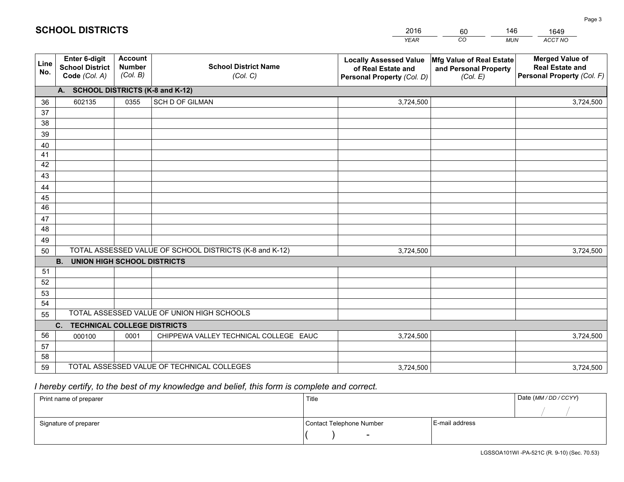|             |                                                                 |                                             |                                                         | <b>YEAR</b>                                                                       | CO<br><b>MUN</b>                                              | ACCT NO                                                                        |
|-------------|-----------------------------------------------------------------|---------------------------------------------|---------------------------------------------------------|-----------------------------------------------------------------------------------|---------------------------------------------------------------|--------------------------------------------------------------------------------|
| Line<br>No. | <b>Enter 6-digit</b><br><b>School District</b><br>Code (Col. A) | <b>Account</b><br><b>Number</b><br>(Col. B) | <b>School District Name</b><br>(Col. C)                 | <b>Locally Assessed Value</b><br>of Real Estate and<br>Personal Property (Col. D) | Mfg Value of Real Estate<br>and Personal Property<br>(Col. E) | <b>Merged Value of</b><br><b>Real Estate and</b><br>Personal Property (Col. F) |
|             | A. SCHOOL DISTRICTS (K-8 and K-12)                              |                                             |                                                         |                                                                                   |                                                               |                                                                                |
| 36          | 602135                                                          | 0355                                        | SCH D OF GILMAN                                         | 3,724,500                                                                         |                                                               | 3,724,500                                                                      |
| 37          |                                                                 |                                             |                                                         |                                                                                   |                                                               |                                                                                |
| 38          |                                                                 |                                             |                                                         |                                                                                   |                                                               |                                                                                |
| 39          |                                                                 |                                             |                                                         |                                                                                   |                                                               |                                                                                |
| 40          |                                                                 |                                             |                                                         |                                                                                   |                                                               |                                                                                |
| 41          |                                                                 |                                             |                                                         |                                                                                   |                                                               |                                                                                |
| 42<br>43    |                                                                 |                                             |                                                         |                                                                                   |                                                               |                                                                                |
|             |                                                                 |                                             |                                                         |                                                                                   |                                                               |                                                                                |
| 44<br>45    |                                                                 |                                             |                                                         |                                                                                   |                                                               |                                                                                |
| 46          |                                                                 |                                             |                                                         |                                                                                   |                                                               |                                                                                |
| 47          |                                                                 |                                             |                                                         |                                                                                   |                                                               |                                                                                |
| 48          |                                                                 |                                             |                                                         |                                                                                   |                                                               |                                                                                |
| 49          |                                                                 |                                             |                                                         |                                                                                   |                                                               |                                                                                |
| 50          |                                                                 |                                             | TOTAL ASSESSED VALUE OF SCHOOL DISTRICTS (K-8 and K-12) | 3,724,500                                                                         |                                                               | 3,724,500                                                                      |
|             | <b>B.</b><br><b>UNION HIGH SCHOOL DISTRICTS</b>                 |                                             |                                                         |                                                                                   |                                                               |                                                                                |
| 51          |                                                                 |                                             |                                                         |                                                                                   |                                                               |                                                                                |
| 52          |                                                                 |                                             |                                                         |                                                                                   |                                                               |                                                                                |
| 53          |                                                                 |                                             |                                                         |                                                                                   |                                                               |                                                                                |
| 54          |                                                                 |                                             |                                                         |                                                                                   |                                                               |                                                                                |
| 55          |                                                                 |                                             | TOTAL ASSESSED VALUE OF UNION HIGH SCHOOLS              |                                                                                   |                                                               |                                                                                |
|             | C.<br><b>TECHNICAL COLLEGE DISTRICTS</b>                        |                                             |                                                         |                                                                                   |                                                               |                                                                                |
| 56          | 000100                                                          | 0001                                        | CHIPPEWA VALLEY TECHNICAL COLLEGE EAUC                  | 3,724,500                                                                         |                                                               | 3,724,500                                                                      |
| 57          |                                                                 |                                             |                                                         |                                                                                   |                                                               |                                                                                |
| 58<br>59    |                                                                 |                                             | TOTAL ASSESSED VALUE OF TECHNICAL COLLEGES              |                                                                                   |                                                               |                                                                                |
|             |                                                                 |                                             |                                                         | 3,724,500                                                                         |                                                               | 3,724,500                                                                      |

60

146

# *I hereby certify, to the best of my knowledge and belief, this form is complete and correct.*

**SCHOOL DISTRICTS**

| Print name of preparer | Title                    |                | Date (MM / DD / CCYY) |
|------------------------|--------------------------|----------------|-----------------------|
|                        |                          |                |                       |
| Signature of preparer  | Contact Telephone Number | E-mail address |                       |
|                        | $\sim$                   |                |                       |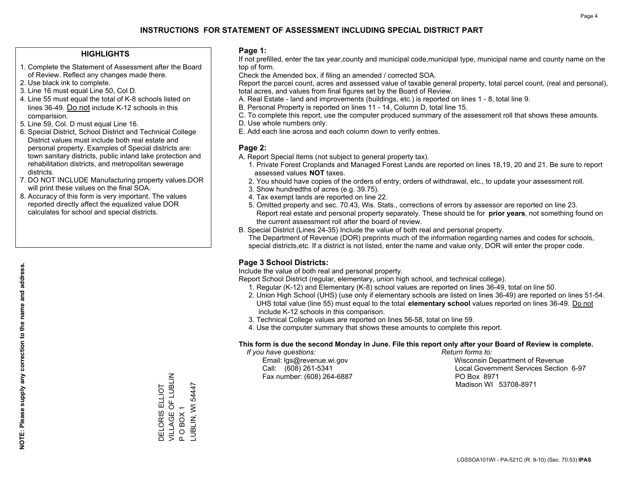### **HIGHLIGHTS**

- 1. Complete the Statement of Assessment after the Board of Review. Reflect any changes made there.
- 2. Use black ink to complete.
- 3. Line 16 must equal Line 50, Col D.
- 4. Line 55 must equal the total of K-8 schools listed on lines 36-49. Do not include K-12 schools in this comparision.
- 5. Line 59, Col. D must equal Line 16.
- 6. Special District, School District and Technical College District values must include both real estate and personal property. Examples of Special districts are: town sanitary districts, public inland lake protection and rehabilitation districts, and metropolitan sewerage districts.
- 7. DO NOT INCLUDE Manufacturing property values.DOR will print these values on the final SOA.
- 8. Accuracy of this form is very important. The values reported directly affect the equalized value DOR calculates for school and special districts.

### **Page 1:**

 If not prefilled, enter the tax year,county and municipal code,municipal type, municipal name and county name on the top of form.

Check the Amended box, if filing an amended / corrected SOA.

 Report the parcel count, acres and assessed value of taxable general property, total parcel count, (real and personal), total acres, and values from final figures set by the Board of Review.

- A. Real Estate land and improvements (buildings, etc.) is reported on lines 1 8, total line 9.
- B. Personal Property is reported on lines 11 14, Column D, total line 15.
- C. To complete this report, use the computer produced summary of the assessment roll that shows these amounts.
- D. Use whole numbers only.
- E. Add each line across and each column down to verify entries.

### **Page 2:**

- A. Report Special Items (not subject to general property tax).
- 1. Private Forest Croplands and Managed Forest Lands are reported on lines 18,19, 20 and 21. Be sure to report assessed values **NOT** taxes.
- 2. You should have copies of the orders of entry, orders of withdrawal, etc., to update your assessment roll.
	- 3. Show hundredths of acres (e.g. 39.75).
- 4. Tax exempt lands are reported on line 22.
- 5. Omitted property and sec. 70.43, Wis. Stats., corrections of errors by assessor are reported on line 23. Report real estate and personal property separately. These should be for **prior years**, not something found on the current assessment roll after the board of review.
- B. Special District (Lines 24-35) Include the value of both real and personal property.

 The Department of Revenue (DOR) preprints much of the information regarding names and codes for schools, special districts,etc. If a district is not listed, enter the name and value only, DOR will enter the proper code.

## **Page 3 School Districts:**

Include the value of both real and personal property.

Report School District (regular, elementary, union high school, and technical college).

- 1. Regular (K-12) and Elementary (K-8) school values are reported on lines 36-49, total on line 50.
- 2. Union High School (UHS) (use only if elementary schools are listed on lines 36-49) are reported on lines 51-54. UHS total value (line 55) must equal to the total **elementary school** values reported on lines 36-49. Do notinclude K-12 schools in this comparison.
- 3. Technical College values are reported on lines 56-58, total on line 59.
- 4. Use the computer summary that shows these amounts to complete this report.

#### **This form is due the second Monday in June. File this report only after your Board of Review is complete.**

 *If you have questions: Return forms to:*

Fax number: (608) 264-6887 PO Box 8971

 Email: lgs@revenue.wi.gov Wisconsin Department of Revenue Call: (608) 261-5341 Local Government Services Section 6-97Madison WI 53708-8971

VILLAGE OF LUBLIN DELORIS ELLIOT<br>VILLAGE OF LUBLIN -UBLIN, WI 54447 LUBLIN, WI 54447 DELORIS ELLIOT OBOX1 P O BOX 1  $\Delta$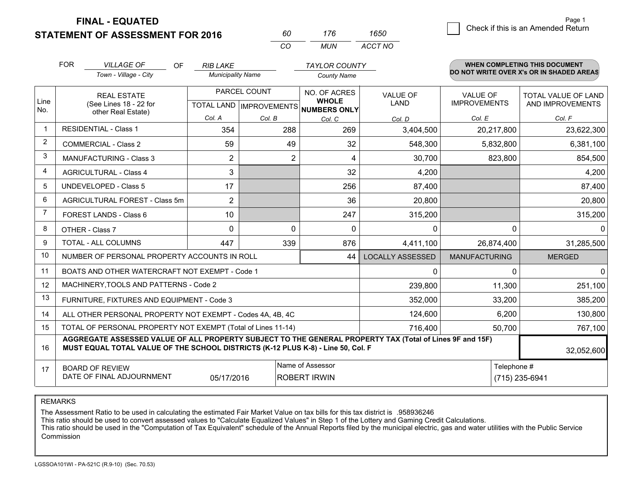**STATEMENT OF ASSESSMENT FOR 2016** 

**FINAL - EQUATED**

|   | Page 1                             |
|---|------------------------------------|
| 0 | Check if this is an Amended Return |
|   |                                    |

|                | <b>FOR</b>                                                                                                                                                                                   | <b>VILLAGE OF</b><br><b>OF</b><br>Town - Village - City   | <b>RIB LAKE</b><br><b>Municipality Name</b> |                                | <b>TAYLOR COUNTY</b>                    |                         |                      | <b>WHEN COMPLETING THIS DOCUMENT</b><br>DO NOT WRITE OVER X's OR IN SHADED AREAS |
|----------------|----------------------------------------------------------------------------------------------------------------------------------------------------------------------------------------------|-----------------------------------------------------------|---------------------------------------------|--------------------------------|-----------------------------------------|-------------------------|----------------------|----------------------------------------------------------------------------------|
|                |                                                                                                                                                                                              |                                                           |                                             |                                | <b>County Name</b>                      |                         |                      |                                                                                  |
|                |                                                                                                                                                                                              | PARCEL COUNT<br><b>REAL ESTATE</b>                        |                                             |                                | NO. OF ACRES                            | <b>VALUE OF</b>         | <b>VALUE OF</b>      | <b>TOTAL VALUE OF LAND</b>                                                       |
| Line<br>No.    |                                                                                                                                                                                              | (See Lines 18 - 22 for                                    |                                             | <b>TOTAL LAND IMPROVEMENTS</b> | <b>WHOLE</b><br><b>NUMBERS ONLY</b>     | <b>LAND</b>             | <b>IMPROVEMENTS</b>  | AND IMPROVEMENTS                                                                 |
|                |                                                                                                                                                                                              | other Real Estate)                                        | Col. A                                      | Col. B                         | Col. C                                  | Col. D                  | Col. E               | Col. F                                                                           |
| $\mathbf{1}$   | <b>RESIDENTIAL - Class 1</b>                                                                                                                                                                 |                                                           | 354                                         | 288                            | 269                                     | 3,404,500               | 20,217,800           | 23,622,300                                                                       |
| $\overline{2}$ |                                                                                                                                                                                              | <b>COMMERCIAL - Class 2</b>                               | 59                                          | 49                             | 32                                      | 548,300                 | 5,832,800            | 6,381,100                                                                        |
| 3              |                                                                                                                                                                                              | <b>MANUFACTURING - Class 3</b>                            | $\overline{2}$                              | 2                              | 4                                       | 30,700                  | 823,800              | 854,500                                                                          |
| 4              |                                                                                                                                                                                              | <b>AGRICULTURAL - Class 4</b>                             | 3                                           |                                | 32                                      | 4,200                   |                      | 4,200                                                                            |
| 5              |                                                                                                                                                                                              | <b>UNDEVELOPED - Class 5</b>                              | 17                                          |                                | 256                                     | 87,400                  |                      | 87,400                                                                           |
| 6              |                                                                                                                                                                                              | AGRICULTURAL FOREST - Class 5m                            | $\overline{2}$                              |                                | 36                                      | 20,800                  |                      | 20,800                                                                           |
| $\overline{7}$ |                                                                                                                                                                                              | FOREST LANDS - Class 6                                    | 10                                          |                                | 247                                     | 315,200                 |                      | 315,200                                                                          |
| 8              |                                                                                                                                                                                              | OTHER - Class 7                                           | 0                                           | $\Omega$                       | $\Omega$                                | $\mathbf{0}$            | $\Omega$             | $\Omega$                                                                         |
| 9              |                                                                                                                                                                                              | TOTAL - ALL COLUMNS                                       | 447                                         | 339                            | 876                                     | 4,411,100               | 26,874,400           | 31,285,500                                                                       |
| 10             |                                                                                                                                                                                              | NUMBER OF PERSONAL PROPERTY ACCOUNTS IN ROLL              |                                             |                                | 44                                      | <b>LOCALLY ASSESSED</b> | <b>MANUFACTURING</b> | <b>MERGED</b>                                                                    |
| 11             |                                                                                                                                                                                              | BOATS AND OTHER WATERCRAFT NOT EXEMPT - Code 1            |                                             |                                |                                         | $\mathbf{0}$            | $\Omega$             | $\mathbf{0}$                                                                     |
| 12             |                                                                                                                                                                                              | MACHINERY, TOOLS AND PATTERNS - Code 2                    |                                             |                                |                                         | 239,800                 | 11,300               | 251,100                                                                          |
| 13             |                                                                                                                                                                                              | FURNITURE, FIXTURES AND EQUIPMENT - Code 3                |                                             |                                |                                         | 352,000                 | 33,200               | 385,200                                                                          |
| 14             |                                                                                                                                                                                              | ALL OTHER PERSONAL PROPERTY NOT EXEMPT - Codes 4A, 4B, 4C |                                             |                                |                                         | 124,600                 | 6,200                | 130,800                                                                          |
| 15             | TOTAL OF PERSONAL PROPERTY NOT EXEMPT (Total of Lines 11-14)                                                                                                                                 |                                                           |                                             |                                |                                         | 716,400                 | 50,700               | 767,100                                                                          |
| 16             | AGGREGATE ASSESSED VALUE OF ALL PROPERTY SUBJECT TO THE GENERAL PROPERTY TAX (Total of Lines 9F and 15F)<br>MUST EQUAL TOTAL VALUE OF THE SCHOOL DISTRICTS (K-12 PLUS K-8) - Line 50, Col. F |                                                           |                                             |                                |                                         |                         |                      | 32,052,600                                                                       |
| 17             |                                                                                                                                                                                              | <b>BOARD OF REVIEW</b><br>DATE OF FINAL ADJOURNMENT       | 05/17/2016                                  |                                | Name of Assessor<br><b>ROBERT IRWIN</b> |                         | Telephone #          | (715) 235-6941                                                                   |

*CO*

*MUN*

*ACCT NO1650*

*<sup>60</sup> <sup>176</sup>*

REMARKS

The Assessment Ratio to be used in calculating the estimated Fair Market Value on tax bills for this tax district is .958936246<br>This ratio should be used to convert assessed values to "Calculate Equalized Values" in Step 1 Commission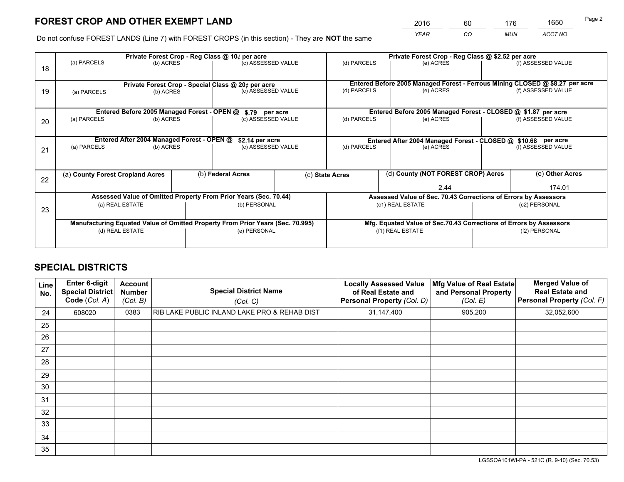*YEAR CO MUN ACCT NO* <sup>2016</sup> <sup>60</sup> <sup>176</sup> <sup>1650</sup>

Do not confuse FOREST LANDS (Line 7) with FOREST CROPS (in this section) - They are **NOT** the same

|    |                                  |                                                    |  | Private Forest Crop - Reg Class @ 10¢ per acre                                 |  |                                                               | Private Forest Crop - Reg Class @ \$2.52 per acre                            |               |                    |  |
|----|----------------------------------|----------------------------------------------------|--|--------------------------------------------------------------------------------|--|---------------------------------------------------------------|------------------------------------------------------------------------------|---------------|--------------------|--|
| 18 | (a) PARCELS                      | (b) ACRES                                          |  | (c) ASSESSED VALUE                                                             |  | (d) PARCELS                                                   | (e) ACRES                                                                    |               | (f) ASSESSED VALUE |  |
|    |                                  |                                                    |  |                                                                                |  |                                                               |                                                                              |               |                    |  |
|    |                                  | Private Forest Crop - Special Class @ 20¢ per acre |  |                                                                                |  |                                                               | Entered Before 2005 Managed Forest - Ferrous Mining CLOSED @ \$8.27 per acre |               | (f) ASSESSED VALUE |  |
| 19 | (a) PARCELS                      | (b) ACRES                                          |  | (c) ASSESSED VALUE                                                             |  | (d) PARCELS                                                   | (e) ACRES                                                                    |               |                    |  |
|    |                                  |                                                    |  |                                                                                |  |                                                               |                                                                              |               |                    |  |
|    |                                  | Entered Before 2005 Managed Forest - OPEN @        |  | \$.79 per acre                                                                 |  |                                                               | Entered Before 2005 Managed Forest - CLOSED @ \$1.87 per acre                |               |                    |  |
| 20 | (a) PARCELS                      | (b) ACRES                                          |  | (c) ASSESSED VALUE                                                             |  | (d) PARCELS                                                   | (e) ACRES                                                                    |               | (f) ASSESSED VALUE |  |
|    |                                  |                                                    |  |                                                                                |  |                                                               |                                                                              |               |                    |  |
|    |                                  | Entered After 2004 Managed Forest - OPEN @         |  | \$2.14 per acre                                                                |  | Entered After 2004 Managed Forest - CLOSED @ \$10.68 per acre |                                                                              |               |                    |  |
|    | (a) PARCELS                      | (b) ACRES                                          |  | (c) ASSESSED VALUE                                                             |  | (d) PARCELS<br>(e) ACRES                                      |                                                                              |               | (f) ASSESSED VALUE |  |
| 21 |                                  |                                                    |  |                                                                                |  |                                                               |                                                                              |               |                    |  |
|    |                                  |                                                    |  |                                                                                |  |                                                               |                                                                              |               |                    |  |
|    | (a) County Forest Cropland Acres |                                                    |  | (b) Federal Acres                                                              |  | (d) County (NOT FOREST CROP) Acres<br>(c) State Acres         |                                                                              |               | (e) Other Acres    |  |
| 22 |                                  |                                                    |  |                                                                                |  | 2.44                                                          |                                                                              | 174.01        |                    |  |
|    |                                  |                                                    |  | Assessed Value of Omitted Property From Prior Years (Sec. 70.44)               |  |                                                               | Assessed Value of Sec. 70.43 Corrections of Errors by Assessors              |               |                    |  |
|    |                                  | (a) REAL ESTATE                                    |  | (b) PERSONAL                                                                   |  |                                                               | (c1) REAL ESTATE                                                             |               | (c2) PERSONAL      |  |
| 23 |                                  |                                                    |  |                                                                                |  |                                                               |                                                                              |               |                    |  |
|    |                                  |                                                    |  | Manufacturing Equated Value of Omitted Property From Prior Years (Sec. 70.995) |  |                                                               | Mfg. Equated Value of Sec.70.43 Corrections of Errors by Assessors           |               |                    |  |
|    |                                  | (d) REAL ESTATE                                    |  | (e) PERSONAL                                                                   |  |                                                               | (f1) REAL ESTATE                                                             | (f2) PERSONAL |                    |  |
|    |                                  |                                                    |  |                                                                                |  |                                                               |                                                                              |               |                    |  |
|    |                                  |                                                    |  |                                                                                |  |                                                               |                                                                              |               |                    |  |

## **SPECIAL DISTRICTS**

| Line<br>No. | Enter 6-digit<br><b>Special District</b><br>Code (Col. A) | <b>Account</b><br><b>Number</b><br>(Col. B) | <b>Special District Name</b><br>(Col. C)     | <b>Locally Assessed Value</b><br>of Real Estate and<br>Personal Property (Col. D) | Mfg Value of Real Estate<br>and Personal Property<br>(Col. E) | <b>Merged Value of</b><br><b>Real Estate and</b><br>Personal Property (Col. F) |
|-------------|-----------------------------------------------------------|---------------------------------------------|----------------------------------------------|-----------------------------------------------------------------------------------|---------------------------------------------------------------|--------------------------------------------------------------------------------|
| 24          | 608020                                                    | 0383                                        | RIB LAKE PUBLIC INLAND LAKE PRO & REHAB DIST | 31,147,400                                                                        | 905,200                                                       | 32,052,600                                                                     |
| 25          |                                                           |                                             |                                              |                                                                                   |                                                               |                                                                                |
| 26          |                                                           |                                             |                                              |                                                                                   |                                                               |                                                                                |
| 27          |                                                           |                                             |                                              |                                                                                   |                                                               |                                                                                |
| 28          |                                                           |                                             |                                              |                                                                                   |                                                               |                                                                                |
| 29          |                                                           |                                             |                                              |                                                                                   |                                                               |                                                                                |
| 30          |                                                           |                                             |                                              |                                                                                   |                                                               |                                                                                |
| 31          |                                                           |                                             |                                              |                                                                                   |                                                               |                                                                                |
| 32          |                                                           |                                             |                                              |                                                                                   |                                                               |                                                                                |
| 33          |                                                           |                                             |                                              |                                                                                   |                                                               |                                                                                |
| 34          |                                                           |                                             |                                              |                                                                                   |                                                               |                                                                                |
| 35          |                                                           |                                             |                                              |                                                                                   |                                                               |                                                                                |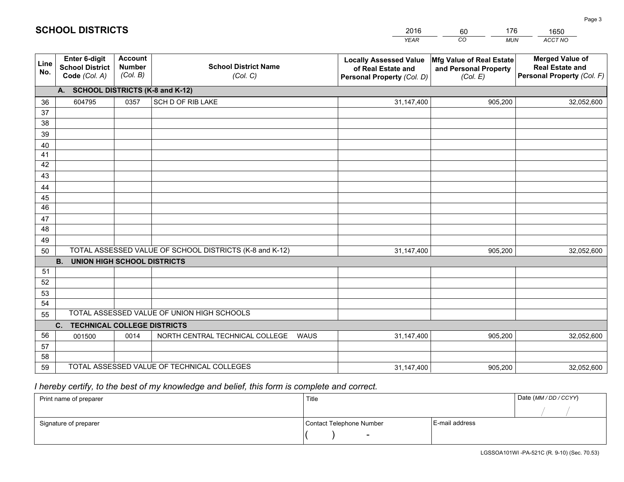|             |                                                                 |                                             |                                                         | <b>YEAR</b>                                                                       | CO<br><b>MUN</b>                                              | ACCT NO                                                                        |
|-------------|-----------------------------------------------------------------|---------------------------------------------|---------------------------------------------------------|-----------------------------------------------------------------------------------|---------------------------------------------------------------|--------------------------------------------------------------------------------|
| Line<br>No. | <b>Enter 6-digit</b><br><b>School District</b><br>Code (Col. A) | <b>Account</b><br><b>Number</b><br>(Col. B) | <b>School District Name</b><br>(Col. C)                 | <b>Locally Assessed Value</b><br>of Real Estate and<br>Personal Property (Col. D) | Mfg Value of Real Estate<br>and Personal Property<br>(Col. E) | <b>Merged Value of</b><br><b>Real Estate and</b><br>Personal Property (Col. F) |
|             | A. SCHOOL DISTRICTS (K-8 and K-12)                              |                                             |                                                         |                                                                                   |                                                               |                                                                                |
| 36          | 604795                                                          | 0357                                        | SCH D OF RIB LAKE                                       | 31,147,400                                                                        | 905,200                                                       | 32,052,600                                                                     |
| 37          |                                                                 |                                             |                                                         |                                                                                   |                                                               |                                                                                |
| 38          |                                                                 |                                             |                                                         |                                                                                   |                                                               |                                                                                |
| 39          |                                                                 |                                             |                                                         |                                                                                   |                                                               |                                                                                |
| 40          |                                                                 |                                             |                                                         |                                                                                   |                                                               |                                                                                |
| 41<br>42    |                                                                 |                                             |                                                         |                                                                                   |                                                               |                                                                                |
| 43          |                                                                 |                                             |                                                         |                                                                                   |                                                               |                                                                                |
| 44          |                                                                 |                                             |                                                         |                                                                                   |                                                               |                                                                                |
| 45          |                                                                 |                                             |                                                         |                                                                                   |                                                               |                                                                                |
| 46          |                                                                 |                                             |                                                         |                                                                                   |                                                               |                                                                                |
| 47          |                                                                 |                                             |                                                         |                                                                                   |                                                               |                                                                                |
| 48          |                                                                 |                                             |                                                         |                                                                                   |                                                               |                                                                                |
| 49          |                                                                 |                                             |                                                         |                                                                                   |                                                               |                                                                                |
| 50          |                                                                 |                                             | TOTAL ASSESSED VALUE OF SCHOOL DISTRICTS (K-8 and K-12) | 31,147,400                                                                        | 905,200                                                       | 32,052,600                                                                     |
|             | <b>B. UNION HIGH SCHOOL DISTRICTS</b>                           |                                             |                                                         |                                                                                   |                                                               |                                                                                |
| 51<br>52    |                                                                 |                                             |                                                         |                                                                                   |                                                               |                                                                                |
| 53          |                                                                 |                                             |                                                         |                                                                                   |                                                               |                                                                                |
| 54          |                                                                 |                                             |                                                         |                                                                                   |                                                               |                                                                                |
| 55          |                                                                 |                                             | TOTAL ASSESSED VALUE OF UNION HIGH SCHOOLS              |                                                                                   |                                                               |                                                                                |
|             | C.<br><b>TECHNICAL COLLEGE DISTRICTS</b>                        |                                             |                                                         |                                                                                   |                                                               |                                                                                |
| 56          | 001500                                                          | 0014                                        | NORTH CENTRAL TECHNICAL COLLEGE<br><b>WAUS</b>          | 31,147,400                                                                        | 905,200                                                       | 32,052,600                                                                     |
| 57          |                                                                 |                                             |                                                         |                                                                                   |                                                               |                                                                                |
| 58          |                                                                 |                                             |                                                         |                                                                                   |                                                               |                                                                                |
| 59          |                                                                 |                                             | TOTAL ASSESSED VALUE OF TECHNICAL COLLEGES              | 31,147,400                                                                        | 905,200                                                       | 32,052,600                                                                     |

60

176

 *I hereby certify, to the best of my knowledge and belief, this form is complete and correct.*

**SCHOOL DISTRICTS**

| Print name of preparer | Title                    |                | Date (MM / DD / CCYY) |
|------------------------|--------------------------|----------------|-----------------------|
|                        |                          |                |                       |
| Signature of preparer  | Contact Telephone Number | E-mail address |                       |
|                        | $\sim$                   |                |                       |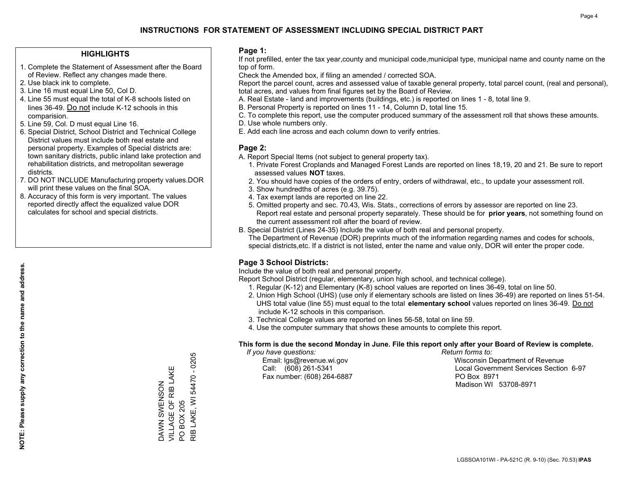### **HIGHLIGHTS**

- 1. Complete the Statement of Assessment after the Board of Review. Reflect any changes made there.
- 2. Use black ink to complete.
- 3. Line 16 must equal Line 50, Col D.
- 4. Line 55 must equal the total of K-8 schools listed on lines 36-49. Do not include K-12 schools in this comparision.
- 5. Line 59, Col. D must equal Line 16.
- 6. Special District, School District and Technical College District values must include both real estate and personal property. Examples of Special districts are: town sanitary districts, public inland lake protection and rehabilitation districts, and metropolitan sewerage districts.
- 7. DO NOT INCLUDE Manufacturing property values.DOR will print these values on the final SOA.

DAWN SWENSON VILLAGE OF RIB LAKE

DAWN SWENSON<br>VILLAGE OF RIB LAKE

PO BOX 205

 $\overline{S}$ 

**BOX 205** 

RIB LAKE, WI 54470 - 0205

RIB LAKE, WI 54470 - 0205

 8. Accuracy of this form is very important. The values reported directly affect the equalized value DOR calculates for school and special districts.

### **Page 1:**

 If not prefilled, enter the tax year,county and municipal code,municipal type, municipal name and county name on the top of form.

Check the Amended box, if filing an amended / corrected SOA.

 Report the parcel count, acres and assessed value of taxable general property, total parcel count, (real and personal), total acres, and values from final figures set by the Board of Review.

- A. Real Estate land and improvements (buildings, etc.) is reported on lines 1 8, total line 9.
- B. Personal Property is reported on lines 11 14, Column D, total line 15.
- C. To complete this report, use the computer produced summary of the assessment roll that shows these amounts.
- D. Use whole numbers only.
- E. Add each line across and each column down to verify entries.

### **Page 2:**

- A. Report Special Items (not subject to general property tax).
- 1. Private Forest Croplands and Managed Forest Lands are reported on lines 18,19, 20 and 21. Be sure to report assessed values **NOT** taxes.
- 2. You should have copies of the orders of entry, orders of withdrawal, etc., to update your assessment roll.
	- 3. Show hundredths of acres (e.g. 39.75).
- 4. Tax exempt lands are reported on line 22.
- 5. Omitted property and sec. 70.43, Wis. Stats., corrections of errors by assessor are reported on line 23. Report real estate and personal property separately. These should be for **prior years**, not something found on the current assessment roll after the board of review.
- B. Special District (Lines 24-35) Include the value of both real and personal property.

 The Department of Revenue (DOR) preprints much of the information regarding names and codes for schools, special districts,etc. If a district is not listed, enter the name and value only, DOR will enter the proper code.

## **Page 3 School Districts:**

Include the value of both real and personal property.

Report School District (regular, elementary, union high school, and technical college).

- 1. Regular (K-12) and Elementary (K-8) school values are reported on lines 36-49, total on line 50.
- 2. Union High School (UHS) (use only if elementary schools are listed on lines 36-49) are reported on lines 51-54. UHS total value (line 55) must equal to the total **elementary school** values reported on lines 36-49. Do notinclude K-12 schools in this comparison.
- 3. Technical College values are reported on lines 56-58, total on line 59.
- 4. Use the computer summary that shows these amounts to complete this report.

#### **This form is due the second Monday in June. File this report only after your Board of Review is complete.**

 *If you have questions: Return forms to:*

Fax number: (608) 264-6887 PO Box 8971

 Email: lgs@revenue.wi.gov Wisconsin Department of Revenue Call: (608) 261-5341 Local Government Services Section 6-97Madison WI 53708-8971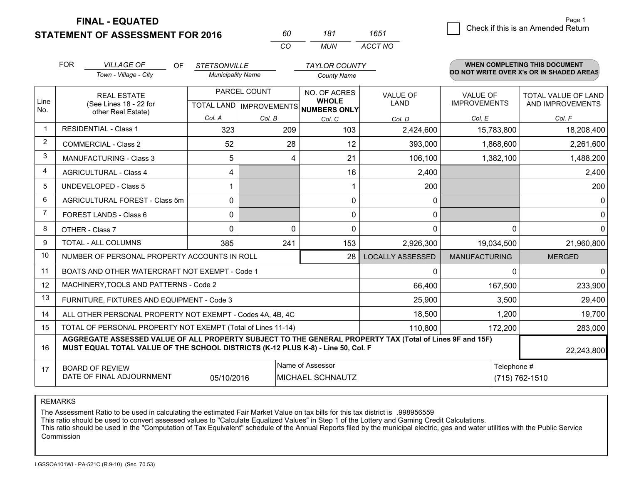**STATEMENT OF ASSESSMENT FOR 2016** 

**FINAL - EQUATED**

|                | <b>FOR</b><br><b>VILLAGE OF</b><br>OF.<br>Town - Village - City                                                                                                                              | <b>STETSONVILLE</b><br><b>Municipality Name</b> |                           | <b>TAYLOR COUNTY</b><br><b>County Name</b> |                         |                      | <b>WHEN COMPLETING THIS DOCUMENT</b><br>DO NOT WRITE OVER X's OR IN SHADED AREAS |
|----------------|----------------------------------------------------------------------------------------------------------------------------------------------------------------------------------------------|-------------------------------------------------|---------------------------|--------------------------------------------|-------------------------|----------------------|----------------------------------------------------------------------------------|
| Line           | <b>REAL ESTATE</b>                                                                                                                                                                           |                                                 | PARCEL COUNT              | NO. OF ACRES<br><b>WHOLE</b>               | <b>VALUE OF</b>         | VALUE OF             | TOTAL VALUE OF LAND                                                              |
| No.            | (See Lines 18 - 22 for<br>other Real Estate)                                                                                                                                                 |                                                 | TOTAL LAND   IMPROVEMENTS | NUMBERS ONLY                               | LAND                    | <b>IMPROVEMENTS</b>  | AND IMPROVEMENTS                                                                 |
|                |                                                                                                                                                                                              | Col. A                                          | Col. B                    | Col. C                                     | Col. D                  | Col. E               | Col. F                                                                           |
| -1             | <b>RESIDENTIAL - Class 1</b>                                                                                                                                                                 | 323                                             | 209                       | 103                                        | 2,424,600               | 15,783,800           | 18,208,400                                                                       |
| 2              | COMMERCIAL - Class 2                                                                                                                                                                         | 52                                              | 28                        | 12                                         | 393,000                 | 1,868,600            | 2,261,600                                                                        |
| 3              | <b>MANUFACTURING - Class 3</b>                                                                                                                                                               | 5                                               | 4                         | 21                                         | 106,100                 | 1,382,100            | 1,488,200                                                                        |
| 4              | <b>AGRICULTURAL - Class 4</b>                                                                                                                                                                | 4                                               |                           | 16                                         | 2,400                   |                      | 2,400                                                                            |
| 5              | <b>UNDEVELOPED - Class 5</b>                                                                                                                                                                 |                                                 |                           |                                            | 200                     |                      | 200                                                                              |
| 6              | AGRICULTURAL FOREST - Class 5m                                                                                                                                                               | 0                                               |                           | $\mathbf 0$                                | $\mathbf 0$             |                      | $\Omega$                                                                         |
| $\overline{7}$ | FOREST LANDS - Class 6                                                                                                                                                                       | $\Omega$                                        |                           | 0                                          | 0                       |                      | $\mathbf 0$                                                                      |
| 8              | OTHER - Class 7                                                                                                                                                                              | $\Omega$                                        | $\Omega$                  | $\Omega$                                   | 0                       | $\Omega$             | $\Omega$                                                                         |
| 9              | TOTAL - ALL COLUMNS                                                                                                                                                                          | 385                                             | 241                       | 153                                        | 2,926,300               | 19,034,500           | 21,960,800                                                                       |
| 10             | NUMBER OF PERSONAL PROPERTY ACCOUNTS IN ROLL                                                                                                                                                 |                                                 |                           | 28                                         | <b>LOCALLY ASSESSED</b> | <b>MANUFACTURING</b> | <b>MERGED</b>                                                                    |
| 11             | BOATS AND OTHER WATERCRAFT NOT EXEMPT - Code 1                                                                                                                                               |                                                 |                           |                                            | $\mathbf 0$             | $\Omega$             | $\Omega$                                                                         |
| 12             | MACHINERY, TOOLS AND PATTERNS - Code 2                                                                                                                                                       |                                                 |                           |                                            | 66,400                  | 167,500              | 233,900                                                                          |
| 13             | FURNITURE, FIXTURES AND EQUIPMENT - Code 3                                                                                                                                                   |                                                 |                           |                                            | 25,900                  | 3,500                | 29,400                                                                           |
| 14             | ALL OTHER PERSONAL PROPERTY NOT EXEMPT - Codes 4A, 4B, 4C                                                                                                                                    |                                                 |                           |                                            | 18,500                  | 1,200                | 19,700                                                                           |
| 15             | TOTAL OF PERSONAL PROPERTY NOT EXEMPT (Total of Lines 11-14)                                                                                                                                 |                                                 |                           |                                            | 110,800                 | 172,200              | 283,000                                                                          |
| 16             | AGGREGATE ASSESSED VALUE OF ALL PROPERTY SUBJECT TO THE GENERAL PROPERTY TAX (Total of Lines 9F and 15F)<br>MUST EQUAL TOTAL VALUE OF THE SCHOOL DISTRICTS (K-12 PLUS K-8) - Line 50, Col. F |                                                 |                           |                                            |                         |                      | 22,243,800                                                                       |
| 17             | <b>BOARD OF REVIEW</b>                                                                                                                                                                       |                                                 |                           | Name of Assessor                           |                         | Telephone #          |                                                                                  |
|                | DATE OF FINAL ADJOURNMENT                                                                                                                                                                    | 05/10/2016                                      |                           |                                            | (715) 762-1510          |                      |                                                                                  |

*CO*

*MUN*

*ACCT NO1651*

*<sup>60</sup> <sup>181</sup>*

REMARKS

The Assessment Ratio to be used in calculating the estimated Fair Market Value on tax bills for this tax district is .998956559<br>This ratio should be used to convert assessed values to "Calculate Equalized Values" in Step 1 Commission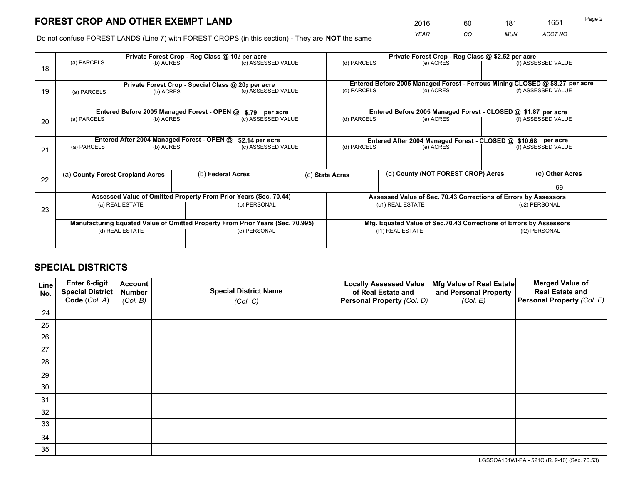*YEAR CO MUN ACCT NO* <sup>2016</sup> <sup>60</sup> <sup>181</sup> <sup>1651</sup>

Do not confuse FOREST LANDS (Line 7) with FOREST CROPS (in this section) - They are **NOT** the same

|    |                                                    |                                             |  | Private Forest Crop - Reg Class @ 10¢ per acre                                 |  |                                                                              | Private Forest Crop - Reg Class @ \$2.52 per acre                  |               |                    |
|----|----------------------------------------------------|---------------------------------------------|--|--------------------------------------------------------------------------------|--|------------------------------------------------------------------------------|--------------------------------------------------------------------|---------------|--------------------|
| 18 | (a) PARCELS                                        | (b) ACRES                                   |  | (c) ASSESSED VALUE                                                             |  | (d) PARCELS                                                                  | (e) ACRES                                                          |               | (f) ASSESSED VALUE |
|    | Private Forest Crop - Special Class @ 20¢ per acre |                                             |  |                                                                                |  | Entered Before 2005 Managed Forest - Ferrous Mining CLOSED @ \$8.27 per acre |                                                                    |               |                    |
| 19 | (b) ACRES<br>(a) PARCELS                           |                                             |  | (c) ASSESSED VALUE                                                             |  | (d) PARCELS                                                                  | (e) ACRES                                                          |               | (f) ASSESSED VALUE |
|    |                                                    | Entered Before 2005 Managed Forest - OPEN @ |  |                                                                                |  |                                                                              | Entered Before 2005 Managed Forest - CLOSED @ \$1.87 per acre      |               |                    |
| 20 | (a) PARCELS<br>(b) ACRES                           |                                             |  | \$.79 per acre<br>(c) ASSESSED VALUE                                           |  | (d) PARCELS<br>(e) ACRES                                                     |                                                                    |               | (f) ASSESSED VALUE |
|    |                                                    | Entered After 2004 Managed Forest - OPEN @  |  | \$2.14 per acre                                                                |  |                                                                              | Entered After 2004 Managed Forest - CLOSED @ \$10.68 per acre      |               |                    |
| 21 | (a) PARCELS                                        | (b) ACRES                                   |  | (c) ASSESSED VALUE                                                             |  | (d) PARCELS                                                                  | (e) ACRES                                                          |               | (f) ASSESSED VALUE |
|    |                                                    |                                             |  |                                                                                |  |                                                                              |                                                                    |               |                    |
|    | (a) County Forest Cropland Acres                   |                                             |  | (b) Federal Acres                                                              |  | (c) State Acres                                                              | (d) County (NOT FOREST CROP) Acres                                 |               | (e) Other Acres    |
| 22 |                                                    |                                             |  |                                                                                |  |                                                                              |                                                                    |               | 69                 |
|    |                                                    |                                             |  | Assessed Value of Omitted Property From Prior Years (Sec. 70.44)               |  |                                                                              | Assessed Value of Sec. 70.43 Corrections of Errors by Assessors    |               |                    |
| 23 |                                                    | (a) REAL ESTATE                             |  | (b) PERSONAL                                                                   |  |                                                                              | (c1) REAL ESTATE                                                   |               | (c2) PERSONAL      |
|    |                                                    |                                             |  |                                                                                |  |                                                                              |                                                                    |               |                    |
|    |                                                    |                                             |  | Manufacturing Equated Value of Omitted Property From Prior Years (Sec. 70.995) |  |                                                                              | Mfg. Equated Value of Sec.70.43 Corrections of Errors by Assessors |               |                    |
|    | (d) REAL ESTATE                                    |                                             |  | (e) PERSONAL                                                                   |  | (f1) REAL ESTATE                                                             |                                                                    | (f2) PERSONAL |                    |
|    |                                                    |                                             |  |                                                                                |  |                                                                              |                                                                    |               |                    |

## **SPECIAL DISTRICTS**

| Line<br>No. | Enter 6-digit<br><b>Special District</b> | <b>Account</b><br><b>Number</b> | <b>Special District Name</b> | <b>Locally Assessed Value</b><br>of Real Estate and | Mfg Value of Real Estate<br>and Personal Property | <b>Merged Value of</b><br><b>Real Estate and</b> |
|-------------|------------------------------------------|---------------------------------|------------------------------|-----------------------------------------------------|---------------------------------------------------|--------------------------------------------------|
|             | Code (Col. A)                            | (Col. B)                        | (Col. C)                     | Personal Property (Col. D)                          | (Col. E)                                          | Personal Property (Col. F)                       |
| 24          |                                          |                                 |                              |                                                     |                                                   |                                                  |
| 25          |                                          |                                 |                              |                                                     |                                                   |                                                  |
| 26          |                                          |                                 |                              |                                                     |                                                   |                                                  |
| 27          |                                          |                                 |                              |                                                     |                                                   |                                                  |
| 28          |                                          |                                 |                              |                                                     |                                                   |                                                  |
| 29          |                                          |                                 |                              |                                                     |                                                   |                                                  |
| 30          |                                          |                                 |                              |                                                     |                                                   |                                                  |
| 31          |                                          |                                 |                              |                                                     |                                                   |                                                  |
| 32          |                                          |                                 |                              |                                                     |                                                   |                                                  |
| 33          |                                          |                                 |                              |                                                     |                                                   |                                                  |
| 34          |                                          |                                 |                              |                                                     |                                                   |                                                  |
| 35          |                                          |                                 |                              |                                                     |                                                   |                                                  |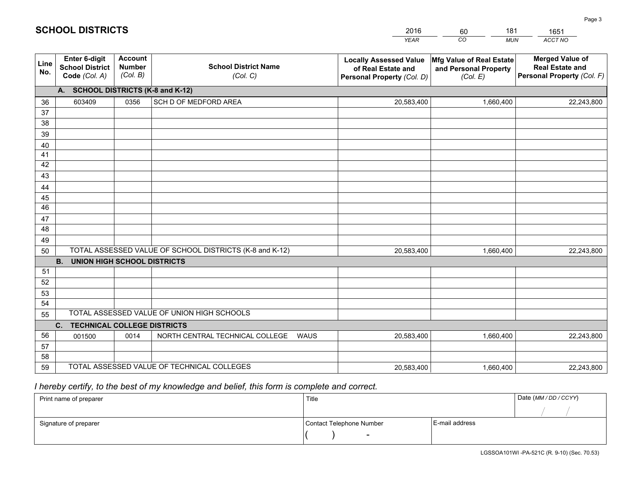|             |                                                                 |                                             |                                                         | <b>YEAR</b>                                                                       | CO<br><b>MUN</b>                                              | ACCT NO                                                                        |  |  |  |  |  |
|-------------|-----------------------------------------------------------------|---------------------------------------------|---------------------------------------------------------|-----------------------------------------------------------------------------------|---------------------------------------------------------------|--------------------------------------------------------------------------------|--|--|--|--|--|
| Line<br>No. | <b>Enter 6-digit</b><br><b>School District</b><br>Code (Col. A) | <b>Account</b><br><b>Number</b><br>(Col. B) | <b>School District Name</b><br>(Col. C)                 | <b>Locally Assessed Value</b><br>of Real Estate and<br>Personal Property (Col. D) | Mfg Value of Real Estate<br>and Personal Property<br>(Col. E) | <b>Merged Value of</b><br><b>Real Estate and</b><br>Personal Property (Col. F) |  |  |  |  |  |
|             | A. SCHOOL DISTRICTS (K-8 and K-12)                              |                                             |                                                         |                                                                                   |                                                               |                                                                                |  |  |  |  |  |
| 36          | 603409                                                          | 0356                                        | SCH D OF MEDFORD AREA                                   | 20,583,400                                                                        | 1,660,400                                                     | 22,243,800                                                                     |  |  |  |  |  |
| 37          |                                                                 |                                             |                                                         |                                                                                   |                                                               |                                                                                |  |  |  |  |  |
| 38          |                                                                 |                                             |                                                         |                                                                                   |                                                               |                                                                                |  |  |  |  |  |
| 39          |                                                                 |                                             |                                                         |                                                                                   |                                                               |                                                                                |  |  |  |  |  |
| 40          |                                                                 |                                             |                                                         |                                                                                   |                                                               |                                                                                |  |  |  |  |  |
| 41<br>42    |                                                                 |                                             |                                                         |                                                                                   |                                                               |                                                                                |  |  |  |  |  |
| 43          |                                                                 |                                             |                                                         |                                                                                   |                                                               |                                                                                |  |  |  |  |  |
| 44          |                                                                 |                                             |                                                         |                                                                                   |                                                               |                                                                                |  |  |  |  |  |
| 45          |                                                                 |                                             |                                                         |                                                                                   |                                                               |                                                                                |  |  |  |  |  |
| 46          |                                                                 |                                             |                                                         |                                                                                   |                                                               |                                                                                |  |  |  |  |  |
| 47          |                                                                 |                                             |                                                         |                                                                                   |                                                               |                                                                                |  |  |  |  |  |
| 48          |                                                                 |                                             |                                                         |                                                                                   |                                                               |                                                                                |  |  |  |  |  |
| 49          |                                                                 |                                             |                                                         |                                                                                   |                                                               |                                                                                |  |  |  |  |  |
| 50          |                                                                 |                                             | TOTAL ASSESSED VALUE OF SCHOOL DISTRICTS (K-8 and K-12) | 20,583,400                                                                        | 1,660,400                                                     | 22,243,800                                                                     |  |  |  |  |  |
|             | <b>B. UNION HIGH SCHOOL DISTRICTS</b>                           |                                             |                                                         |                                                                                   |                                                               |                                                                                |  |  |  |  |  |
| 51<br>52    |                                                                 |                                             |                                                         |                                                                                   |                                                               |                                                                                |  |  |  |  |  |
| 53          |                                                                 |                                             |                                                         |                                                                                   |                                                               |                                                                                |  |  |  |  |  |
| 54          |                                                                 |                                             |                                                         |                                                                                   |                                                               |                                                                                |  |  |  |  |  |
| 55          |                                                                 |                                             | TOTAL ASSESSED VALUE OF UNION HIGH SCHOOLS              |                                                                                   |                                                               |                                                                                |  |  |  |  |  |
|             | C.<br><b>TECHNICAL COLLEGE DISTRICTS</b>                        |                                             |                                                         |                                                                                   |                                                               |                                                                                |  |  |  |  |  |
| 56          | 001500                                                          | 0014                                        | NORTH CENTRAL TECHNICAL COLLEGE<br><b>WAUS</b>          | 20,583,400                                                                        | 1,660,400                                                     | 22,243,800                                                                     |  |  |  |  |  |
| 57          |                                                                 |                                             |                                                         |                                                                                   |                                                               |                                                                                |  |  |  |  |  |
| 58          |                                                                 |                                             |                                                         |                                                                                   |                                                               |                                                                                |  |  |  |  |  |
| 59          |                                                                 |                                             | TOTAL ASSESSED VALUE OF TECHNICAL COLLEGES              | 20,583,400                                                                        | 1,660,400                                                     | 22,243,800                                                                     |  |  |  |  |  |

60

181

 *I hereby certify, to the best of my knowledge and belief, this form is complete and correct.*

**SCHOOL DISTRICTS**

| Print name of preparer | Title                    | Date (MM/DD/CCYY) |  |
|------------------------|--------------------------|-------------------|--|
|                        |                          |                   |  |
| Signature of preparer  | Contact Telephone Number | E-mail address    |  |
|                        | $\overline{\phantom{a}}$ |                   |  |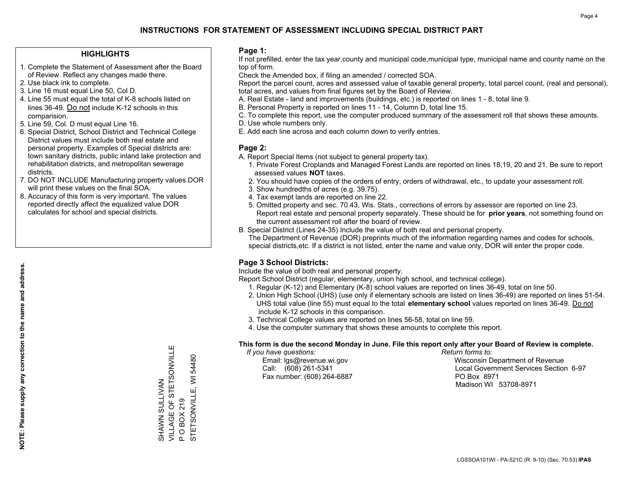### **HIGHLIGHTS**

- 1. Complete the Statement of Assessment after the Board of Review. Reflect any changes made there.
- 2. Use black ink to complete.
- 3. Line 16 must equal Line 50, Col D.
- 4. Line 55 must equal the total of K-8 schools listed on lines 36-49. Do not include K-12 schools in this comparision.
- 5. Line 59, Col. D must equal Line 16.
- 6. Special District, School District and Technical College District values must include both real estate and personal property. Examples of Special districts are: town sanitary districts, public inland lake protection and rehabilitation districts, and metropolitan sewerage districts.
- 7. DO NOT INCLUDE Manufacturing property values.DOR will print these values on the final SOA.

SHAWN SULLIVAN

SHAWN SULLIVAN

VILLAGE OF STETSONVILLE

VILLAGE OF STETSONVILLE

Ш

P O BOX 219

 $\Delta$ 

**OBOX219** 

STETSONVILLE, WI 54480

STETSONVILLE, WI

54480

 8. Accuracy of this form is very important. The values reported directly affect the equalized value DOR calculates for school and special districts.

### **Page 1:**

 If not prefilled, enter the tax year,county and municipal code,municipal type, municipal name and county name on the top of form.

Check the Amended box, if filing an amended / corrected SOA.

 Report the parcel count, acres and assessed value of taxable general property, total parcel count, (real and personal), total acres, and values from final figures set by the Board of Review.

- A. Real Estate land and improvements (buildings, etc.) is reported on lines 1 8, total line 9.
- B. Personal Property is reported on lines 11 14, Column D, total line 15.
- C. To complete this report, use the computer produced summary of the assessment roll that shows these amounts.
- D. Use whole numbers only.
- E. Add each line across and each column down to verify entries.

### **Page 2:**

- A. Report Special Items (not subject to general property tax).
- 1. Private Forest Croplands and Managed Forest Lands are reported on lines 18,19, 20 and 21. Be sure to report assessed values **NOT** taxes.
- 2. You should have copies of the orders of entry, orders of withdrawal, etc., to update your assessment roll.
	- 3. Show hundredths of acres (e.g. 39.75).
- 4. Tax exempt lands are reported on line 22.
- 5. Omitted property and sec. 70.43, Wis. Stats., corrections of errors by assessor are reported on line 23. Report real estate and personal property separately. These should be for **prior years**, not something found on the current assessment roll after the board of review.
- B. Special District (Lines 24-35) Include the value of both real and personal property.

 The Department of Revenue (DOR) preprints much of the information regarding names and codes for schools, special districts,etc. If a district is not listed, enter the name and value only, DOR will enter the proper code.

## **Page 3 School Districts:**

Include the value of both real and personal property.

Report School District (regular, elementary, union high school, and technical college).

- 1. Regular (K-12) and Elementary (K-8) school values are reported on lines 36-49, total on line 50.
- 2. Union High School (UHS) (use only if elementary schools are listed on lines 36-49) are reported on lines 51-54. UHS total value (line 55) must equal to the total **elementary school** values reported on lines 36-49. Do notinclude K-12 schools in this comparison.
- 3. Technical College values are reported on lines 56-58, total on line 59.
- 4. Use the computer summary that shows these amounts to complete this report.

#### **This form is due the second Monday in June. File this report only after your Board of Review is complete.**

 *If you have questions: Return forms to:*

Fax number: (608) 264-6887 PO Box 8971

 Email: lgs@revenue.wi.gov Wisconsin Department of Revenue Call: (608) 261-5341 Local Government Services Section 6-97Madison WI 53708-8971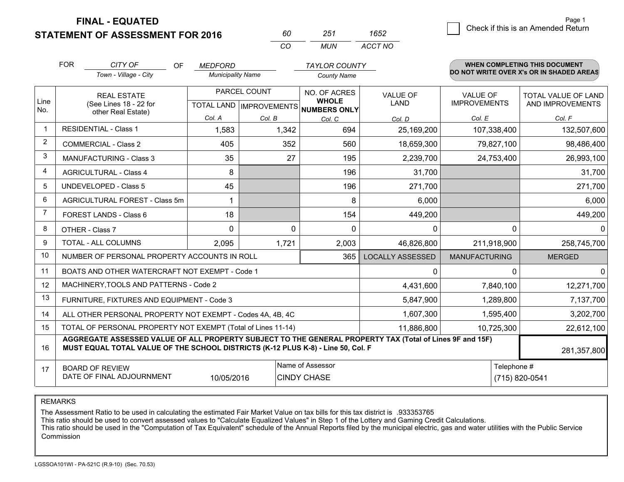**FINAL - EQUATED**

**STATEMENT OF ASSESSMENT FOR 2016** 

*CO MUN <sup>60</sup> <sup>251</sup> ACCT NO1652*

|                         | <b>FOR</b>                                                                                                                                                                                                  | CITY OF<br>OF                                                      | <b>MEDFORD</b>           |                           | <b>TAYLOR COUNTY</b>         |                         |                      | <b>WHEN COMPLETING THIS DOCUMENT</b><br>DO NOT WRITE OVER X's OR IN SHADED AREAS |  |  |
|-------------------------|-------------------------------------------------------------------------------------------------------------------------------------------------------------------------------------------------------------|--------------------------------------------------------------------|--------------------------|---------------------------|------------------------------|-------------------------|----------------------|----------------------------------------------------------------------------------|--|--|
|                         |                                                                                                                                                                                                             | Town - Village - City                                              | <b>Municipality Name</b> |                           | <b>County Name</b>           |                         |                      |                                                                                  |  |  |
|                         |                                                                                                                                                                                                             | <b>REAL ESTATE</b><br>(See Lines 18 - 22 for<br>other Real Estate) |                          | PARCEL COUNT              | NO. OF ACRES                 | <b>VALUE OF</b>         | <b>VALUE OF</b>      | <b>TOTAL VALUE OF LAND</b>                                                       |  |  |
| Line<br>No.             |                                                                                                                                                                                                             |                                                                    |                          | TOTAL LAND   IMPROVEMENTS | <b>WHOLE</b><br>NUMBERS ONLY | <b>LAND</b>             | <b>IMPROVEMENTS</b>  | AND IMPROVEMENTS                                                                 |  |  |
|                         |                                                                                                                                                                                                             |                                                                    | Col. A                   | Col. B                    | Col. C                       | Col. D                  | Col. E               | Col. F                                                                           |  |  |
| $\overline{\mathbf{1}}$ | <b>RESIDENTIAL - Class 1</b>                                                                                                                                                                                |                                                                    | 1,583                    | 1,342                     | 694                          | 25,169,200              | 107,338,400          | 132,507,600                                                                      |  |  |
| 2                       |                                                                                                                                                                                                             | <b>COMMERCIAL - Class 2</b>                                        | 405                      | 352                       | 560                          | 18,659,300              | 79,827,100           | 98,486,400                                                                       |  |  |
| 3                       |                                                                                                                                                                                                             | <b>MANUFACTURING - Class 3</b>                                     | 35                       | 27                        | 195                          | 2,239,700               | 24,753,400           | 26,993,100                                                                       |  |  |
| 4                       |                                                                                                                                                                                                             | <b>AGRICULTURAL - Class 4</b>                                      | 8                        |                           | 196                          | 31,700                  |                      | 31,700                                                                           |  |  |
| 5                       |                                                                                                                                                                                                             | <b>UNDEVELOPED - Class 5</b>                                       | 45                       |                           | 196                          | 271,700                 |                      | 271,700                                                                          |  |  |
| 6                       |                                                                                                                                                                                                             | AGRICULTURAL FOREST - Class 5m                                     | 1                        |                           | 8                            | 6,000                   |                      | 6,000                                                                            |  |  |
| $\overline{7}$          |                                                                                                                                                                                                             | FOREST LANDS - Class 6                                             | 18                       |                           | 154                          | 449,200                 |                      | 449,200                                                                          |  |  |
| 8                       |                                                                                                                                                                                                             | OTHER - Class 7                                                    | $\Omega$                 | 0                         | $\Omega$                     | 0                       | $\Omega$             | $\mathbf{0}$                                                                     |  |  |
| 9                       |                                                                                                                                                                                                             | TOTAL - ALL COLUMNS                                                | 2,095                    | 1,721                     | 2,003                        | 46,826,800              | 211,918,900          | 258,745,700                                                                      |  |  |
| 10                      |                                                                                                                                                                                                             | NUMBER OF PERSONAL PROPERTY ACCOUNTS IN ROLL                       |                          |                           | 365                          | <b>LOCALLY ASSESSED</b> | <b>MANUFACTURING</b> | <b>MERGED</b>                                                                    |  |  |
| 11                      |                                                                                                                                                                                                             | BOATS AND OTHER WATERCRAFT NOT EXEMPT - Code 1                     |                          |                           |                              | 0                       | 0                    | $\mathbf{0}$                                                                     |  |  |
| 12                      |                                                                                                                                                                                                             | MACHINERY, TOOLS AND PATTERNS - Code 2                             |                          |                           |                              | 4,431,600               | 7,840,100            | 12,271,700                                                                       |  |  |
| 13                      |                                                                                                                                                                                                             | FURNITURE, FIXTURES AND EQUIPMENT - Code 3                         |                          |                           |                              | 5,847,900               | 1,289,800            | 7,137,700                                                                        |  |  |
| 14                      |                                                                                                                                                                                                             | ALL OTHER PERSONAL PROPERTY NOT EXEMPT - Codes 4A, 4B, 4C          |                          |                           |                              | 1,607,300               | 1,595,400            | 3,202,700                                                                        |  |  |
| 15                      |                                                                                                                                                                                                             | TOTAL OF PERSONAL PROPERTY NOT EXEMPT (Total of Lines 11-14)       |                          |                           |                              | 11,886,800              | 10,725,300           | 22,612,100                                                                       |  |  |
| 16                      | AGGREGATE ASSESSED VALUE OF ALL PROPERTY SUBJECT TO THE GENERAL PROPERTY TAX (Total of Lines 9F and 15F)<br>MUST EQUAL TOTAL VALUE OF THE SCHOOL DISTRICTS (K-12 PLUS K-8) - Line 50, Col. F<br>281,357,800 |                                                                    |                          |                           |                              |                         |                      |                                                                                  |  |  |
| 17                      |                                                                                                                                                                                                             | <b>BOARD OF REVIEW</b>                                             |                          |                           | Name of Assessor             |                         | Telephone #          |                                                                                  |  |  |
|                         | DATE OF FINAL ADJOURNMENT<br><b>CINDY CHASE</b><br>10/05/2016                                                                                                                                               |                                                                    |                          |                           |                              |                         | (715) 820-0541       |                                                                                  |  |  |

REMARKS

The Assessment Ratio to be used in calculating the estimated Fair Market Value on tax bills for this tax district is .933353765<br>This ratio should be used to convert assessed values to "Calculate Equalized Values" in Step 1 Commission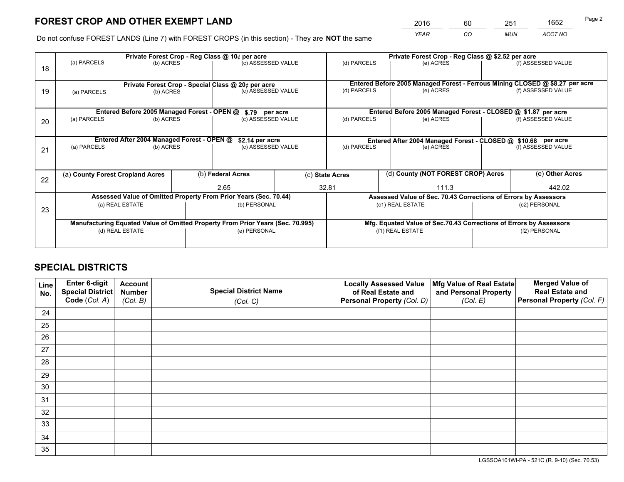*YEAR CO MUN ACCT NO* 2016 60 251 1652

Do not confuse FOREST LANDS (Line 7) with FOREST CROPS (in this section) - They are **NOT** the same

|    |                                                    |                                             |  | Private Forest Crop - Reg Class @ 10¢ per acre                                 |  |                                                       |  | Private Forest Crop - Reg Class @ \$2.52 per acre |                                                                              |                                                                    |
|----|----------------------------------------------------|---------------------------------------------|--|--------------------------------------------------------------------------------|--|-------------------------------------------------------|--|---------------------------------------------------|------------------------------------------------------------------------------|--------------------------------------------------------------------|
| 18 | (a) PARCELS                                        | (b) ACRES                                   |  | (c) ASSESSED VALUE                                                             |  | (d) PARCELS                                           |  | (e) ACRES                                         |                                                                              | (f) ASSESSED VALUE                                                 |
|    | Private Forest Crop - Special Class @ 20¢ per acre |                                             |  |                                                                                |  |                                                       |  |                                                   | Entered Before 2005 Managed Forest - Ferrous Mining CLOSED @ \$8.27 per acre |                                                                    |
| 19 | (b) ACRES<br>(a) PARCELS                           |                                             |  | (c) ASSESSED VALUE                                                             |  | (d) PARCELS                                           |  | (e) ACRES                                         |                                                                              | (f) ASSESSED VALUE                                                 |
|    |                                                    | Entered Before 2005 Managed Forest - OPEN @ |  | \$.79 per acre                                                                 |  |                                                       |  |                                                   |                                                                              | Entered Before 2005 Managed Forest - CLOSED @ \$1.87 per acre      |
| 20 | (a) PARCELS                                        | (b) ACRES                                   |  | (c) ASSESSED VALUE                                                             |  | (d) PARCELS                                           |  | (e) ACRES                                         |                                                                              | (f) ASSESSED VALUE                                                 |
|    |                                                    |                                             |  |                                                                                |  |                                                       |  |                                                   |                                                                              |                                                                    |
|    |                                                    | Entered After 2004 Managed Forest - OPEN @  |  | \$2.14 per acre                                                                |  |                                                       |  |                                                   |                                                                              | Entered After 2004 Managed Forest - CLOSED @ \$10.68 per acre      |
| 21 | (a) PARCELS                                        | (b) ACRES                                   |  | (c) ASSESSED VALUE                                                             |  | (d) PARCELS                                           |  | (e) ACRES                                         |                                                                              | (f) ASSESSED VALUE                                                 |
|    |                                                    |                                             |  |                                                                                |  |                                                       |  |                                                   |                                                                              |                                                                    |
| 22 | (a) County Forest Cropland Acres                   |                                             |  | (b) Federal Acres                                                              |  | (d) County (NOT FOREST CROP) Acres<br>(c) State Acres |  |                                                   |                                                                              | (e) Other Acres                                                    |
|    |                                                    |                                             |  | 2.65                                                                           |  | 32.81<br>111.3                                        |  |                                                   | 442.02                                                                       |                                                                    |
|    |                                                    |                                             |  | Assessed Value of Omitted Property From Prior Years (Sec. 70.44)               |  |                                                       |  |                                                   |                                                                              | Assessed Value of Sec. 70.43 Corrections of Errors by Assessors    |
| 23 |                                                    | (a) REAL ESTATE                             |  | (b) PERSONAL                                                                   |  | (c1) REAL ESTATE                                      |  |                                                   |                                                                              | (c2) PERSONAL                                                      |
|    |                                                    |                                             |  |                                                                                |  |                                                       |  |                                                   |                                                                              |                                                                    |
|    |                                                    |                                             |  | Manufacturing Equated Value of Omitted Property From Prior Years (Sec. 70.995) |  |                                                       |  |                                                   |                                                                              | Mfg. Equated Value of Sec.70.43 Corrections of Errors by Assessors |
|    | (d) REAL ESTATE                                    |                                             |  | (e) PERSONAL                                                                   |  | (f1) REAL ESTATE                                      |  |                                                   | (f2) PERSONAL                                                                |                                                                    |
|    |                                                    |                                             |  |                                                                                |  |                                                       |  |                                                   |                                                                              |                                                                    |

## **SPECIAL DISTRICTS**

| Line<br>No. | Enter 6-digit<br><b>Special District</b> | <b>Account</b><br><b>Number</b> | <b>Special District Name</b> | <b>Locally Assessed Value</b><br>of Real Estate and | Mfg Value of Real Estate<br>and Personal Property | <b>Merged Value of</b><br><b>Real Estate and</b> |
|-------------|------------------------------------------|---------------------------------|------------------------------|-----------------------------------------------------|---------------------------------------------------|--------------------------------------------------|
|             | Code (Col. A)                            | (Col. B)                        | (Col. C)                     | Personal Property (Col. D)                          | (Col. E)                                          | Personal Property (Col. F)                       |
| 24          |                                          |                                 |                              |                                                     |                                                   |                                                  |
| 25          |                                          |                                 |                              |                                                     |                                                   |                                                  |
| 26          |                                          |                                 |                              |                                                     |                                                   |                                                  |
| 27          |                                          |                                 |                              |                                                     |                                                   |                                                  |
| 28          |                                          |                                 |                              |                                                     |                                                   |                                                  |
| 29          |                                          |                                 |                              |                                                     |                                                   |                                                  |
| 30          |                                          |                                 |                              |                                                     |                                                   |                                                  |
| 31          |                                          |                                 |                              |                                                     |                                                   |                                                  |
| 32          |                                          |                                 |                              |                                                     |                                                   |                                                  |
| 33          |                                          |                                 |                              |                                                     |                                                   |                                                  |
| 34          |                                          |                                 |                              |                                                     |                                                   |                                                  |
| 35          |                                          |                                 |                              |                                                     |                                                   |                                                  |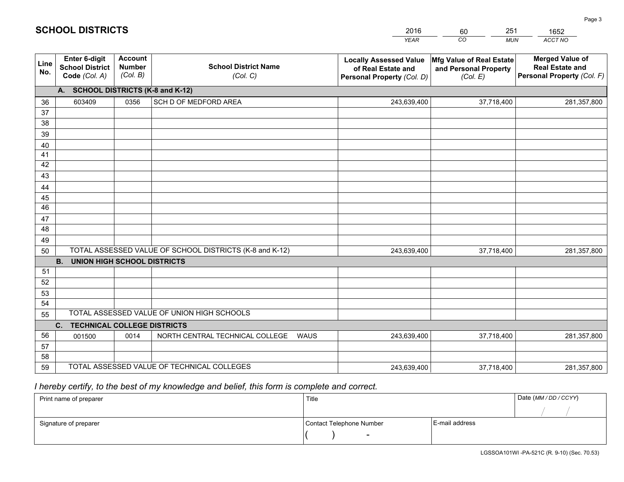|             |                                                                 |                                             |                                                         | <b>YEAR</b>                                                                       | CO<br><b>MUN</b>                                              | <b>ACCT NO</b>                                                                 |
|-------------|-----------------------------------------------------------------|---------------------------------------------|---------------------------------------------------------|-----------------------------------------------------------------------------------|---------------------------------------------------------------|--------------------------------------------------------------------------------|
| Line<br>No. | <b>Enter 6-digit</b><br><b>School District</b><br>Code (Col. A) | <b>Account</b><br><b>Number</b><br>(Col. B) | <b>School District Name</b><br>(Col. C)                 | <b>Locally Assessed Value</b><br>of Real Estate and<br>Personal Property (Col. D) | Mfg Value of Real Estate<br>and Personal Property<br>(Col. E) | <b>Merged Value of</b><br><b>Real Estate and</b><br>Personal Property (Col. F) |
|             | A. SCHOOL DISTRICTS (K-8 and K-12)                              |                                             |                                                         |                                                                                   |                                                               |                                                                                |
| 36          | 603409                                                          | 0356                                        | SCH D OF MEDFORD AREA                                   | 243,639,400                                                                       | 37,718,400                                                    | 281,357,800                                                                    |
| 37          |                                                                 |                                             |                                                         |                                                                                   |                                                               |                                                                                |
| 38          |                                                                 |                                             |                                                         |                                                                                   |                                                               |                                                                                |
| 39          |                                                                 |                                             |                                                         |                                                                                   |                                                               |                                                                                |
| 40          |                                                                 |                                             |                                                         |                                                                                   |                                                               |                                                                                |
| 41          |                                                                 |                                             |                                                         |                                                                                   |                                                               |                                                                                |
| 42          |                                                                 |                                             |                                                         |                                                                                   |                                                               |                                                                                |
| 43          |                                                                 |                                             |                                                         |                                                                                   |                                                               |                                                                                |
| 44<br>45    |                                                                 |                                             |                                                         |                                                                                   |                                                               |                                                                                |
| 46          |                                                                 |                                             |                                                         |                                                                                   |                                                               |                                                                                |
| 47          |                                                                 |                                             |                                                         |                                                                                   |                                                               |                                                                                |
| 48          |                                                                 |                                             |                                                         |                                                                                   |                                                               |                                                                                |
| 49          |                                                                 |                                             |                                                         |                                                                                   |                                                               |                                                                                |
| 50          |                                                                 |                                             | TOTAL ASSESSED VALUE OF SCHOOL DISTRICTS (K-8 and K-12) | 243,639,400                                                                       | 37,718,400                                                    | 281,357,800                                                                    |
|             | <b>B.</b><br><b>UNION HIGH SCHOOL DISTRICTS</b>                 |                                             |                                                         |                                                                                   |                                                               |                                                                                |
| 51          |                                                                 |                                             |                                                         |                                                                                   |                                                               |                                                                                |
| 52          |                                                                 |                                             |                                                         |                                                                                   |                                                               |                                                                                |
| 53          |                                                                 |                                             |                                                         |                                                                                   |                                                               |                                                                                |
| 54          |                                                                 |                                             |                                                         |                                                                                   |                                                               |                                                                                |
| 55          |                                                                 |                                             | TOTAL ASSESSED VALUE OF UNION HIGH SCHOOLS              |                                                                                   |                                                               |                                                                                |
|             | C.<br><b>TECHNICAL COLLEGE DISTRICTS</b>                        |                                             |                                                         |                                                                                   |                                                               |                                                                                |
| 56          | 001500                                                          | 0014                                        | NORTH CENTRAL TECHNICAL COLLEGE<br><b>WAUS</b>          | 243,639,400                                                                       | 37,718,400                                                    | 281,357,800                                                                    |
| 57          |                                                                 |                                             |                                                         |                                                                                   |                                                               |                                                                                |
| 58          |                                                                 |                                             | TOTAL ASSESSED VALUE OF TECHNICAL COLLEGES              |                                                                                   |                                                               |                                                                                |
| 59          |                                                                 |                                             |                                                         | 243,639,400                                                                       | 37,718,400                                                    | 281,357,800                                                                    |

60

251

 *I hereby certify, to the best of my knowledge and belief, this form is complete and correct.*

**SCHOOL DISTRICTS**

| Print name of preparer | Title                    |                | Date (MM / DD / CCYY) |
|------------------------|--------------------------|----------------|-----------------------|
|                        |                          |                |                       |
| Signature of preparer  | Contact Telephone Number | E-mail address |                       |
|                        | $\sim$                   |                |                       |